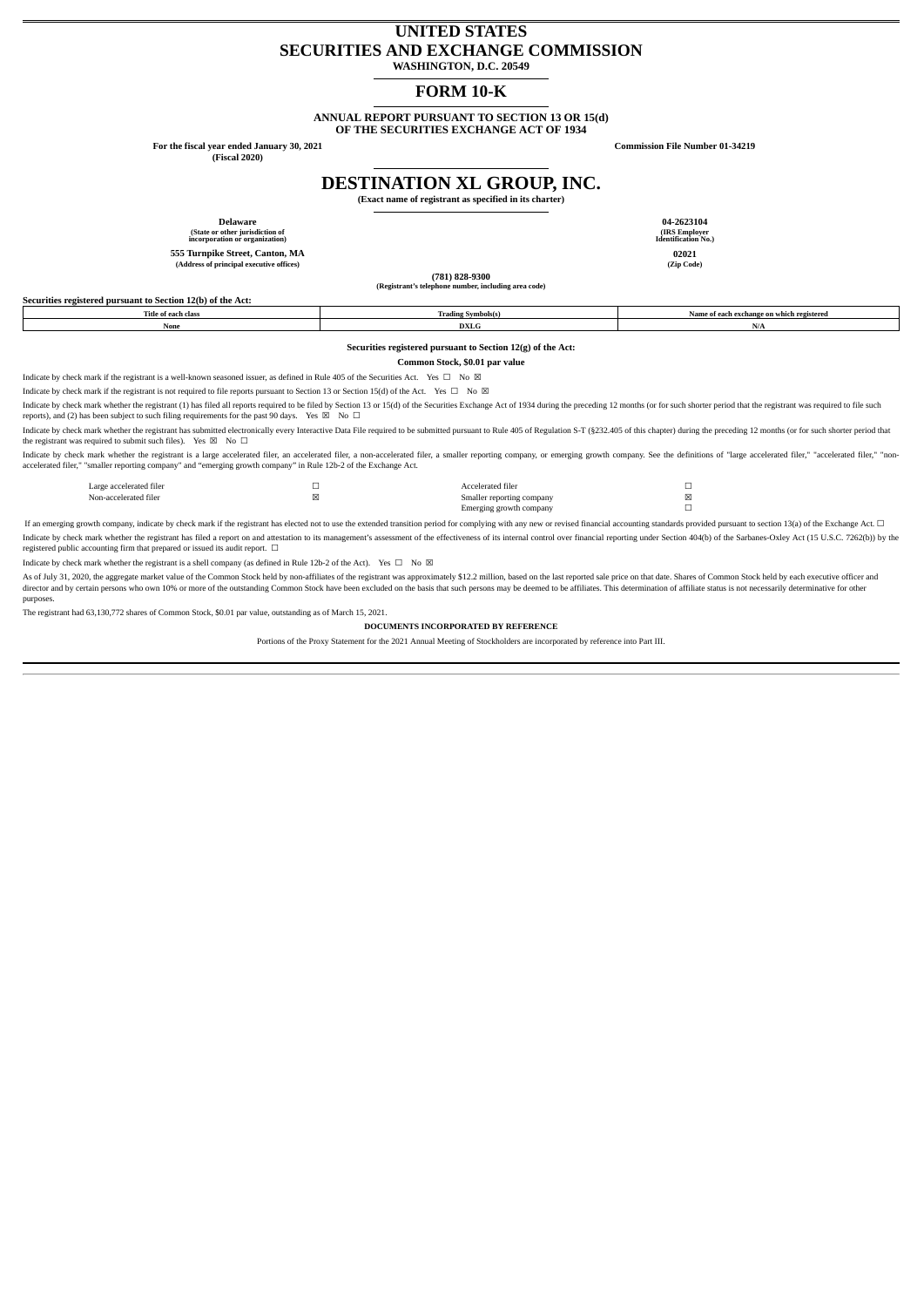# **UNITED STATES SECURITIES AND EXCHANGE COMMISSION WASHINGTON, D.C. 20549**

# **FORM 10-K**

**ANNUAL REPORT PURSUANT TO SECTION 13 OR 15(d)**

**OF THE SECURITIES EXCHANGE ACT OF 1934**

**For the fiscal year ended January 30, 2021 (Fiscal 2020)**

**Commission File Number 01-34219**

**(IRS Employer Identification No.)**

# **DESTINATION XL GROUP, INC.**

**(Exact name of registrant as specified in its charter)**

**Delaware 04-2623104 (State or other jurisdiction of incorporation or organization)**

**555 Turnpike Street, Canton, MA 02021 (Address of principal executive offices) (Zip Code)**

> **(781) 828-9300 (Registrant's telephone number, including area code)**

**Securities registered pursuant to Section 12(b) of the Act:**

**Title of each class Name of each exchange on which registered <b>proposed name of each class Name of each exchange on** which register **None DXLG N/A**

# **Securities registered pursuant to Section 12(g) of the Act:**

**Common Stock, \$0.01 par value**

Indicate by check mark if the registrant is a well-known seasoned issuer, as defined in Rule 405 of the Securities Act. Yes  $\Box$  No  $\boxtimes$ 

Indicate by check mark if the registrant is not required to file reports pursuant to Section 13 or Section 15(d) of the Act. Yes  $\Box$  No  $\boxtimes$ 

Indicate by check mark whether the registrant (1) has filed all reports required to be filed by Section 13 or 15(d) of the Securities Exchange Act of 1934 during the preceding 12 months (or for such shorter period that the reports), and (2) has been subject to such filing requirements for the past 90 days. Yes  $\boxtimes$  No  $\Box$ 

Indicate by check mark whether the registrant has submitted electronically every Interactive Data File required to be submitted pursuant to Rule 405 of Regulation S-T (§232.405 of this chapter) during the preceding 12 mont the registrant was required to submit such files). Yes ⊠ No □

Indicate by check mark whether the registrant is a large accelerated filer, an accelerated filer, a non-accelerated filer, a smaller reporting company, or emerging growth company. See the definitions of "large accelerated accelerated filer," "smaller reporting company" and "emerging growth company" in Rule 12b-2 of the Exchange Act.

| Large accelerated filer |   | Accelerated filer         |  |
|-------------------------|---|---------------------------|--|
| Non-accelerated filer   | ⊠ | Smaller reporting company |  |
|                         |   | Emerging growth company   |  |

If an emerging growth company, indicate by check mark if the registrant has elected not to use the extended transition period for complying with any new or revised financial accounting standards provided pursuant to secti Indicate by check mark whether the registrant has filed a report on and attestation to its management's assessment of the effectiveness of its internal control over financial reporting under Section 404(b) of the Sarbanes

Indicate by check mark whether the registrant is a shell company (as defined in Rule 12b-2 of the Act). Yes  $\Box$  No  $\boxtimes$ 

As of July 31, 2020, the aggregate market value of the Common Stock held by non-affiliates of the registrant was approximately \$12.2 million, based on the last reported sale price on that date. Shares of Common Stock held purposes.

The registrant had 63,130,772 shares of Common Stock, \$0.01 par value, outstanding as of March 15, 2021.

**DOCUMENTS INCORPORATED BY REFERENCE**

Portions of the Proxy Statement for the 2021 Annual Meeting of Stockholders are incorporated by reference into Part III.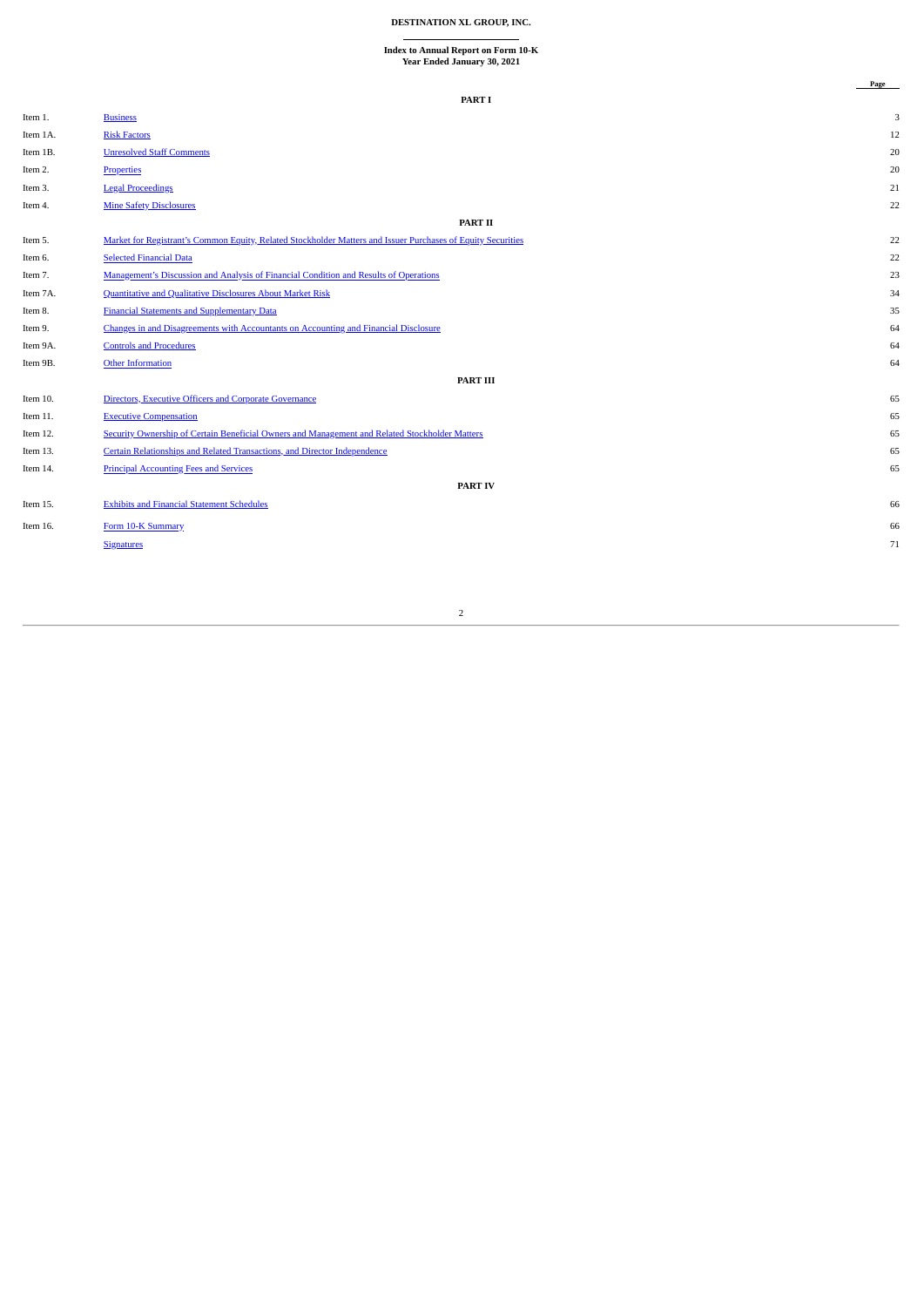# **DESTINATION XL GROUP, INC.**

# **Index to Annual Report on Form 10-K Year Ended January 30, 2021**

|          |                                                                                                              | Page |
|----------|--------------------------------------------------------------------------------------------------------------|------|
|          | <b>PART I</b>                                                                                                |      |
| Item 1.  | <b>Business</b>                                                                                              | 3    |
| Item 1A. | <b>Risk Factors</b>                                                                                          | 12   |
| Item 1B. | <b>Unresolved Staff Comments</b>                                                                             | 20   |
| Item 2.  | <b>Properties</b>                                                                                            | 20   |
| Item 3.  | <b>Legal Proceedings</b>                                                                                     | 21   |
| Item 4.  | <b>Mine Safety Disclosures</b>                                                                               | 22   |
|          | <b>PART II</b>                                                                                               |      |
| Item 5.  | Market for Registrant's Common Equity, Related Stockholder Matters and Issuer Purchases of Equity Securities | 22   |
| Item 6.  | <b>Selected Financial Data</b>                                                                               | 22   |
| Item 7.  | Management's Discussion and Analysis of Financial Condition and Results of Operations                        | 23   |
| Item 7A. | Quantitative and Qualitative Disclosures About Market Risk                                                   | 34   |
| Item 8.  | <b>Financial Statements and Supplementary Data</b>                                                           | 35   |
| Item 9.  | Changes in and Disagreements with Accountants on Accounting and Financial Disclosure                         | 64   |
| Item 9A. | <b>Controls and Procedures</b>                                                                               | 64   |
| Item 9B. | <b>Other Information</b>                                                                                     | 64   |
|          | <b>PART III</b>                                                                                              |      |
| Item 10. | Directors, Executive Officers and Corporate Governance                                                       | 65   |
| Item 11. | <b>Executive Compensation</b>                                                                                | 65   |
| Item 12. | Security Ownership of Certain Beneficial Owners and Management and Related Stockholder Matters               | 65   |
| Item 13. | Certain Relationships and Related Transactions, and Director Independence                                    | 65   |
| Item 14. | <b>Principal Accounting Fees and Services</b>                                                                | 65   |
|          | <b>PART IV</b>                                                                                               |      |
| Item 15. | <b>Exhibits and Financial Statement Schedules</b>                                                            | 66   |
| Item 16. | Form 10-K Summary                                                                                            | 66   |
|          | <b>Signatures</b>                                                                                            | 71   |
|          |                                                                                                              |      |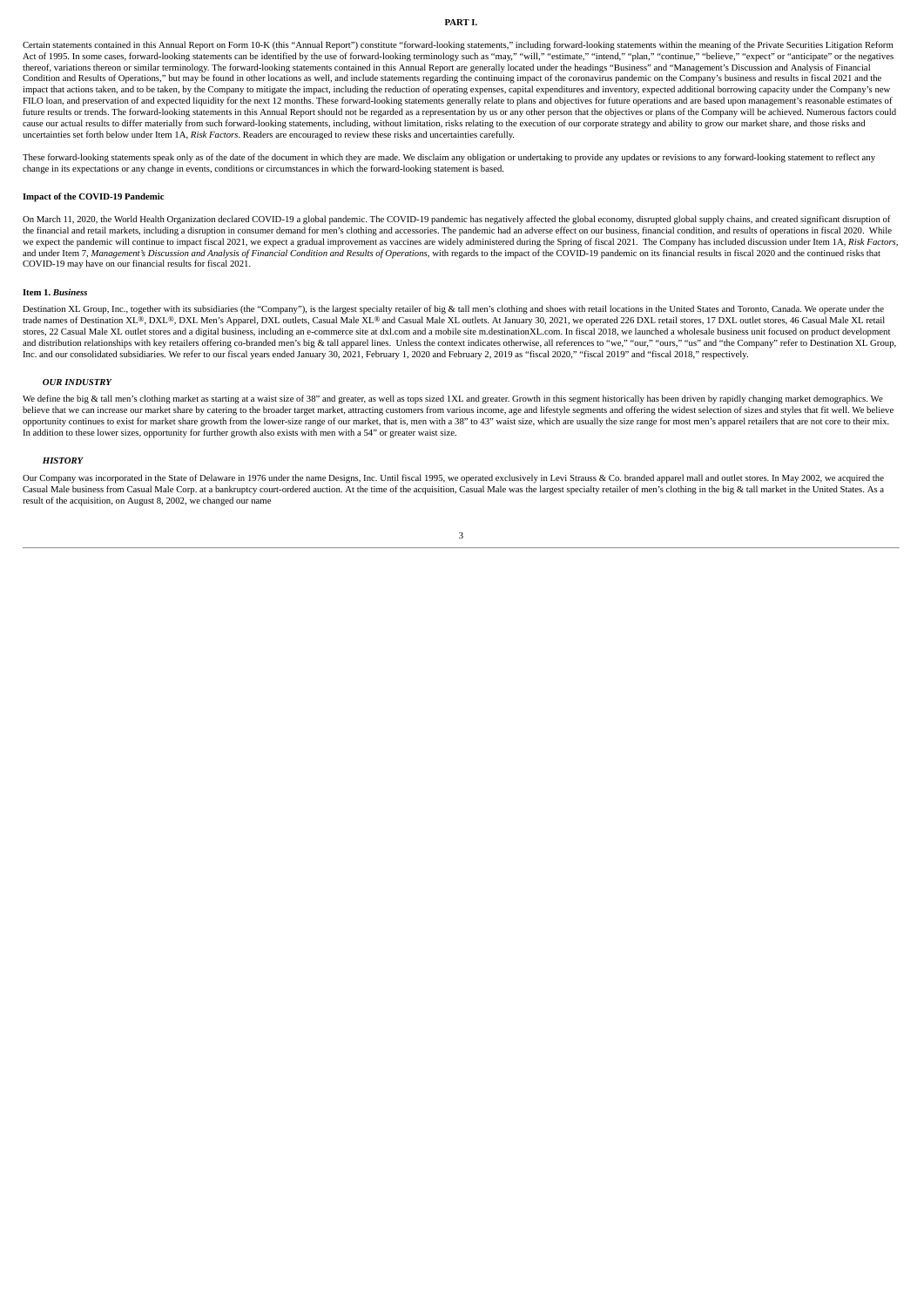#### **PART I.**

Certain statements contained in this Annual Report on Form 10-K (this "Annual Report") constitute "forward-looking statements," including forward-looking statements within the meaning of the Private Securities Litigation R Act of 1995. In some cases, forward-looking statements can be identified by the use of forward-looking terminology such as "may," "will," "estimate," "intend," "plan," "continue," "believe," "expect" or "anticipate" or the thereof, variations thereon or similar terminology. The forward-looking statements contained in this Annual Report are generally located under the headings "Business" and "Management's Discussion and Analysis of Financial<br> impact that actions taken, and to be taken, by the Company to mitigate the impact, including the reduction of operating expenses, capital expenditures and inventory, expected additional borrowing capacity under the Company cause our actual results to differ materially from such forward-looking statements, including, without limitation, risks relating to the execution of our corporate strategy and ability to grow our market share, and those r uncertainties set forth below under Item 1A, *Risk Factors*. Readers are encouraged to review these risks and uncertainties carefully.

These forward-looking statements speak only as of the date of the document in which they are made. We disclaim any obligation or undertaking to provide any updates or revisions to any forward-looking statement to reflect a change in its expectations or any change in events, conditions or circumstances in which the forward-looking statement is based.

# **Impact of the COVID-19 Pandemic**

On March 11, 2020, the World Health Organization declared COVID-19 a global pandemic. The COVID-19 pandemic has negatively affected the global economy, disrupted global supply chains, and created significant disruption of the financial and retail markets, including a disruption in consumer demand for men's clothing and accessories. The pandemic had an adverse effect on our business, financial condition, and results of operations in fiscal 2 not under them 7, Management's Discussion and Analysis of Financial Condition and Results of Operations, with regards to the impact of the COVID-19 pandemic on its financial results in fiscal 2020 and the continued risks t COVID-19 may have on our financial results for fiscal 2021.

# <span id="page-2-0"></span>**Item 1.** *Business*

Destination XL Group, Inc., together with its subsidiaries (the "Company"), is the largest specialty retailer of big & tall men's clothing and shoes with retail locations in the United States and Toronto, Canada. We operat trade names of Destination XL®, DXL®, DXL Men's Apparel, DXL outlets, Casual Male XL® and Casual Male XL outlets. At January 30, 2021, we operated 226 DXL retail stores, 17 DXL outlet stores, 46 Casual Male XL retail stores, 22 Casual Male XL outlet stores and a digital business, including an e-commerce site at dxl.com and a mobile site m.destinationXL.com. In fiscal 2018, we launched a wholesale business unit focused on product develo

### *OUR INDUSTRY*

We define the big & tall men's clothing market as starting at a waist size of 38" and greater, as well as tops sized 1XL and greater. Growth in this segment historically has been driven by rapidly changing market demograph believe that we can increase our market share by catering to the broader target market, attracting customers from various income, age and lifestyle segments and offering the widest selection of sizes and styles that fit we opportunity continues to exist for market share growth from the lower-size range of our market, that is, men with a 38" to 43" waist size, which are usually the size range for most men's apparel retailers that are not core In addition to these lower sizes, opportunity for further growth also exists with men with a 54" or greater waist size.

#### *HISTORY*

Our Company was incorporated in the State of Delaware in 1976 under the name Designs, Inc. Until fiscal 1995, we operated exclusively in Levi Strauss & Co. branded apparel mall and outlet stores. In May 2002, we acquired t Casual Male Corp. at a bankruptcy court-ordered auction. At the time of the acquisition, Casual Male was the largest specialty retailer of men's clothing in the big & tall market in the United States. As a result of the acquisition, on August 8, 2002, we changed our name

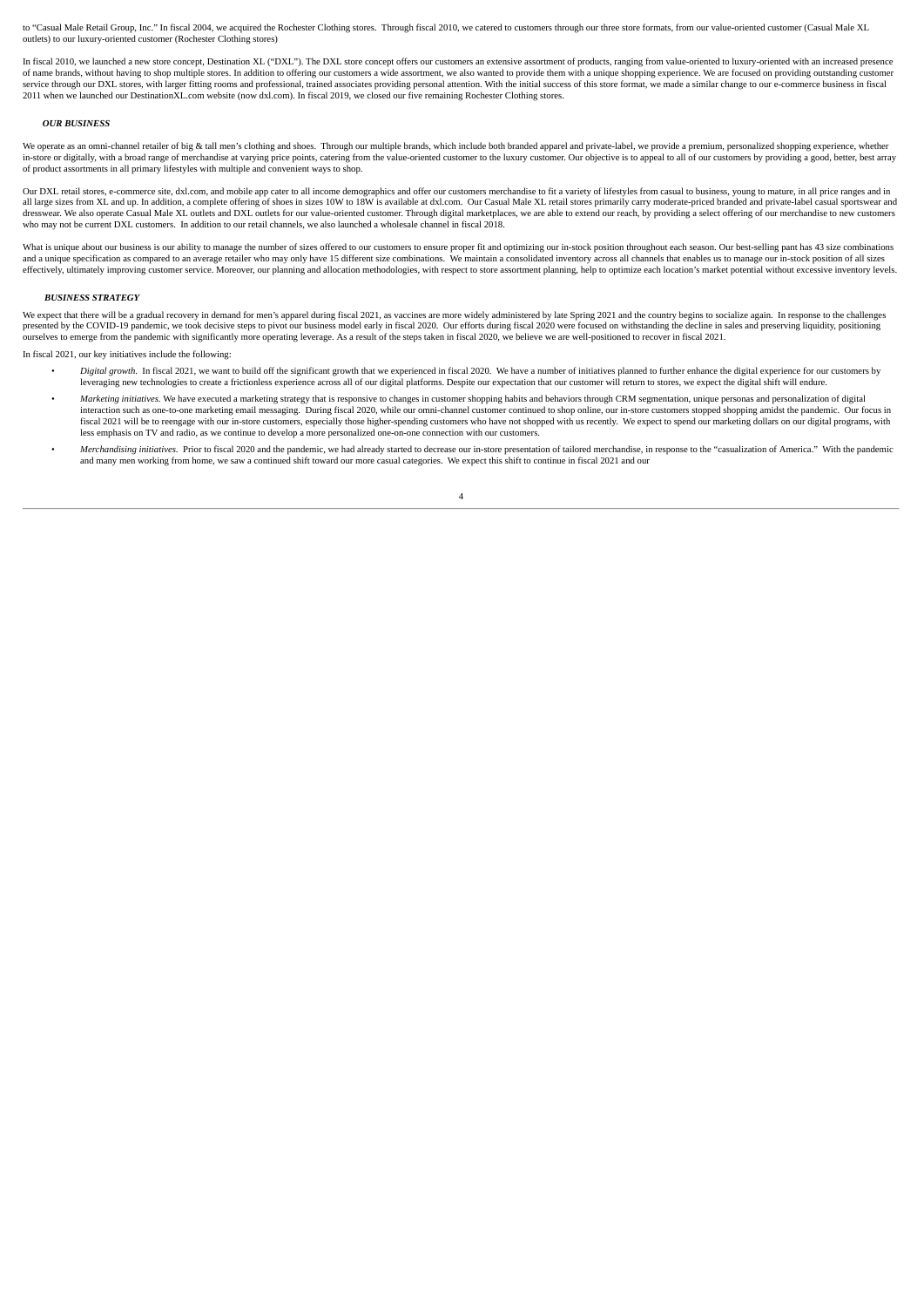to "Casual Male Retail Group, Inc." In fiscal 2004, we acquired the Rochester Clothing stores. Through fiscal 2010, we catered to customers through our three store formats, from our value-oriented customer (Casual Male XL outlets) to our luxury-oriented customer (Rochester Clothing stores)

In fiscal 2010, we launched a new store concept, Destination XL ("DXL"). The DXL store concept offers our customers an extensive assortment of products, ranging from value-oriented to luxury-oriented with an increased pres of name brands, without having to shop multiple stores. In addition to offering our customers a wide assortment, we also wanted to provide them with a unique shopping experience. We are focused on providing outstanding cus service through our DXL stores, with larger fitting rooms and professional, trained associates providing personal attention. With the initial success of this store format, we made a similar change to our e-commerce busines 2011 when we launched our DestinationXL.com website (now dxl.com). In fiscal 2019, we closed our five remaining Rochester Clothing stores.

### *OUR BUSINESS*

We operate as an omni-channel retailer of big & tall men's clothing and shoes. Through our multiple brands, which include both branded apparel and private-label, we provide a premium, personalized shopping experience, whet in-store or digitally, with a broad range of merchandise at varying price points, catering from the value-oriented customer to the luxury customer. Our objective is to appeal to all of our customers by providing a good, be of product assortments in all primary lifestyles with multiple and convenient ways to shop.

Our DXL retail stores, e-commerce site, dxl.com, and mobile app cater to all income demographics and offer our customers merchandise to fit a variety of lifestyles from casual to business, young to mature, in all price ran all large sizes from XL and up. In addition, a complete offering of shoes in sizes 10W to 18W is available at dxl.com. Our Casual Male XL retail stores primarily carry moderate-priced branded and private-label casual sport who may not be current DXL customers. In addition to our retail channels, we also launched a wholesale channel in fiscal 2018.

What is unique about our business is our ability to manage the number of sizes offered to our customers to ensure proper fit and optimizing our in-stock position throughout each season. Our best-selling pant has 43 size co and a unique specification as compared to an average retailer who may only have 15 different size combinations. We maintain a consolidated inventory across all channels that enables us to manage our in-stock position of al effectively, ultimately improving customer service. Moreover, our planning and allocation methodologies, with respect to store assortment planning, help to optimize each location's market potential without excessive invent

### *BUSINESS STRATEGY*

We expect that there will be a gradual recovery in demand for men's apparel during fiscal 2021, as vaccines are more widely administered by late Spring 2021 and the country begins to socialize again. In response to the cha presented by the COVID-19 pandemic, we took decisive steps to pivot our business model early in fiscal 2020. Our efforts during fiscal 2020 were focused on withstanding the decline in sales and preserving liquidity, positi ourselves to emerge from the pandemic with significantly more operating leverage. As a result of the steps taken in fiscal 2020, we believe we are well-positioned to recover in fiscal 2021.

# In fiscal 2021, our key initiatives include the following:

- Digital growth. In fiscal 2021, we want to build off the significant growth that we experienced in fiscal 2020. We have a number of initiatives planned to further enhance the digital experience for our customers by leveraging new technologies to create a frictionless experience across all of our digital platforms. Despite our expectation that our customer will return to stores, we expect the digital shift will endure.
- Marketing initiatives. We have executed a marketing strategy that is responsive to changes in customer shopping habits and behaviors through CRM segmentation, unique personas and personalization of digital interaction su fiscal 2021 will be to reengage with our in-store customers, especially those higher-spending customers who have not shopped with us recently. We expect to spend our marketing dollars on our digital programs, with less emphasis on TV and radio, as we continue to develop a more personalized one-on-one connection with our customers.
- Merchandising initiatives. Prior to fiscal 2020 and the pandemic, we had already started to decrease our in-store presentation of tailored merchandise, in response to the "casualization of America." With the pandemic and many men working from home, we saw a continued shift toward our more casual categories. We expect this shift to continue in fiscal 2021 and our

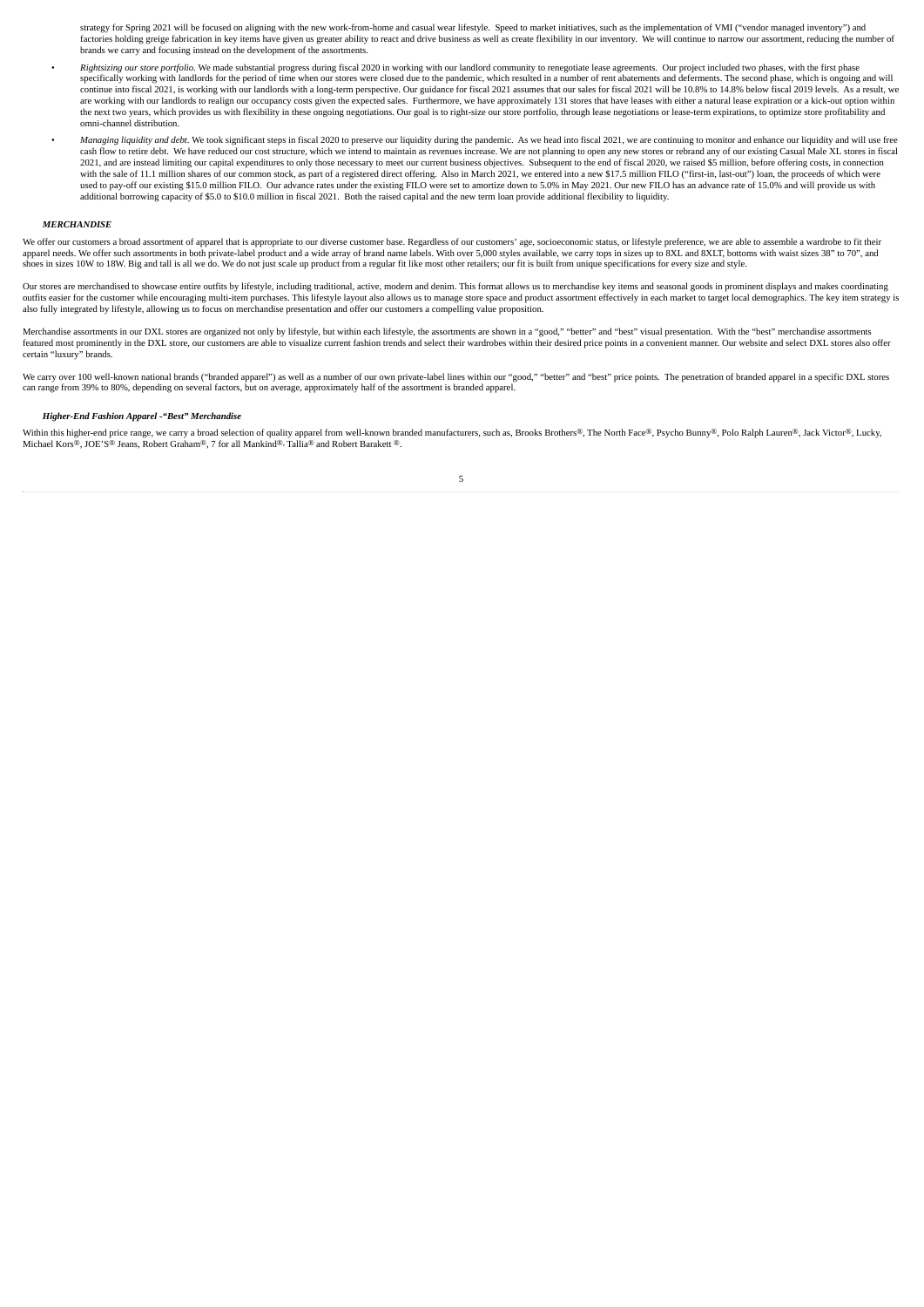strategy for Spring 2021 will be focused on aligning with the new work-from-home and casual wear lifestyle. Speed to market initiatives, such as the implementation of VMI ("vendor managed inventory") and factories holding greige fabrication in key items have given us greater ability to react and drive business as well as create flexibility in our inventory. We will continue to narrow our assortment, reducing the number of brands we carry and focusing instead on the development of the assortments.

- Rightsizing our store portfolio. We made substantial progress during fiscal 2020 in working with our landlord community to renegotiate lease agreements. Our project included two phases, with the first phase space fice list continue into fiscal 2021, is working with our landlords with a long-term perspective. Our guidance for fiscal 2021 assumes that our sales for fiscal 2021 will be 10.8% to 14.8% below fiscal 2019 levels. As a result, we are working with our landlords to realign our occupancy costs given the expected sales. Furthermore, we have approximately 131 stores that have leases with either a natural lease expiration or a kick-out option within<br>the omni-channel distribution.
- Managing liquidity and debt. We took significant steps in fiscal 2020 to preserve our liquidity during the pandemic. As we head into fiscal 2021, we are continuing to monitor and enhance our liquidity and will use free cash flow to retire debt. We have reduced our cost structure, which we intend to maintain as revenues increase. We are not planning to open any new stores or rebrand any of our existing Casual Male XL stores in fiscal 2021, and are instead limiting our capital expenditures to only those necessary to meet our current business objectives. Subsequent to the end of fiscal 2020, we raised \$5 million, before offering costs, in connection<br>with used to pay-off our existing \$15.0 million FILO. Our advance rates under the existing FILO were set to amortize down to 5.0% in May 2021. Our new FILO has an advance rate of 15.0% and will provide us with<br>additional borro

#### *MERCHANDISE*

We offer our customers a broad assortment of apparel that is appropriate to our diverse customer base. Regardless of our customers' age, socioeconomic status, or lifestyle preference, we are able to assemble a wardrobe to n and a solution of the second system in the second section of the second section of the second section of the section of the section of the section of the section of the section of the section of the section of the sectio shoes in sizes 10W to 18W. Big and tall is all we do. We do not just scale up product from a regular fit like most other retailers; our fit is built from unique specifications for every size and style.

Our stores are merchandised to showcase entire outfits by lifestyle, including traditional, active, modern and denim. This format allows us to merchandise key items and seasonal goods in prominent displays and makes coordi outfits easier for the customer while encouraging multi-item purchases. This lifestyle layout also allows us to manage store space and product assortment effectively in each market to target local demographics. The key ite

Merchandise assortments in our DXL stores are organized not only by lifestyle, but within each lifestyle, the assortments are shown in a "good," "better" and "best" visual presentation. With the "best" merchandise assortme featured most prominently in the DXL store, our customers are able to visualize current fashion trends and select their wardrobes within their desired price points in a convenient manner. Our website and select DXL stores certain "luxury" brands.

We carry over 100 well-known national brands ("branded apparel") as well as a number of our own private-label lines within our "good." "better" and "best" price points. The penetration of branded apparel in a specific DXL can range from 39% to 80%, depending on several factors, but on average, approximately half of the assortment is branded apparel.

#### *Higher-End Fashion Apparel -"Best" Merchandise*

Within this higher-end price range, we carry a broad selection of quality apparel from well-known branded manufacturers, such as, Brooks Brothers®, The North Face®, Psycho Bunny®, Polo Ralph Lauren®, Jack Victor®, Lucky,<br>M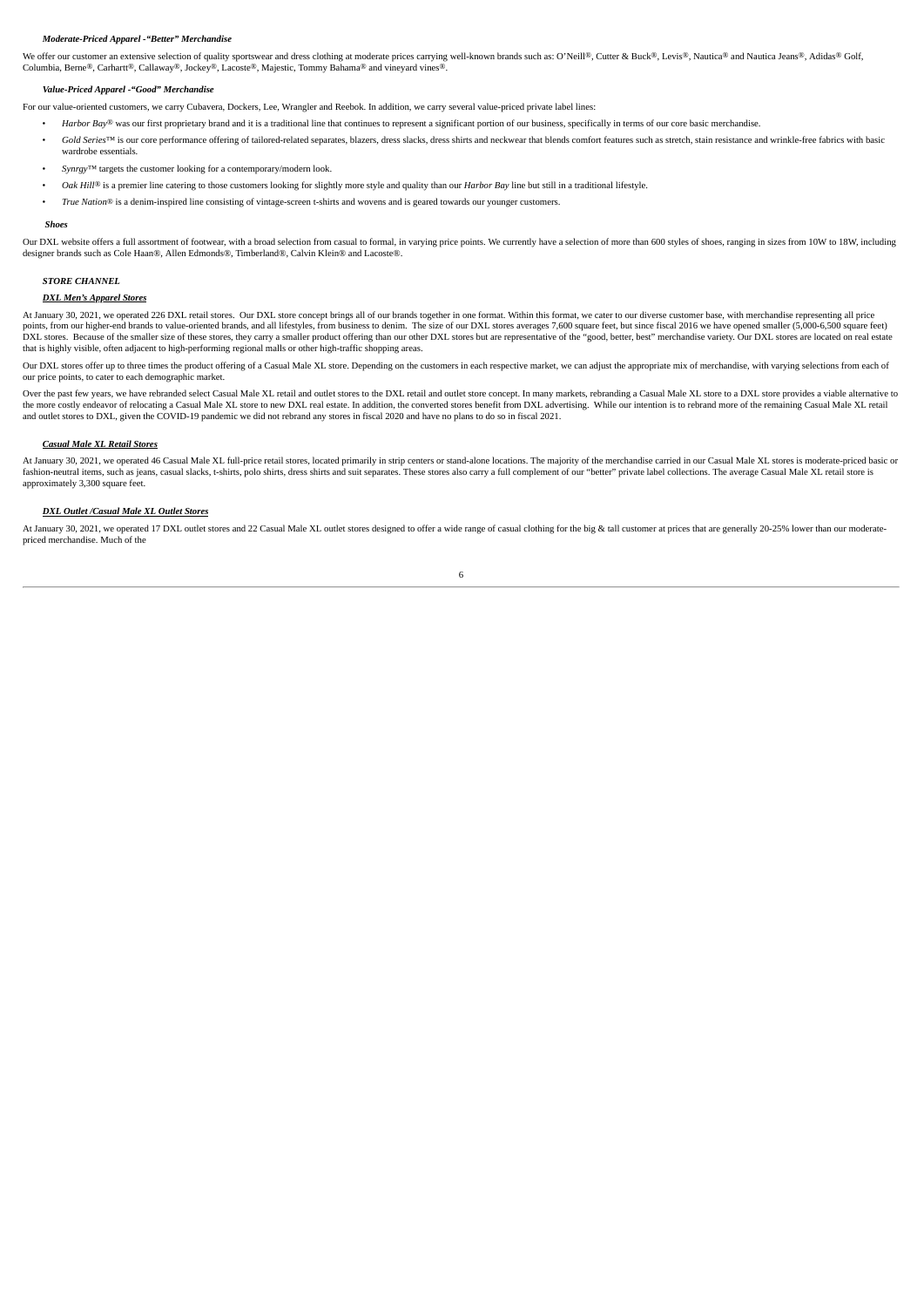### *Moderate-Priced Apparel -"Better" Merchandise*

We offer our customer an extensive selection of quality sportswear and dress clothing at moderate prices carrying well-known brands such as: O'Neill®, Cutter & Buck®, Levis®, Nautica® and Nautica Jeans®, Adidas® Golf, Columbia, Berne®, Carhartt®, Callaway®, Jockey®, Lacoste®, Majestic, Tommy Bahama® and vineyard vines®.

# *Value-Priced Apparel -"Good" Merchandise*

For our value-oriented customers, we carry Cubavera, Dockers, Lee, Wrangler and Reebok. In addition, we carry several value-priced private label lines:

- Harbor Bay<sup>®</sup> was our first proprietary brand and it is a traditional line that continues to represent a significant portion of our business, specifically in terms of our core basic merchandise.
- Gold Series™ is our core performance offering of tailored-related separates, blazers, dress slacks, dress shirts and neckwear that blends comfort features such as stretch, stain resistance and wrinkle-free fabrics with ba wardrobe essentials.
- *Synrgy™* targets the customer looking for a contemporary/modern look.
- *Oak Hill®* is a premier line catering to those customers looking for slightly more style and quality than our *Harbor Bay* line but still in a traditional lifestyle.
- *True Nation®* is a denim-inspired line consisting of vintage-screen t-shirts and wovens and is geared towards our younger customers.

### *Shoes*

Our DXL website offers a full assortment of footwear, with a broad selection from casual to formal, in varying price points. We currently have a selection of more than 600 styles of shoes, ranging in sizes from 10W to 18W, designer brands such as Cole Haan®, Allen Edmonds®, Timberland®, Calvin Klein® and Lacoste®.

# *STORE CHANNEL*

### *DXL Men's Apparel Stores*

At January 30, 2021, we operated 226 DXL retail stores. Our DXL store concept brings all of our brands together in one format. Within this format, we cater to our diverse customer base, with merchandise representing all pr points, from our higher-end brands to value-oriented brands, and all lifestyles, from business to denim. The size of our DXL stores averages 7,600 square feet, but since fiscal 2016 we have opened smaller (5,000-6,500 squa DXL stores. Because of the smaller size of these stores, they carry a smaller product offering than our other DXL stores but are representative of the "good, better, best" merchandise variety. Our DXL stores are located on

Our DXL stores offer up to three times the product offering of a Casual Male XL store. Depending on the customers in each respective market, we can adjust the appropriate mix of merchandise, with varying selections from ea our price points, to cater to each demographic market.

Over the past few years, we have rebranded select Casual Male XL retail and outlet stores to the DXL retail and outlet store concept. In many markets, rebranding a Casual Male XL store to a DXL store provides a viable alte the more costly endeavor of relocating a Casual Male XL store to new DXL real estate. In addition, the converted stores benefit from DXL advertising. While our intention is to rebrand more of the remaining Casual Male XL r

### *Casual Male XL Retail Stores*

At January 30, 2021, we operated 46 Casual Male XL full-price retail stores, located primarily in strip centers or stand-alone locations. The majority of the merchandise carried in our Casual Male XL stores is moderate-pri fashion-neutral items, such as jeans, casual slacks, t-shirts, polo shirts, dress shirts and suit separates. These stores also carry a full complement of our "better" private label collections. The average Casual Male XL r approximately 3,300 square feet.

#### *DXL Outlet /Casual Male XL Outlet Stores*

At January 30, 2021, we operated 17 DXL outlet stores and 22 Casual Male XL outlet stores designed to offer a wide range of casual clothing for the big & tall customer at prices that are generally 20-25% lower than our mod priced merchandise. Much of the

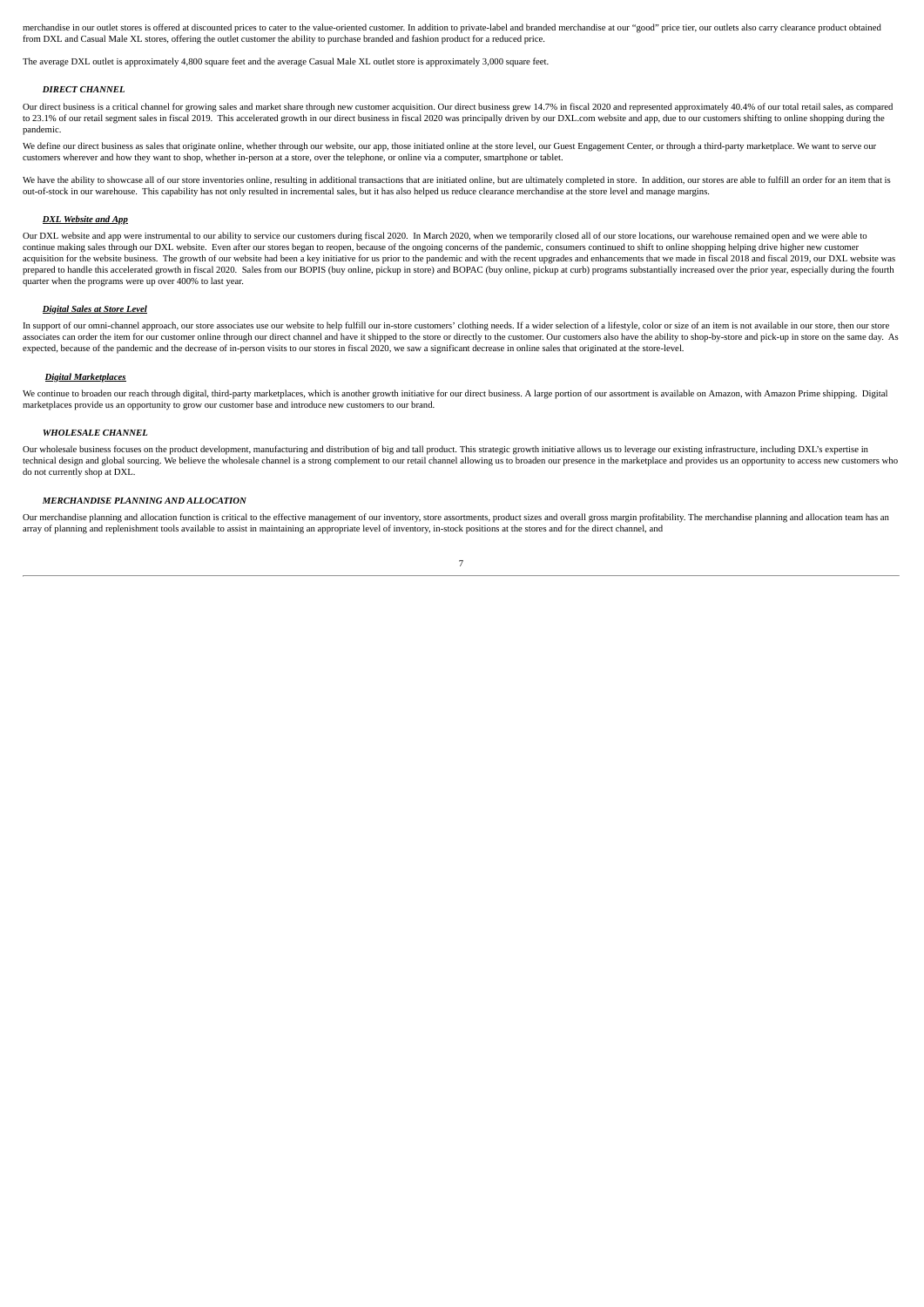merchandise in our outlet stores is offered at discounted prices to cater to the value-oriented customer. In addition to private-label and branded merchandise at our "good" price tier, our outlets also carry clearance prod from DXL and Casual Male XL stores, offering the outlet customer the ability to purchase branded and fashion product for a reduced price.

The average DXL outlet is approximately 4,800 square feet and the average Casual Male XL outlet store is approximately 3,000 square feet.

### *DIRECT CHANNEL*

Our direct business is a critical channel for growing sales and market share through new customer acquisition. Our direct business grew 14.7% in fiscal 2020 and represented approximately 40.4% of our total retail sales, as pandemic.

We define our direct business as sales that originate online, whether through our website, our app, those initiated online at the store level, our Guest Engagement Center, or through a third-party marketplace. We want to s customers wherever and how they want to shop, whether in-person at a store, over the telephone, or online via a computer, smartphone or tablet.

We have the ability to showcase all of our store inventories online, resulting in additional transactions that are initiated online, but are ultimately completed in store. In addition, our stores are able to fulfill an ord out-of-stock in our warehouse. This capability has not only resulted in incremental sales, but it has also helped us reduce clearance merchandise at the store level and manage margins.

#### *DXL Website and App*

Our DXL website and app were instrumental to our ability to service our customers during fiscal 2020. In March 2020, when we temporarily closed all of our store locations, our warehouse remained open and we were able to continue making sales through our DXL website. Even after our stores began to reopen, because of the ongoing concerns of the pandemic, consumers continued to shift to online shopping helping drive higher new customer acquisition for the website business. The growth of our website had been a key initiative for us prior to the pandemic and with the recent upgrades and enhancements that we made in fiscal 2018 and fiscal 2019, our DXL webs prepared to handle this accelerated growth in fiscal 2020. Sales from our BOPIS (buy online, pickup in store) and BOPAC (buy online, pickup is tore) and BOPAC (buy online, pickup at curb) programs substantially increased o quarter when the programs were up over 400% to last year.

### *Digital Sales at Store Level*

In support of our omni-channel approach, our store associates use our website to help fulfill our in-store customers' clothing needs. If a wider selection of a lifestyle, color or size of an item is not available in our st associates can order the item for our customer online through our direct channel and have it shipped to the store or directly to the customer. Our customers also have the ability to shop-by-store and pick-up in store on th

#### *Digital Marketplaces*

We continue to broaden our reach through digital, third-party marketplaces, which is another growth initiative for our direct business. A large portion of our assortment is available on Amazon, with Amazon Prime shipping. marketplaces provide us an opportunity to grow our customer base and introduce new customers to our brand.

#### *WHOLESALE CHANNEL*

Our wholesale business focuses on the product development, manufacturing and distribution of big and tall product. This strategic growth initiative allows us to leverage our existing infrastructure, including DXL's experti technical design and global sourcing. We believe the wholesale channel is a strong complement to our retail channel allowing us to broaden our presence in the marketplace and provides us an opportunity to access new custom do not currently shop at DXL.

# *MERCHANDISE PLANNING AND ALLOCATION*

Our merchandise planning and allocation function is critical to the effective management of our inventory, store assortments, product sizes and overall gross margin profitability. The merchandise planning and allocation te array of planning and replenishment tools available to assist in maintaining an appropriate level of inventory, in-stock positions at the stores and for the direct channel, and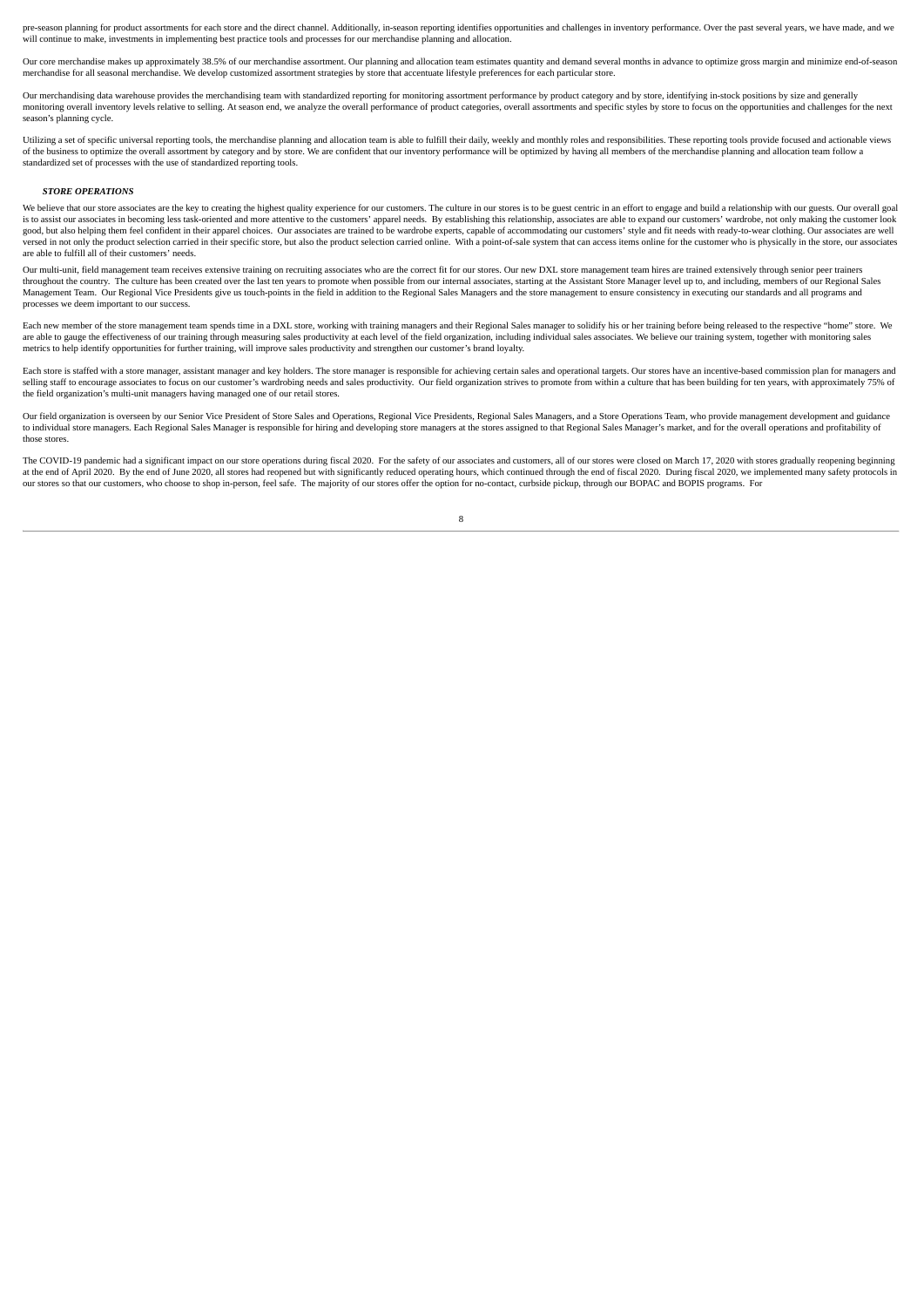pre-season planning for product assortments for each store and the direct channel. Additionally, in-season reporting identifies opportunities and challenges in inventory performance. Over the past several years, we have ma will continue to make, investments in implementing best practice tools and processes for our merchandise planning and allocation.

Our core merchandise makes up approximately 38.5% of our merchandise assortment. Our planning and allocation team estimates quantity and demand several months in advance to optimize gross margin and minimize end-of-season merchandise for all seasonal merchandise. We develop customized assortment strategies by store that accentuate lifestyle preferences for each particular store.

Our merchandising data warehouse provides the merchandising team with standardized reporting for monitoring assortment performance by product category and by store, identifying in-stock positions by size and generally monitoring overall inventory levels relative to selling. At season end, we analyze the overall performance of product categories, overall assortments and specific styles by store to focus on the opportunities and challenge season's planning cycle.

Utilizing a set of specific universal reporting tools, the merchandise planning and allocation team is able to fulfill their daily, weekly and monthly roles and responsibilities. These reporting tools provide focused and a of the business to optimize the overall assortment by category and by store. We are confident that our inventory performance will be optimized by having all members of the merchandise planning and allocation team follow a standardized set of processes with the use of standardized reporting tools.

### *STORE OPERATIONS*

We believe that our store associates are the key to creating the highest quality experience for our customers. The culture in our stores is to be guest centric in an effort to engage and build a relationship with our guest s to assist our associates in becoming less task-oriented and more attentive to the customers' apparel needs. By establishing this relationship, associates are able to expand our customers' wardrobe, not only making the cu good, but also helping them feel confident in their apparel choices. Our associates are trained to be wardrobe experts, capable of accommodating our customers' style and fit needs with ready-to-wear clothing. Our associate versed in not only the product selection carried in their specific store, but also the product selection carried online. With a point-of-sale system that can access items online for the customer who is physically in the st are able to fulfill all of their customers' needs.

Our multi-unit, field management team receives extensive training on recruiting associates who are the correct fit for our stores. Our new DXL store management team hires are trained extensively through senior peer trainer throughout the country. The culture has been created over the last ten years to promote when possible from our internal associates, starting at the Assistant Store Manager level up to, and including, members of our Regiona Management Team. Our Regional Vice Presidents give us touch-points in the field in addition to the Regional Sales Managers and the store management to ensure consistency in executing our standards and all programs and processes we deem important to our success.

Each new member of the store management team spends time in a DXL store, working with training managers and their Regional Sales manager to solidify his or her training before being released to the respective "home" store. are able to gauge the effectiveness of our training through measuring sales productivity at each level of the field organization, including individual sales associates. We believe our training system, together with monitor

Each store is staffed with a store manager, assistant manager and key holders. The store manager is responsible for achieving certain sales and operational targets. Our stores have an incentive-based commission plan for ma selling staff to encourage associates to focus on our customer's wardrobing needs and sales productivity. Our field organization strives to promote from within a culture that has been building for ten years, with approxima the field organization's multi-unit managers having managed one of our retail stores.

Our field organization is overseen by our Senior Vice President of Store Sales and Operations, Regional Vice Presidents, Regional Sales Managers, and a Store Operations Team, who provide management development and guidance to individual store managers. Each Regional Sales Manager is responsible for hiring and developing store managers at the stores assigned to that Regional Sales Manager's market, and for the overall operations and profitabi those stores.

The COVID-19 pandemic had a significant impact on our store operations during fiscal 2020. For the safety of our associates and customers, all of our stores were closed on March 17, 2020 with stores gradually reopening beg at the end of April 2020. By the end of June 2020, all stores had reopened but with significantly reduced operating hours, which continued through the end of fiscal 2020. During fiscal 2020, we implemented many safety prot

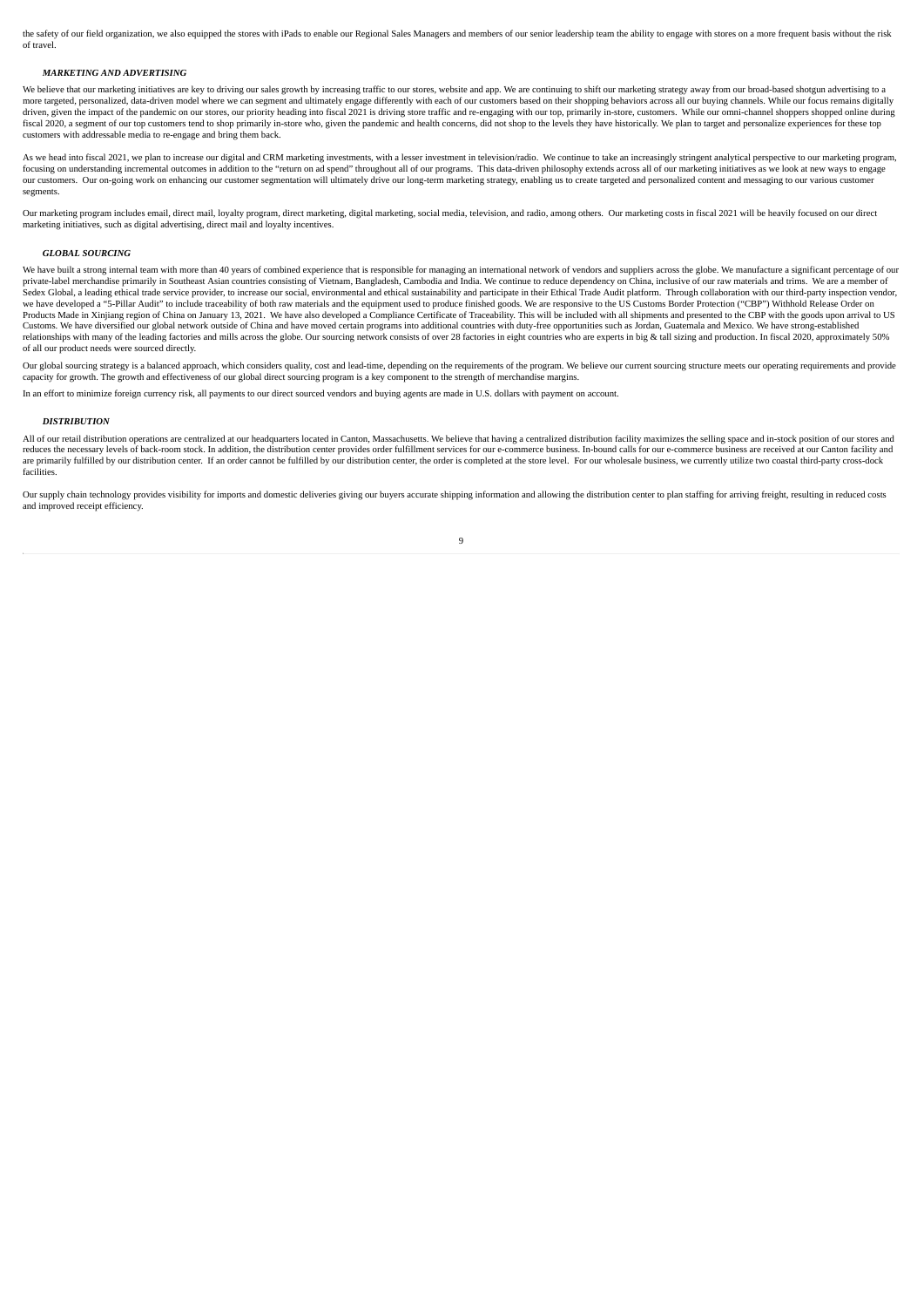the safety of our field organization, we also equipped the stores with iPads to enable our Regional Sales Managers and members of our senior leadership team the ability to engage with stores on a more frequent basis withou of travel.

# *MARKETING AND ADVERTISING*

We believe that our marketing initiatives are key to driving our sales growth by increasing traffic to our stores, website and app. We are continuing to shift our marketing strategy away from our broad-based shotgun advert more targeted, personalized, data-driven model where we can segment and ultimately engage differently with each of our customers based on their shopping behaviors across all our buying channels. While our focus remains dig fiscal 2020, a segment of our top customers tend to shop primarily in-store who, given the pandemic and health concerns, did not shop to the levels they have historically. We plan to target and personalize experiences for customers with addressable media to re-engage and bring them back.

As we head into fiscal 2021, we plan to increase our digital and CRM marketing investments, with a lesser investment in television/radio. We continue to take an increasingly stringent analytical perspective to our marketin focusing on understanding incremental outcomes in addition to the "return on ad spend" throughout all of our programs. This data-driven philosophy extends across all of our marketing initiatives as we look at new ways to e segments.

Our marketing program includes email, direct mail, loyalty program, direct marketing, digital marketing, social media, television, and radio, among others. Our marketing costs in fiscal 2021 will be heavily focused on our marketing initiatives, such as digital advertising, direct mail and loyalty incentives.

### *GLOBAL SOURCING*

We have built a strong internal team with more than 40 years of combined experience that is responsible for managing an international network of vendors and suppliers across the globe. We manufacture a significant percenta private-label merchandise primarily in Southeast Asian countries consisting of Vietnam, Bangladesh, Cambodia and India. We continue to reduce dependency on China, inclusive of our raw materials and trims. We are a member o we have developed a "5-Pillar Audit" to include traceability of both raw materials and the equipment used to produce finished goods. We are responsive to the US Customs Border Protection ("CBP") Withhold Release Order on<br>P Customs. We have diversified our global network outside of China and have moved certain programs into additional countries with duty-free opportunities such as Jordan, Guatemala and Mexico. We have strong-established relationships with many of the leading factories and mills across the globe. Our sourcing network consists of over 28 factories in eight countries who are experts in big & tall sizing and production. In fiscal 2020, approx of all our product needs were sourced directly.

Our global sourcing strategy is a balanced approach, which considers quality, cost and lead-time, depending on the requirements of the program. We believe our current sourcing structure meets our operating requirements and capacity for growth. The growth and effectiveness of our global direct sourcing program is a key component to the strength of merchandise margins.

In an effort to minimize foreign currency risk, all payments to our direct sourced vendors and buying agents are made in U.S. dollars with payment on account.

#### *DISTRIBUTION*

All of our retail distribution operations are centralized at our headquarters located in Canton, Massachusetts. We believe that having a centralized distribution facility maximizes the selling space and in-stock position o are primarily fulfilled by our distribution center. If an order cannot be fulfilled by our distribution center, the order is completed at the store level. For our wholesale business, we currently utilize two coastal thirdfacilities.

Our supply chain technology provides visibility for imports and domestic deliveries giving our buyers accurate shipping information and allowing the distribution center to plan staffing for arriving freight, resulting in r and improved receipt efficiency.

 $\overline{9}$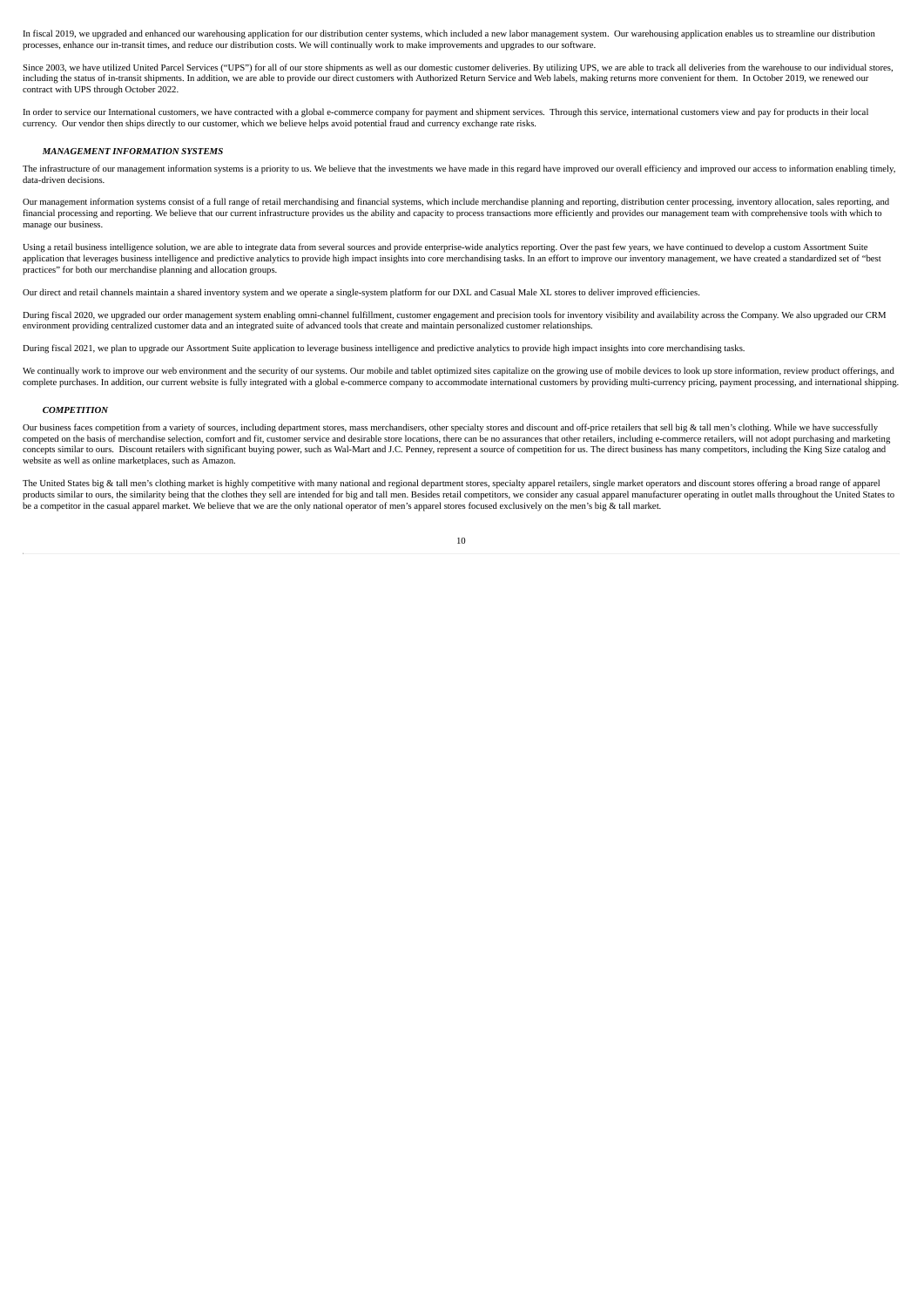In fiscal 2019, we upgraded and enhanced our warehousing application for our distribution center systems, which included a new labor management system. Our warehousing application enables us to streamline our distribution processes, enhance our in-transit times, and reduce our distribution costs. We will continually work to make improvements and upgrades to our software.

Since 2003, we have utilized United Parcel Services ("UPS") for all of our store shipments as well as our domestic customer deliveries. By utilizing UPS, we are able to track all deliveries from the warehouse to our indivi contract with UPS through October 2022.

In order to service our International customers, we have contracted with a global e-commerce company for payment and shipment services. Through this service, international customers view and pay for products in their local currency. Our vendor then ships directly to our customer, which we believe helps avoid potential fraud and currency exchange rate risks.

### *MANAGEMENT INFORMATION SYSTEMS*

The infrastructure of our management information systems is a priority to us. We believe that the investments we have made in this regard have improved our overall efficiency and improved our access to information enabling data-driven decisions.

Our management information systems consist of a full range of retail merchandising and financial systems, which include merchandise planning and reporting, distribution center processing, inventory allocation, sales report manage our business.

Using a retail business intelligence solution, we are able to integrate data from several sources and provide enterprise-wide analytics reporting. Over the past few years, we have continued to develop a custom Assortment S application that leverages business intelligence and predictive analytics to provide high impact insights into core merchandising tasks. In an effort to improve our inventory management, we have created a standardized set practices" for both our merchandise planning and allocation groups.

Our direct and retail channels maintain a shared inventory system and we operate a single-system platform for our DXL and Casual Male XL stores to deliver improved efficiencies.

During fiscal 2020, we upgraded our order management system enabling omni-channel fulfillment, customer engagement and precision tools for inventory visibility and availability across the Company. We also upgraded our CRM environment providing centralized customer data and an integrated suite of advanced tools that create and maintain personalized customer relationships.

During fiscal 2021, we plan to upgrade our Assortment Suite application to leverage business intelligence and predictive analytics to provide high impact insights into core merchandising tasks.

We continually work to improve our web environment and the security of our systems. Our mobile and tablet optimized sites capitalize on the growing use of mobile devices to look up store information, review product offerin complete purchases. In addition, our current website is fully integrated with a global e-commerce company to accommodate international customers by providing multi-currency pricing, payment processing, and international sh

#### *COMPETITION*

Our business faces competition from a variety of sources, including department stores, mass merchandisers, other specialty stores and discount and off-price retailers that sell big & tall men's clothing. While we have succ competed on the basis of merchandise selection, comfort and fit, customer service and desirable store locations, there can be no assurances that other retailers, including e-commerce retailers, will not adopt purchasing an website as well as online marketplaces, such as Amazon.

The United States big & tall men's clothing market is highly competitive with many national and regional department stores, specialty apparel retailers, single market operators and discount stores offering a broad range of products similar to ours, the similarity being that the clothes they sell are intended for big and tall men. Besides retail competitors, we consider any casual apparel manufacturer operating in outlet malls throughout the be a competitor in the casual apparel market. We believe that we are the only national operator of men's apparel stores focused exclusively on the men's big & tall market.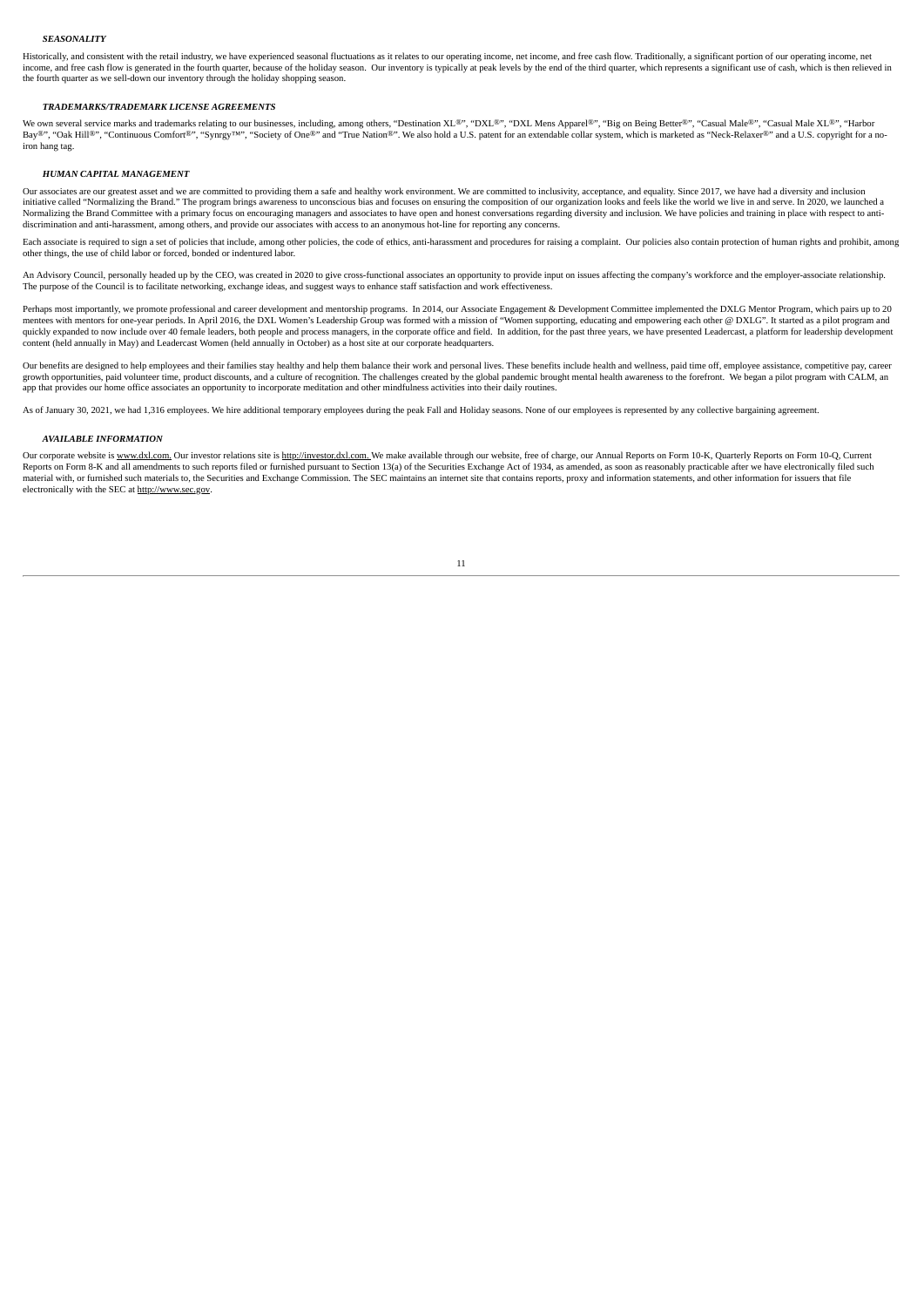#### *SEASONALITY*

Historically, and consistent with the retail industry, we have experienced seasonal fluctuations as it relates to our operating income, net income, and free cash flow. Traditionally, a significant portion of our operating income, and free cash flow is generated in the fourth quarter, because of the holiday season. Our inventory is typically at peak levels by the end of the third quarter, which represents a significant use of cash, which is

### *TRADEMARKS/TRADEMARK LICENSE AGREEMENTS*

We own several service marks and trademarks relating to our businesses, including, among others, "Destination XL®", "DXL®", "DXL Mens Apparel®", "Big on Being Better®", "Casual Male®", "Casual Male®", "Casual Male XL®", "H Bay®", "Oak Hill®", "Continuous Comfort®", "Synrgy™", "Society of One®" and "True Nation®". We also hold a U.S. patent for an extendable collar system, which is marketed as "Neck-Relaxer®" and a U.S. copyright for a noiron hang tag.

#### *HUMAN CAPITAL MANAGEMENT*

Our associates are our greatest asset and we are committed to providing them a safe and healthy work environment. We are committed to inclusivity, acceptance, and equality. Since 2017, we have had a diversity and inclusion initiative called "Normalizing the Brand." The program brings awareness to unconscious bias and focuses on ensuring the composition of our organization looks and feels like the world we live in and serve. In 2020, we launc discrimination and anti-harassment, among others, and provide our associates with access to an anonymous hot-line for reporting any concerns.

Each associate is required to sign a set of policies that include, among other policies, the code of ethics, anti-harassment and procedures for raising a complaint. Our policies also contain protection of human rights and other things, the use of child labor or forced, bonded or indentured labor.

An Advisory Council, personally headed up by the CEO, was created in 2020 to give cross-functional associates an opportunity to provide input on issues affecting the company's workforce and the employer-associate relations The purpose of the Council is to facilitate networking, exchange ideas, and suggest ways to enhance staff satisfaction and work effectiveness.

Perhaps most importantly, we promote professional and career development and mentorship programs. In 2014, our Associate Engagement & Development Committee implemented the DXLG Mentor Program, which pairs up to 20 mentees with mentors for one-year periods. In April 2016, the DXL Women's Leadership Group was formed with a mission of "Women supporting, educating and empowering each other @ DXLG". It started as a pilot program and quickly expanded to now include over 40 female leaders, both people and process managers, in the corporate office and field. In addition, for the past three years, we have presented Leadercast, a platform for leaders hap d content (held annually in May) and Leadercast Women (held annually in October) as a host site at our corporate headquarters.

Our benefits are designed to help employees and their families stay healthy and help them balance their work and personal lives. These benefits include health and wellness, paid time off, employee assistance, competitive p growth opportunities, paid volunteer time, product discounts, and a culture of recognition. The challenges created by the global pandemic brought mental health awareness to the forefront. We began a pilot program with CALM

As of January 30, 2021, we had 1,316 employees. We hire additional temporary employees during the peak Fall and Holiday seasons. None of our employees is represented by any collective bargaining agreement.

### *AVAILABLE INFORMATION*

Our corporate website is <u>www.dxl.com.</u> Our investor relations site is <u>http://investor.dxl.com.</u> We make available through our website, free of charge, our Annual Reports on Form 10-K, Quarterly Reports on Form 10-Q, Curr material with, or furnished such materials to, the Securities and Exchange Commission. The SEC maintains an internet site that contains reports, proxy and information statements, and other information for issuers that file electronically with the SEC at http://www.sec.gov.

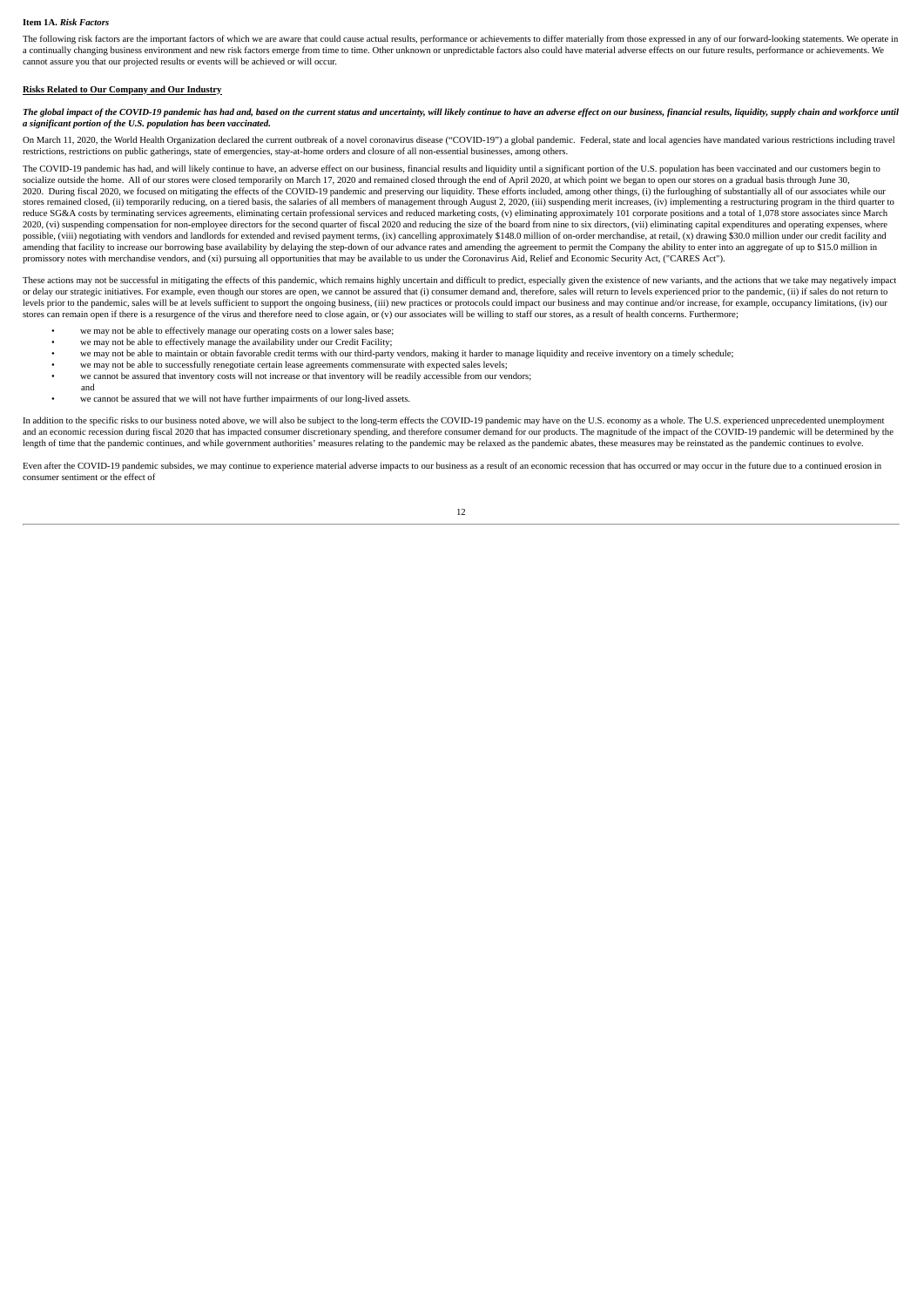### <span id="page-11-0"></span>**Item 1A.** *Risk Factors*

The following risk factors are the important factors of which we are aware that could cause actual results, performance or achievements to differ materially from those expressed in any of our forward-looking statements. We a continually changing business environment and new risk factors emerge from time to time. Other unknown or unpredictable factors also could have material adverse effects on our future results, performance or achievements. cannot assure you that our projected results or events will be achieved or will occur.

#### **Risks Related to Our Company and Our Industry**

The global impact of the COVID-19 pandemic has had and, based on the current status and uncertainty, will likely continue to have an adverse effect on our business, financial results, liquidity, supply chain and workforce *a significant portion of the U.S. population has been vaccinated.*

On March 11, 2020, the World Health Organization declared the current outbreak of a novel coronavirus disease ("COVID-19") a global pandemic. Federal, state and local agencies have mandated various restrictions including t restrictions, restrictions on public gatherings, state of emergencies, stay-at-home orders and closure of all non-essential busines

The COVID-19 pandemic has had, and will likely continue to have, an adverse effect on our business, financial results and liquidity until a significant portion of the U.S. population has been vaccinated and our customers b socialize outside the home. All of our stores were closed temporarily on March 17, 2020 and remained closed through the end of April 2020, at which point we began to open our stores on a gradual basis through June 30, soci 2020. During fiscal 2020, we focused on mitigating the effects of the COVID-19 pandemic and preserving our liquidity. These efforts included, among other things, (i) the furloughing of substantially all of our associates w stores remained closed, (ii) temporarily reducing, on a tiered basis, the salaries of all members of management through August 2, 2020, (iii) suspending merit increases, (iv) implementing a restructuring program in the thi 2020, (vi) suspending compensation for non-employee directors for the second quarter of fiscal 2020 and reducing the size of the board from nine to six directors, (vii) eliminating capital expenditures and operating expens possible, (viii) negotiating with vendors and landlords for extended and revised payment terms, (ix) cancelling approximately \$148.0 million of on-order merchandise, at retail, (x) drawing \$30.0 million under our credit fa promissory notes with merchandise vendors, and (xi) pursuing all opportunities that may be available to us under the Coronavirus Aid, Relief and Economic Security Act, ("CARES Act").

These actions may not be successful in mitigating the effects of this pandemic, which remains highly uncertain and difficult to predict, especially given the existence of new variants, and the actions that we take may nega or delay our strategic initiatives. For example, even though our stores are open, we cannot be assured that (i) consumer demand and, therefore, sales will return to levels experienced prior to the pandemic, (ii) if sales d levels prior to the pandemic, sales will be at levels sufficient to support the ongoing business, (iii) new practices or protocols could impact our business and may continue and/or increase, for example, occupancy limitati stores can remain open if there is a resurgence of the virus and therefore need to close again, or (v) our associates will be willing to staff our stores, as a result of health concerns. Furthermore;

- we may not be able to effectively manage our operating costs on a lower sales base;
- 
- we may not be able to effectively manage the availability under our Credit Facility;<br>• we may not be able to maintain or obtain favorable credit terms with our third-party vendors, making it harder to manage liquidity an
- we may not be able to successfully renegotiate certain lease agreements commensurate with expected sales levels; • we cannot be assured that inventory costs will not increase or that inventory will be readily accessible from our vendors;
- and
- we cannot be assured that we will not have further impairments of our long-lived assets.

In addition to the specific risks to our business noted above, we will also be subject to the long-term effects the COVID-19 pandemic may have on the U.S. economy as a whole. The U.S. experienced unprecedented unemployment length of time that the pandemic continues, and while government authorities' measures relating to the pandemic may be relaxed as the pandemic abates, these measures may be reinstated as the pandemic continues to evolve.

Even after the COVID-19 pandemic subsides, we may continue to experience material adverse impacts to our business as a result of an economic recession that has occurred or may occur in the future due to a continued erosion consumer sentiment or the effect of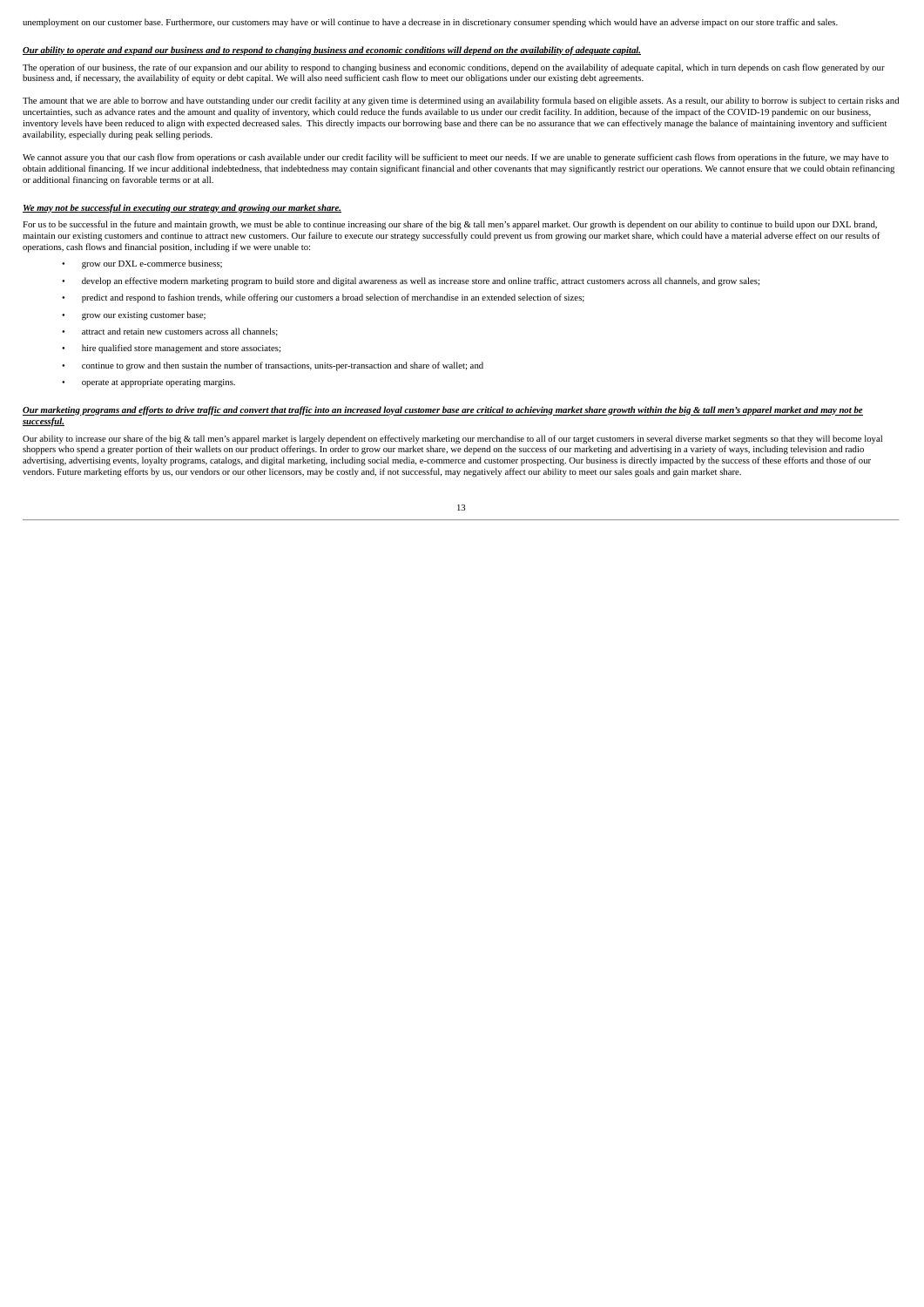unemployment on our customer base. Furthermore, our customers may have or will continue to have a decrease in in discretionary consumer spending which would have an adverse impact on our store traffic and sales.

### Our ability to operate and expand our business and to respond to changing business and economic conditions will depend on the availability of adequate capital.

The operation of our business, the rate of our expansion and our ability to respond to changing business and economic conditions, depend on the availability of adequate capital, which in turn depends on cash flow generated

The amount that we are able to borrow and have outstanding under our credit facility at any given time is determined using an availability formula based on eligible assets. As a result, our ability to borrow is subject to availability, especially during peak selling periods.

We cannot assure you that our cash flow from operations or cash available under our credit facility will be sufficient to meet our needs. If we are unable to generate sufficient cash flows from operations in the future, we obtain additional financing. If we incur additional indebtedness, that indebtedness may contain significant financial and other covenants that may significantly restrict our operations. We cannot ensure that we could obtai

### *We may not be successful in executing our strategy and growing our market share.*

For us to be successful in the future and maintain growth, we must be able to continue increasing our share of the big & tall men's apparel market. Our growth is dependent on our ability to continue to build upon our DXL b maintain our existing customers and continue to attract new customers. Our failure to execute our strategy successfully could prevent us from growing our market share, which could have a material adverse effect on our resu operations, cash flows and financial position, including if we were unable to:

- grow our DXL e-commerce business;
- develop an effective modern marketing program to build store and digital awareness as well as increase store and online traffic, attract customers across all channels, and grow sales;
- predict and respond to fashion trends, while offering our customers a broad selection of merchandise in an extended selection of sizes;
- grow our existing customer base;
- attract and retain new customers across all channels;
- hire qualified store management and store associates;
- continue to grow and then sustain the number of transactions, units-per-transaction and share of wallet; and
- operate at appropriate operating margins.

# Our marketing programs and efforts to drive traffic and convert that traffic into an increased loyal customer base are critical to achieving market share growth within the big & tall men's apparel market and may not be *successful.*

Our ability to increase our share of the big & tall men's apparel market is largely dependent on effectively marketing our merchandise to all of our target customers in several diverse market segments so that they will bec advertising, advertising events, loyalty programs, catalogs, and digital marketing, including social media, e-commerce and customer prospecting. Our business is directly impacted by the success of these efforts and those o vendors. Future marketing efforts by us, our vendors or our other licensors, may be costly and, if not successful, may negatively affect our ability to meet our sales goals and gain market share.

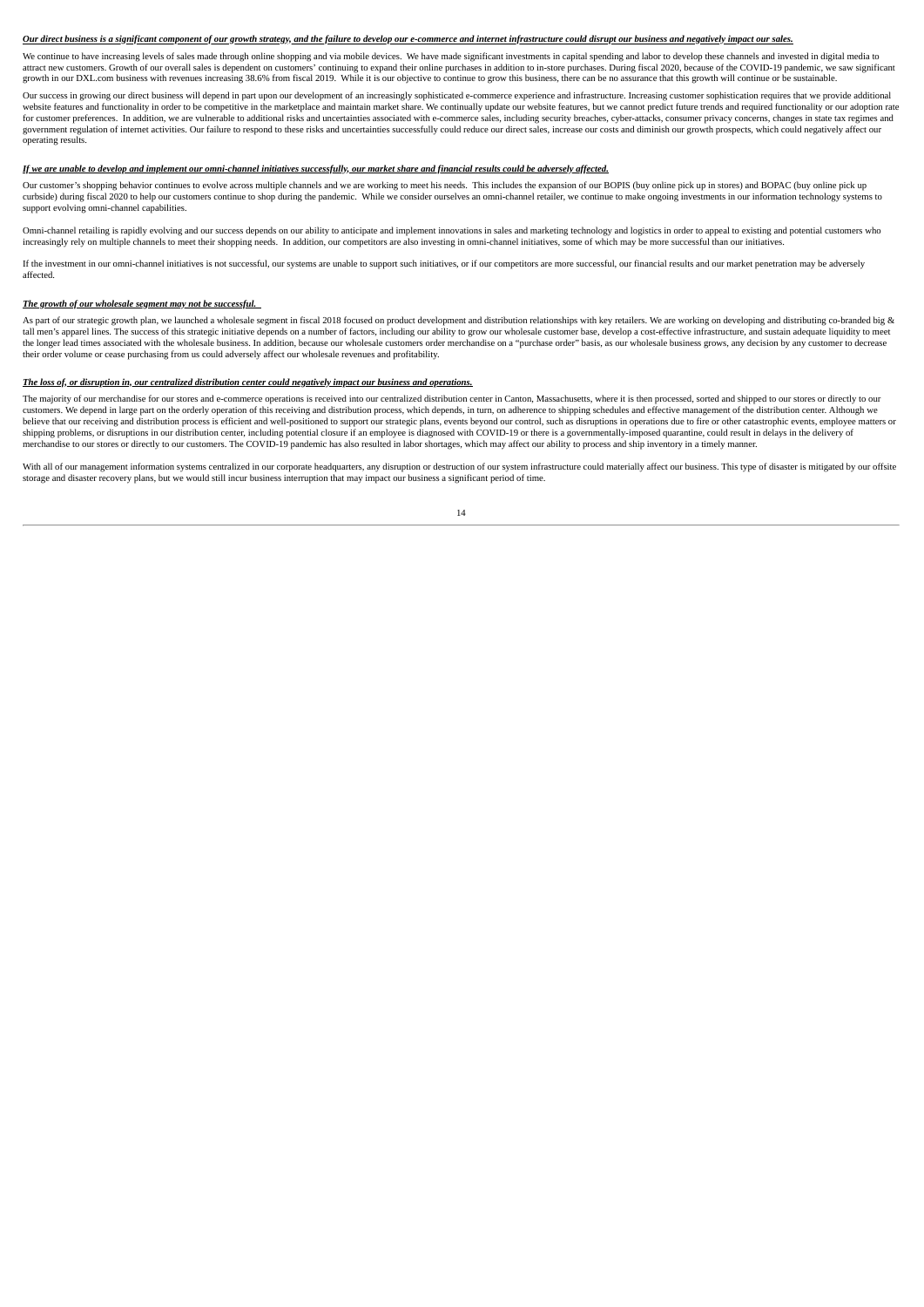### Our direct business is a significant component of our growth strategy, and the failure to develop our e-commerce and internet infrastructure could disrupt our business and negatively impact our sales

We continue to have increasing levels of sales made through online shopping and via mobile devices. We have made significant investments in capital spending and labor to develop these channels and invested in digital media attract new customers. Growth of our overall sales is dependent on customers' continuing to expand their online purchases in addition to in-store purchases. During fiscal 2020, because of the COVID-19 pandemic, we saw sign

Our success in growing our direct business will depend in part upon our development of an increasingly sophisticated e-commerce experience and infrastructure. Increasing customer sophistication requires that we provide add website features and functionality in order to be competitive in the marketplace and maintain market share. We continually update our website features, but we cannot predict future trends and required functionality or our government regulation of internet activities. Our failure to respond to these risks and uncertainties successfully could reduce our direct sales, increase our costs and diminish our growth prospects, which could negatively operating results.

#### If we are unable to develop and implement our omni-channel initiatives successfully, our market share and financial results could be adversely affected.

Our customer's shopping behavior continues to evolve across multiple channels and we are working to meet his needs. This includes the expansion of our BOPIS (buy online pick up in stores) and BOPAC (buy online pick up curbside) during fiscal 2020 to help our customers continue to shop during the pandemic. While we consider ourselves an omni-channel retailer, we continue to make ongoing investments in our information technology systems to support evolving omni-channel capabilities.

Omni-channel retailing is rapidly evolving and our success depends on our ability to anticipate and implement innovations in sales and marketing technology and logistics in order to appeal to existing and potential custome increasingly rely on multiple channels to meet their shopping needs. In addition, our competitors are also investing in omni-channel initiatives, some of which may be more successful than our initiatives.

If the investment in our omni-channel initiatives is not successful, our systems are unable to support such initiatives, or if our competitors are more successful, our financial results and our market penetration may be ad affected.

### *The growth of our wholesale segment may not be successful.*

As part of our strategic growth plan, we launched a wholesale segment in fiscal 2018 focused on product development and distribution relationships with key retailers. We are working on developing and distributing co-brande and men's apparel lines. The success of this strategic initiative depends on a number of factors, including our ability to grow our wholesale customer base, develop a cost-effective infrastructure, and sustain adequate liq the longer lead times associated with the wholesale business. In addition, because our wholesale customers order merchandise on a "purchase order" basis, as our wholesale business grows, any decision by any customer to dec their order volume or cease purchasing from us could adversely affect our wholesale revenues and profitability.

# loss of, or disruption in, our centralized distribution center could negatively impact our business and operations.

The majority of our merchandise for our stores and e-commerce operations is received into our centralized distribution center in Canton, Massachusetts, where it is then processed, sorted and shipped to our stores or direct believe that our receiving and distribution process is efficient and well-positioned to support our strategic plans, events beyond our control, such as disruptions in operations due to fire or other catastrophic events, em shipping problems, or disruptions in our distribution center, including potential closure if an employee is diagnosed with COVID-19 or there is a governmentally-imposed quarantine, could result in delays in the delivery of

With all of our management information systems centralized in our corporate headquarters, any disruption or destruction of our system infrastructure could materially affect our business. This type of disaster is mitigated storage and disaster recovery plans, but we would still incur business interruption that may impact our business a significant period of time.

<sup>14</sup>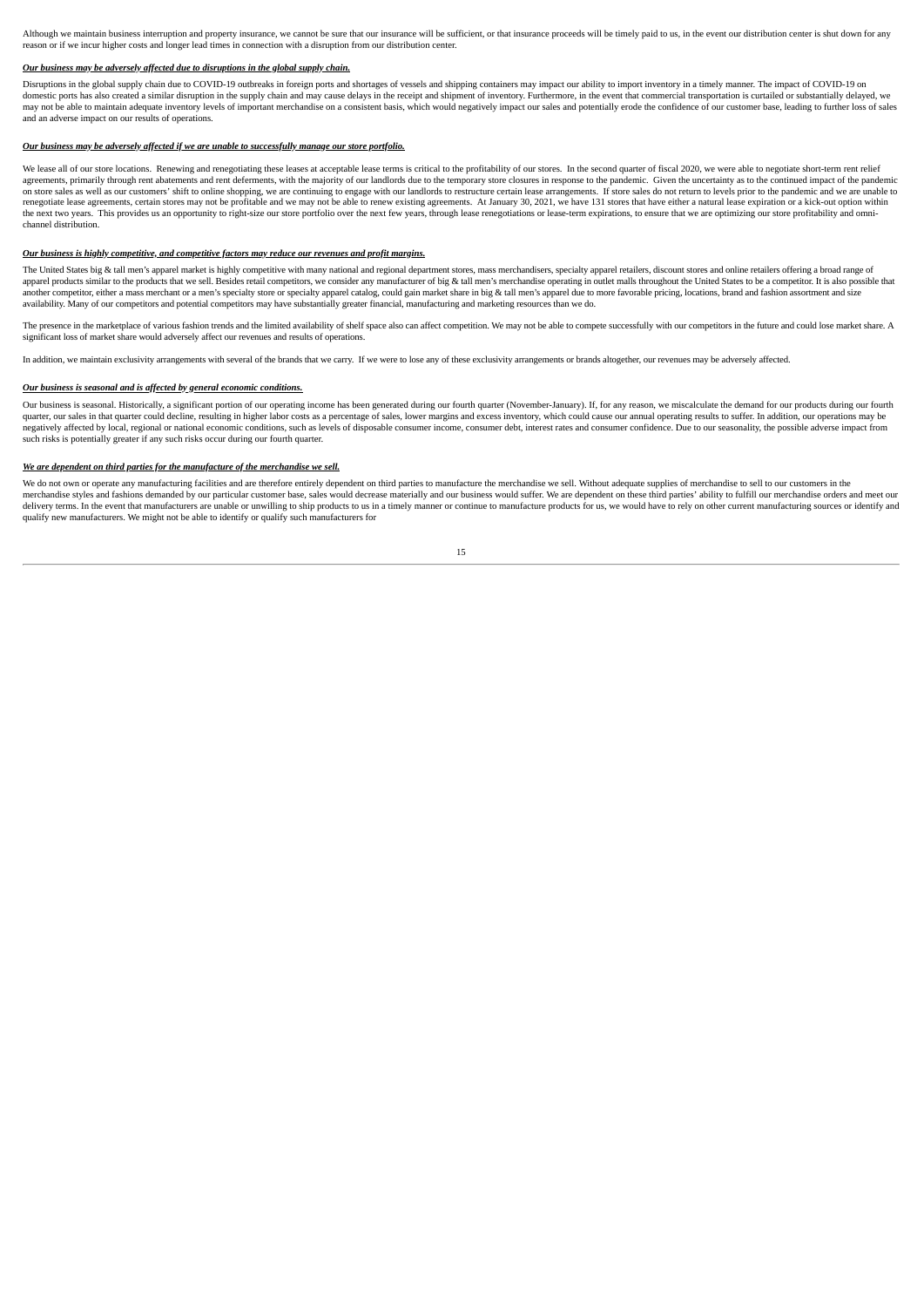Although we maintain business interruption and property insurance, we cannot be sure that our insurance will be sufficient, or that insurance proceeds will be timely paid to us, in the event our distribution center is shut

### *Our business may be adversely affected due to disruptions in the global supply chain.*

Disruptions in the global supply chain due to COVID-19 outbreaks in foreign ports and shortages of vessels and shipping containers may impact our ability to import inventory in a timely manner. The impact of COVID-19 on domestic ports has also created a similar disruption in the supply chain and may cause delays in the receipt and shipment of inventory. Furthermore, in the event that commercial transportation is curtailed or substantially may not be able to maintain adequate inventory levels of important merchandise on a consistent basis, which would negatively impact our sales and potentially erode the confidence of our customer base, leading to further lo

### *Our business may be adversely affected if we are unable to successfully manage our store portfolio.*

We lease all of our store locations. Renewing and renegotiating these leases at acceptable lease terms is critical to the profitability of our stores. In the second quarter of fiscal 2020, we were able to negotiate short-t on store sales as well as our customers' shift to online shopping, we are continuing to engage with our landlords to restructure certain lease arrangements. If store sales do not return to levels prior to the pandemic and renegotiate lease agreements, certain stores may not be profitable and we may not be able to renew existing agreements. At January 30, 2021, we have 131 stores that have either a natural lease expiration or a kick-out opti channel distribution.

### *Our business is highly competitive, and competitive factors may reduce our revenues and profit margins.*

The United States big & tall men's apparel market is highly competitive with many national and regional department stores, mass merchandisers, specialty apparel retailers, discount stores and online retailers offering a br apparel products similar to the products that we sell. Besides retail competitors, we consider any manufacturer of big & tall men's merchandise operating in outlet malls throughout the United States to be a competitor. It availability. Many of our competitors and potential competitors may have substantially greater financial, manufacturing and marketing resources than we do.

The presence in the marketplace of various fashion trends and the limited availability of shelf space also can affect competition. We may not be able to compete successfully with our competitors in the future and could los significant loss of market share would adversely affect our revenues and results of operations.

In addition, we maintain exclusivity arrangements with several of the brands that we carry. If we were to lose any of these exclusivity arrangements or brands altogether, our revenues may be adversely affected.

### *Our business is seasonal and is affected by general economic conditions.*

Our business is seasonal. Historically, a significant portion of our operating income has been generated during our fourth quarter (November-January). If, for any reason, we miscalculate the demand for our products during quarter, our sales in that quarter could decline, resulting in higher labor costs as a percentage of sales, lower margins and excess inventory, which could cause our annual operating results to suffer. In addition, our ope expansively affected by local, regional or national economic conditions, such as levels of disposable consumer income, consumer debt, interest rates and consumer confidence. Due to our seasonality, the possible adverse imp such risks is potentially greater if any such risks occur during our fourth quarter.

# *We are dependent on third parties for the manufacture of the merchandise we sell.*

We do not own or operate any manufacturing facilities and are therefore entirely dependent on third parties to manufacture the merchandise we sell. Without adequate supplies of merchandise to sell to our customers in the merchandise styles and fashions demanded by our particular customer base, sales would decrease materially and our business would suffer. We are dependent on these third parties' ability to fulfill our merchandise orders an delivery terms. In the event that manufacturers are unable or unwilling to ship products to us in a timely manner or continue to manufacture products for us, we would have to rely on other current manufacturing sources or qualify new manufacturers. We might not be able to identify or qualify such manufacturers for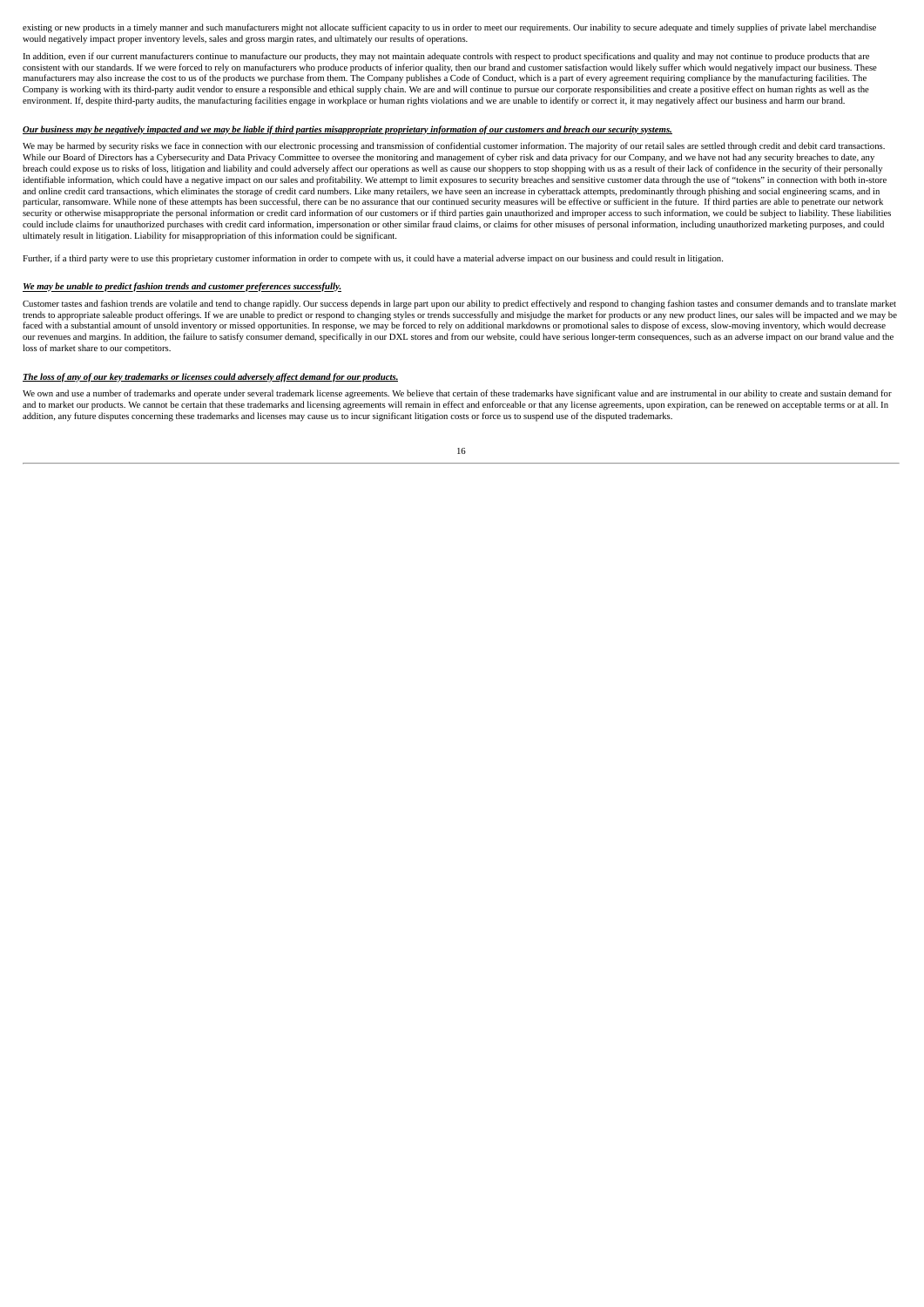existing or new products in a timely manner and such manufacturers might not allocate sufficient capacity to us in order to meet our requirements. Our inability to secure adequate and timely supplies of private label merch would negatively impact proper inventory levels, sales and gross margin rates, and ultimately our results of operations.

In addition, even if our current manufacturers continue to manufacture our products, they may not maintain adequate controls with respect to product specifications and quality and may not continue to product spheck that ar consistent with our standards. If we were forced to rely on manufacturers who produce products of inferior quality, then our brand and customer satisfaction would likely suffer which would negatively impact our business. T Company is working with its third-party audit vendor to ensure a responsible and ethical supply chain. We are and will continue to pursue our corporate responsibilities and create a positive effect on human rights as well environment. If, despite third-party audits, the manufacturing facilities engage in workplace or human rights violations and we are unable to identify or correct it, it may negatively affect our business and harm our brand.

# Our business may be negatively impacted and we may be liable if third parties misappropriate proprietary information of our customers and breach our security systems

We may be harmed by security risks we face in connection with our electronic processing and transmission of confidential customer information. The majority of our retail sales are settled through credit and debit card tran While our Board of Directors has a Cybersecurity and Data Privacy Committee to oversee the monitoring and management of cyber risk and data privacy for our Company, and we have not had any security breaches to date, any breach could expose us to risks of loss, litigation and liability and could adversely affect our operations as well as cause our shoppers to stop shopping with us as a result of their lack of confidence in the security of and online credit card transactions, which eliminates the storage of credit card numbers. Like many retailers, we have seen an increase in cyberattack attempts, predominantly through phishing and social engineering scams, particular, ransomware. While none of these attempts has been successful, there can be no assurance that our continued security measures will be effective or sufficient in the future. If third parties are able to penetrate could include claims for unauthorized purchases with credit card information, impersonation or other similar fraud claims, or claims for other misuses of personal information, including unauthorized marketing purposes, and ultimately result in litigation. Liability for misappropriation of this information could be significant.

Further, if a third party were to use this proprietary customer information in order to compete with us, it could have a material adverse impact on our business and could result in litigation.

### *We may be unable to predict fashion trends and customer preferences successfully.*

Customer tastes and fashion trends are volatile and tend to change rapidly. Our success depends in large part upon our ability to predict effectively and respond to changing fashion tastes and consumer demands and to trans tends to appropriate saleable product offerings. If we are unable to predict or respond to changing styles or trends successfully and misjudge the market for products or any new product lines, our sales will be impacted an faced with a substantial amount of unsold inventory or missed opportunities. In response, we may be forced to rely on additional markdowns or promotional sales to dispose of excess, slow-moving inventory, which would decre our revenues and margins. In addition, the failure to satisfy consumer demand, specifically in our DXL stores and from our website, could have serious longer-term consequences, such as an adverse impact on our brand value loss of market share to our competitors.

#### *The loss of any of our key trademarks or licenses could adversely affect demand for our products.*

We own and use a number of trademarks and onerate under several trademark license agreements. We believe that certain of these trademarks have significant value and are instrumental in our ability to create and sustain dem and to market our products. We cannot be certain that these trademarks and licensing agreements will remain in effect and enforceable or that any license agreements, upon expiration, can be renewed on acceptable terms or a addition, any future disputes concerning these trademarks and licenses may cause us to incur significant litigation costs or force us to suspend use of the disputed trademarks.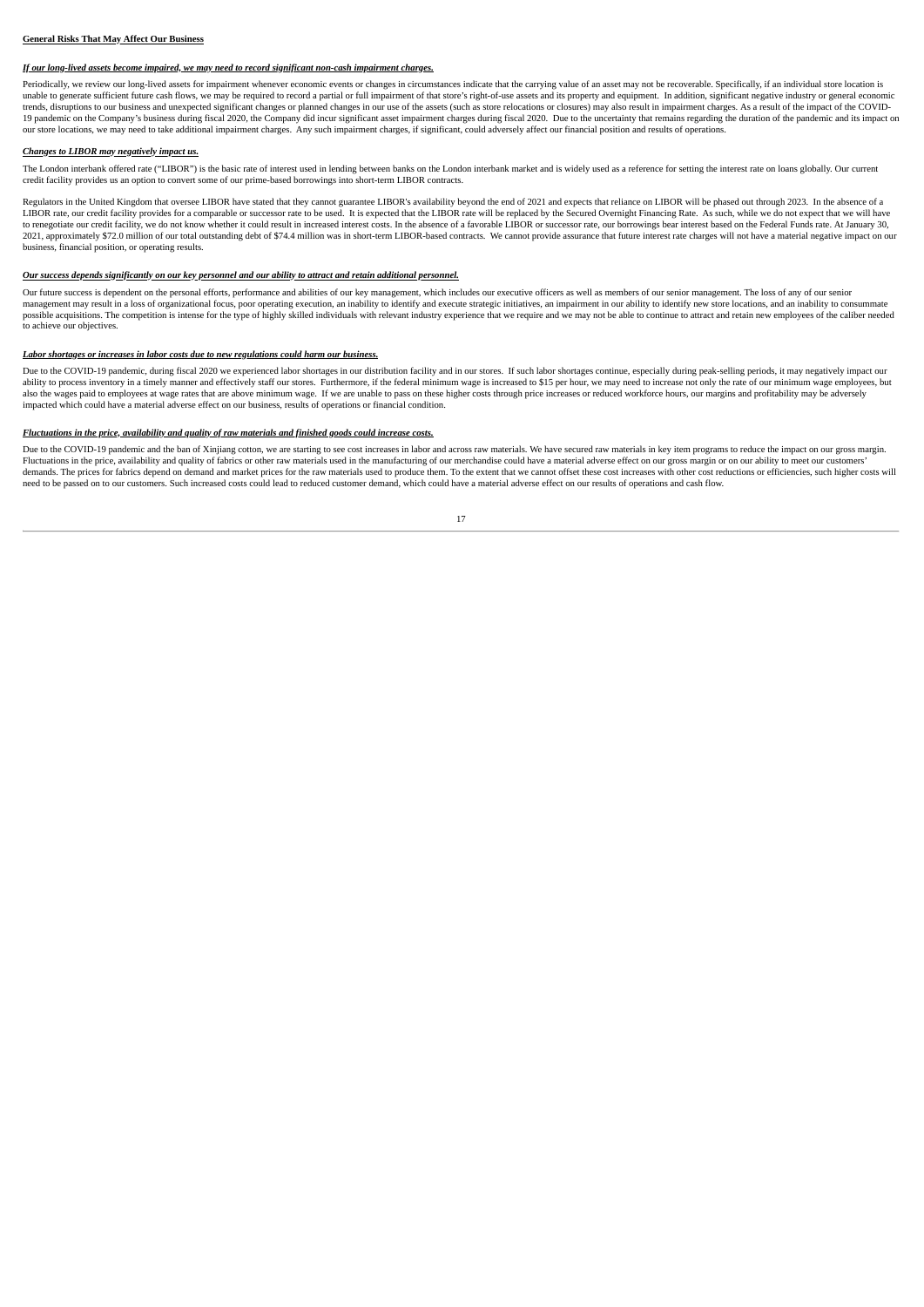# **General Risks That May Affect Our Business**

### *If our long-lived assets become impaired, we may need to record significant non-cash impairment charges.*

Periodically, we review our long-lived assets for impairment whenever economic events or changes in circumstances indicate that the carrying value of an asset may not be recoverable. Specifically, if an individual store lo unable to generate sufficient future cash flows, we may be required to record a partial or full impairment of that store's right-of-use assets and its property and equipment. In addition, significant negative industry or g trends, disruptions to our business and unexpected significant changes or planned changes in our use of the assets (such as store relocations or closures) may also result in impairment charges. As a result of the impact of our store locations, we may need to take additional impairment charges. Any such impairment charges, if significant, could adversely affect our financial position and results of operations.

### *Changes to LIBOR may negatively impact us.*

The London interbank offered rate ("LIBOR") is the basic rate of interest used in lending between banks on the London interbank market and is widely used as a reference for setting the interest rate on loans globally. Our

Regulators in the United Kingdom that oversee LIBOR have stated that they cannot guarantee LIBOR's availability beyond the end of 2021 and expects that reliance on LIBOR will be phased out through 2023. In the absence of a to renegotiate our credit facility, we do not know whether it could result in increased interest costs. In the absence of a favorable LIBOR or successor rate, our borrowings bear interest based on the Federal Funds rate. A business, financial position, or operating results.

# Our success depends significantly on our key personnel and our ability to attract and retain additional personnel.

Our future success is dependent on the personal efforts, performance and abilities of our key management, which includes our executive officers as well as members of our senior management. The loss of any of our senior management may result in a loss of organizational focus, poor operating execution, an inability to identify and execute strategic initiatives, an impairment in our ability to identify new store locations, and an inability to achieve our objectives.

### *Labor shortages or increases in labor costs due to new regulations could harm our business.*

Due to the COVID-19 pandemic, during fiscal 2020 we experienced labor shortages in our distribution facility and in our stores. If such labor shortages continue, especially during peak-selling periods, it may negatively im ability to process inventory in a timely manner and effectively staff our stores. Furthermore, if the federal minimum wage is increased to \$15 per hour, we may need to increase not only the rate of our minimum wage employe also the wages paid to employees at wage rates that are above minimum wage. If we are unable to pass on these higher costs through price increases or reduced workforce hours, our margins and profitability may be adversely impacted which could have a material adverse effect on our business, results of operations or financial condition.

#### *Fluctuations in the price, availability and quality of raw materials and finished goods could increase costs.*

Due to the COVID-19 pandemic and the ban of Xinjiang cotton, we are starting to see cost increases in labor and across raw materials. We have secured raw materials in key item programs to reduce the impact on our gross mar Fluctuations in the price, availability and quality of fabrics or other raw materials used in the manufacturing of our merchandise could have a material adverse effect on our gross margin or on our ability to meet our cust demands. The prices for fabrics depend on demand and market prices for the raw materials used to produce them. To the extent that we cannot offset these cost increases with other cost reductions or efficiencies, such highe

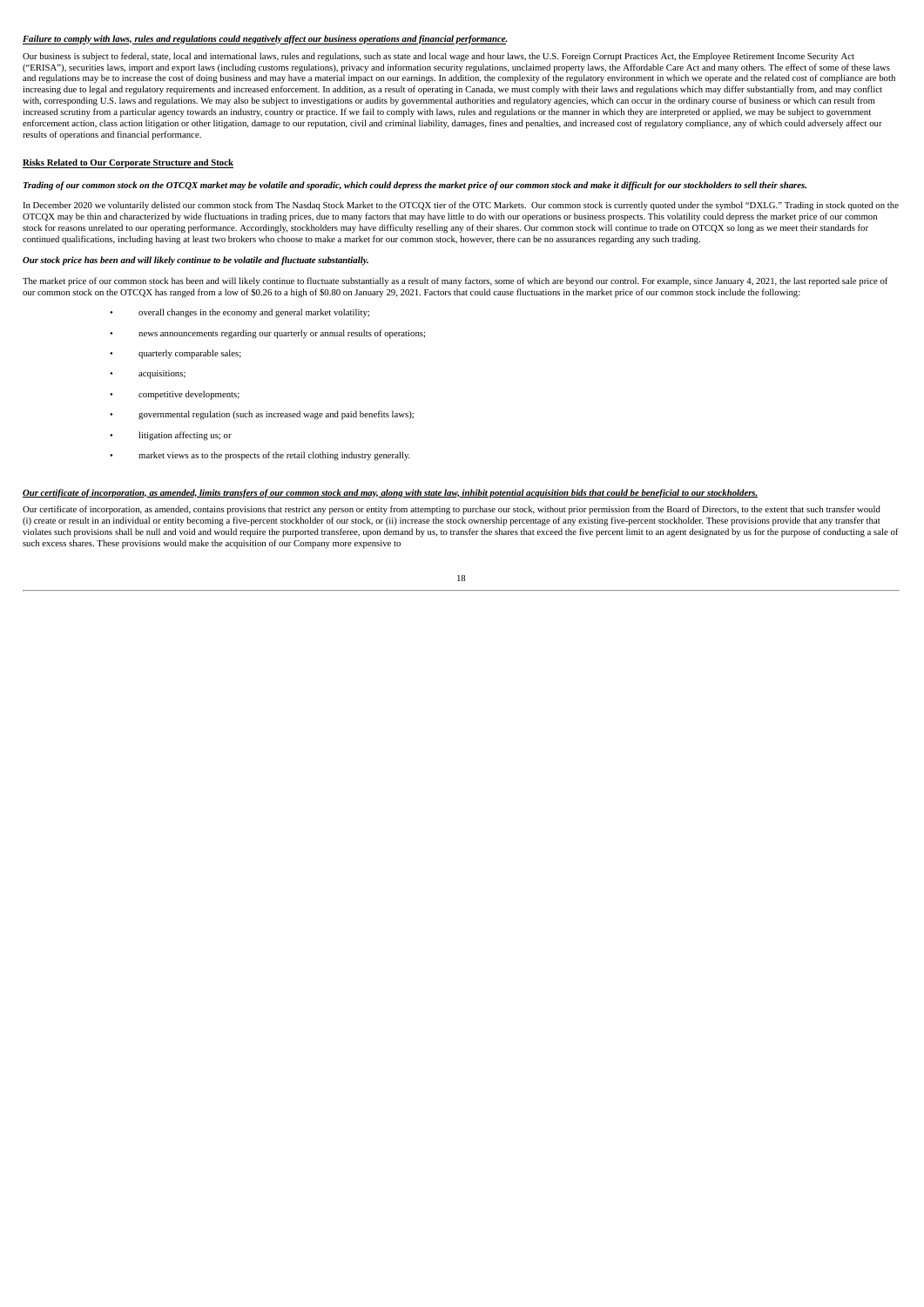### Failure to comply with laws, rules and requlations could negatively affect our business operations and financial performance.

Our business is subject to federal, state, local and international laws, rules and regulations, such as state and local wage and hour laws, the U.S. Foreign Corrupt Practices Act, the Employee Retirement Income Security Ac ("ERISA"), securities laws, import and export laws (including customs regulations), privacy and information security regulations, unclaimed property laws, the Affordable Care Act and many others. The effect of some of thes increasing due to legal and regulatory requirements and increased enforcement. In addition, as a result of operating in Canada, we must comply with their laws and regulations which may differ substantially from, and may co with, corresponding U.S. laws and regulations. We may also be subject to investigations or audits by governmental authorities and regulatory agencies, which can occur in the ordinary course of business or which can result enforcement action, class action litigation or other litigation, damage to our reputation, civil and criminal liability, damages, fines and penalties, and increased cost of regulatory compliance, any of which could adverse results of operations and financial performance.

### **Risks Related to Our Corporate Structure and Stock**

#### Tradina of our common stock on the OTCOX market may be volatile and sporadic, which could depress the market price of our common stock and make it difficult for our stockholders to sell their shares.

In December 2020 we voluntarily delisted our common stock from The Nasdaq Stock Market to the OTCOX tier of the OTC Markets. Our common stock is currently quoted under the symbol "DXLG." Trading in stock quoted on the OTCQX may be thin and characterized by wide fluctuations in trading prices, due to many factors that may have little to do with our operations or business prospects. This volatility could depress the market price of our co continued qualifications, including having at least two brokers who choose to make a market for our common stock, however, there can be no assurances regarding any such trading.

# *Our stock price has been and will likely continue to be volatile and fluctuate substantially.*

The market price of our common stock has been and will likely continue to fluctuate substantially as a result of many factors, some of which are beyond our control. For example, since January 4, 2021, the last reported sal our common stock on the OTCQX has ranged from a low of \$0.26 to a high of \$0.80 on January 29, 2021. Factors that could cause fluctuations in the market price of our common stock include the following:

- overall changes in the economy and general market volatility;
- news announcements regarding our quarterly or annual results of operations;
- quarterly comparable sales;
- acquisitions;
- competitive developments;
- governmental regulation (such as increased wage and paid benefits laws);
- litigation affecting us; or
- market views as to the prospects of the retail clothing industry generally.

### Our certificate of incorporation, as amended, limits transfers of our common stock and may, along with state law, inhibit potential acquisition bids that could be beneficial to our stockholders.

Our certificate of incorporation, as amended, contains provisions that restrict any person or entity from attempting to purchase our stock, without prior permission from the Board of Directors, to the extent that such tran (i) create or result in an individual or entity becoming a five-percent stockholder of our stock, or (ii) increase the stock ownership percentage of any existing five-percent stockholder. These provisions provide that any violates such provisions shall be null and void and would require the purported transferee, upon demand by us, to transfer the shares that exceed the five percent limit to an agent designated by us for the purpose of condu such excess shares. These provisions would make the acquisition of our Company more expensive to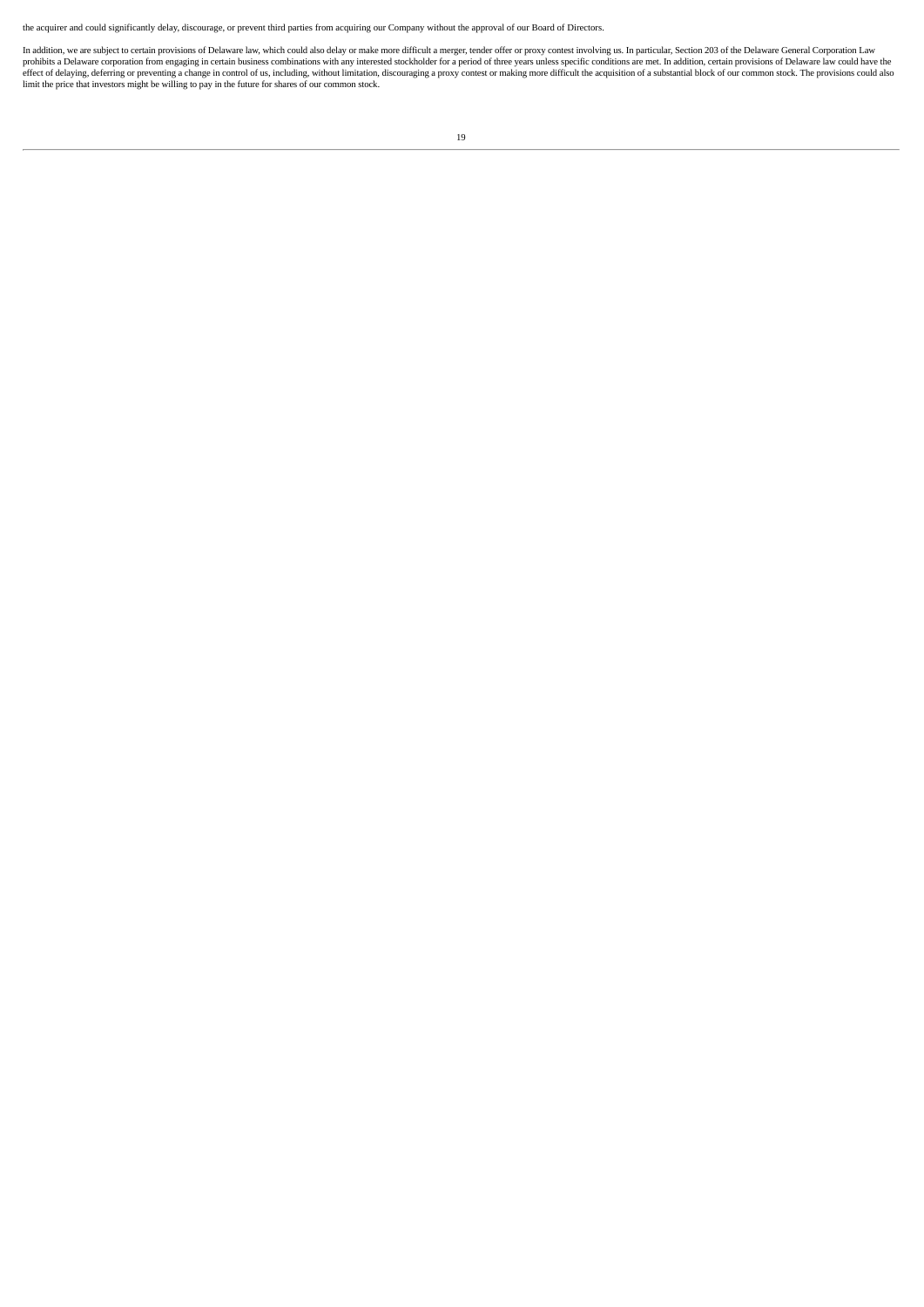the acquirer and could significantly delay, discourage, or prevent third parties from acquiring our Company without the approval of our Board of Directors.

In addition, we are subject to certain provisions of Delaware law, which could also delay or make more difficult a merger, tender offer or proxy contest involving us. In particular, Section 203 of the Delaware Ceneral Corp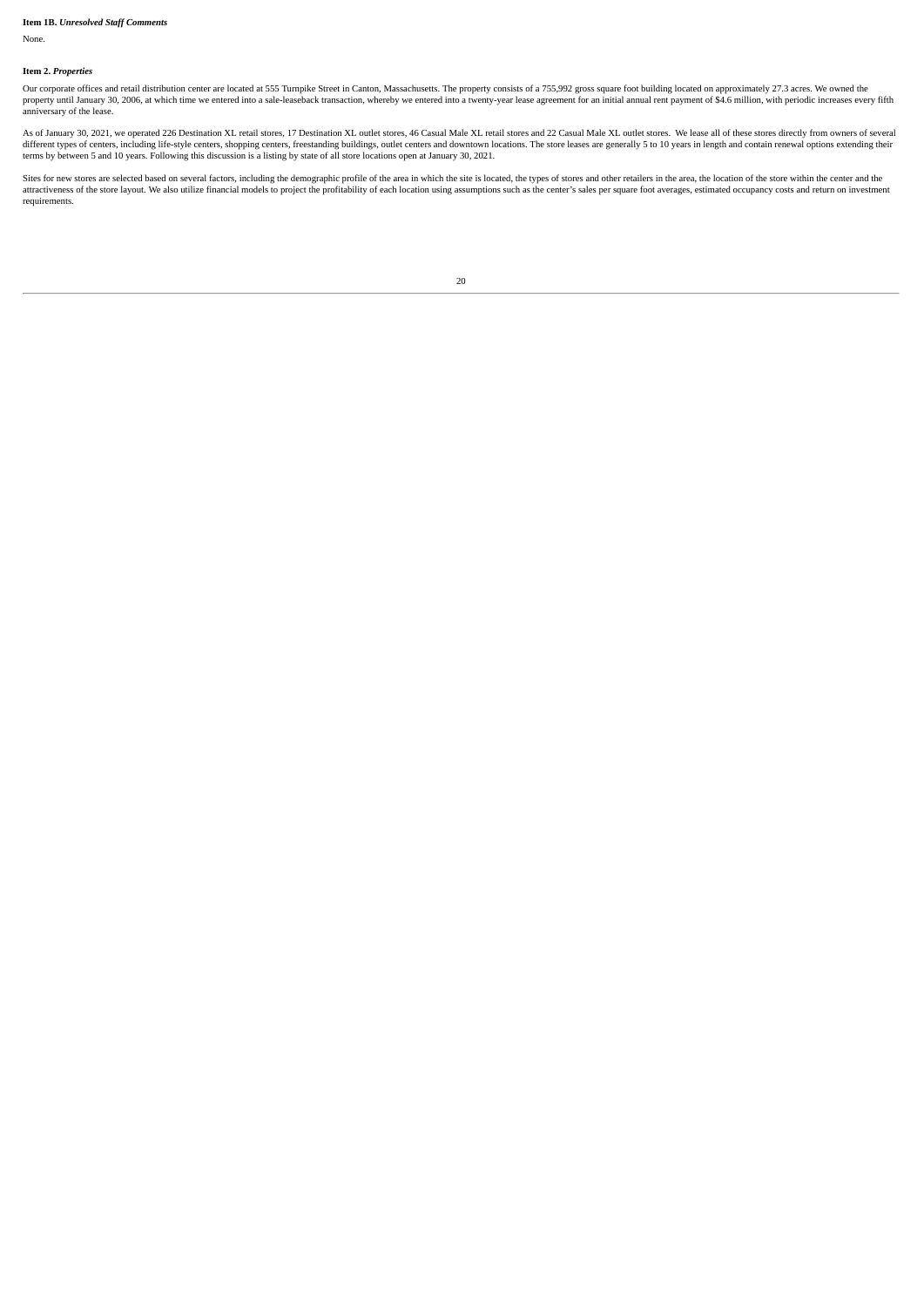# <span id="page-19-0"></span>**Item 1B.** *Unresolved Staff Comments*

None.

#### <span id="page-19-1"></span>**Item 2.** *Properties*

Our corporate offices and retail distribution center are located at 555 Turnpike Street in Canton, Massachusetts. The property consists of a 755,992 gross square foot building located on approximately 27.3 acres. We owned anniversary of the lease.

As of January 30, 2021, we operated 226 Destination XL retail stores, 17 Destination XL outlet stores, 46 Casual Male XL retail stores and 22 Casual Male XL outlet stores. We lease all of these stores directly from owners terms by between 5 and 10 years. Following this discussion is a listing by state of all store locations open at January 30, 2021.

Sites for new stores are selected based on several factors, including the demographic profile of the area in which the site is located, the types of stores and other retailers in the area, the location of the store within attractiveness of the store layout. We also utilize financial models to project the profitability of each location using assumptions such as the center's sales per square foot averages, estimated occupancy costs and return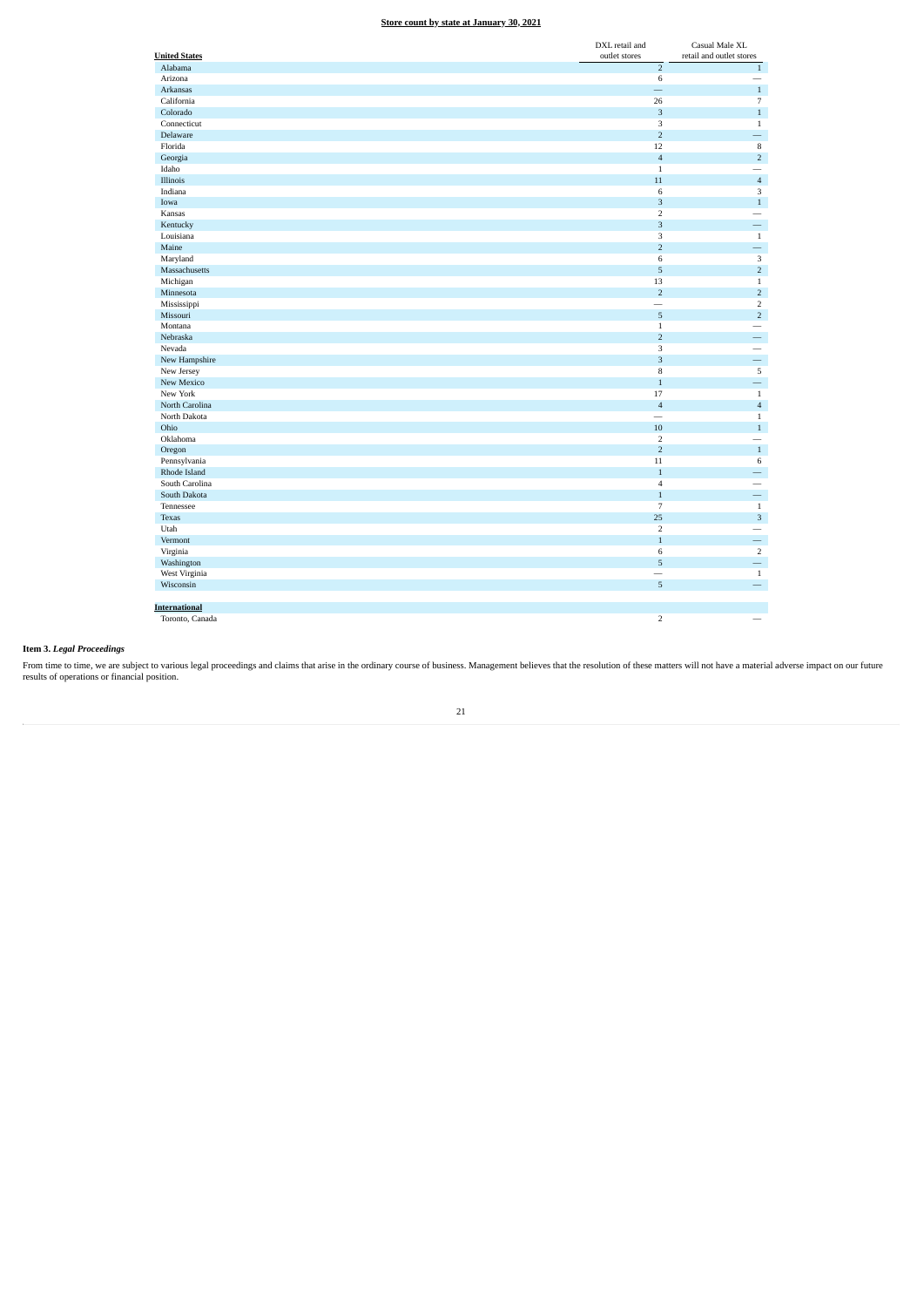# **Store count by state at January 30, 2021**

|                      | DXL retail and           | Casual Male XL           |  |  |
|----------------------|--------------------------|--------------------------|--|--|
| <b>United States</b> | outlet stores            | retail and outlet stores |  |  |
| Alabama              | $\overline{2}$           | $\,1\,$                  |  |  |
| Arizona              | $6\phantom{1}6$          | $\overline{\phantom{0}}$ |  |  |
| Arkansas             | ٢                        | $\mathbf{1}$             |  |  |
| California           | 26                       | $\overline{7}$           |  |  |
| Colorado             | $\overline{\mathbf{3}}$  | $\,1\,$                  |  |  |
| Connecticut          | 3                        | $\,1\,$                  |  |  |
| Delaware             | $\overline{2}$           | $\equiv$                 |  |  |
| Florida              | 12                       | 8                        |  |  |
| Georgia              | $\overline{4}$           | $\overline{2}$           |  |  |
| Idaho                | $\mathbf{1}$             | $\overline{\phantom{a}}$ |  |  |
| Illinois             | 11                       | $\sqrt{4}$               |  |  |
| Indiana              | $6\phantom{1}6$          | 3                        |  |  |
| Iowa                 | 3                        | $\,1\,$                  |  |  |
| Kansas               | $\overline{2}$           | $\overline{\phantom{0}}$ |  |  |
| Kentucky             | 3                        | $\overline{\phantom{0}}$ |  |  |
| Louisiana            | 3                        | $\mathbf{1}$             |  |  |
| Maine                | $\overline{2}$           | -                        |  |  |
| Maryland             | $6\phantom{1}6$          | $\,$ 3                   |  |  |
| Massachusetts        | 5                        | $\overline{2}$           |  |  |
| Michigan             | 13                       | $\,1\,$                  |  |  |
| Minnesota            | $\overline{2}$           | $\overline{2}$           |  |  |
| Mississippi          | $\overline{\phantom{0}}$ | $\overline{c}$           |  |  |
| Missouri             | $\overline{5}$           | $\sqrt{2}$               |  |  |
| Montana              | $\,1\,$                  | $\overline{\phantom{a}}$ |  |  |
| Nebraska             | $\overline{2}$           | $=$                      |  |  |
| Nevada               | 3                        | $\overline{\phantom{0}}$ |  |  |
| New Hampshire        | $\overline{3}$           | $\equiv$                 |  |  |
| New Jersey           | 8                        | 5                        |  |  |
| New Mexico           | $\,1\,$                  | $\qquad \qquad -$        |  |  |
| New York             | 17                       | $1\,$                    |  |  |
| North Carolina       | $\overline{4}$           | $\sqrt{4}$               |  |  |
| North Dakota         | $\overline{\phantom{0}}$ | $1\,$                    |  |  |
| Ohio                 | 10                       | $\,1\,$                  |  |  |
| Oklahoma             | $\overline{2}$           | $\overline{\phantom{0}}$ |  |  |
| Oregon               | $\overline{2}$           | $\,1\,$                  |  |  |
| Pennsylvania         | $11\,$                   | $\,6\,$                  |  |  |
| Rhode Island         | $\,1\,$                  | -                        |  |  |
| South Carolina       | $\overline{4}$           | $\overline{\phantom{0}}$ |  |  |
| South Dakota         | $\,1\,$                  | ÷,                       |  |  |
| Tennessee            | $\overline{7}$           | $\mathbf{1}$             |  |  |
| Texas                | 25                       | $\mathsf 3$              |  |  |
| Utah                 | $\overline{2}$           | $\overline{\phantom{a}}$ |  |  |
| Vermont              | $\,1\,$                  | -                        |  |  |
| Virginia             | $6\phantom{1}6$          | $\overline{2}$           |  |  |
| Washington           | 5                        | $\equiv$                 |  |  |
| West Virginia        | $\sim$                   | $\mathbf{1}$             |  |  |
| Wisconsin            | 5                        | $\equiv$                 |  |  |
|                      |                          |                          |  |  |
| <b>International</b> |                          |                          |  |  |
| Toronto, Canada      | $\overline{c}$           |                          |  |  |
|                      |                          |                          |  |  |

# <span id="page-20-0"></span>**Item 3.** *Legal Proceedings*

From time to time, we are subject to various legal proceedings and claims that arise in the ordinary course of business. Management believes that the resolution of these matters will not have a material adverse impact on o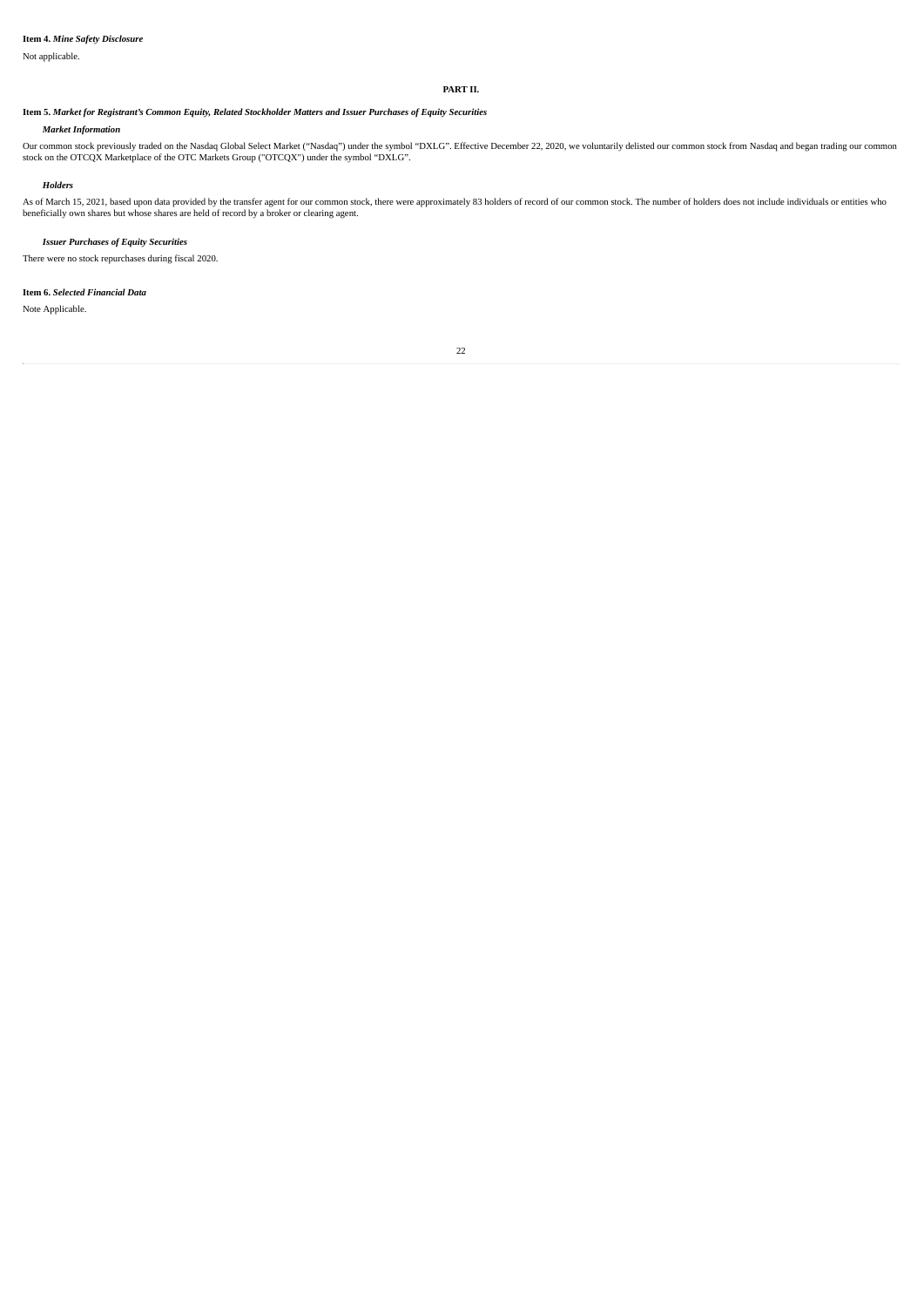<span id="page-21-0"></span>Not applicable.

**PART II.**

# <span id="page-21-1"></span>Item 5. Market for Registrant's Common Equity, Related Stockholder Matters and Issuer Purchases of Equity Securities

# *Market Information*

Our common stock previously traded on the Nasdaq Global Select Market ("Nasdaq") under the symbol "DXLG". Effective December 22, 2020, we voluntarily delisted our common stock from Nasdaq and began trading our common<br>stock

# *Holders*

As of March 15, 2021, based upon data provided by the transfer agent for our common stock, there were approximately 83 holders of record of our common stock. The number of holders does not include individuals or entities w

# *Issuer Purchases of Equity Securities*

There were no stock repurchases during fiscal 2020.

# <span id="page-21-2"></span>**Item 6.** *Selected Financial Data*

Note Applicable.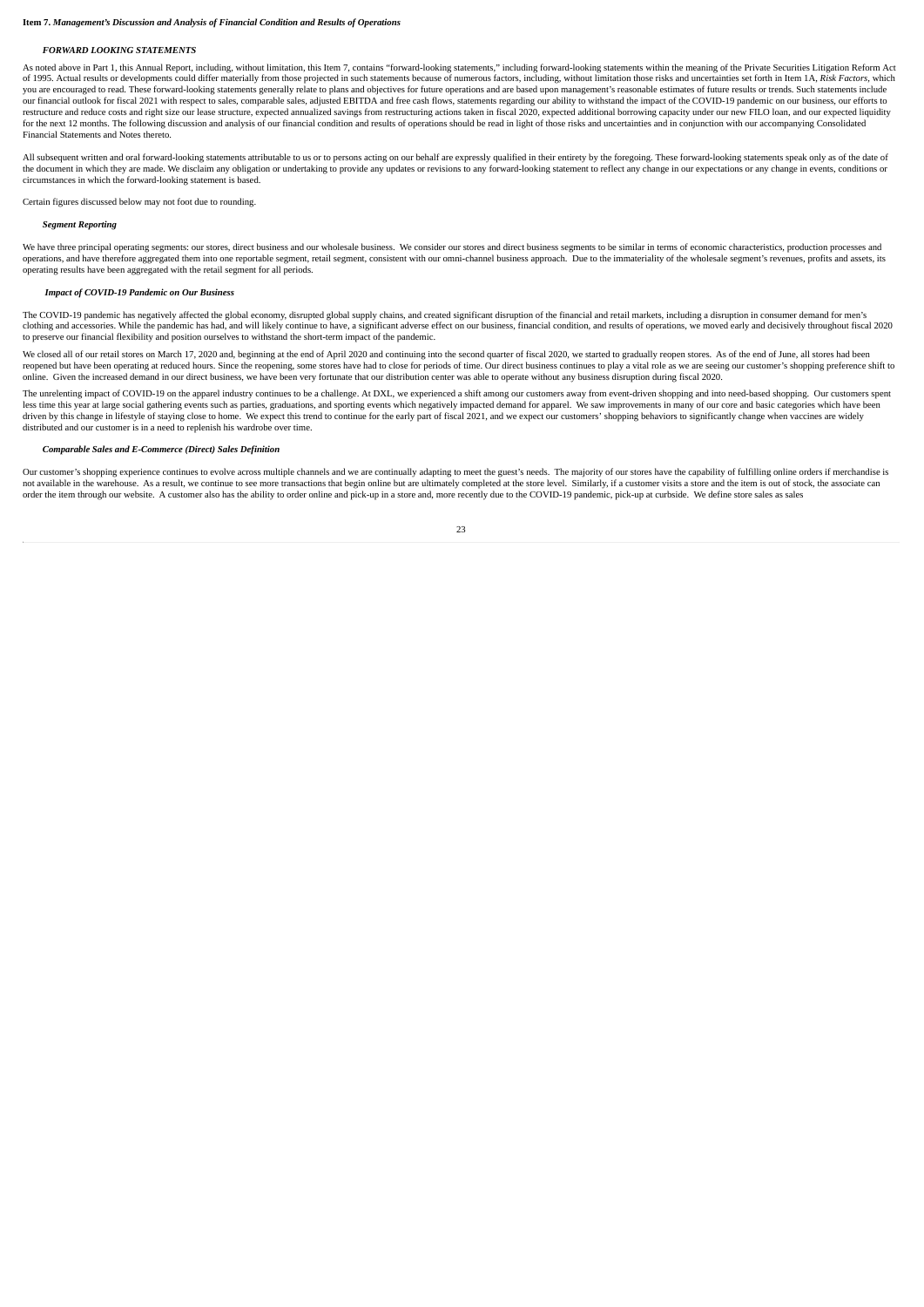### <span id="page-22-0"></span>**Item 7.** *Management's Discussion and Analysis of Financial Condition and Results of Operations*

#### *FORWARD LOOKING STATEMENTS*

As noted above in Part 1, this Annual Report, including, without limitation, this Item 7, contains "forward-looking statements," including forward-looking statements within the meaning of the Private Securities Litigation you are encouraged to read. These forward-looking statements generally relate to plans and objectives for future operations and are based upon management's reasonable estimates of future results or trends. Such statements our financial outlook for fiscal 2021 with respect to sales, comparable sales, adjusted EBITDA and free cash flows, statements regarding our ability to withstand the impact of the COVID-19 pandemic on our business, our eff restructure and reduce costs and right size our lease structure, expected annualized savings from restructuring actions taken in fiscal 2020, expected additional borrowing capacity under our new FILO loan, and our expected for the next 12 months. The following discussion and analysis of our financial condition and results of operations should be read in light of those risks and uncertainties and in conjunction with our accompanying Consolida Financial Statements and Notes thereto.

All subsequent written and oral forward-looking statements attributable to us or to persons acting on our behalf are expressly qualified in their entirety by the foregoing. These forward-looking statements speak only as of the document in which they are made. We disclaim any obligation or undertaking to provide any updates or revisions to any forward-looking statement to reflect any change in our expectations or any change in events, conditi

Certain figures discussed below may not foot due to rounding.

#### *Segment Reporting*

We have three principal operating segments: our stores, direct business and our wholesale business. We consider our stores and direct business segments to be similar in terms of economic characteristics, production process operations, and have therefore aggregated them into one reportable segment, retail segment, consistent with our omni-channel business approach. Due to the immateriality of the wholesale segment's revenues, profits and asse operating results have been aggregated with the retail segment for all periods.

## *Impact of COVID-19 Pandemic on Our Business*

The COVID-19 pandemic has negatively affected the global economy, disrupted global supply chains, and created significant disruption of the financial and retail markets, including a disruption in consumer demand for men's clothing and accessories. While the pandemic has had, and will likely continue to have, a significant adverse effect on our business, financial condition, and results of operations, we moved early and decisively throughout to preserve our financial flexibility and position ourselves to withstand the short-term impact of the pandemic.

We closed all of our retail stores on March 17, 2020 and, beginning at the end of April 2020 and continuing into the second quarter of fiscal 2020, we started to gradually reopen stores. As of the end of June, all stores h reopend but have been operating at reduced hours. Since the reopening, some stores have had to close for periods of time. Our direct business continues to play a vital role as we are seeing our customer's shopping preferen online. Given the increased demand in our direct business, we have been very fortunate that our distribution center was able to operate without any business disruption during fiscal 2020.

The unrelenting impact of COVID-19 on the apparel industry continues to be a challenge. At DXL, we experienced a shift among our customers sway from event-driven shopping and into need-based shopping. Our customers spent less time this year at large social gathering events such as parties, graduations, and sporting events which negatively impacted demand for apparel. We saw improvements in many of our core and basic categories which have b distributed and our customer is in a need to replenish his wardrobe over time.

# *Comparable Sales and E-Commerce (Direct) Sales Definition*

Our customer's shopping experience continues to evolve across multiple channels and we are continually adapting to meet the guest's needs. The majority of our stores have the capability of fulfilling online orders if merch order the item through our website. A customer also has the ability to order online and pick-up in a store and, more recently due to the COVID-19 pandemic, pick-up at curbside. We define store sales as sales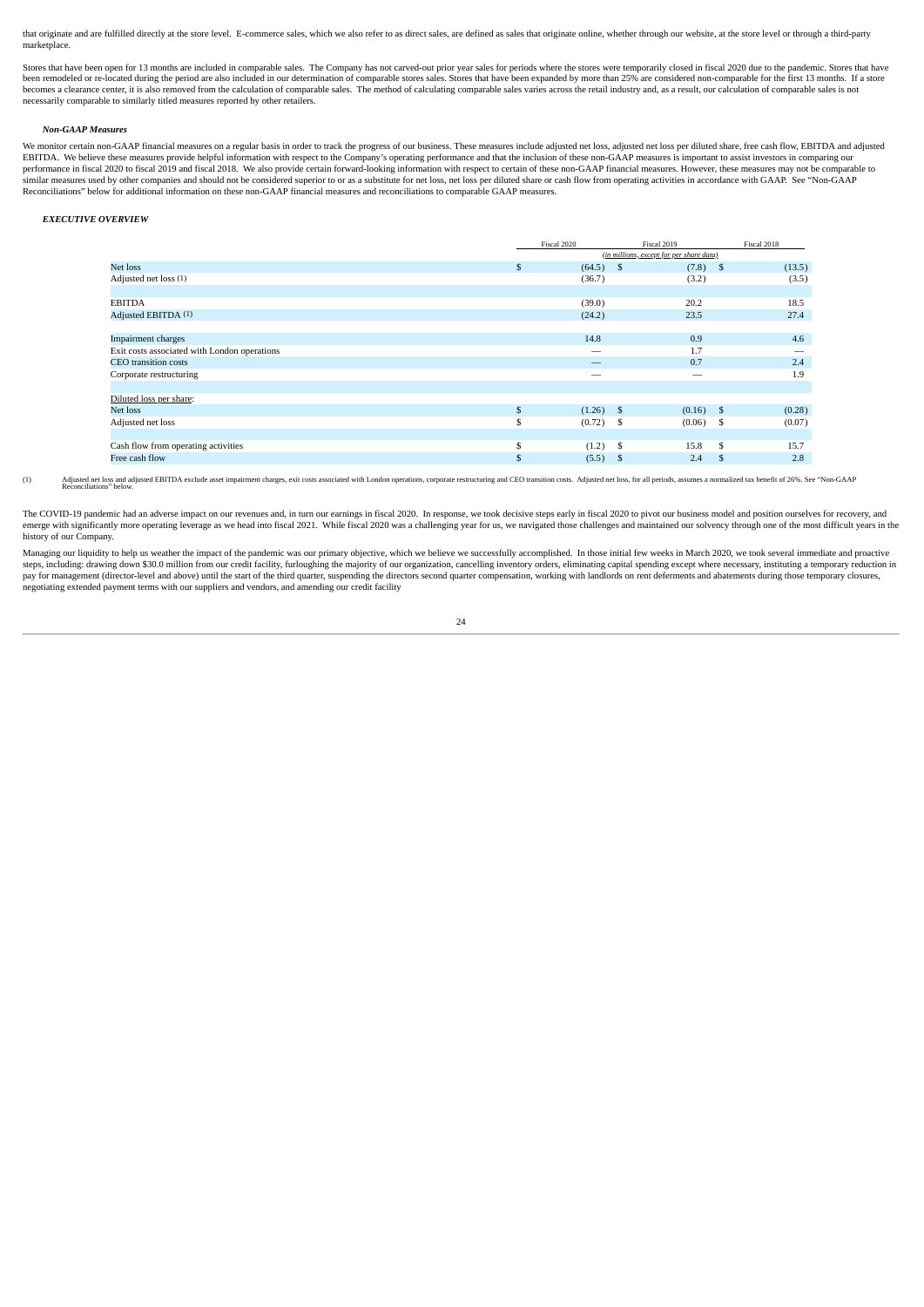that originate and are fulfilled directly at the store level. E-commerce sales, which we also refer to as direct sales, are defined as sales that originate online, whether through our website, at the store level or through marketplace.

Stores that have been open for 13 months are included in comparable sales. The Company has not carved-out prior year sales for periods where the stores were temporarily closed in fiscal 2020 due to the pandemic. Stores tha becomes a clearance center, it is also removed from the calculation of comparable sales. The method of calculating comparable sales varies across the retail industry and, as a result, our calculation of comparable sales is necessarily comparable to similarly titled measures reported by other retailers.

# *Non-GAAP Measures*

We monitor certain non-GAAP financial measures on a regular basis in order to track the progress of our business. These measures include adjusted net loss, adjusted net loss per diluted share, free cash flow, EBITDA and ad EBITDA. We believe these measures provide helpful information with respect to the Company's operating performance and that the inclusion of these non-GAAP measures is important to assist investors in comparing our performance in fiscal 2020 to fiscal 2019 and fiscal 2018. We also provide certain forward-looking information with respect to certain of these non-GAAP financial measures. However, these measures may not be comparable to<br> Reconciliations" below for additional information on these non-GAAP financial measures and reconciliations to comparable GAAP measures.

# *EXECUTIVE OVERVIEW*

|                                              |    | Fiscal 2020                              | Fiscal 2019 |        |              | Fiscal 2018 |
|----------------------------------------------|----|------------------------------------------|-------------|--------|--------------|-------------|
|                                              |    | (in millions, except for per share data) |             |        |              |             |
| Net loss                                     | \$ | $(64.5)$ \$                              |             | (7.8)  | $\mathbf{s}$ | (13.5)      |
| Adjusted net loss (1)                        |    | (36.7)                                   |             | (3.2)  |              | (3.5)       |
|                                              |    |                                          |             |        |              |             |
| <b>EBITDA</b>                                |    | (39.0)                                   |             | 20.2   |              | 18.5        |
| Adjusted EBITDA (1)                          |    | (24.2)                                   |             | 23.5   |              | 27.4        |
|                                              |    |                                          |             |        |              |             |
| Impairment charges                           |    | 14.8                                     |             | 0.9    |              | 4.6         |
| Exit costs associated with London operations |    | $\overline{\phantom{a}}$                 |             | 1.7    |              | _           |
| <b>CEO</b> transition costs                  |    | $\overline{\phantom{a}}$                 |             | 0.7    |              | 2.4         |
| Corporate restructuring                      |    | -                                        |             | -      |              | 1.9         |
|                                              |    |                                          |             |        |              |             |
| Diluted loss per share:                      |    |                                          |             |        |              |             |
| Net loss                                     | \$ | (1.26)                                   | \$          | (0.16) | $\mathbf{s}$ | (0.28)      |
| Adjusted net loss                            | S  | (0.72)                                   | S           | (0.06) | -S           | (0.07)      |
|                                              |    |                                          |             |        |              |             |
| Cash flow from operating activities          | S  | (1.2)                                    | S           | 15.8   | \$.          | 15.7        |
| Free cash flow                               | S  | (5.5)                                    | \$          | 2.4    | S            | 2.8         |

(1) Adjusted net loss and adjusted EBITDA exclude asset impairment charges, exit costs associated with London operations, corporate restructuring and CEO transition costs. Adjusted net loss, for all periods, assumes a norm

The COVID-19 pandemic had an adverse impact on our revenues and, in turn our earnings in fiscal 2020. In response, we took decisive steps early in fiscal 2020 to pivot our business model and position ourselves for recovery emerge with significantly more operating leverage as we head into fiscal 2021. While fiscal 2020 was a challenging year for us, we navigated those challenges and maintained our solvency through one of the most difficult ye history of our Company.

Managing our liquidity to help us weather the impact of the pandemic was our primary objective, which we believe we successfully accomplished. In those initial few weeks in March 2020, we took several immediate and proactive steps, including: drawing down \$30.0 million from our credit facility, furloughing the majority of our organization, cancelling inventory orders, eliminating capital spending except where necessary, instituting a temporary negotiating extended payment terms with our suppliers and vendors, and amending our credit facility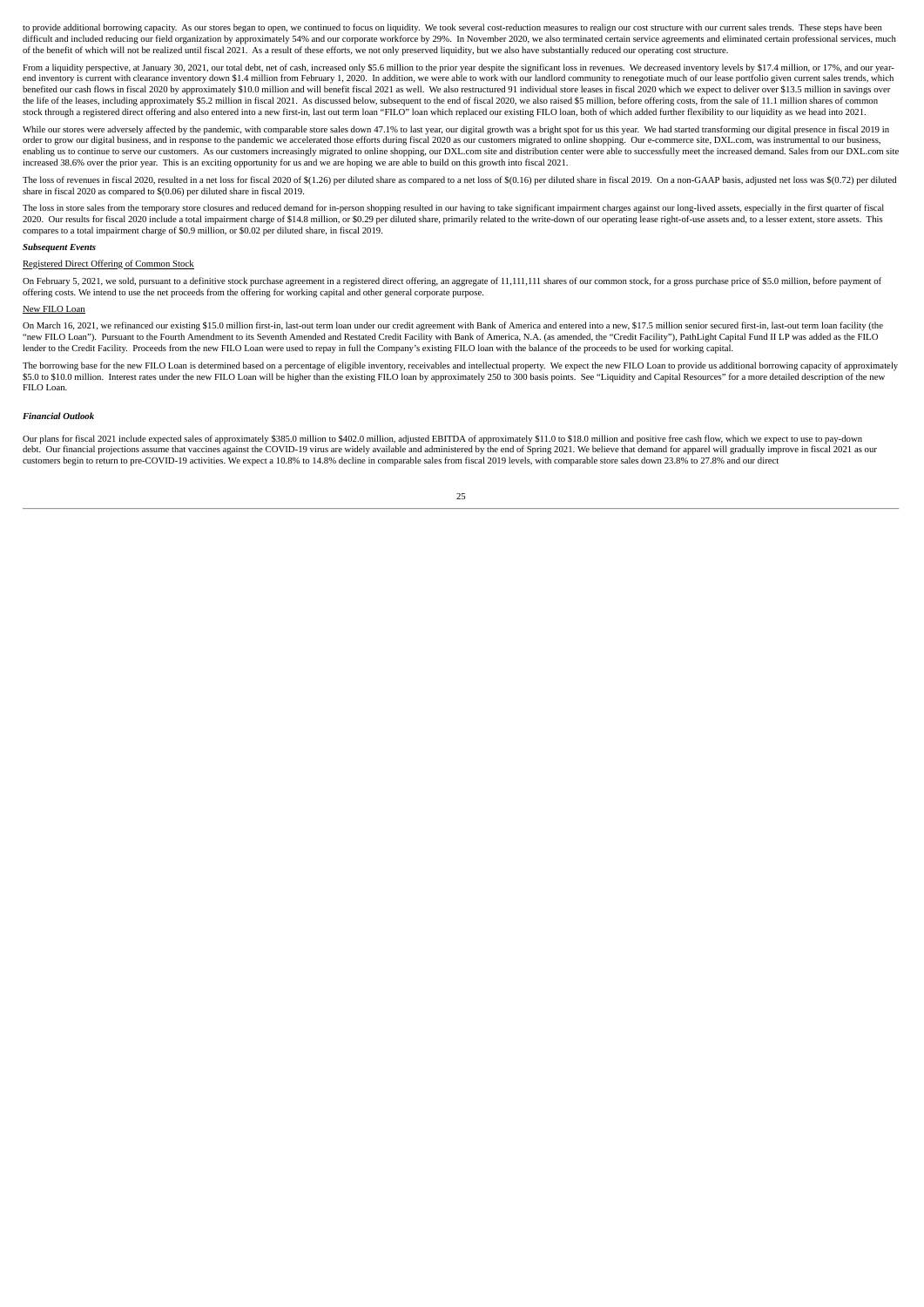to provide additional borrowing capacity. As our stores began to open, we continued to focus on liquidity. We took several cost-reduction measures to realign our cost structure with our current sales trends. These steps ha difficult and included reducing our field organization by approximately 54% and our corporate workforce by 29%. In November 2020, we also terminated certain service agreements and eliminated certain professional services, of the benefit of which will not be realized until fiscal 2021. As a result of these efforts, we not only preserved liquidity, but we also have substantially reduced our operating cost structure.

From a liquidity perspective, at January 30, 2021, our total debt, net of cash, increased only \$5.6 million to the prior year despite the significant loss in revenues. We decreased inventory levels by \$17.4 million, or 17% and investory proposed to the access of the method of the season in the season of the season of the season of the season in the season of the season of the season in the season of the season in the season of the season of benefited our cash flows in fiscal 2020 by approximately \$10.0 million and will benefit fiscal 2021 as well. We also restructured 91 individual store leases in fiscal 2020 which we expect to deliver over \$13.5 million in s the life of the leases, including approximately \$5.2 million in fiscal 2021. As discussed below, subsequent to the end of fiscal 2020, we also raised \$5 million, before offering costs, from the sale of 11.1 million shares stock through a registered direct offering and also entered into a new first-in, last out term loan "FILO" loan which replaced our existing FILO loan, both of which added further flexibility to our liquidity as we head int

While our stores were adversely affected by the pandemic, with comparable store sales down 47.1% to last year, our digital prowth was a bright spot for us this year. We had started transforming our digital presence in fisc enabling us to continue to serve our customers. As our customers increasingly migrated to online shopping, our DXL.com site and distribution center were able to successfully meet the increased demand. Sales from our DXL.co increased 38.6% over the prior year. This is an exciting opportunity for us and we are hoping we are able to build on this growth into fiscal 2021.

The loss of revenues in fiscal 2020, resulted in a net loss for fiscal 2020 of \$(1.26) per diluted share as compared to a net loss of \$(0.16) per diluted share in fiscal 2019. On a non-GAAP basis, adjusted net loss was \$(0 share in fiscal 2020 as compared to \$(0.06) per diluted share in fiscal 2019.

The loss in store sales from the temporary store closures and reduced demand for in-person shopping resulted in our having to take significant impairment charges against our long-lived assets, especially in the first quart 2020 Our results for fiscal 2020 include a total impairment charge of \$14.8 million, or \$0.29 per diluted share, primarily related to the write-down of our operating lease right-of-use assets and, to a lesser extent, store compares to a total impairment charge of \$0.9 million, or \$0.02 per diluted share, in fiscal 2019.

### *Subsequent Events*

# Registered Direct Offering of Common Stock

On February 5, 2021, we sold, pursuant to a definitive stock purchase agreement in a registered direct offering, an aggregate of 11.11.1.111 shares of our common stock, for a gross purchase price of \$5.0 million, before pa offering costs. We intend to use the net proceeds from the offering for working capital and other general corporate purpose.

# New FILO Loan

On March 16, 2021, we refinanced our existing \$15.0 million first-in, last-out term loan under our credit agreement with Bank of America and entered into a new, \$17.5 million senior secured first-in, last-out term loan fac "new FILO Loan"). Pursuant to the Fourth Amendment to its Seventh Amended and Restated Credit Facility with Bank of America, N.A. (as amended, the "Credit Facility"), PathLight Capital Fund II LP was added as the FILO lender to the Credit Facility. Proceeds from the new FILO Loan were used to repay in full the Company's existing FILO loan with the balance of the proceeds to be used for working capital.

The borrowing base for the new FILO Loan is determined based on a percentage of eligible inventory, receivables and intellectual property. We expect the new FILO Loan to provide us additional borrowing capacity of approxim \$5.0 to \$10.0 million. Interest rates under the new FILO Loan will be higher than the existing FILO loan by approximately 250 to 300 basis points. See "Liquidity and Capital Resources" for a more detailed description of th FILO Loan.

#### *Financial Outlook*

Our plans for fiscal 2021 include expected sales of approximately \$385.0 million to \$402.0 million, adjusted EBITDA of approximately \$11.0 to \$18.0 million and positive free cash flow, which we expect to use to pay-down<br>de customers begin to return to pre-COVID-19 activities. We expect a 10.8% to 14.8% decline in comparable sales from fiscal 2019 levels, with comparable store sales down 23.8% to 27.8% and our direct

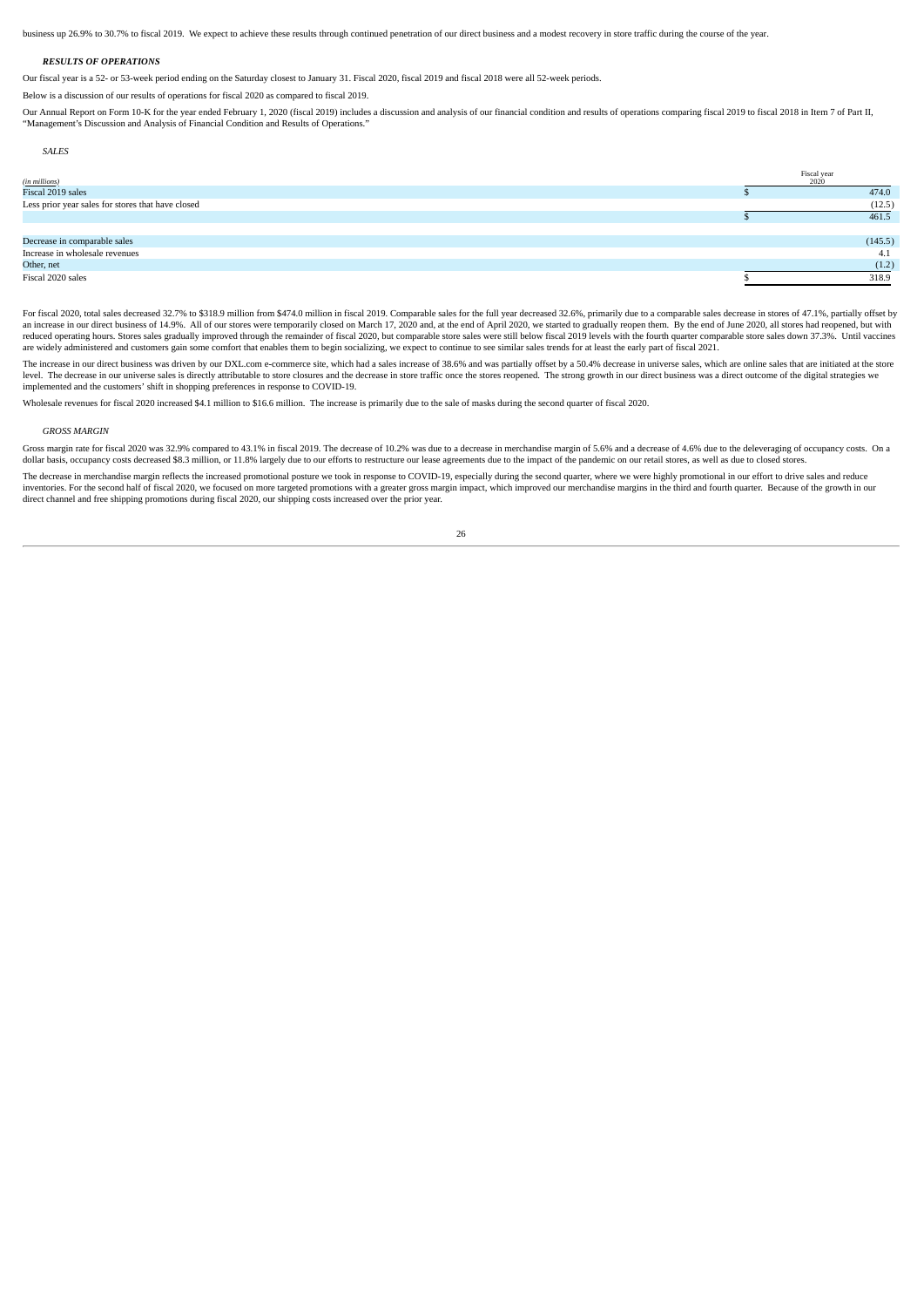business up 26.9% to 30.7% to fiscal 2019. We expect to achieve these results through continued penetration of our direct business and a modest recovery in store traffic during the course of the year.

# *RESULTS OF OPERATIONS*

*SALES*

Our fiscal year is a 52- or 53-week period ending on the Saturday closest to January 31. Fiscal 2020, fiscal 2019 and fiscal 2018 were all 52-week periods.

Below is a discussion of our results of operations for fiscal 2020 as compared to fiscal 2019.

Our Annual Report on Form 10-K for the year ended February 1, 2020 (fiscal 2019) includes a discussion and analysis of our financial condition and results of operations comparing fiscal 2019 to fiscal 2019 to fiscal 2019 i "Management's Discussion and Analysis of Financial Condition and Results of Operations."

| (in millions)                                     | Fiscal year<br>2020 |
|---------------------------------------------------|---------------------|
| Fiscal 2019 sales                                 | 474.0               |
| Less prior year sales for stores that have closed | (12.5)              |
|                                                   | 461.5               |
|                                                   |                     |
| Decrease in comparable sales                      | (145.5)             |
| Increase in wholesale revenues                    | 4.1                 |
| Other, net                                        | (1.2)               |
| Fiscal 2020 sales                                 | 318.9               |

For fiscal 2020, total sales decreased 32.7% to \$318.9 million from \$474.0 million in fiscal 2019. Comparable sales for the full year decreased 32.6%, primarily due to a comparable sales decrease in stores of 47.1%, partia an increase in our direct business of 14.9%. All of our stores were temporarily closed on March 17, 2020 and, at the end of April 2020, we started to gradually reopen them. By the end of June 2020, all stores had reopened, are widely administered and customers gain some comfort that enables them to begin socializing, we expect to continue to see similar sales trends for at least the early part of fiscal 2021.

The increase in our direct business was driven by our DXL.com e-commerce site, which had a sales increase of 38.6% and was partially offset by a 50.4% decrease in universe sales, which are online sales that are initiated a implemented and the customers' shift in shopping preferences in response to COVID-19.

Wholesale revenues for fiscal 2020 increased \$4.1 million to \$16.6 million. The increase is primarily due to the sale of masks during the second quarter of fiscal 2020.

# *GROSS MARGIN*

Gross margin rate for fiscal 2020 was 32.9% compared to 43.1% in fiscal 2019. The decrease of 10.2% was due to a decrease in merchandise margin of 5.6% and a decrease of 4.6% due to the deleveraging of occupancy costs. On a dollar basis, occupancy costs decreased \$8.3 million, or 11.8% largely due to our efforts to restructure our lease agreements due to the impact of the pandemic on our retail stores, as well as due to closed stores.

The decrease in merchandise margin reflects the increased promotional posture we took in response to COVID-19, especially during the second quarter, where we were highly promotional in our effort to drive sales and reduce inventories. For the second half of fiscal 2020, we focused on more targeted promotions with a greater gross margin impact, which improved our merchandise margins in the third and fourth quarter. Because of the growth in our direct channel and free shipping promotions during fiscal 2020, our shipping costs increased over the prior year.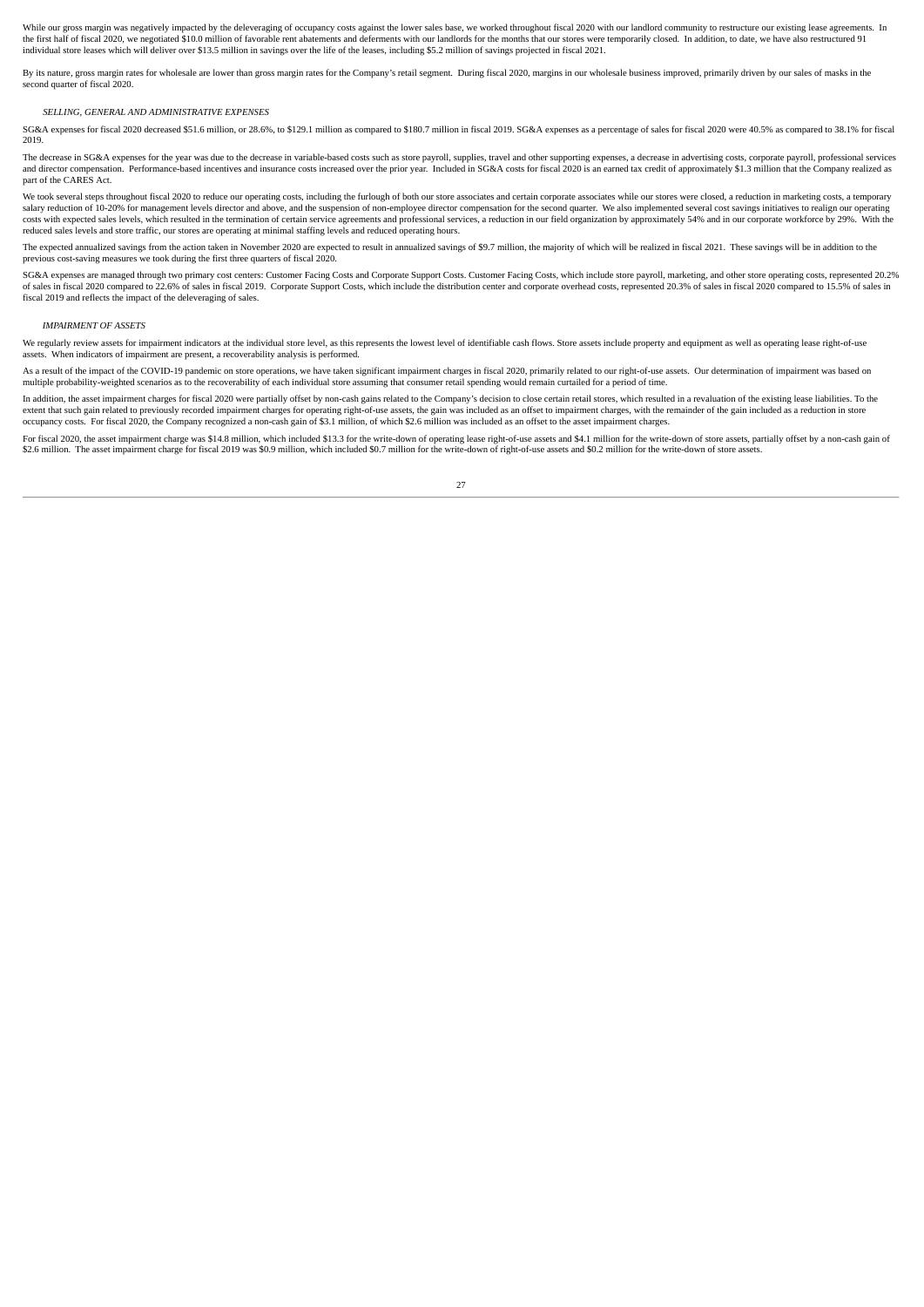While our gross margin was negatively impacted by the deleveraging of occupancy costs against the lower sales base, we worked throughout fiscal 2020 with our landlord community to restructure our existing lease agreements. the first half of fiscal 2020, we negotiated \$10.0 million of favorable rent abatements and deferments with our landlords for the months that our stores were temporarily closed. In addition, to date, we have also restructu individual store leases which will deliver over \$13.5 million in savings over the life of the leases, including \$5.2 million of savings projected in fiscal 2021.

By its nature, gross margin rates for wholesale are lower than gross margin rates for the Company's retail segment. During fiscal 2020, margins in our wholesale business improved, primarily driven by our sales of masks in

### *SELLING, GENERAL AND ADMINISTRATIVE EXPENSES*

SG&A expenses for fiscal 2020 decreased \$51.6 million, or 28.6%, to \$129.1 million as compared to \$180.7 million in fiscal 2019. SG&A expenses as a percentage of sales for fiscal 2020 were 40.5% as compared to 38.1% for fi 2019.

The decrease in SG&A expenses for the year was due to the decrease in variable-based costs such as store payroll, supplies, travel and other supporting expenses, a decrease in advertising costs, corporate payroll, professi and director compensation. Performance-based incentives and insurance costs increased over the prior year. Included in SG&A costs for fiscal 2020 is an earned tax credit of approximately \$1.3 million that the Company reali

We took several steps throughout fiscal 2020 to reduce our operating costs, including the furlough of both our store associates and certain corporate associates while our stores were closed, a reduction in marketing costs, salary reduction of 10-20% for management levels director and above, and the suspension of non-employee director compensation for the second quarter. We also implemented several cost savings initiatives to realign our op construction and the previous of the construction of the construction of the construction of the construction in our field organization by approximately 54% and in our corporate workforce by 29%. With the costs with expect reduced sales levels and store traffic, our stores are operating at minimal staffing levels and reduced operating hours.

The expected annualized savings from the action taken in November 2020 are expected to result in annualized savings of \$9.7 million, the majority of which will be realized in fiscal 2021. These savings will be in addition previous cost-saving measures we took during the first three quarters of fiscal 2020.

SG&A expenses are managed through two primary cost centers: Customer Facing Costs and Corporate Support Costs. Customer Facing Costs, which include store payroll, marketing, and other store operating costs, represented 20.2% of sales in fiscal 2020 compared to 22.6% of sales in fiscal 2019. Corporate Support Costs, which include the distribution center and corporate overhead costs, represented 20.3% of sales in fiscal 2020 compared to 15.5% of fiscal 2019 and reflects the impact of the deleveraging of sales.

### *IMPAIRMENT OF ASSETS*

We regularly review assets for impairment indicators at the individual store level, as this represents the lowest level of identifiable cash flows. Store assets include property and equipment as well as operating lease rig assets. When indicators of impairment are present, a recoverability analysis is performed.

As a result of the impact of the COVID-19 pandemic on store operations, we have taken significant impairment charges in fiscal 2020, primarily related to our right-of-use assets. Our determination of impairment was based o multiple probability-weighted scenarios as to the recoverability of each individual store ass

In addition, the asset impairment charges for fiscal 2020 were partially offset by non-cash gains related to the Company's decision to close certain retail stores, which resulted in a revaluation of the existing lease liab occupancy costs. For fiscal 2020, the Company recognized a non-cash gain of \$3.1 million, of which \$2.6 million was included as an offset to the asset impairment charges.

For fiscal 2020, the asset impairment charge was \$14.8 million, which included \$13.3 for the write-down of operating lease right-of-use assets and \$4.1 million for the write-down of store assets, partially offset by a non-

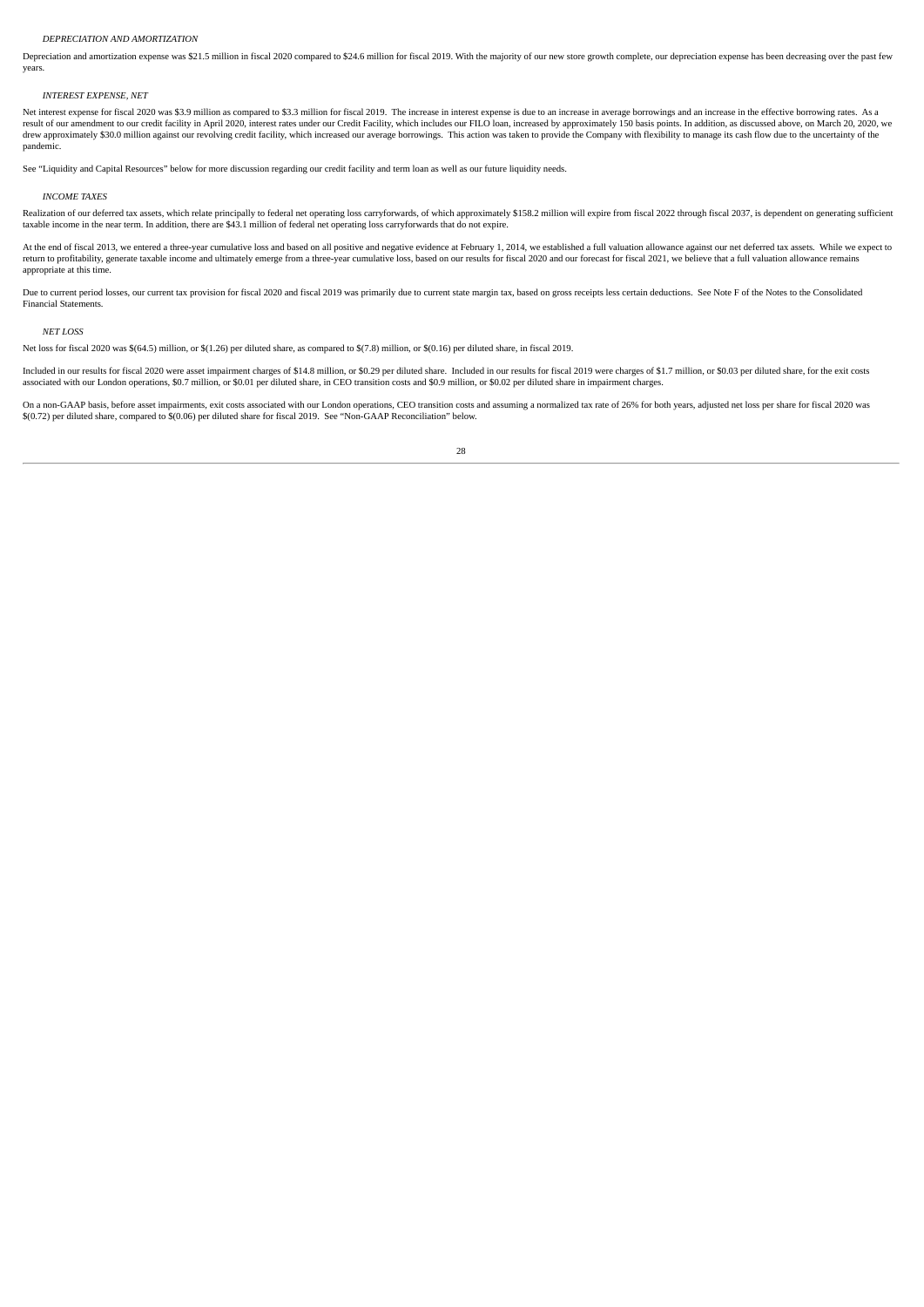### *DEPRECIATION AND AMORTIZATION*

Depreciation and amortization expense was \$21.5 million in fiscal 2020 compared to \$24.6 million for fiscal 2019. With the majority of our new store growth complete, our depreciation expense has been decreasing over the pa years.

### *INTEREST EXPENSE, NET*

Net interest expense for fiscal 2020 was \$3.9 million as compared to \$3.3 million for fiscal 2019. The increase in interest expense is due to an increase in average borrowings and an increase in the effective borrowing rat result of our amendment to our credit facility in April 2020, interest rates under our Credit Facility, which includes our FILO loan, increased by approximately 150 basis points. In addition, as discussed above, on March 2 pandemic.

See "Liquidity and Capital Resources" below for more discussion regarding our credit facility and term loan as well as our future liquidity needs.

# *INCOME TAXES*

Realization of our deferred tax assets, which relate principally to federal net operating loss carryforwards, of which approximately \$158.2 million will expire from fiscal 2022 through fiscal 2037, is dependent on generati taxable income in the near term. In addition, there are \$43.1 million of federal net operating loss carryforwards that do not expire.

At the end of fiscal 2013, we entered a three-year cumulative loss and based on all positive and negative evidence at February 1, 2014, we established a full valuation allowance against our net deferred tax assets. While w return to profitability, generate taxable income and ultimately emerge from a three-year cumulative loss, based on our results for fiscal 2020 and our forecast for fiscal 2021, we believe that a full valuation allowance re appropriate at this time.

Due to current period losses, our current tax provision for fiscal 2020 and fiscal 2019 was primarily due to current state margin tax, based on gross receipts less certain deductions. See Note F of the Notes to the Consoli Financial Statements.

# *NET LOSS*

Net loss for fiscal 2020 was \$(64.5) million, or \$(1.26) per diluted share, as compared to \$(7.8) million, or \$(0.16) per diluted share, in fiscal 2019.

Included in our results for fiscal 2020 were asset impairment charges of \$14.8 million, or \$0.29 per diluted share. Included in our results for fiscal 2019 were charges of \$1.7 million, or \$0.03 per diluted share, for the associated with our London operations, \$0.7 million, or \$0.01 per diluted share, in CEO transition costs and \$0.9 million, or \$0.02 per diluted share in impairment charges.

On a non-GAAP basis, before asset impairments, exit costs associated with our London operations, CEO transition costs and assuming a normalized tax rate of 26% for both years, adjusted net loss per share for fiscal 2020 wa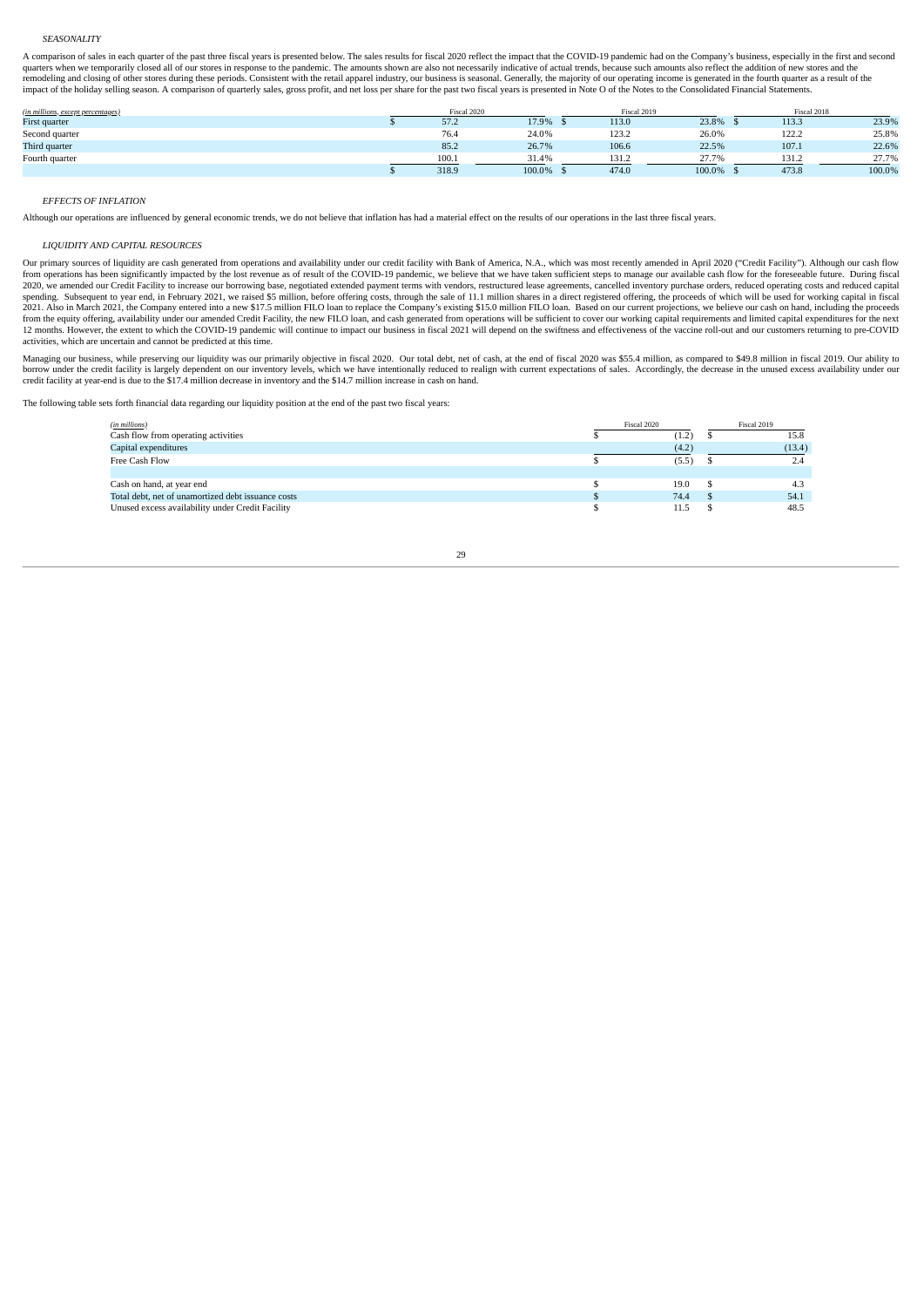### *SEASONALITY*

A comparison of sales in each quarter of the past three fiscal years is presented below. The sales results for fiscal 2020 reflect the impact that the COVID-19 pandemic had on the Company's business, especially in the firs quarters when we temporarily closed all of our stores in response to the pandemic. The amounts shown are also not necessarily indicative of actual trends, because such amounts also reflect the addition of new stores and th impact of the holiday selling season. A comparison of quarterly sales, gross profit, and net loss per share for the past two fiscal years is presented in Note O of the Notes to the Consolidated Financial Statements.

| (in millions, except percentages) | Fiscal 2020     |        |       | Fiscal 2019 |       | Fiscal 2018 |
|-----------------------------------|-----------------|--------|-------|-------------|-------|-------------|
| First quarter                     | $- - -$<br>57.2 | 17.9%  | 113.0 | 23.8%       | 113.3 | 23.9%       |
| Second quarter                    | 76.4            | 24.0%  | 123.2 | 26.0%       | 122.2 | 25.8%       |
| Third quarter                     | 85.2            | 26.7%  | 106.6 | 22.5%       | 107.1 | 22.6%       |
| Fourth quarter                    | 100.1           | 31.4%  | 131.2 | 27.7%       | 131.2 | 27.7%       |
|                                   | 318.9           | 100.0% | 474.0 | 100.0%      | 473.8 | 100.0%      |

# *EFFECTS OF INFLATION*

Although our operations are influenced by general economic trends, we do not believe that inflation has had a material effect on the results of our operations in the last three fiscal years.

#### *LIQUIDITY AND CAPITAL RESOURCES*

Our primary sources of liquidity are cash generated from operations and availability under our credit facility with Bank of America, N.A., which was most recently amended in April 2020 ("Credit Facility"). Although our cas from operations has been significantly impacted by the lost revenue as of result of the COVID-19 pandemic, we believe that we have taken sufficient steps to manage our available cash flow for the foreseeable future. During 2020, we amended our Credit Facility to increase our borrowing base, negotiated extended payment terms with vendors, restructured lease agreements, cancelled inventory purchase orders, reduced operating costs and reduced c 2021. Also in March 2021, the Company entered into a new \$17.5 million FILO loan to replace the Company's existing \$15.0 million FILO loan. Based on our current projections, we believe our cash on hand, including the proce 12 months. However, the extent to which the COVID-19 pandemic will continue to impact our business in fiscal 2021 will depend on the swiftness and effectiveness of the vaccine roll-out and our customers returning to pre-CO activities, which are uncertain and cannot be predicted at this time.

Managing our business, while preserving our liquidity was our primarily objective in fiscal 2020. Our total debt, net of cash, at the end of fiscal 2020 was \$55.4 million, as compared to \$49.8 million in fiscal 2019. Our a

The following table sets forth financial data regarding our liquidity position at the end of the past two fiscal years:

| (in millions)                                      | Fiscal 2020 |       |  | Fiscal 2019 |
|----------------------------------------------------|-------------|-------|--|-------------|
| Cash flow from operating activities                |             | (1.2) |  | 15.8        |
| Capital expenditures                               |             | (4.2) |  | (13.4)      |
| Free Cash Flow                                     |             | (5.5) |  | 2.4         |
|                                                    |             |       |  |             |
| Cash on hand, at year end                          |             | 19.0  |  | 4.3         |
| Total debt, net of unamortized debt issuance costs |             | 74.4  |  | 54.1        |
| Unused excess availability under Credit Facility   |             | 11.5  |  | 48.5        |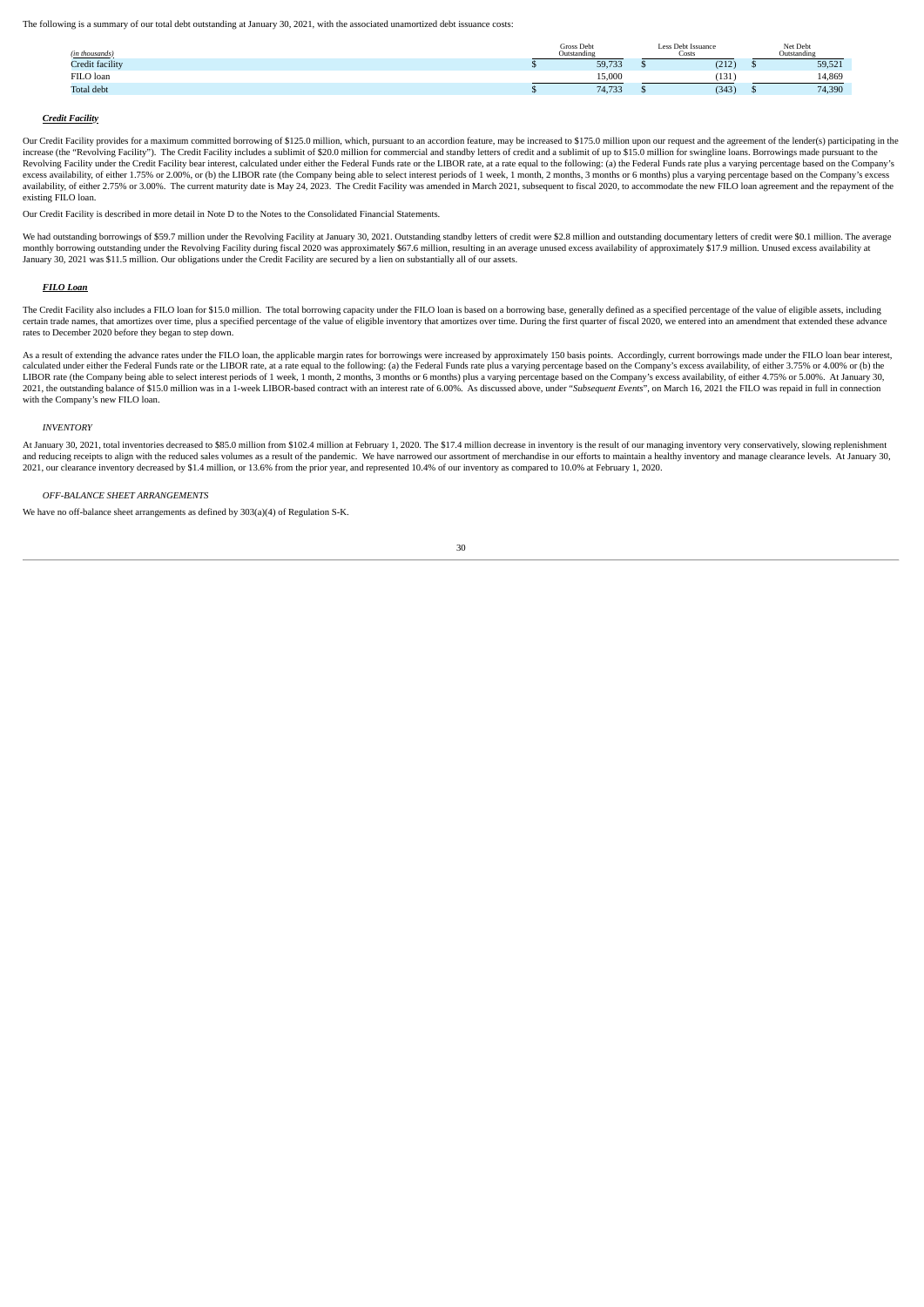The following is a summary of our total debt outstanding at January 30, 2021, with the associated unamortized debt issuance costs:

| (in thousands)    | Less Debt Issuance<br><b>Gross Debt</b><br>Outstanding<br>Costs |        |  | Net Debt<br>Outstanding |  |        |
|-------------------|-----------------------------------------------------------------|--------|--|-------------------------|--|--------|
| Credit facility   |                                                                 | 59,733 |  | (212)                   |  | 59,521 |
| FILO loan         |                                                                 | 15.000 |  | (131)                   |  | 14.869 |
| <b>Total debt</b> |                                                                 | 74,733 |  | (343)                   |  | 74,390 |

# *Credit Facility*

Our Credit Facility provides for a maximum committed borrowing of \$125.0 million, which, pursuant to an accordion feature, may be increased to \$175.0 million upon our request and the agreement of the lender(s) participatin increase (the "Revolving Facility"). The Credit Facility includes a sublimit of \$20.0 million for commercial and standby letters of credit and a sublimit of up to \$15.0 million for swingline loans. Borrowings made pursuant Revolving Facility under the Credit Facility bear interest, calculated under either the Federal Funds rate or the LIBOR rate, at a rate equal to the following: (a) the Federal Funds rate plus a varying percentage based on excess availability, of either 1.75% or 2.00%, or (b) the LIBOR rate (the Company being able to select interest periods of 1 week, 1 month, 2 months, 3 months or 6 months) plus a varying percentage based on the Company's e availability, of either 2.75% or 3.00%. The current maturity date is May 24, 2023. The Credit Facility was amended in March 2021, subsequent to fiscal 2020, to accommodate the new FILO loan agreement and the repayment of t

Our Credit Facility is described in more detail in Note D to the Notes to the Consolidated Financial Statements.

We had outstanding borrowings of \$59.7 million under the Revolving Facility at January 30, 2021. Outstanding standby letters of credit were \$2.8 million and outstanding documentary letters of credit were \$0.1 million. The monthly borrowing outstanding under the Revolving Facility during fiscal 2020 was approximately \$67.6 million, resulting in an average unused excess availability of approximately \$17.9 million. Unused excess availability a January 30, 2021 was \$11.5 million. Our obligations under the Credit Facility are secured by a lien on substantially all of our assets.

# *FILO Loan*

The Credit Facility also includes a FILO loan for \$15.0 million. The total borrowing capacity under the FILO loan is based on a borrowing base, generally defined as a specified percentage of the value of eligible assets, i certain trade names, that amortizes over time, plus a specified percentage of the value of eligible inventory that amortizes over time. During the first quarter of fiscal 2020, we entered into an amendment that extended th

As a result of extending the advance rates under the FILO loan, the applicable margin rates for borrowings were increased by approximately 150 basis points. Accordingly, current borrowings made under the FILO loan bear int LIBOR rate (the Company being able to select interest periods of 1 week, 1 month, 2 months, 3 months or 6 months) plus a varying percentage based on the Company's excess availability, of either 4.75% or 5.00%. At January 30, 2021, the outstanding balance of \$15.0 million was in a 1-week LIBOR-based contract with an interest rate of 6.00%. As discussed above, under "Subsequent Events", on March 16, 2021 the FILO was repaid in full in connection with the Company's new FILO loan.

### *INVENTORY*

At January 30, 2021, total inventories decreased to \$85.0 million from \$102.4 million at February 1, 2020. The \$17.4 million decrease in inventory is the result of our managing inventory very conservatively, slowing replen and reducing receipts to align with the reduced sales volumes as a result of the pandemic. We have narrowed our assortment of merchandise in our efforts to maintain a healthy inventory and manage clearance levels. At Janua

### *OFF-BALANCE SHEET ARRANGEMENTS*

We have no off-balance sheet arrangements as defined by 303(a)(4) of Regulation S-K.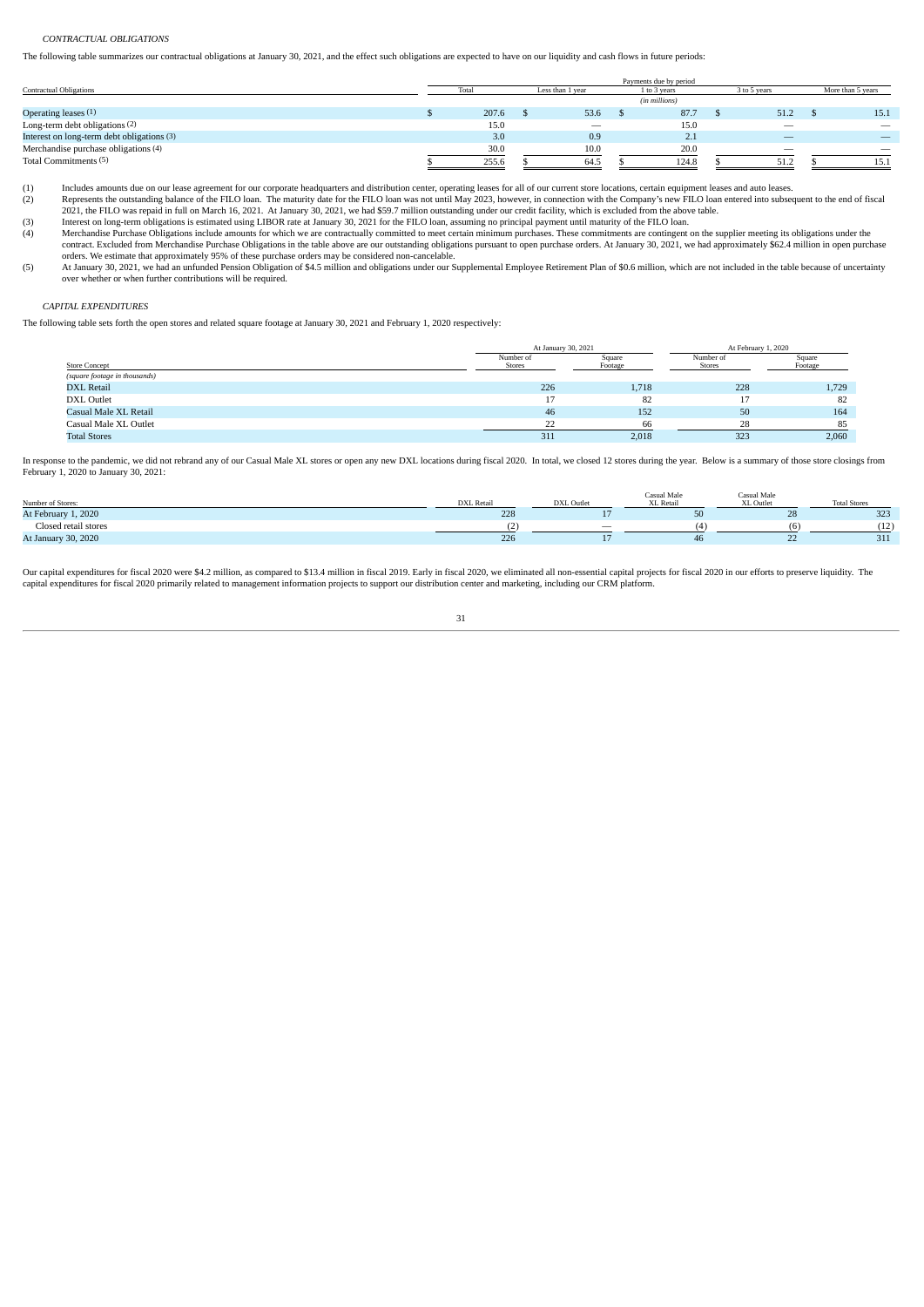# *CONTRACTUAL OBLIGATIONS*

The following table summarizes our contractual obligations at January 30, 2021, and the effect such obligations are expected to have on our liquidity and cash flows in future periods:

|                                            | Payments due by period |       |  |                          |  |               |  |                          |  |                          |
|--------------------------------------------|------------------------|-------|--|--------------------------|--|---------------|--|--------------------------|--|--------------------------|
| <b>Contractual Obligations</b>             | Total                  |       |  | Less than 1 year         |  | 1 to 3 years  |  | 3 to 5 years             |  | More than 5 years        |
|                                            |                        |       |  |                          |  | (in millions) |  |                          |  |                          |
| Operating leases $(1)$                     |                        | 207.6 |  | 53.6                     |  | 87.7          |  | 51.2                     |  | 15.1                     |
| Long-term debt obligations (2)             |                        | 15.0  |  | $\overline{\phantom{a}}$ |  | 15.0          |  | $\overline{\phantom{a}}$ |  | $\overline{\phantom{a}}$ |
| Interest on long-term debt obligations (3) |                        | 3.0   |  | 0.9                      |  | 2.1           |  | $\overline{\phantom{a}}$ |  | $\overline{\phantom{a}}$ |
| Merchandise purchase obligations (4)       |                        | 30.0  |  | 10.0                     |  | 20.0          |  | $\overline{\phantom{a}}$ |  | $\overline{\phantom{a}}$ |
| Total Commitments (5)                      |                        | 255.6 |  | 64.5                     |  | 124.8         |  | ے۔ د                     |  | 15.1                     |

(1) Includes amounts due on our lease agreement for our corporate headquarters and distribution center, operating leases for all of our current store locations, certain equipment leases and auto leases.<br>(2) Represents the

The structure of the FILO loan. The FILO loan, assuming no principal payment until maturity of the FILO loan.<br>(4) Interest on long-term obligations is estimated using LIBOR rate at January 30, 2021 for the FILO loan, assum

Merchandise Purchase Obligations include amounts for which we are contractually committed to meet certain minimum purchases. These commitments are contingent on the supplier meeting its obligations under the contract. Excl

orders. We estimate that approximately 95% of these purchase orders may be considered non-cancelable.<br>(5) At January 30, 2021, we had an unfunded Pension Obligation of \$4.5 million and obligations under our Supplemental Em over whether or when further contributions will be required.

# *CAPITAL EXPENDITURES*

The following table sets forth the open stores and related square footage at January 30, 2021 and February 1, 2020 respectively:

|                               |                     | At January 30, 2021 | At February 1, 2020        |                   |  |  |
|-------------------------------|---------------------|---------------------|----------------------------|-------------------|--|--|
| <b>Store Concept</b>          | Number of<br>Stores | Square<br>Footage   | Number of<br><b>Stores</b> | Square<br>Footage |  |  |
| (square footage in thousands) |                     |                     |                            |                   |  |  |
| <b>DXL Retail</b>             | 226                 | 1,718               | 228                        | 1,729             |  |  |
| DXL Outlet                    |                     | 82                  |                            | 82                |  |  |
| Casual Male XL Retail         | 46                  | 152                 | 50                         | 164               |  |  |
| Casual Male XL Outlet         | 22                  | 66                  | 28                         | 85                |  |  |
| <b>Total Stores</b>           | 311                 | 2,018               | 323                        | 2,060             |  |  |

In response to the pandemic, we did not rebrand any of our Casual Male XL stores or open any new DXL locations during fiscal 2020. In total, we closed 12 stores during the year. Below is a summary of those store closings f February 1, 2020 to January 30, 2021:

| Number of Stores:    | <b>DXL</b> Retail | <b>DXL</b> Outlet        | Casual Male<br>XL Retail | Casual Male<br>XL Outlet | <b>Total Stores</b> |
|----------------------|-------------------|--------------------------|--------------------------|--------------------------|---------------------|
| At February 1, 2020  | 228               |                          | <u>JU</u>                | 20                       | 323                 |
| Closed retail stores |                   | $\overline{\phantom{a}}$ |                          |                          | (12)                |
| At January 30, 2020  | 226               |                          | 46                       | --                       | 311                 |

Our capital expenditures for fiscal 2020 were \$4.2 million, as compared to \$13.4 million in fiscal 2019. Early in fiscal 2020, we eliminated all non-essential capital projects for fiscal 2020 in our efforts to preserve liq capital expenditures for fiscal 2020 primarily related to management information projects to support our distribution center and marketing, including our CRM platform.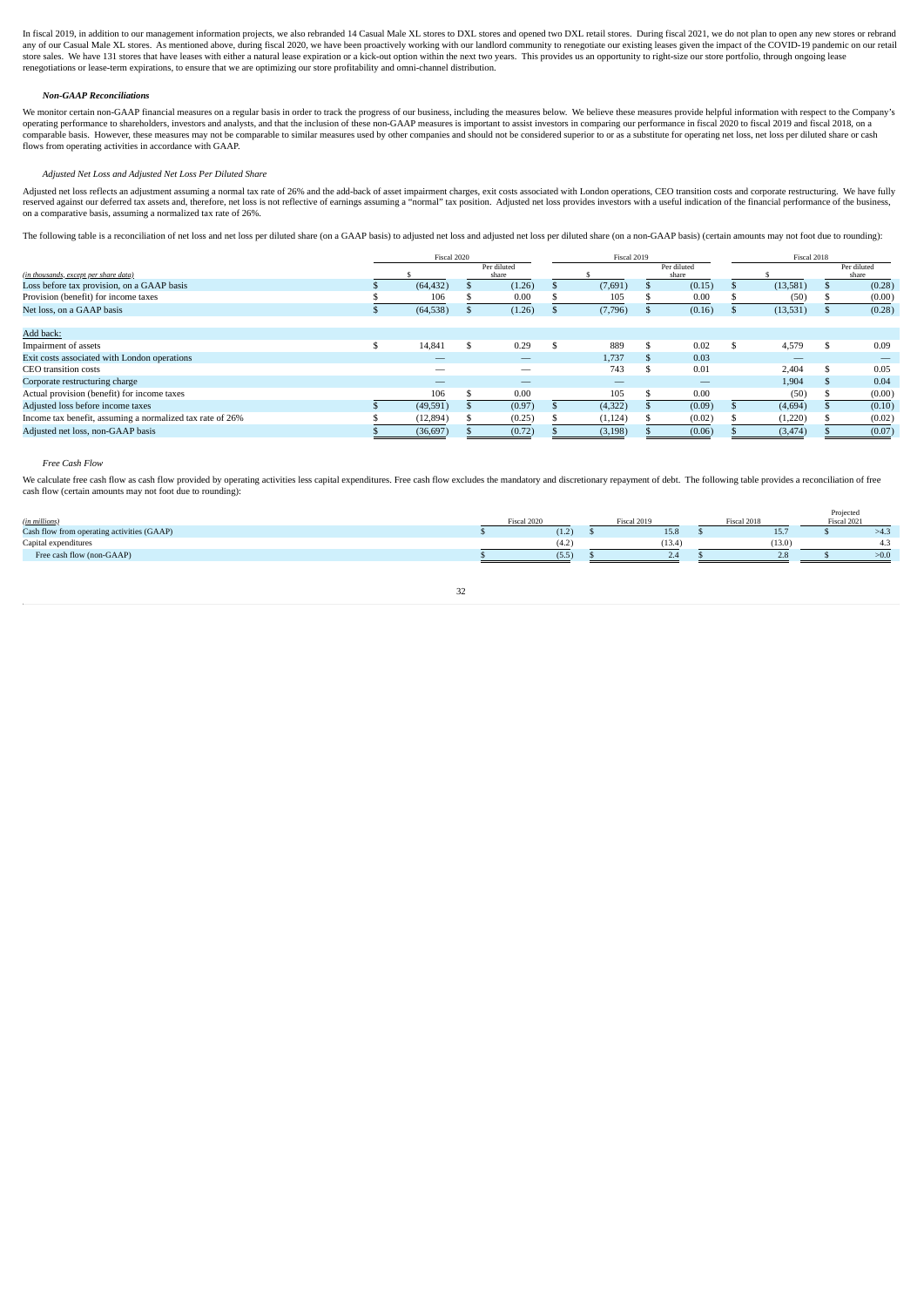In fiscal 2019, in addition to our management information projects, we also rebranded 14 Casual Male XL stores to DXL stores and opened two DXL retail stores. During fiscal 2021, we do not plan to open any new stores or re store sales. We have 131 stores that have leases with either a natural lease expiration or a kick-out option within the next two years. This provides us an opportunity to right-size our store portfolio, through ongoing lea renegotiations or lease-term expirations, to ensure that we are optimizing our store profitability and omni-channel distribution.

# *Non-GAAP Reconciliations*

We monitor certain non-GAAP financial measures on a regular basis in order to track the progress of our business, including the measures below. We believe these measures provide helpful information with respect to the Comp comparable basis. However, these measures may not be comparable to similar measures used by other companies and should not be considered superior to or as a substitute for operating net loss, net loss per diluted share or flows from operating activities in accordance with GAAP.

# *Adjusted Net Loss and Adjusted Net Loss Per Diluted Share*

Adjusted net loss reflects an adjustment assuming a normal tax rate of 26% and the add-back of asset impairment charges, exit costs associated with London operations, CEO transition costs and corporate restructuring. We ha reserved against our deferred tax assets and, therefore, net loss is not reflective of earnings assuming a "normal" tax position. Adjusted net loss provides investors with a useful indication of the financial performance o

The following table is a reconciliation of net loss and net loss per diluted share (on a GAAP basis) to adjusted net loss and adjusted net loss per diluted share (on a non-GAAP basis) (certain amounts may not foot due to r

| Fiscal 2020 |                     |        | Fiscal 2019                            |          |                |        |                                        | Fiscal 2018 |                   |                          |  |
|-------------|---------------------|--------|----------------------------------------|----------|----------------|--------|----------------------------------------|-------------|-------------------|--------------------------|--|
|             |                     |        |                                        |          |                |        | Per diluted                            |             |                   |                          |  |
|             |                     |        |                                        |          |                |        |                                        |             |                   | share                    |  |
|             |                     |        |                                        |          |                |        |                                        |             |                   | (0.28)                   |  |
| 106         |                     | 0.00   |                                        | 105      |                | 0.00   |                                        | (50)        |                   | (0.00)                   |  |
| (64, 538)   |                     | (1.26) |                                        | (7,796)  |                | (0.16) |                                        | (13,531)    |                   | (0.28)                   |  |
|             |                     |        |                                        |          |                |        |                                        |             |                   |                          |  |
|             |                     |        |                                        |          |                |        |                                        |             |                   |                          |  |
|             | Э'n                 |        |                                        |          |                |        |                                        |             |                   | 0.09                     |  |
|             |                     |        |                                        | 1,737    |                | 0.03   |                                        | _           |                   | $\overline{\phantom{a}}$ |  |
| _           |                     | _      |                                        | 743      |                | 0.01   |                                        | 2,404       |                   | 0.05                     |  |
| _           |                     |        |                                        |          |                | $-$    |                                        | 1,904       |                   | 0.04                     |  |
| 106         |                     | 0.00   |                                        | 105      |                | 0.00   |                                        | (50)        |                   | (0.00)                   |  |
| (49, 591)   |                     | (0.97) |                                        | (4, 322) | <b>D</b>       | (0.09) |                                        | (4,694)     |                   | (0.10)                   |  |
| (12, 894)   |                     | (0.25) |                                        | (1, 124) |                | (0.02) |                                        | (1,220)     |                   | (0.02)                   |  |
| (36, 697)   |                     | (0.72) |                                        | (3, 198) |                | (0.06) |                                        | (3, 474)    |                   | (0.07)                   |  |
|             | (64, 432)<br>14,841 |        | Per diluted<br>share<br>(1.26)<br>0.29 |          | (7,691)<br>889 |        | Per diluted<br>share<br>(0.15)<br>0.02 |             | (13,581)<br>4,579 |                          |  |

#### *Free Cash Flow*

We calculate free cash flow as cash flow provided by operating activities less capital expenditures. Free cash flow excludes the mandatory and discretionary repayment of debt. The following table provides a reconciliation cash flow (certain amounts may not foot due to rounding):

| (in millions)                              | Fiscal 2020 |       | Fiscal 2019 | Fiscal 2018 | Projected<br>Fiscal 2021 |      |
|--------------------------------------------|-------------|-------|-------------|-------------|--------------------------|------|
| Cash flow from operating activities (GAAP) |             | (1.2) | 15.8        | 15.         |                          | >4.3 |
| Capital expenditures                       |             | (4.2) | (13.4)      | (13.0)      |                          |      |
| Free cash flow (non-GAAP)                  |             | (5.5) | 2.4         |             |                          | >0.0 |
|                                            |             |       |             |             |                          |      |

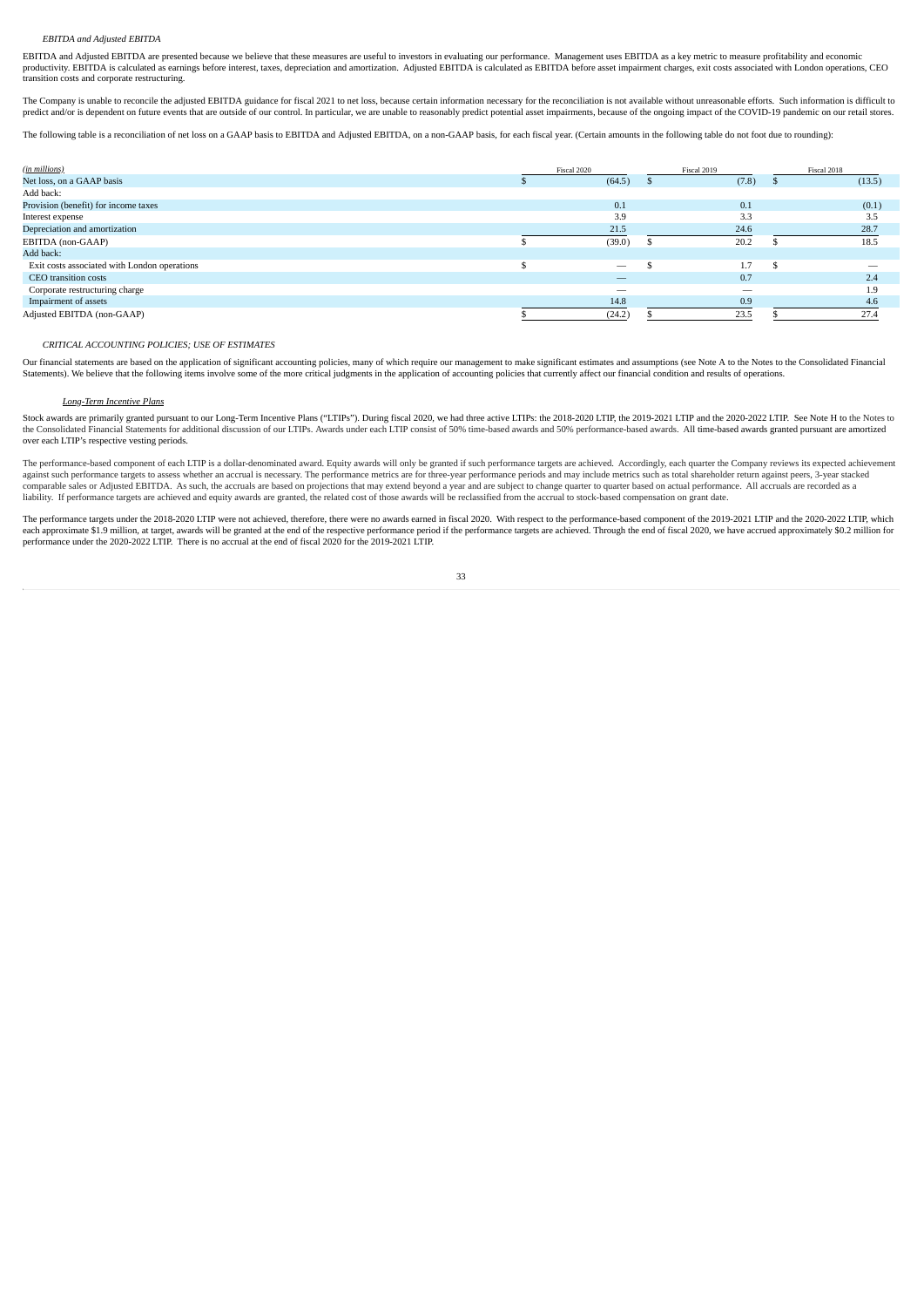### *EBITDA and Adjusted EBITDA*

EBITDA and Adjusted EBITDA are presented because we believe that these measures are useful to investors in evaluating our performance. Management uses EBITDA as a key metric to measure profitability and economic productivity. EBITDA is calculated as earnings before interest, taxes, depreciation and amortization. Adjusted EBITDA is calculated as EBITDA before asset impairment charges, exit costs associated with London operations, CEO transition costs and corporate restructuring.

The Company is unable to reconcile the adjusted EBITDA guidance for fiscal 2021 to net loss, because certain information necessary for the reconciliation is not available without unreasonable efforts. Such information is d predict and/or is dependent on future events that are outside of our control. In particular, we are unable to reasonably predict potential asset impairments, because of the ongoing impact of the COVID-19 pandemic on our re

The following table is a reconciliation of net loss on a GAAP basis to EBITDA and Adjusted EBITDA, on a non-GAAP basis, for each fiscal year. (Certain amounts in the following table do not foot due to rounding):

| (in millions)                                | Fiscal 2020              | Fiscal 2019    | Fiscal 2018 |
|----------------------------------------------|--------------------------|----------------|-------------|
| Net loss, on a GAAP basis                    | (64.5)                   | (7.8)          | (13.5)      |
| Add back:                                    |                          |                |             |
| Provision (benefit) for income taxes         | 0.1                      | 0.1            | (0.1)       |
| Interest expense                             | 3.9                      | 3.3            | 3.5         |
| Depreciation and amortization                | 21.5                     | 24.6           | 28.7        |
| EBITDA (non-GAAP)                            | (39.0)                   | 20.2           | 18.5        |
| Add back:                                    |                          |                |             |
| Exit costs associated with London operations | $\overline{\phantom{a}}$ | $\overline{7}$ |             |
| CEO transition costs                         | $-$                      | 0.7            | 2.4         |
| Corporate restructuring charge               | $\overline{\phantom{a}}$ |                | 1.9         |
| Impairment of assets                         | 14.8                     | 0.9            | 4.6         |
| Adjusted EBITDA (non-GAAP)                   | (24.2)                   | 23.5           | 27.4        |

### *CRITICAL ACCOUNTING POLICIES; USE OF ESTIMATES*

Our financial statements are based on the application of significant accounting policies, many of which require our management to make significant estimates and assumptions (see Note A to the Notes to the Consolidated Fina Statements). We believe that the following items involve some of the more critical judgments in the application of accounting policies that currently affect our financial condition and results of operations.

### *Long-Term Incentive Plans*

Stock awards are primarily granted pursuant to our Long-Term Incentive Plans ("LTIPs"). During fiscal 2020, we had three active LTIPs: the 2018-2020 LTIP, the 2019-2021 LTIP and the 2020-2022 LTIP. See Note H to the Notes the Consolidated Financial Statements for additional discussion of our LTIPs. Awards under each LTIP consist of 50% time-based awards and 50% performance-based awards. All time-based awards granted pursuant are amortized over each LTIP's respective vesting periods.

The performance-based component of each LTIP is a dollar-denominated award. Equity awards will only be granted if such performance targets are achieved. Accordingly, each quarter the Company reviews its expected achievemen against such performance targets to assess whether an accrual is necessary. The performance metrics are for three-year performance eriods and may include metrics such as total shareholder return against peers, 3-year stack comparable sales or Adjusted EBITDA. As such, the accruals are based on projections that may extend beyond a year and are subject to change quarter to quarter based on actual performance. All accruals are recorded as a liability. If performance targets are achieved and equity awards are granted, the related cost of those awards will be reclassified from the accrual to stock-based compensation on grant date.

The performance targets under the 2018-2020 LTIP were not achieved, therefore, there were no awards earned in fiscal 2020. With respect to the performance-based component of the 2019-2021 LTIP and the 2020-2022 LTIP, which each approximate \$1.9 million, at target, awards will be granted at the end of the respective performance period if the performance targets are achieved. Through the end of fiscal 2020, we have accrued approximately \$0.2 m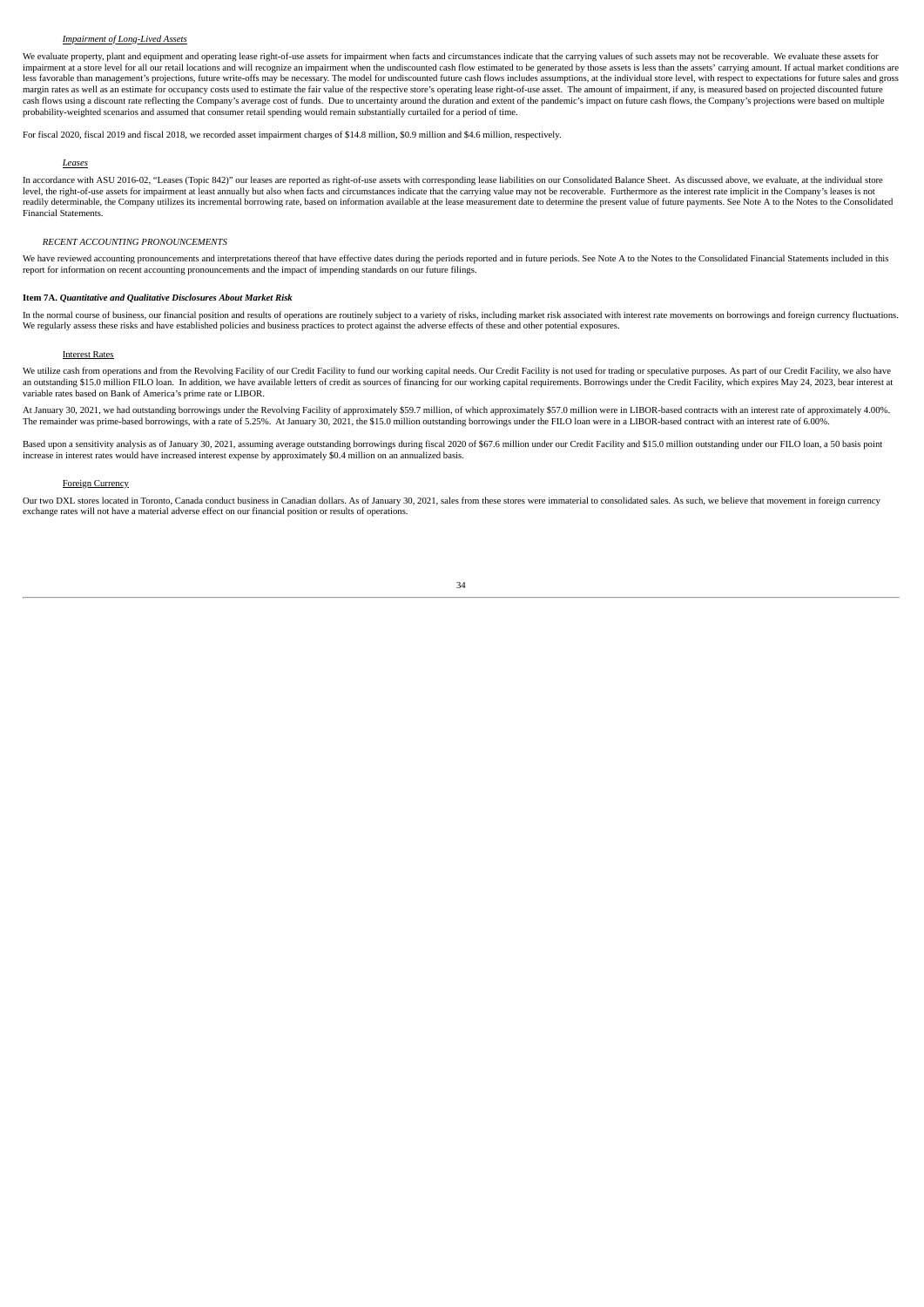#### *Impairment of Long-Lived Assets*

We evaluate property, plant and equipment and operating lease right-of-use assets for impairment when facts and circumstances indicate that the carrying values of such assets may not be recoverable. We evaluate these asset impairment at a store level for all our retail locations and will recognize an impairment when the undiscounted cash flow estimated to be generated by those assets is less than the assets' carrying amount. If actual market margin rates as well as an estimate for occupancy costs used to estimate the fair value of the respective store's operating lease right-of-use asset. The amount of impairment, if any, is measured based on projected discoun cash flows using a discount rate reflecting the Company's average cost of funds. Due to uncertainty around the duration and extent of the pandemic's impact on future cash flows, the Company's projections were based on mult probability-weighted scenarios and assumed that consumer retail spending would remain substantially curtailed for a period of time.

For fiscal 2020, fiscal 2019 and fiscal 2018, we recorded asset impairment charges of \$14.8 million, \$0.9 million and \$4.6 million, respectively.

#### *Leases*

In accordance with ASU 2016-02, "Leases (Topic 842)" our leases are reported as right-of-use assets with corresponding lease liabilities on our Consolidated Balance Sheet. As discussed above, we evaluate, at the individual level, the right-of-use assets for impairment at least annually but also when facts and circumstances indicate that the carrying value may not be recoverable. Furthermore as the interest rate implicit in the Company's leas readily determinable, the Company utilizes its incremental borrowing rate, based on information available at the lease measurement date to determine the present value of future payments. See Note A to the Notes to the Cons Financial Statements.

### *RECENT ACCOUNTING PRONOUNCEMENTS*

We have reviewed accounting pronouncements and interpretations thereof that have effective dates during the periods reported and in future periods. See Note A to the Notes to the Consolidated Financial Statements included report for information on recent accounting pronouncements and the impact of impending standards on our future filings.

#### <span id="page-33-0"></span>**Item 7A.** *Quantitative and Qualitative Disclosures About Market Risk*

In the normal course of business, our financial position and results of operations are routinely subject to a variety of risks, including market risk associated with interest rate movements on borrowings and foreign curren We regularly assess these risks and have established policies and business practices to protect against the adverse effects of these and other potential exposures.

### Interest Rates

We utilize cash from operations and from the Revolving Facility of our Credit Facility to fund our working capital needs. Our Credit Facility is not used for trading or speculative purposes. As part of our Credit Facility, an outstanding \$15.0 million FILO loan. In addition, we have available letters of credit as sources of financing for our working capital requirements. Borrowings under the Credit Facility, which expires May 24, 2023, bear variable rates based on Bank of America's prime rate or LIBOR.

At January 30, 2021, we had outstanding borrowings under the Revolving Facility of approximately \$59.7 million, of which approximately \$57.0 million were in LIBOR-based contracts with an interest rate of approximately 4.00%. The remainder was prime-based borrowings, with a rate of 5.25%. At January 30, 2021, the \$15.0 million outstanding borrowings under the FILO loan were in a LIBOR-based contract with an interest rate of 6.00%.

Based upon a sensitivity analysis as of January 30, 2021, assuming average outstanding borrowings during fiscal 2020 of \$67.6 million under our Credit Facility and \$15.0 million outstanding under our FILO loan, a 50 basis increase in interest rates would have increased interest expense by approximately \$0.4 million on an annualized basis.

### Foreign Currency

Our two DXL stores located in Toronto, Canada conduct business in Canadian dollars. As of January 30, 2021, sales from these stores were immaterial to consolidated sales. As such, we believe that movement in foreign curren exchange rates will not have a material adverse effect on our financial position or results of operations.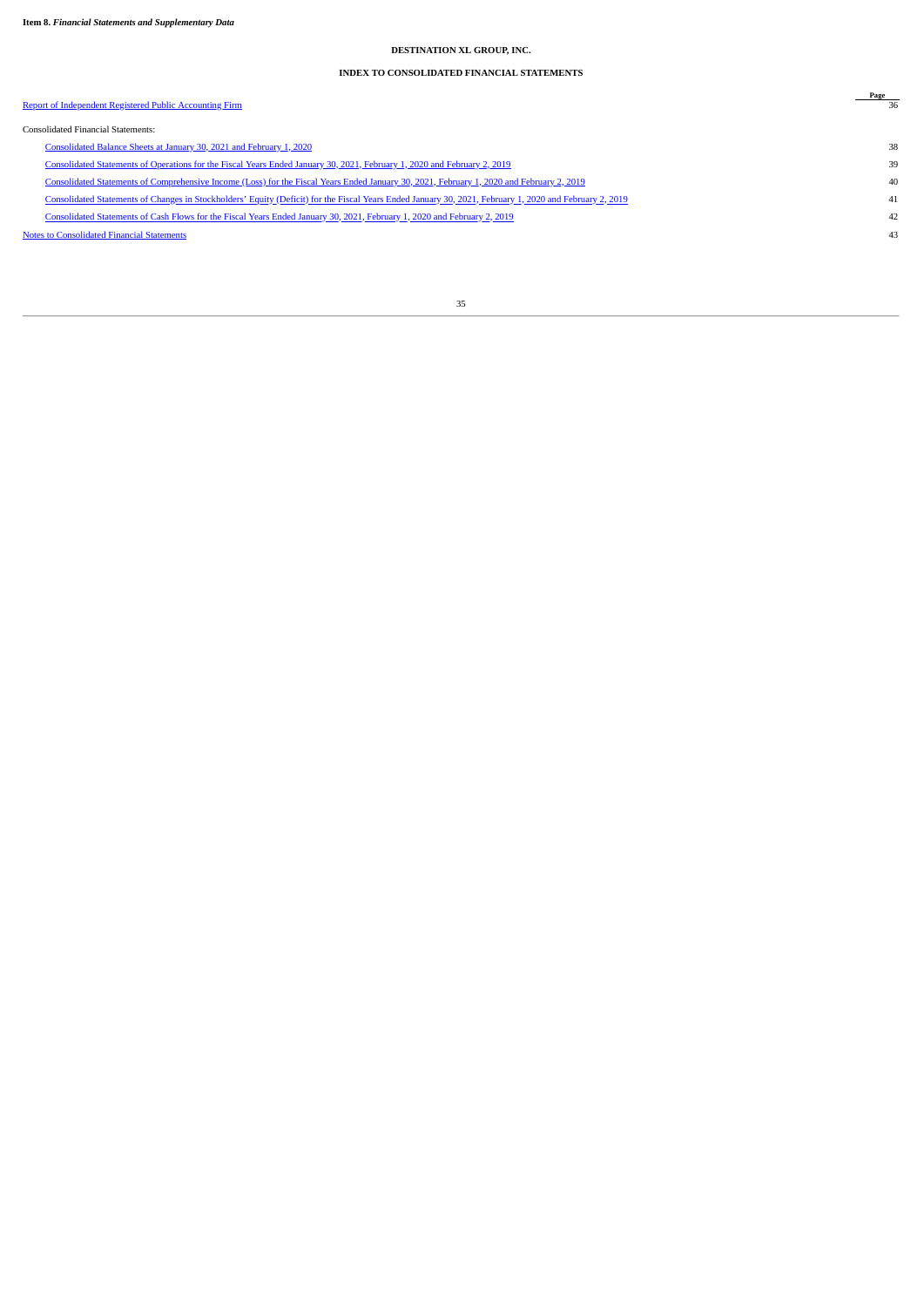# **DESTINATION XL GROUP, INC.**

# **INDEX TO CONSOLIDATED FINANCIAL STATEMENTS**

<span id="page-34-0"></span>

| <b>Report of Independent Registered Public Accounting Firm</b><br>Consolidated Financial Statements:                                                    | Page<br>36 |
|---------------------------------------------------------------------------------------------------------------------------------------------------------|------------|
| Consolidated Balance Sheets at January 30, 2021 and February 1, 2020                                                                                    | 38         |
| Consolidated Statements of Operations for the Fiscal Years Ended January 30, 2021, February 1, 2020 and February 2, 2019                                | 39         |
| Consolidated Statements of Comprehensive Income (Loss) for the Fiscal Years Ended January 30, 2021, February 1, 2020 and February 2, 2019               | 40         |
| Consolidated Statements of Changes in Stockholders' Equity (Deficit) for the Fiscal Years Ended January 30, 2021, February 1, 2020 and February 2, 2019 | 41         |
| Consolidated Statements of Cash Flows for the Fiscal Years Ended January 30, 2021, February 1, 2020 and February 2, 2019                                | 42         |
| Notes to Consolidated Financial Statements                                                                                                              | 43         |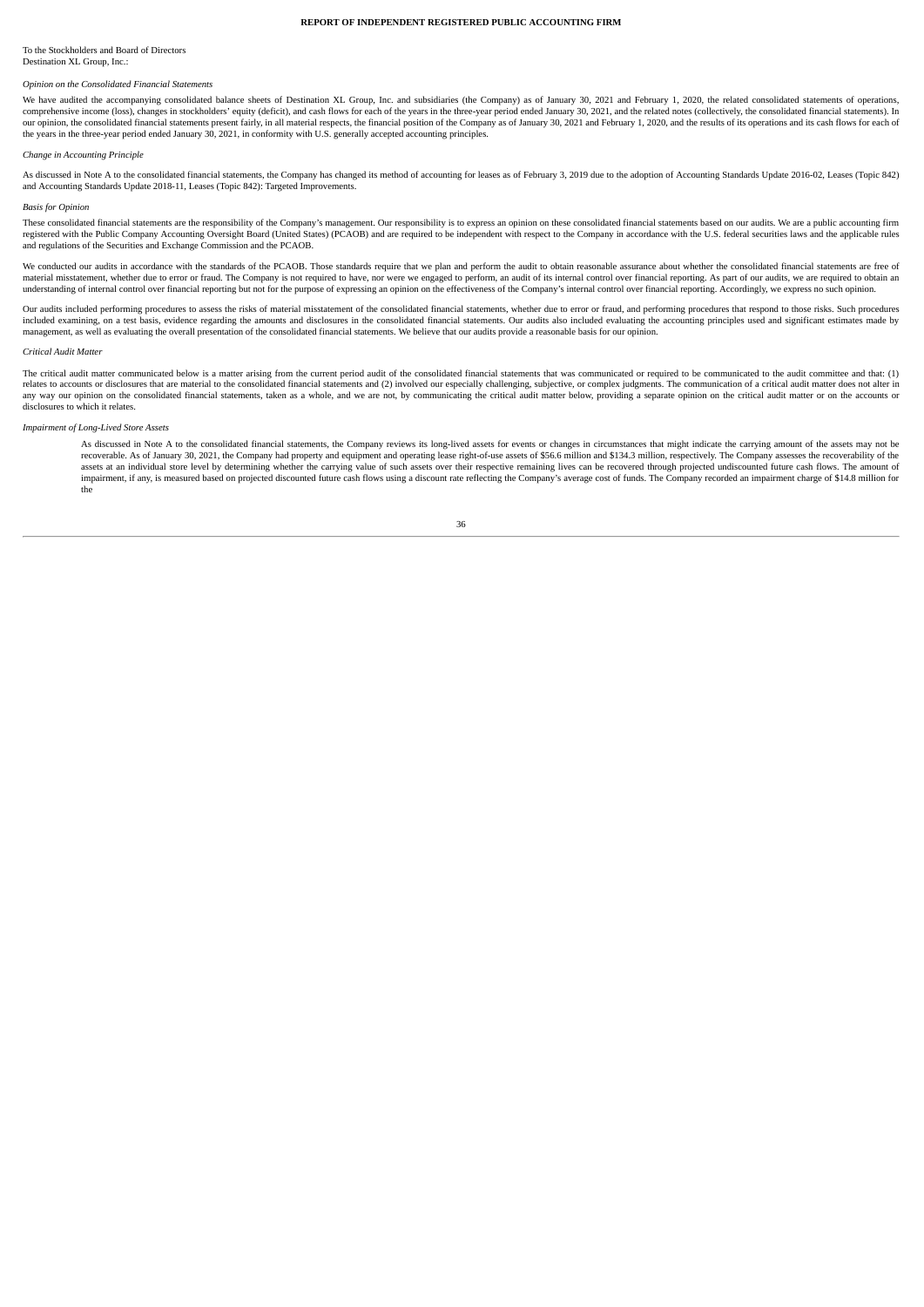### <span id="page-35-0"></span>To the Stockholders and Board of Directors

Destination XL Group, Inc.:

# *Opinion on the Consolidated Financial Statements*

We have audited the accompanying consolidated balance sheets of Destination XL Group, Inc. and subsidiaries (the Company) as of January 30, 2021 and February 1, 2020, the related consolidated statements of operations, comprehensive income (loss), changes in stockholders' equity (deficit), and cash flows for each of the years in the three-year period ended January 30, 2021, and the related notes (collectively, the consolidated financial the years in the three-year period ended January 30, 2021, in conformity with U.S. generally accepted accounting principles.

### *Change in Accounting Principle*

As discussed in Note A to the consolidated financial statements, the Company has changed its method of accounting for leases as of February 3, 2019 due to the adoption of Accounting Standards Update 2016-02, Leases (Topic and Accounting Standards Update 2018-11, Leases (Topic 842): Targeted Improvements.

#### *Basis for Opinion*

These consolidated financial statements are the responsibility of the Company's management. Our responsibility is to express an opinion on these consolidated financial statements based on our audits. We are a public accoun registered with the Public Company Accounting Oversight Board (United States) (PCAOB) and are required to be independent with respect to the Company in accordance with the U.S. federal securities laws and the applicable ru and regulations of the Securities and Exchange Commission and the PCAOB.

We conducted our audits in accordance with the standards of the PCAOB. Those standards require that we plan and perform the audit to obtain reasonable assurance about whether the consolidated financial statements are free material misstatement, whether due to error or fraud. The Company is not required to have, nor were we engaged to perform, an audit of its internal control over financial reporting. As part of our audits, we are required t understanding of internal control over financial reporting but not for the purpose of expressing an opinion on the effectiveness of the Company's internal control over financial reporting. Accordingly, we express no such o

Our audits included performing procedures to assess the risks of material misstatement of the consolidated financial statements, whether due to error or fraud, and performing procedures that respond to those risks. Such pr included examining, on a test basis, evidence regarding the amounts and disclosures in the consolidated financial statements. Our audits also included evaluating the accounting principles used and significant estimates mad management, as well as evaluating the overall presentation of the consolidated financial statements. We believe that our audits provide a reasonable basis for our opinion.

#### *Critical Audit Matter*

The critical audit matter communicated below is a matter arising from the current period audit of the consolidated financial statements that was communicated or required to be communicated to the audit committee and that: relates to accounts or disclosures that are material to the consolidated financial statements and (2) involved our especially challenging, subjective, or complex judgments. The communication of a critical audit matter does ny way our opinion on the consolidated financial statements, taken as a whole, and we are not, by communicating the critical audit matter below, providing a separate opinion on the critical audit matter or on the accounts disclosures to which it relates.

#### *Impairment of Long-Lived Store Assets*

As discussed in Note A to the consolidated financial statements, the Company reviews its long-lived assets for events or changes in circumstances that might indicate the carrying amount of the assets may not be recoverable. As of January 30, 2021, the Company had property and equipment and operating lease right-of-use assets of \$56.6 million and \$134.3 million, respectively. The Company assesses the recoverability of the<br>assets a impairment, if any, is measured based on projected discounted future cash flows using a discount rate reflecting the Company's average cost of funds. The Company recorded an impairment charge of \$14.8 million for the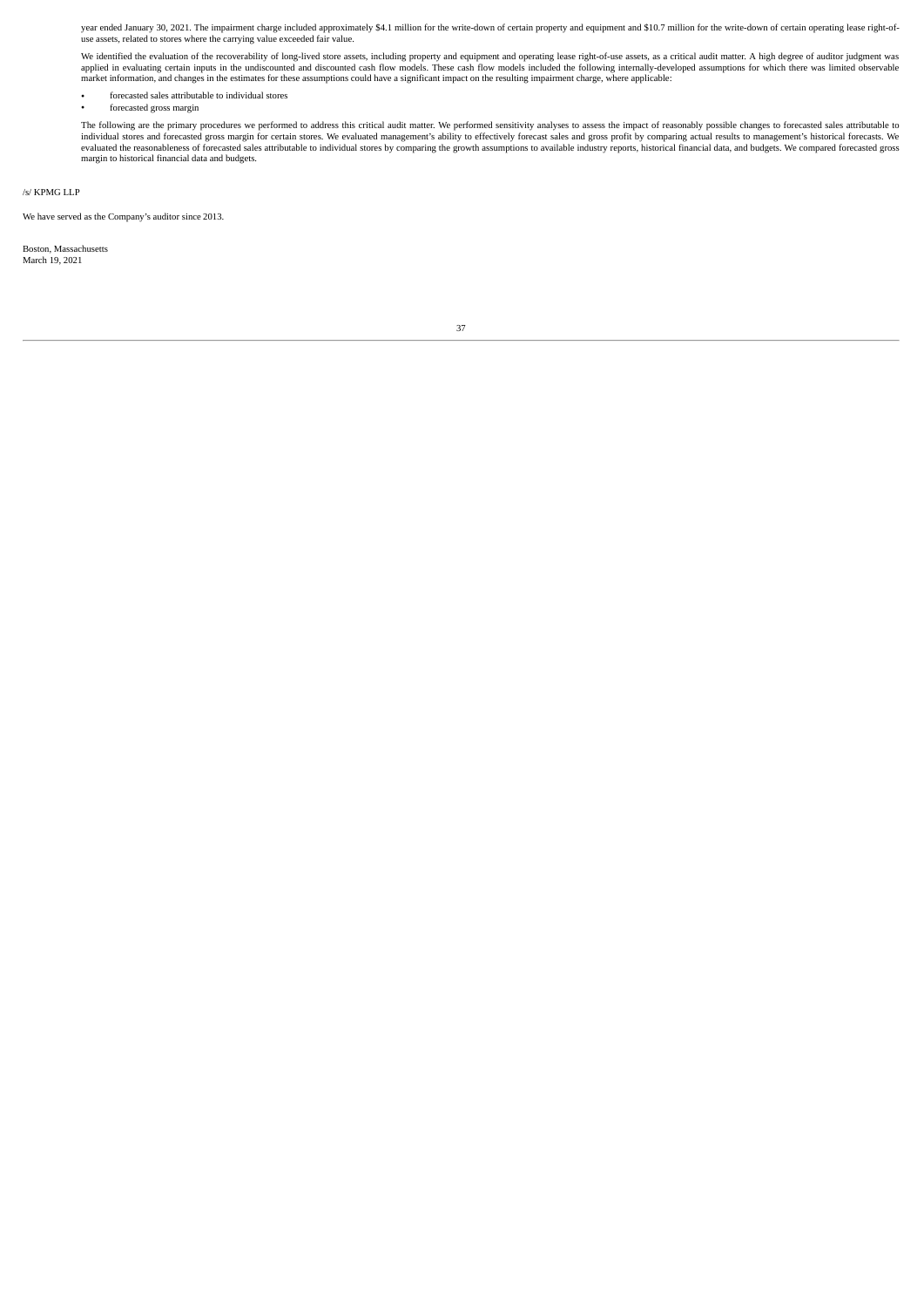year ended January 30, 2021. The impairment charge included approximately \$4.1 million for the write-down of certain property and equipment and \$10.7 million for the write-down of certain operating lease right-of-<br>use asse

We identified the evaluation of the recoverability of long-lived store assets, including property and equipment and operating lease right-of-use assets, as a critical audit matter. A high degree of auditor judgment was alm

- forecasted sales attributable to individual stores
- forecasted gross margin

The following are the primary procedures we performed to address this critical audit matter. We performed sensitivity analyses to assess the impact of reasonably possible changes to forecasted sales attributable to include margin to historical financial data and budgets.

## /s/ KPMG LLP

We have served as the Company's auditor since 2013.

Boston, Massachusetts March 19, 2021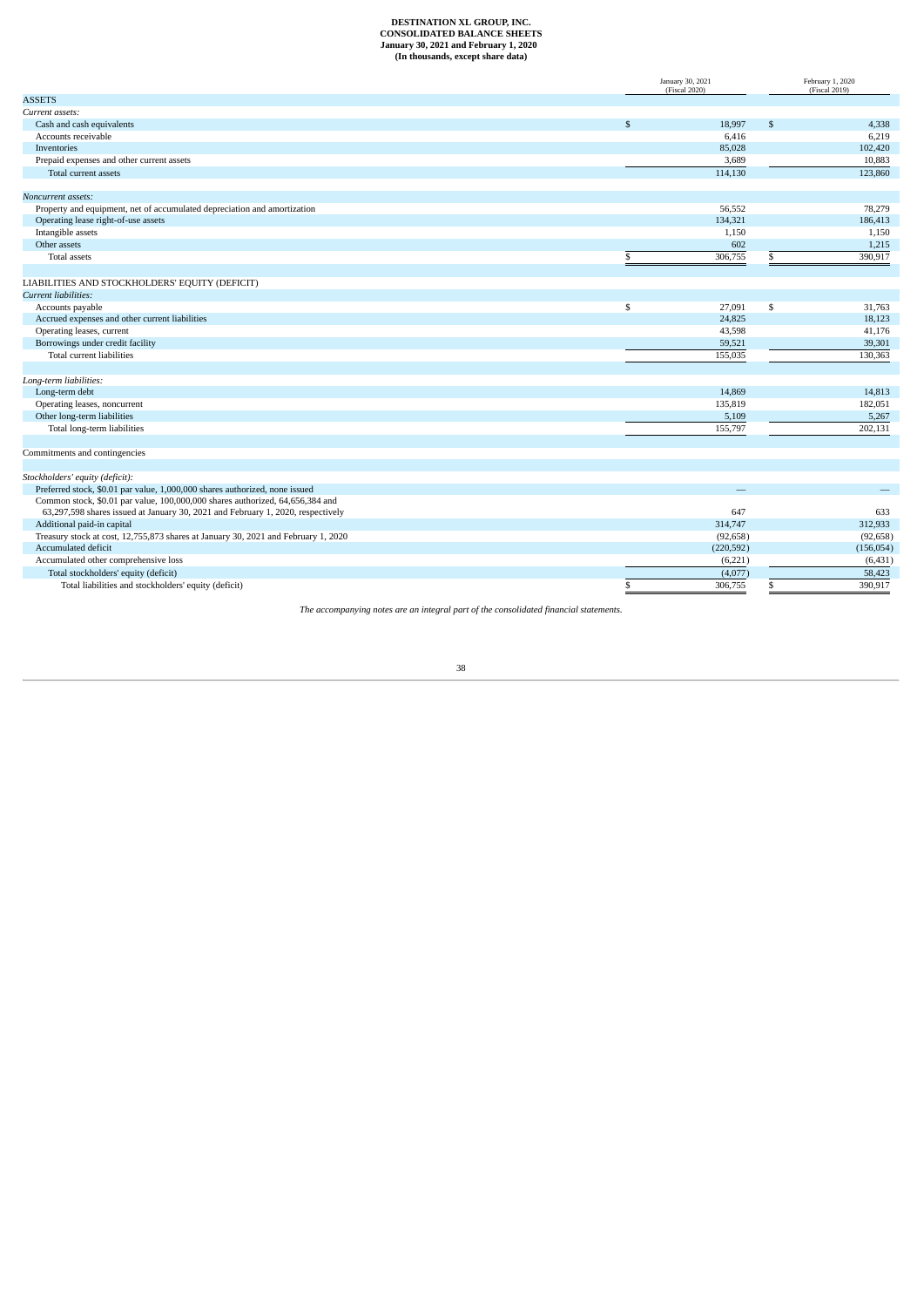# DESTINATION XL GROUP, INC.<br>CONSOLIDATED BALANCE SHEETS<br>January 30, 2021 and February 1, 2020<br>(In thousands, except share data)

|                                                                                    | January 30, 2021<br>(Fiscal 2020) | February 1, 2020<br>(Fiscal 2019) |  |  |
|------------------------------------------------------------------------------------|-----------------------------------|-----------------------------------|--|--|
| <b>ASSETS</b>                                                                      |                                   |                                   |  |  |
| Current assets:                                                                    |                                   |                                   |  |  |
| Cash and cash equivalents                                                          | \$<br>18.997<br>$\mathbb{S}$      | 4,338                             |  |  |
| Accounts receivable                                                                | 6,416                             | 6,219                             |  |  |
| Inventories                                                                        | 85,028                            | 102,420                           |  |  |
| Prepaid expenses and other current assets                                          | 3,689                             | 10,883                            |  |  |
| <b>Total current assets</b>                                                        | 114,130                           | 123,860                           |  |  |
| Noncurrent assets:                                                                 |                                   |                                   |  |  |
| Property and equipment, net of accumulated depreciation and amortization           | 56,552                            | 78,279                            |  |  |
| Operating lease right-of-use assets                                                | 134,321                           | 186,413                           |  |  |
| Intangible assets                                                                  | 1,150                             | 1,150                             |  |  |
| Other assets                                                                       | 602                               | 1,215                             |  |  |
| <b>Total assets</b>                                                                | \$<br>306,755<br>S                | 390,917                           |  |  |
| LIABILITIES AND STOCKHOLDERS' EQUITY (DEFICIT)                                     |                                   |                                   |  |  |
| <b>Current liabilities:</b>                                                        |                                   |                                   |  |  |
| Accounts payable                                                                   | \$<br>27.091<br>\$                | 31,763                            |  |  |
| Accrued expenses and other current liabilities                                     | 24,825                            | 18,123                            |  |  |
| Operating leases, current                                                          | 43,598                            | 41,176                            |  |  |
| Borrowings under credit facility                                                   | 59,521                            | 39,301                            |  |  |
| Total current liabilities                                                          | 155,035                           | 130,363                           |  |  |
|                                                                                    |                                   |                                   |  |  |
| Long-term liabilities:                                                             |                                   |                                   |  |  |
| Long-term debt                                                                     | 14,869                            | 14,813                            |  |  |
| Operating leases, noncurrent                                                       | 135,819                           | 182,051                           |  |  |
| Other long-term liabilities                                                        | 5,109                             | 5,267                             |  |  |
| Total long-term liabilities                                                        | 155,797                           | 202.131                           |  |  |
| Commitments and contingencies                                                      |                                   |                                   |  |  |
| Stockholders' equity (deficit):                                                    |                                   |                                   |  |  |
| Preferred stock, \$0.01 par value, 1,000,000 shares authorized, none issued        |                                   |                                   |  |  |
| Common stock, \$0.01 par value, 100,000,000 shares authorized, 64,656,384 and      |                                   |                                   |  |  |
| 63,297,598 shares issued at January 30, 2021 and February 1, 2020, respectively    | 647                               | 633                               |  |  |
| Additional paid-in capital                                                         | 314,747                           | 312,933                           |  |  |
| Treasury stock at cost, 12,755,873 shares at January 30, 2021 and February 1, 2020 | (92, 658)                         | (92, 658)                         |  |  |
| Accumulated deficit                                                                | (220, 592)                        | (156, 054)                        |  |  |
| Accumulated other comprehensive loss                                               | (6,221)                           | (6, 431)                          |  |  |
| Total stockholders' equity (deficit)                                               | (4,077)                           | 58,423                            |  |  |
| Total liabilities and stockholders' equity (deficit)                               | \$<br>306,755<br>\$               | 390,917                           |  |  |

*The accompanying notes are an integral part of the consolidated financial statements.*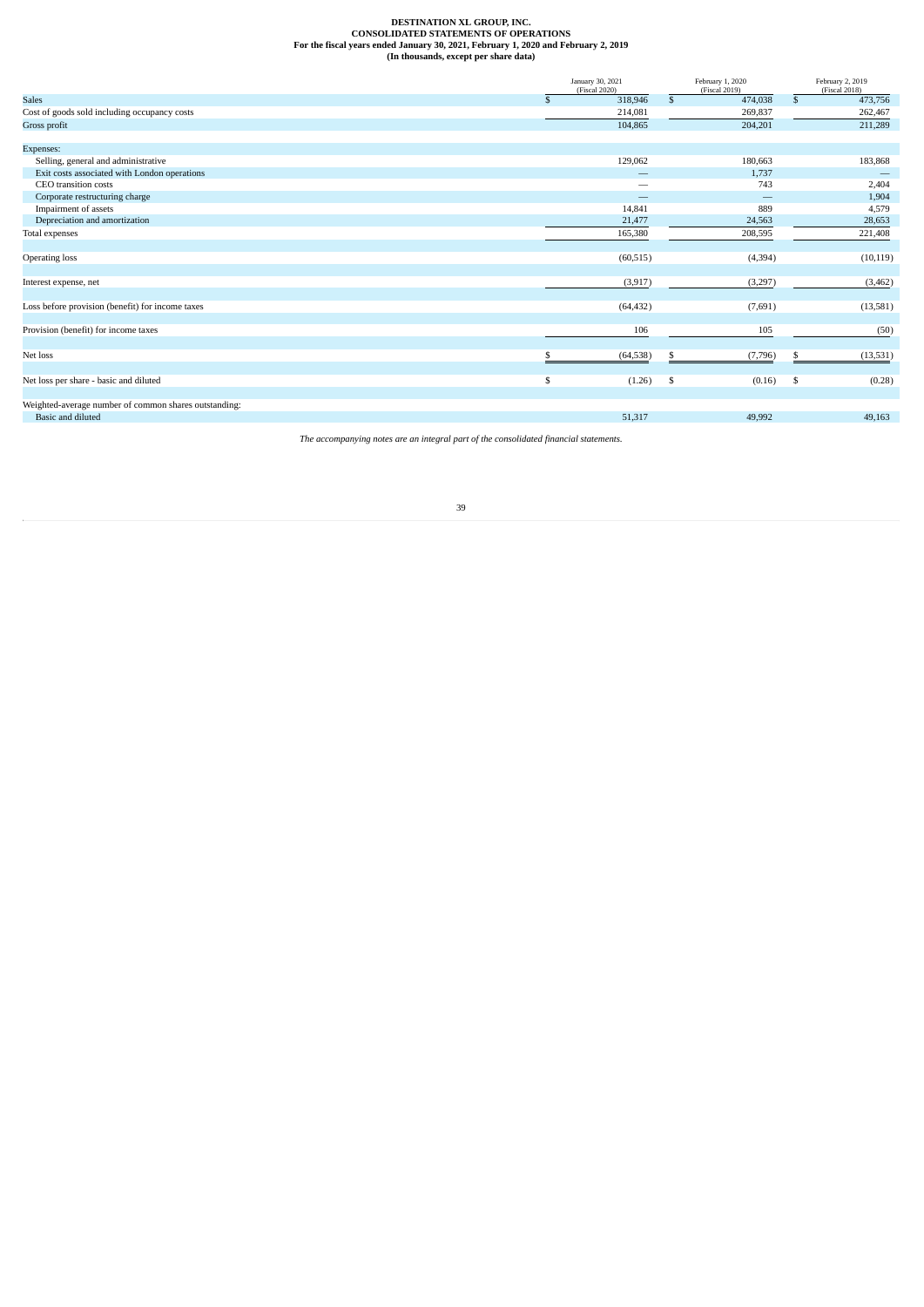# DESTINATION XL GROUP, INC.<br>CONSOLIDATED STATEMENTS OF OPERATIONS<br>For the fiscal years ended January 30, 2021, February 1, 2020 and February 2, 2019<br>(In thousands, except per share data)<br>(In thousands, except per share data

|                                                       |              | January 30, 2021<br>(Fiscal 2020) |              | February 1, 2020<br>(Fiscal 2019) |              | February 2, 2019<br>(Fiscal 2018) |
|-------------------------------------------------------|--------------|-----------------------------------|--------------|-----------------------------------|--------------|-----------------------------------|
| <b>Sales</b>                                          | $\mathbf{s}$ | 318,946                           | $\mathbb{S}$ | 474,038                           | $\mathbb{S}$ | 473,756                           |
| Cost of goods sold including occupancy costs          |              | 214,081                           |              | 269,837                           |              | 262,467                           |
| Gross profit                                          |              | 104,865                           |              | 204,201                           |              | 211,289                           |
|                                                       |              |                                   |              |                                   |              |                                   |
| Expenses:                                             |              |                                   |              |                                   |              |                                   |
| Selling, general and administrative                   |              | 129,062                           |              | 180,663                           |              | 183,868                           |
| Exit costs associated with London operations          |              |                                   |              | 1,737                             |              |                                   |
| CEO transition costs                                  |              |                                   |              | 743                               |              | 2,404                             |
| Corporate restructuring charge                        |              |                                   |              |                                   |              | 1,904                             |
| Impairment of assets                                  |              | 14,841                            |              | 889                               |              | 4,579                             |
| Depreciation and amortization                         |              | 21,477                            |              | 24,563                            |              | 28,653                            |
| Total expenses                                        |              | 165,380                           |              | 208,595                           |              | 221,408                           |
|                                                       |              |                                   |              |                                   |              |                                   |
| Operating loss                                        |              | (60, 515)                         |              | (4, 394)                          |              | (10, 119)                         |
|                                                       |              |                                   |              |                                   |              |                                   |
| Interest expense, net                                 |              | (3,917)                           |              | (3,297)                           |              | (3, 462)                          |
| Loss before provision (benefit) for income taxes      |              | (64, 432)                         |              | (7,691)                           |              | (13,581)                          |
|                                                       |              |                                   |              |                                   |              |                                   |
| Provision (benefit) for income taxes                  |              | 106                               |              | 105                               |              | (50)                              |
|                                                       |              |                                   |              |                                   |              |                                   |
| Net loss                                              |              | (64, 538)                         | \$           | (7,796)                           |              | (13,531)                          |
| Net loss per share - basic and diluted                | \$           | (1.26)                            | S            | (0.16)                            | \$           | (0.28)                            |
|                                                       |              |                                   |              |                                   |              |                                   |
| Weighted-average number of common shares outstanding: |              |                                   |              |                                   |              |                                   |
| Basic and diluted                                     |              | 51,317                            |              | 49,992                            |              | 49,163                            |

*The accompanying notes are an integral part of the consolidated financial statements.*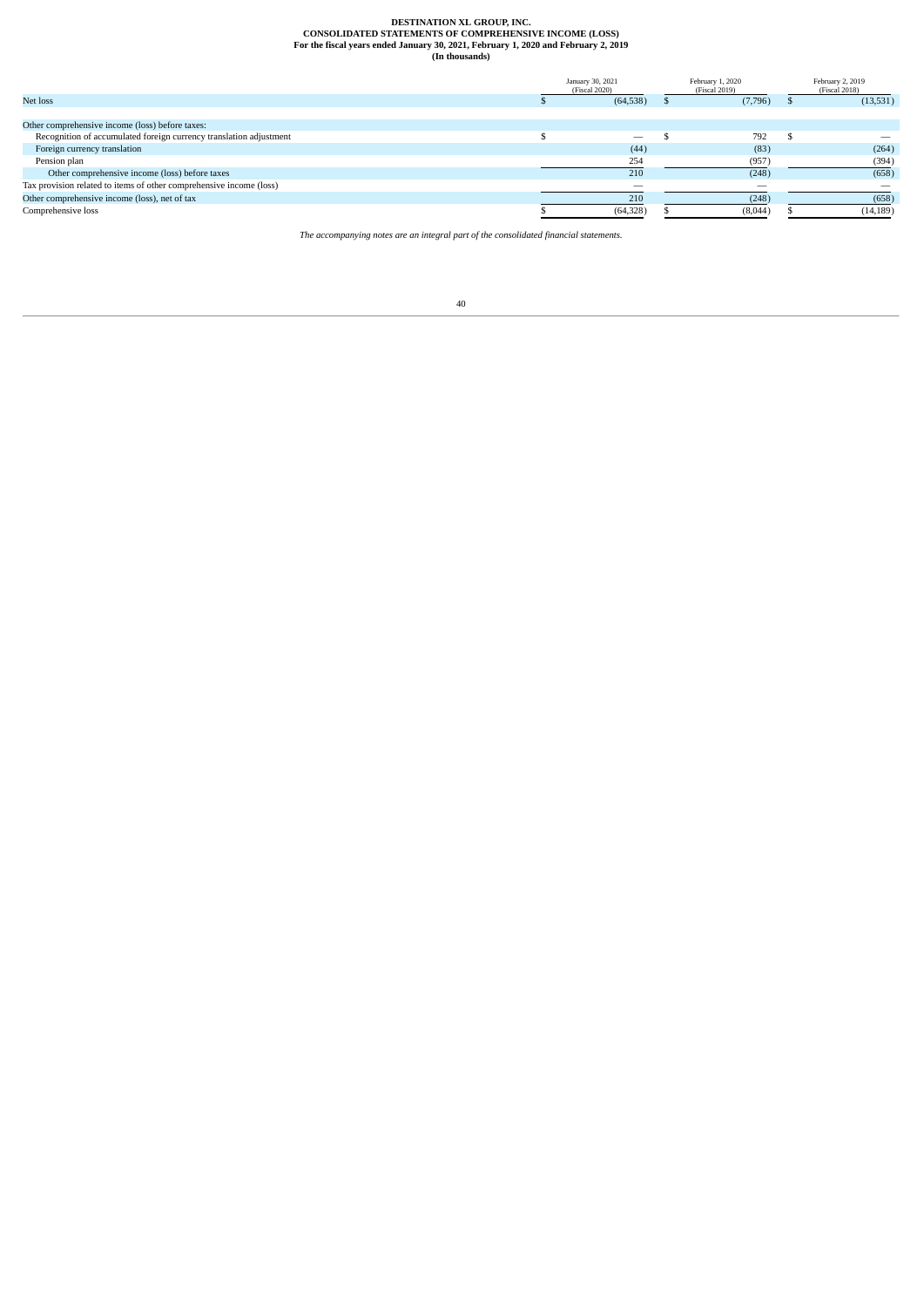# DESTINATION XL GROUP, INC.<br>CONSOLIDATED STATEMENTS OF COMPREHENSIVE INCOME (LOSS)<br>For the fiscal years ended January 30, 2021, February 1, 2020 and February 2, 2019<br>(In thousands)

|                                                                     | January 30, 2021<br>(Fiscal 2020) |                          | February 1, 2020<br>(Fiscal 2019) |  | February 2, 2019<br>(Fiscal 2018) |
|---------------------------------------------------------------------|-----------------------------------|--------------------------|-----------------------------------|--|-----------------------------------|
| Net loss                                                            |                                   | (64, 538)                | (7,796)                           |  | (13,531)                          |
|                                                                     |                                   |                          |                                   |  |                                   |
| Other comprehensive income (loss) before taxes:                     |                                   |                          |                                   |  |                                   |
| Recognition of accumulated foreign currency translation adjustment  |                                   |                          | 792                               |  |                                   |
| Foreign currency translation                                        |                                   | (44)                     | (83)                              |  | (264)                             |
| Pension plan                                                        |                                   | 254                      | (957)                             |  | (394)                             |
| Other comprehensive income (loss) before taxes                      |                                   | 210                      | (248)                             |  | (658)                             |
| Tax provision related to items of other comprehensive income (loss) |                                   | $\overline{\phantom{a}}$ |                                   |  |                                   |
| Other comprehensive income (loss), net of tax                       |                                   | 210                      | (248)                             |  | (658)                             |
| Comprehensive loss                                                  |                                   | (64, 328)                | (8,044)                           |  | (14, 189)                         |

*The accompanying notes are an integral part of the consolidated financial statements.*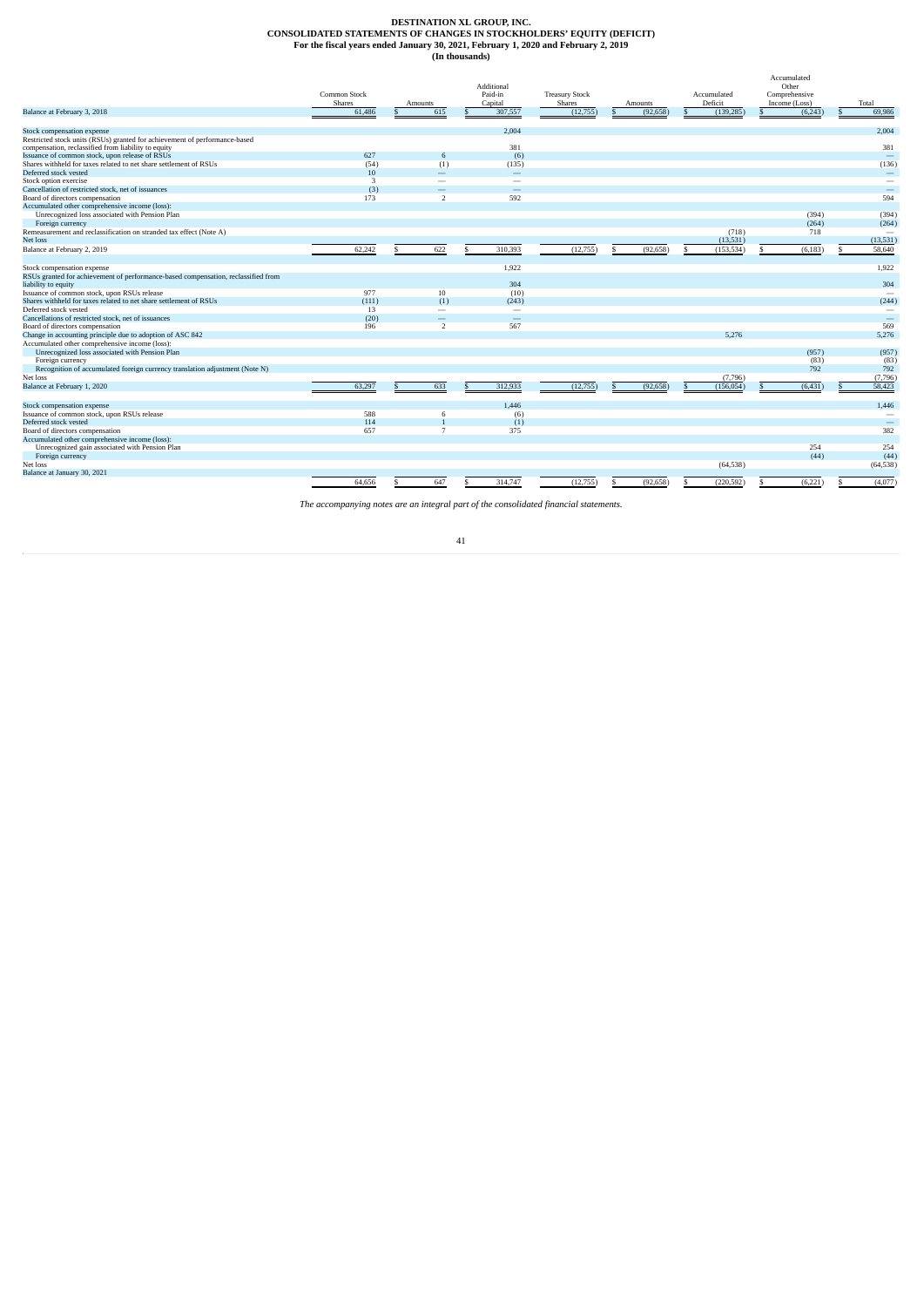# DESTINATION XL GROUP, INC.<br>CONSOLIDATED STATEMENTS OF CHANGES IN STOCKHOLDERS' EQUITY (DEFICIT)<br>For the fiscal years ended January 3, 2021, February 1, 2020 and February 2, 2019<br>(In thousands)

| Balance at February 3, 2018                                                       | Common Stock<br><b>Shares</b><br>61,486 | Amounts | 615                      | Additional<br>Paid-in<br>Capital<br>307,557 | <b>Treasury Stock</b><br><b>Shares</b><br>(12,755) | Amounts<br>(92.658) | Accumulated<br>Deficit<br>(139.285) | Accumulated<br>Other<br>Comprehensive<br>Income (Loss)<br>(6.243) | Total<br>69,986          |
|-----------------------------------------------------------------------------------|-----------------------------------------|---------|--------------------------|---------------------------------------------|----------------------------------------------------|---------------------|-------------------------------------|-------------------------------------------------------------------|--------------------------|
| Stock compensation expense                                                        |                                         |         |                          | 2,004                                       |                                                    |                     |                                     |                                                                   | 2,004                    |
| Restricted stock units (RSUs) granted for achievement of performance-based        |                                         |         |                          |                                             |                                                    |                     |                                     |                                                                   |                          |
| compensation, reclassified from liability to equity                               |                                         |         |                          | 381                                         |                                                    |                     |                                     |                                                                   | 381                      |
| Issuance of common stock, upon release of RSUs                                    | 627                                     |         | 6                        | (6)                                         |                                                    |                     |                                     |                                                                   | $\overline{\phantom{m}}$ |
| Shares withheld for taxes related to net share settlement of RSUs                 | (54)                                    |         | (1)                      | (135)                                       |                                                    |                     |                                     |                                                                   | (136)                    |
| Deferred stock vested                                                             | 10                                      |         |                          |                                             |                                                    |                     |                                     |                                                                   | $\overline{\phantom{m}}$ |
| Stock option exercise                                                             | 3                                       |         | $\sim$                   | $\overline{\phantom{a}}$                    |                                                    |                     |                                     |                                                                   | $\overline{\phantom{a}}$ |
| Cancellation of restricted stock, net of issuances                                | (3)                                     |         | -                        | $\overline{\phantom{a}}$                    |                                                    |                     |                                     |                                                                   | $\overline{\phantom{m}}$ |
| Board of directors compensation                                                   | 173                                     |         | $\overline{2}$           | 592                                         |                                                    |                     |                                     |                                                                   | 594                      |
| Accumulated other comprehensive income (loss):                                    |                                         |         |                          |                                             |                                                    |                     |                                     |                                                                   |                          |
| Unrecognized loss associated with Pension Plan                                    |                                         |         |                          |                                             |                                                    |                     |                                     | (394)                                                             | (394)                    |
| Foreign currency                                                                  |                                         |         |                          |                                             |                                                    |                     |                                     | (264)                                                             | (264)                    |
| Remeasurement and reclassification on stranded tax effect (Note A)                |                                         |         |                          |                                             |                                                    |                     | (718)                               | 718                                                               |                          |
| Net loss                                                                          |                                         |         |                          |                                             |                                                    |                     | (13,531)                            |                                                                   | (13,531)                 |
| Balance at February 2, 2019                                                       | 62.242                                  |         | 622                      | 310,393                                     | (12,755)                                           | (92.658)            | (153.534)                           | (6, 183)                                                          | 58,640                   |
|                                                                                   |                                         |         |                          |                                             |                                                    |                     |                                     |                                                                   |                          |
| Stock compensation expense                                                        |                                         |         |                          | 1.922                                       |                                                    |                     |                                     |                                                                   | 1.922                    |
| RSUs granted for achievement of performance-based compensation, reclassified from |                                         |         |                          |                                             |                                                    |                     |                                     |                                                                   |                          |
| liability to equity                                                               |                                         |         |                          | 304                                         |                                                    |                     |                                     |                                                                   | 304                      |
| Issuance of common stock, upon RSUs release                                       | 977                                     |         | 10                       | (10)                                        |                                                    |                     |                                     |                                                                   |                          |
| Shares withheld for taxes related to net share settlement of RSUs                 | (111)                                   |         | (1)                      | (243)                                       |                                                    |                     |                                     |                                                                   | (244)                    |
| Deferred stock vested                                                             | 13                                      |         | $\overline{\phantom{a}}$ | $\overline{\phantom{a}}$                    |                                                    |                     |                                     |                                                                   | $\overline{\phantom{a}}$ |
| Cancellations of restricted stock, net of issuances                               | (20)                                    |         | $\overline{\phantom{a}}$ | $\overline{\phantom{a}}$                    |                                                    |                     |                                     |                                                                   | $\overline{\phantom{m}}$ |
| Board of directors compensation                                                   | 196                                     |         | <sup>2</sup>             | 567                                         |                                                    |                     |                                     |                                                                   | 569                      |
| Change in accounting principle due to adoption of ASC 842                         |                                         |         |                          |                                             |                                                    |                     | 5,276                               |                                                                   | 5,276                    |
| Accumulated other comprehensive income (loss):                                    |                                         |         |                          |                                             |                                                    |                     |                                     |                                                                   |                          |
| Unrecognized loss associated with Pension Plan                                    |                                         |         |                          |                                             |                                                    |                     |                                     | (957)                                                             | (957)                    |
| Foreign currency                                                                  |                                         |         |                          |                                             |                                                    |                     |                                     | (83)                                                              | (83)                     |
| Recognition of accumulated foreign currency translation adjustment (Note N)       |                                         |         |                          |                                             |                                                    |                     |                                     | 792                                                               | 792                      |
| Net loss                                                                          |                                         |         |                          |                                             |                                                    |                     | (7,796)                             |                                                                   | (7,796)                  |
| Balance at February 1, 2020                                                       | 63,297                                  |         | 633                      | 312,933                                     | (12, 755)                                          | (92.658)            | (156.054)                           | (6, 431)                                                          | 58,423                   |
|                                                                                   |                                         |         |                          |                                             |                                                    |                     |                                     |                                                                   |                          |
| Stock compensation expense                                                        |                                         |         |                          | 1,446                                       |                                                    |                     |                                     |                                                                   | 1,446                    |
| Issuance of common stock, upon RSUs release                                       | 588                                     |         | 6                        | (6)                                         |                                                    |                     |                                     |                                                                   |                          |
| Deferred stock vested                                                             | 114                                     |         |                          | (1)                                         |                                                    |                     |                                     |                                                                   | $\qquad \qquad -$        |
| Board of directors compensation                                                   | 657                                     |         | $\overline{7}$           | 375                                         |                                                    |                     |                                     |                                                                   | 382                      |
| Accumulated other comprehensive income (loss):                                    |                                         |         |                          |                                             |                                                    |                     |                                     |                                                                   |                          |
| Unrecognized gain associated with Pension Plan                                    |                                         |         |                          |                                             |                                                    |                     |                                     | 254                                                               | 254                      |
| Foreign currency                                                                  |                                         |         |                          |                                             |                                                    |                     |                                     | (44)                                                              | (44)                     |
| Net loss                                                                          |                                         |         |                          |                                             |                                                    |                     | (64, 538)                           |                                                                   | (64, 538)                |
| Balance at January 30, 2021                                                       |                                         |         |                          |                                             |                                                    |                     |                                     |                                                                   |                          |
|                                                                                   | 64,656                                  |         | 647                      | 314,747                                     | (12,755)                                           | (92.658)            | (220.592)                           | (6.221)                                                           | (4.077)                  |

*The accompanying notes are an integral part of the consolidated financial statements.*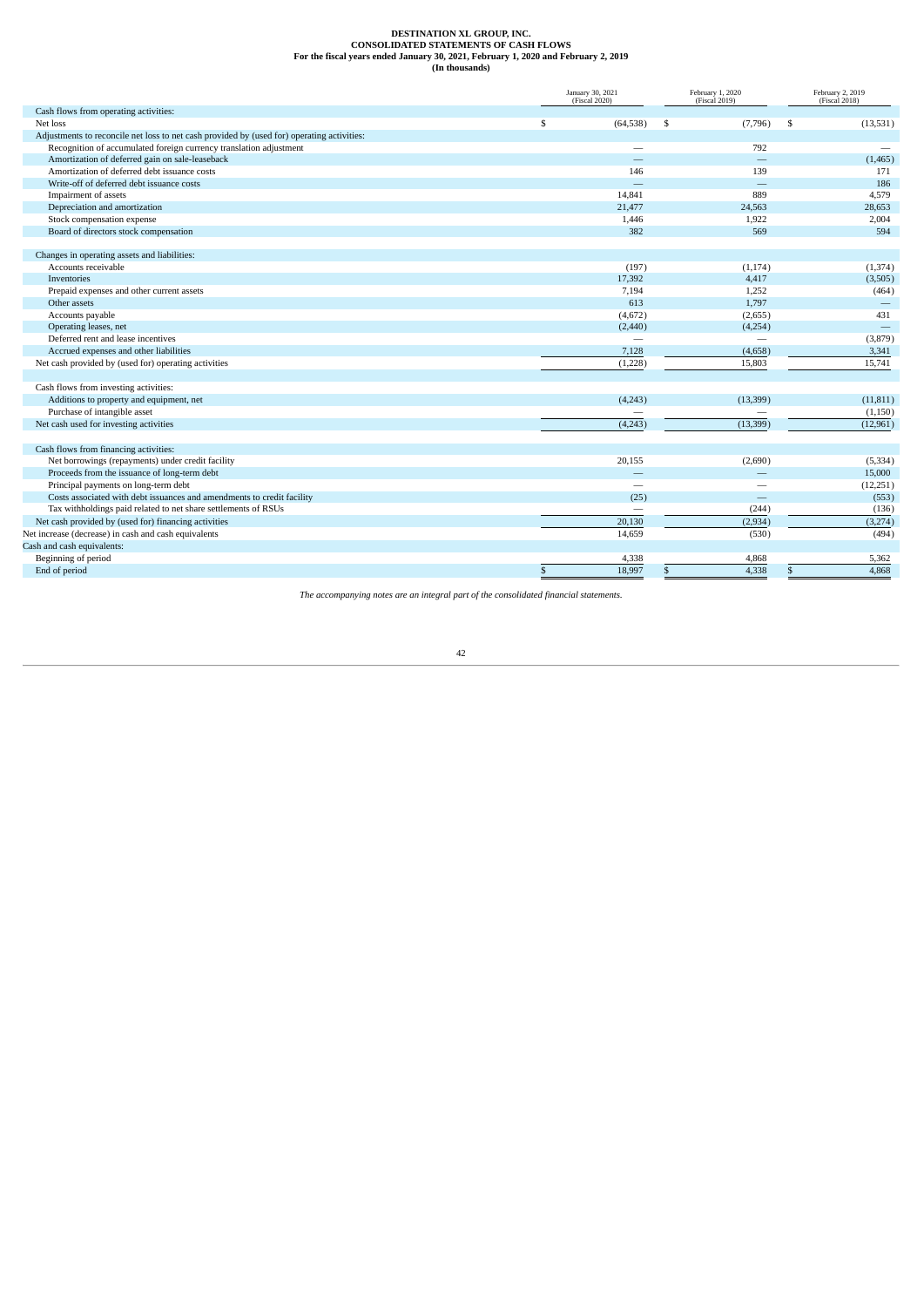# DESTINATION XL GROUP, INC.<br>CONSOLIDATED STATEMENTS OF CASH FLOWS<br>For the fiscal years ended January 30, 2021, February 1, 2020 and February 2, 2019<br>(In thousands)

|                                                                                            | January 30, 2021<br>(Fiscal 2020) |              | February 1, 2020<br>(Fiscal 2019) |              | February 2, 2019<br>(Fiscal 2018) |
|--------------------------------------------------------------------------------------------|-----------------------------------|--------------|-----------------------------------|--------------|-----------------------------------|
| Cash flows from operating activities:                                                      |                                   |              |                                   |              |                                   |
| Net loss                                                                                   | \$<br>(64, 538)                   | \$           | (7,796)                           | \$           | (13,531)                          |
| Adjustments to reconcile net loss to net cash provided by (used for) operating activities: |                                   |              |                                   |              |                                   |
| Recognition of accumulated foreign currency translation adjustment                         | -                                 |              | 792                               |              |                                   |
| Amortization of deferred gain on sale-leaseback                                            |                                   |              |                                   |              | (1, 465)                          |
| Amortization of deferred debt issuance costs                                               | 146                               |              | 139                               |              | 171                               |
| Write-off of deferred debt issuance costs                                                  | $\overline{\phantom{0}}$          |              | $\equiv$                          |              | 186                               |
| Impairment of assets                                                                       | 14,841                            |              | 889                               |              | 4,579                             |
| Depreciation and amortization                                                              | 21,477                            |              | 24,563                            |              | 28,653                            |
| Stock compensation expense                                                                 | 1,446                             |              | 1,922                             |              | 2,004                             |
| Board of directors stock compensation                                                      | 382                               |              | 569                               |              | 594                               |
| Changes in operating assets and liabilities:                                               |                                   |              |                                   |              |                                   |
| Accounts receivable                                                                        | (197)                             |              | (1,174)                           |              | (1, 374)                          |
| Inventories                                                                                | 17,392                            |              | 4,417                             |              | (3,505)                           |
| Prepaid expenses and other current assets                                                  | 7,194                             |              | 1,252                             |              | (464)                             |
| Other assets                                                                               | 613                               |              | 1,797                             |              | $\overline{\phantom{m}}$          |
| Accounts payable                                                                           | (4,672)                           |              | (2,655)                           |              | 431                               |
| Operating leases, net                                                                      | (2, 440)                          |              | (4,254)                           |              | $\overline{\phantom{0}}$          |
| Deferred rent and lease incentives                                                         | $\overline{\phantom{0}}$          |              |                                   |              | (3,879)                           |
| Accrued expenses and other liabilities                                                     | 7,128                             |              | (4,658)                           |              | 3,341                             |
| Net cash provided by (used for) operating activities                                       | (1,228)                           |              | 15,803                            |              | 15,741                            |
|                                                                                            |                                   |              |                                   |              |                                   |
| Cash flows from investing activities:                                                      |                                   |              |                                   |              |                                   |
| Additions to property and equipment, net                                                   | (4,243)                           |              | (13,399)                          |              | (11, 811)                         |
| Purchase of intangible asset                                                               |                                   |              |                                   |              | (1, 150)                          |
| Net cash used for investing activities                                                     | (4,243)                           |              | (13, 399)                         |              | (12,961)                          |
| Cash flows from financing activities:                                                      |                                   |              |                                   |              |                                   |
| Net borrowings (repayments) under credit facility                                          | 20,155                            |              | (2,690)                           |              | (5, 334)                          |
| Proceeds from the issuance of long-term debt                                               | -                                 |              |                                   |              | 15,000                            |
| Principal payments on long-term debt                                                       | $\hspace{0.1mm}-\hspace{0.1mm}$   |              |                                   |              | (12, 251)                         |
| Costs associated with debt issuances and amendments to credit facility                     | (25)                              |              |                                   |              | (553)                             |
| Tax withholdings paid related to net share settlements of RSUs                             |                                   |              | (244)                             |              | (136)                             |
| Net cash provided by (used for) financing activities                                       | 20,130                            |              | (2, 934)                          |              | (3,274)                           |
| Net increase (decrease) in cash and cash equivalents                                       | 14,659                            |              | (530)                             |              | (494)                             |
| Cash and cash equivalents:                                                                 |                                   |              |                                   |              |                                   |
| Beginning of period                                                                        | 4,338                             |              | 4,868                             |              | 5,362                             |
| End of period                                                                              | \$<br>18,997                      | $\mathbb{S}$ | 4,338                             | $\mathbb{S}$ | 4,868                             |

*The accompanying notes are an integral part of the consolidated financial statements.*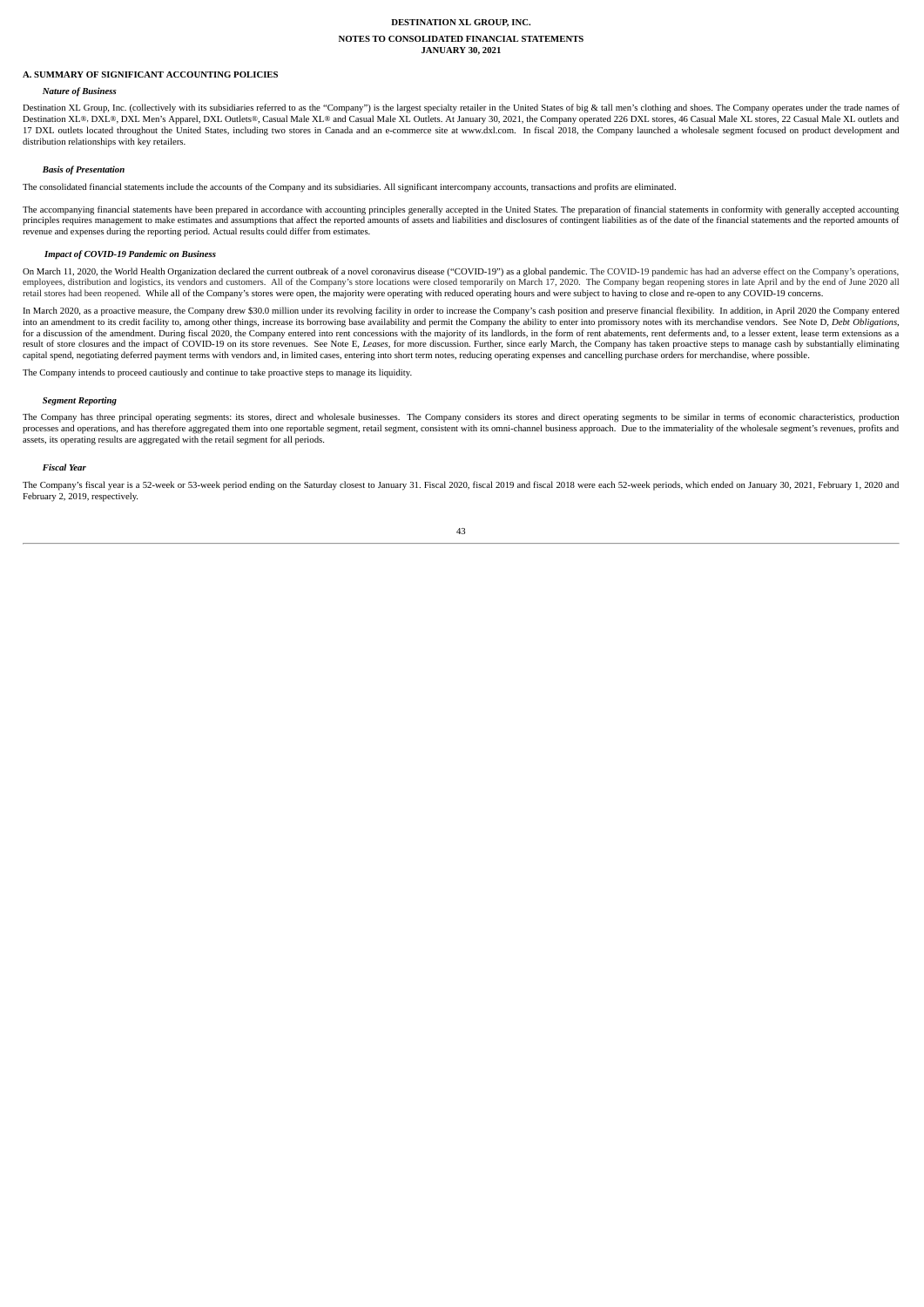# **DESTINATION XL GROUP, INC.**

#### **NOTES TO CONSOLIDATED FINANCIAL STATEMENTS JANUARY 30, 2021**

## **A. SUMMARY OF SIGNIFICANT ACCOUNTING POLICIES**

## *Nature of Business*

Destination XL Group, Inc. (collectively with its subsidiaries referred to as the "Company") is the largest specialty retailer in the United States of big & tall men's clothing and shoes. The Company operates under the tra distribution relationships with key retailers.

### *Basis of Presentation*

The consolidated financial statements include the accounts of the Company and its subsidiaries. All significant intercompany accounts, transactions and profits are eliminated.

The accompanying financial statements have been prepared in accordance with accounting principles generally accepted in the United States. The preparation of financial statements in conformity with generally accepted accou principles requires management to make estimates and assumptions that affect the reported amounts of assets and liabilities and disclosures of contingent liabilities as of the date of the financial statements and the repor

#### *Impact of COVID-19 Pandemic on Business*

On March 11, 2020, the World Health Organization declared the current outbreak of a novel coronavirus disease ("COVID-19") as a global pandemic. The COVID-19 pandemic has had an adverse effect on the Company's operations, employees, distribution and logistics, its vendors and customers. All of the Company's store locations were closed temporarily on March 17, 2020. The Company began reopening stores in late April and by the end of June 2020 retail stores had been reopened. While all of the Company's stores were open, the majority were operating with reduced operating hours and were subject to having to close and re-open to any COVID-19 concerns.

In March 2020, as a proactive measure, the Company drew \$30.0 million under its revolving facility in order to increase the Company's cash position and preserve financial flexibility. In addition, in April 2020 the Company into an amendment to its credit facility to, among other things, increase its borrowing base availability and permit the Company the ability to enter into promissory notes with its merchandise vendors. See Note D, Debt Obl result of store closures and the impact of COVID-19 on its store revenues. See Note E, Leases, for more discussion. Further, since early March, the Company has taken proactive steps to manage cash by substantially eliminat capital spend, negotiating deferred payment terms with vendors and, in limited cases, entering into short term notes, reducing operating expenses and cancelling purchase orders for merchandise, where possible.

The Company intends to proceed cautiously and continue to take proactive steps to manage its liquidity.

#### *Segment Reporting*

The Company has three principal operating segments: its stores, direct and wholesale businesses. The Company considers its stores and direct operating segments to be similar in terms of economic characteristics, production processes and operations, and has therefore aggregated them into one reportable segment, retail segment, consistent with its omni-channel business approach. Due to the immateriality of the wholesale segment's revenues, pro assets, its operating results are aggregated with the retail segment for all periods.

#### *Fiscal Year*

The Company's fiscal year is a 52-week or 53-week period ending on the Saturday closest to January 31. Fiscal 2020, fiscal 2019 and fiscal 2018 were each 52-week periods, which ended on January 30, 2021, February 1, 2020 a February 2, 2019, respectively.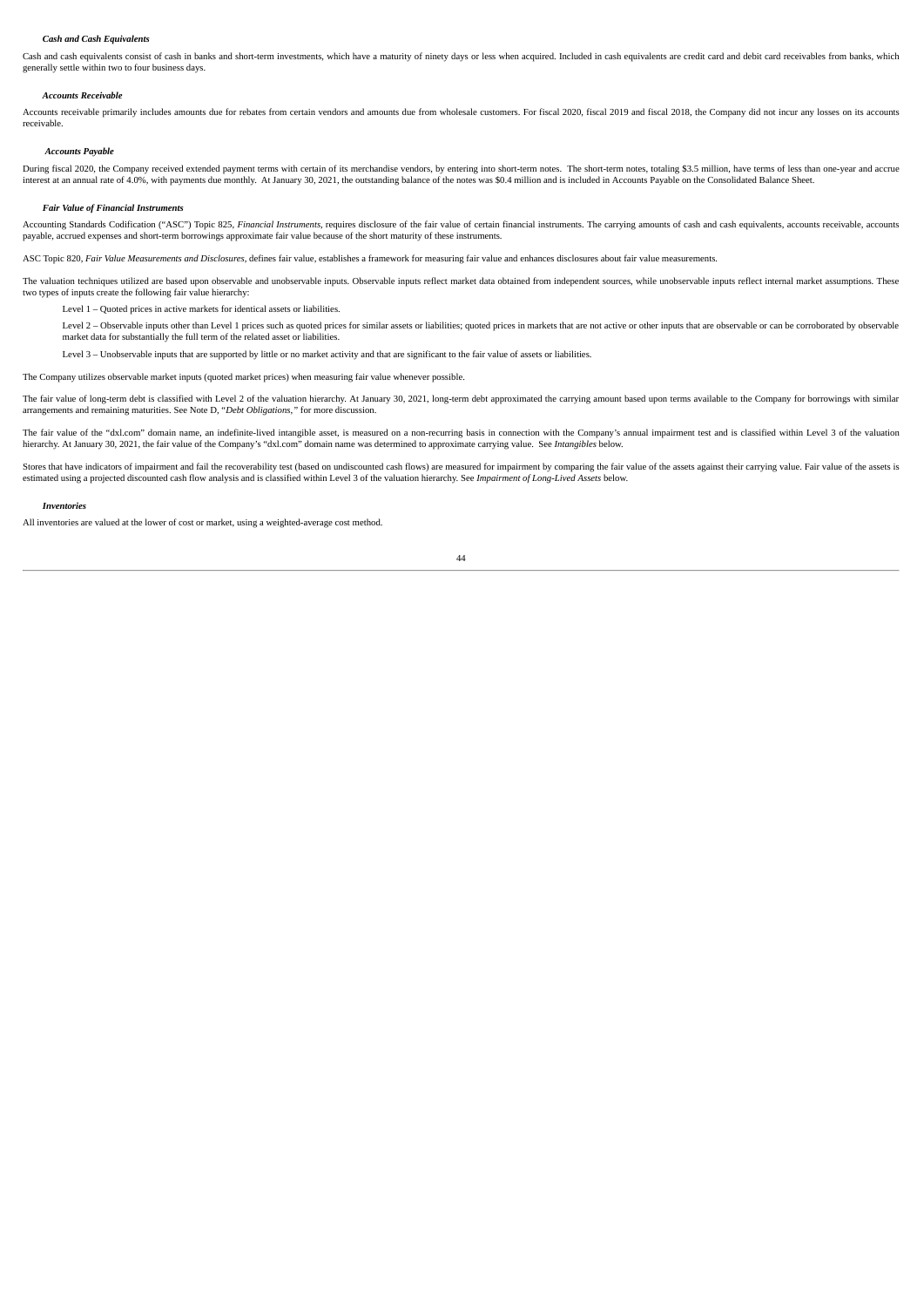### *Cash and Cash Equivalents*

Cash and cash equivalents consist of cash in banks and short-term investments, which have a maturity of ninety days or less when acquired. Included in cash equivalents are credit card and debit card receivables from banks, generally settle within two to four business days.

## *Accounts Receivable*

Accounts receivable primarily includes amounts due for rebates from certain vendors and amounts due from wholesale customers. For fiscal 2020, fiscal 2019 and fiscal 2018, the Company did not incur any losses on its accounts receivable.

## *Accounts Payable*

During fiscal 2020, the Company received extended payment terms with certain of its merchandise vendors, by entering into short-term notes. The short-term notes, totaling \$3.5 million, have terms of less than one-year and

#### *Fair Value of Financial Instruments*

Accounting Standards Codification ("ASC") Topic 825, Financial Instruments, requires disclosure of the fair value of certain financial instruments. The carrying amounts of cash and cash equivalents, accounts receivable, ac payable, accrued expenses and short-term borrowings approximate fair value because of the short maturity of these instruments.

ASC Topic 820, *Fair Value Measurements and Disclosures*, defines fair value, establishes a framework for measuring fair value and enhances disclosures about fair value measurements.

The valuation techniques utilized are based upon observable and unobservable inputs. Observable inputs reflect market data obtained from independent sources, while unobservable inputs reflect internal market assumptions. T two types of inputs create the following fair value hierarchy:

Level 1 – Quoted prices in active markets for identical assets or liabilities.

Level 2 - Observable inputs other than Level 1 prices such as quoted prices for similar assets or liabilities; quoted prices in markets that are not active or other inputs that are observable or can be corroborated by obse market data for substantially the full term of the related asset or liabilities.

Level 3 – Unobservable inputs that are supported by little or no market activity and that are significant to the fair value of assets or liabilities.

The Company utilizes observable market inputs (quoted market prices) when measuring fair value whenever possible.

The fair value of long-term debt is classified with Level 2 of the valuation hierarchy. At January 30, 2021, long-term debt approximated the carrying amount based upon terms available to the Company for borrowings with sim

The fair value of the "dxl.com" domain name, an indefinite-lived intangible asset, is measured on a non-recurring basis in connection with the Company's annual impairment test and is classified within Level 3 of the valuat

Stores that have indicators of impairment and fail the recoverability test (based on undiscounted cash flows) are measured for impairment by comparing the fair value of the assets against their carrying value. Fair value o estimated using a projected discounted cash flow analysis and is classified within Level 3 of the valuation hierarchy. See *Impairment of Long-Lived Assets* below.

#### *Inventories*

All inventories are valued at the lower of cost or market, using a weighted-average cost method.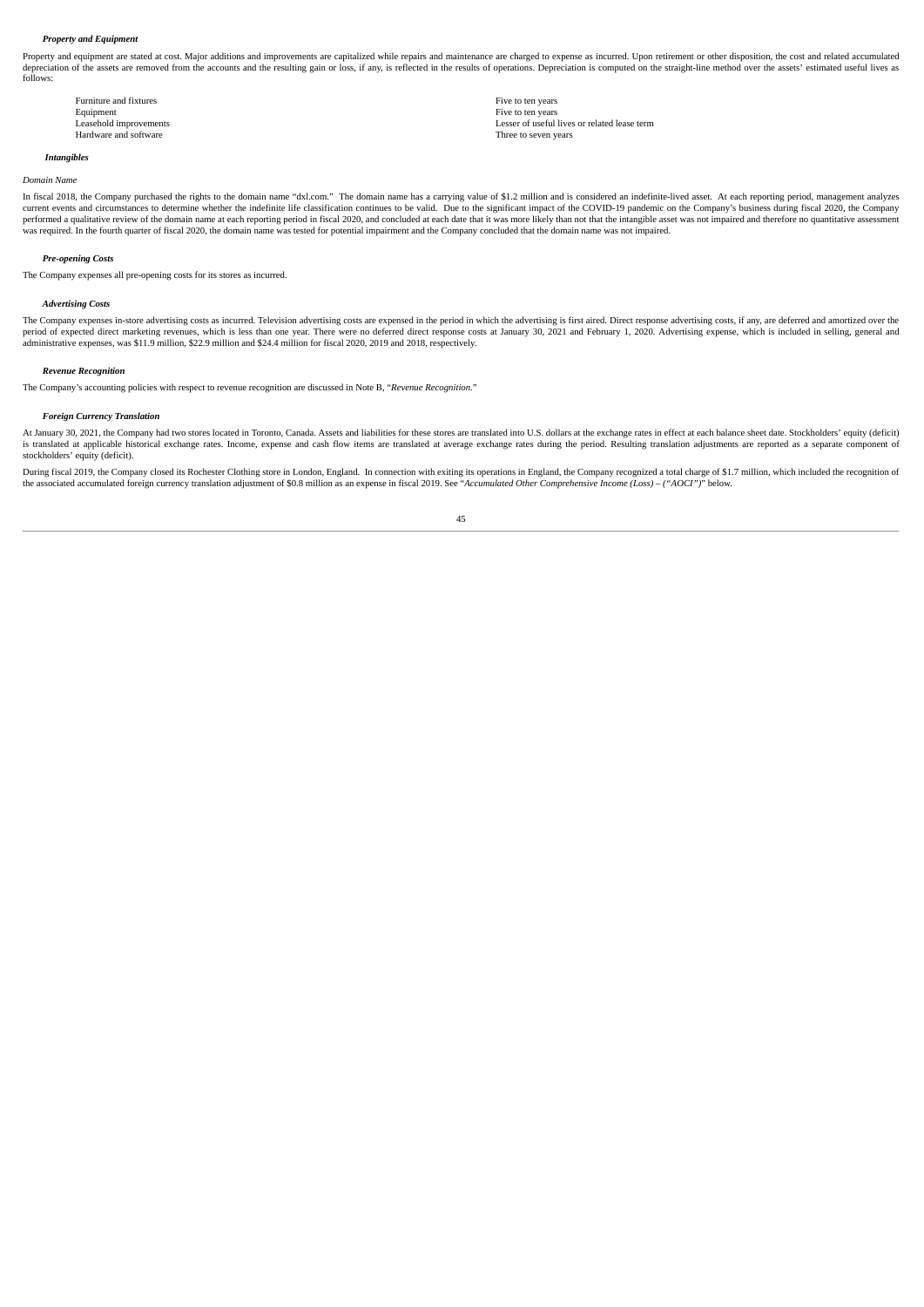#### *Property and Equipment*

Property and equipment are stated at cost. Major additions and improvements are capitalized while repairs and maintenance are charged to expense as incurred. Upon retirement or other disposition, the cost and related accum depreciation of the assets are removed from the accounts and the resulting gain or loss, if any, is reflected in the results of operations. Depreciation is computed on the straight-line method over the assets' estimated us

> Five to ten years Five to ten years

Three to seven years

Lesser of useful lives or related lease term

| Furniture and fixtures |  |
|------------------------|--|
| Equipment              |  |
| Leasehold improvements |  |
| Hardware and software  |  |

## *Intangibles*

*Domain Name*

In fiscal 2018, the Company purchased the rights to the domain name "dxl.com." The domain name has a carrying value of \$1.2 million and is considered an indefinite-lived asset. At each reporting period, management analyzes current events and circumstances to determine whether the indefinite life classification continues to be valid. Due to the significant impact of the COVID-19 pandemic on the Company's business during fiscal 2020, the Compa was required. In the fourth quarter of fiscal 2020, the domain name was tested for potential impairment and the Company concluded that the domain name was not impaired.

#### *Pre-opening Costs*

The Company expenses all pre-opening costs for its stores as incurred.

# *Advertising Costs*

The Company expenses in-store advertising costs as incurred. Television advertising costs are expensed in the period in which the advertising is first aired. Direct response advertising costs, if any, are deferred and amor period of expected direct marketing revenues, which is less than one year. There were no deferred direct response costs at January 30, 2021 and February 1, 2020. Advertising expense, which is included in selling, general a

#### *Revenue Recognition*

The Company's accounting policies with respect to revenue recognition are discussed in Note B, "*Revenue Recognition.*"

#### *Foreign Currency Translation*

At January 30, 2021, the Company had two stores located in Toronto, Canada. Assets and liabilities for these stores are translated into U.S. dollars at the exchange rates in effect at each balance sheet date. Stockholders' stockholders' equity (deficit).

During fiscal 2019, the Company closed its Rochester Clothing store in London, England. In connection with exiting its operations in England, the Company recognized a total charge of \$1.7 million, which included the recogn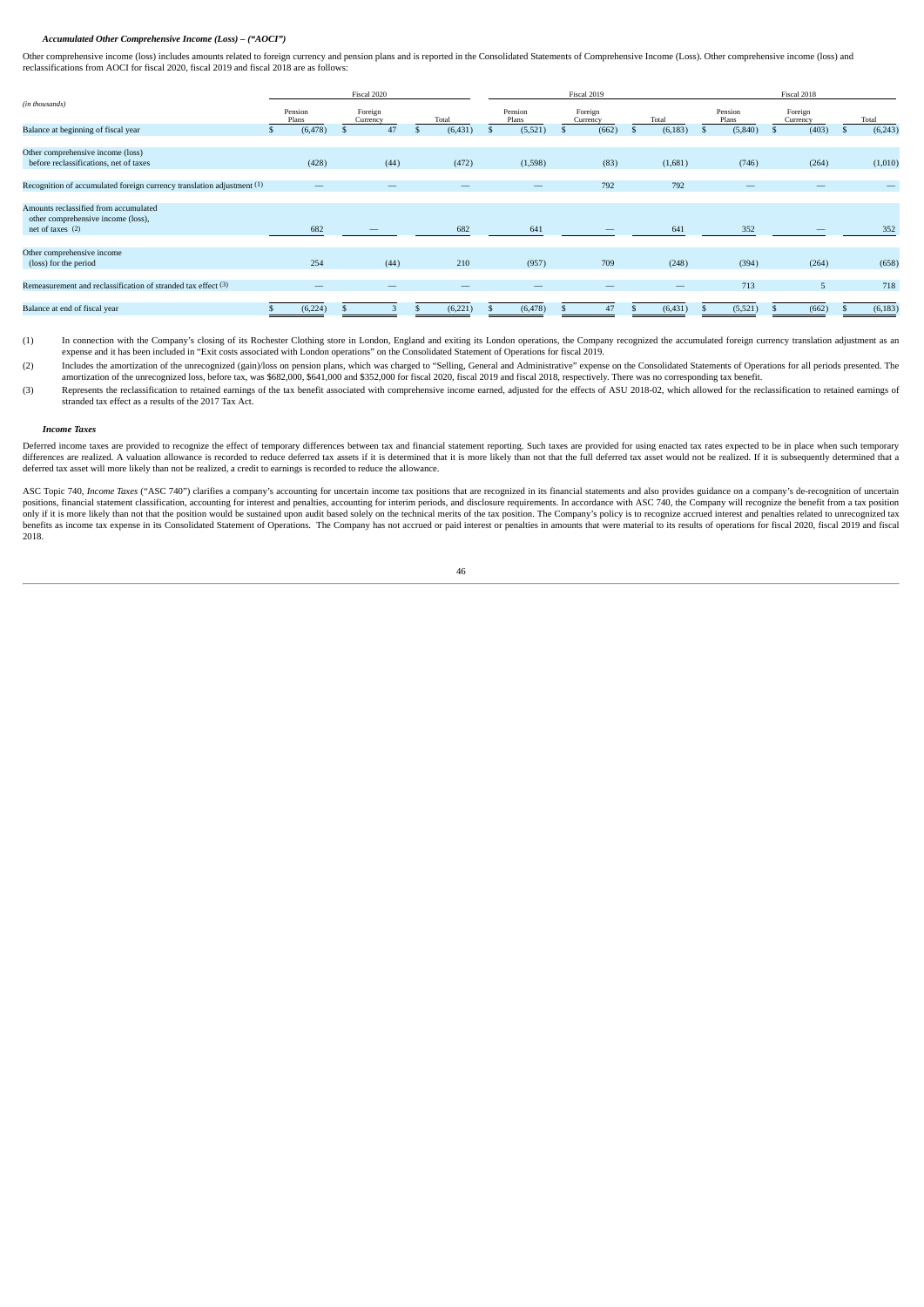#### *Accumulated Other Comprehensive Income (Loss) – ("AOCI")*

Other comprehensive income (loss) includes amounts related to foreign currency and pension plans and is reported in the Consolidated Statements of Comprehensive Income (Loss). Other comprehensive income (loss) and reclassifications from AOCI for fiscal 2020, fiscal 2019 and fiscal 2018 are as follows:

| (in thousands)                                                                                    |  | Fiscal 2020      |  |                     |  |          | Fiscal 2019 |                  |  |                     |       |          | Fiscal 2018      |          |  |                     |  |          |
|---------------------------------------------------------------------------------------------------|--|------------------|--|---------------------|--|----------|-------------|------------------|--|---------------------|-------|----------|------------------|----------|--|---------------------|--|----------|
|                                                                                                   |  | Pension<br>Plans |  | Foreign<br>Currency |  | Total    |             | Pension<br>Plans |  | Foreign<br>Currency | Total |          | Pension<br>Plans |          |  | Foreign<br>Currency |  | Total    |
| Balance at beginning of fiscal year                                                               |  | (6, 478)         |  | 47                  |  | (6, 431) |             | (5, 521)         |  | (662)               |       | (6, 183) |                  | (5,840)  |  | (403)               |  | (6, 243) |
| Other comprehensive income (loss)<br>before reclassifications, net of taxes                       |  | (428)            |  | (44)                |  | (472)    |             | (1,598)          |  | (83)                |       | (1,681)  |                  | (746)    |  | (264)               |  | (1,010)  |
| Recognition of accumulated foreign currency translation adjustment (1)                            |  |                  |  |                     |  |          |             |                  |  | 792                 |       | 792      |                  |          |  |                     |  |          |
| Amounts reclassified from accumulated<br>other comprehensive income (loss),<br>net of taxes $(2)$ |  | 682              |  |                     |  | 682      |             | 641              |  |                     |       | 641      |                  | 352      |  |                     |  | 352      |
| Other comprehensive income<br>(loss) for the period                                               |  | 254              |  | (44)                |  | 210      |             | (957)            |  | 709                 |       | (248)    |                  | (394)    |  | (264)               |  | (658)    |
| Remeasurement and reclassification of stranded tax effect (3)                                     |  |                  |  |                     |  |          |             |                  |  |                     |       |          |                  | 713      |  | 5 <sup>5</sup>      |  | 718      |
| Balance at end of fiscal year                                                                     |  | (6, 224)         |  |                     |  | (6,221)  |             | (6, 478)         |  | 47                  |       | (6, 431) |                  | (5, 521) |  | (662)               |  | (6, 183) |

(1) In connection with the Company's closing of its Rochester Clothing store in London, England and exiting its London operations, the Company recognized the accumulated foreign currency translation adjustment as an<br>expens

Includes the amortization of the unrecognized (gain)/loss on pension plans, which was charged to "Selling, General and Administrative" expense on the Consolidated Statements of Operations for all periods presented. The amo

(3) Represents the reclassification to retained earnings of the tax benefit associated with comprehensive income earned, adjusted for the effects of ASU 2018-02, which allowed for the reclassification to retained earnings stranded tax effect as a results of the 2017 Tax Act.

## *Income Taxes*

Deferred income taxes are provided to recognize the effect of temporary differences between tax and financial statement reporting. Such taxes are provided for using enacted tax rates expected to be in place when such tempo differences are realized. A valuation allowance is recorded to reduce deferred tax assets if it is determined that it is more likely than not that the full deferred tax asset would not be realized. If it is subsequently de deferred tax asset will more likely than not be realized, a credit to earnings is recorded to reduce the allowance.

ASC Topic 740, Income Taxes ("ASC 740") clarifies a company's accounting for uncertain income tax positions that are recognized in its financial statements and also provides guidance on a company's de-recognition of uncert positions, financial statement classification, accounting for interest and penalties, accounting for interim periods, and disclosure requirements. In accordance with ASC 740, the Company will recognize the benefit from a t benefits as income tax expense in its Consolidated Statement of Operations. The Company has not accrued or paid interest or penalties in amounts that were material to its results of operations for fiscal 2020, fiscal 2019 2018.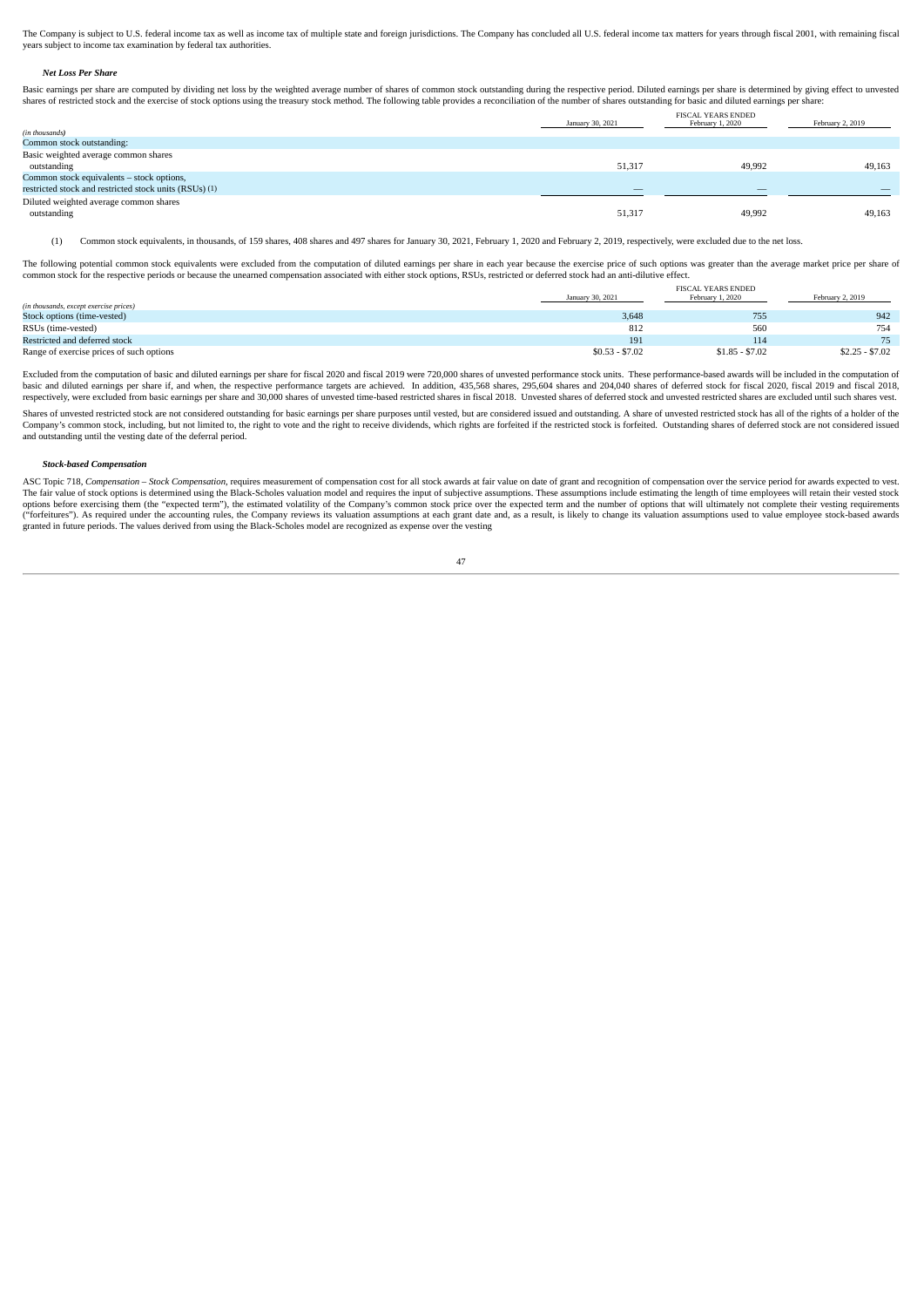The Company is subject to U.S. federal income tax as well as income tax of multiple state and foreign jurisdictions. The Company has concluded all U.S. federal income tax matters for years through fiscal 2001, with remaini years subject to income tax examination by federal tax authorities.

#### *Net Loss Per Share*

Basic earnings per share are computed by dividing net loss by the weighted average number of shares of common stock outstanding during the respective period. Diluted earnings per share is determined by giving effect to unv shares of restricted stock and the exercise of stock options using the treasury stock method. The following table provides a reconciliation of the number of shares outstanding for basic and diluted earnings per share:

| (in thousands)                                                                                      | January 30, 2021         | <b>FISCAL YEARS ENDED</b><br>February 1, 2020 | February 2, 2019 |
|-----------------------------------------------------------------------------------------------------|--------------------------|-----------------------------------------------|------------------|
| Common stock outstanding:                                                                           |                          |                                               |                  |
| Basic weighted average common shares<br>outstanding                                                 | 51,317                   | 49.992                                        | 49,163           |
| Common stock equivalents - stock options,<br>restricted stock and restricted stock units (RSUs) (1) | $\overline{\phantom{a}}$ | _                                             |                  |
| Diluted weighted average common shares<br>outstanding                                               | 51,317                   | 49.992                                        | 49,163           |

(1) Common stock equivalents, in thousands, of 159 shares, 408 shares and 497 shares for January 30, 2021, February 1, 2020 and February 2, 2019, respectively, were excluded due to the net loss.

The following potential common stock equivalents were excluded from the computation of diluted earnings per share in each year because the exercise price of such options was greater than the average market price per share common stock for the respective periods or because the unearned compensation associated with either stock options, RSUs, restricted or deferred stock had an anti-dilutive effect.

|                                          | <b>FISCAL YEARS ENDED</b> |                  |                  |  |  |
|------------------------------------------|---------------------------|------------------|------------------|--|--|
|                                          | January 30, 2021          | February 1, 2020 | February 2, 2019 |  |  |
| (in thousands, except exercise prices)   |                           |                  |                  |  |  |
| Stock options (time-vested)              | 3,648                     | 755              | 942              |  |  |
| RSUs (time-vested)                       | 812                       | 560              | 754              |  |  |
| Restricted and deferred stock            | 191                       | 114              | 75               |  |  |
| Range of exercise prices of such options | $$0.53 - $7.02$           | $$1.85 - $7.02$  | $$2.25 - $7.02$  |  |  |

Excluded from the computation of basic and diluted earnings per share for fiscal 2020 and fiscal 2019 were 720,000 shares of unvested performance stock units. These performance-based awards will be included in the computat basic and diluted earnings per share if, and when, the respective performance targets are achieved. In addition, 435,568 shares, 295,604 shares and 204,040 shares of deferred stock for fiscal 2020, fiscal 2020, fiscal 2019

Shares of unvested restricted stock are not considered outstanding for basic earnings per share purposes until vested, but are considered issued and outstanding. A share of unvested restricted stock has all of the rights o Company's common stock, including, but not limited to, the right to vote and the right to receive dividends, which rights are forfeited if the restricted stock is forfeited. Outstanding shares of deferred stock are not con and outstanding until the vesting date of the deferral period.

## *Stock-based Compensation*

ASC Topic 718, Compensation - Stock Compensation, requires measurement of compensation cost for all stock awards at fair value on date of grant and recognition of compensation over the service period for awards expected to The fair value of stock options is determined using the Black-Scholes valuation model and requires the input of subjective assumptions. These assumptions include estimating the length of time employees will retain their ve options before exercising them (the "expected term"), the estimated volatility of the Company's common stock price over the expected term and the number of options that will ultimately not complete their vesting requiremen granted in future periods. The values derived from using the Black-Scholes model are recognized as expense over the vesting

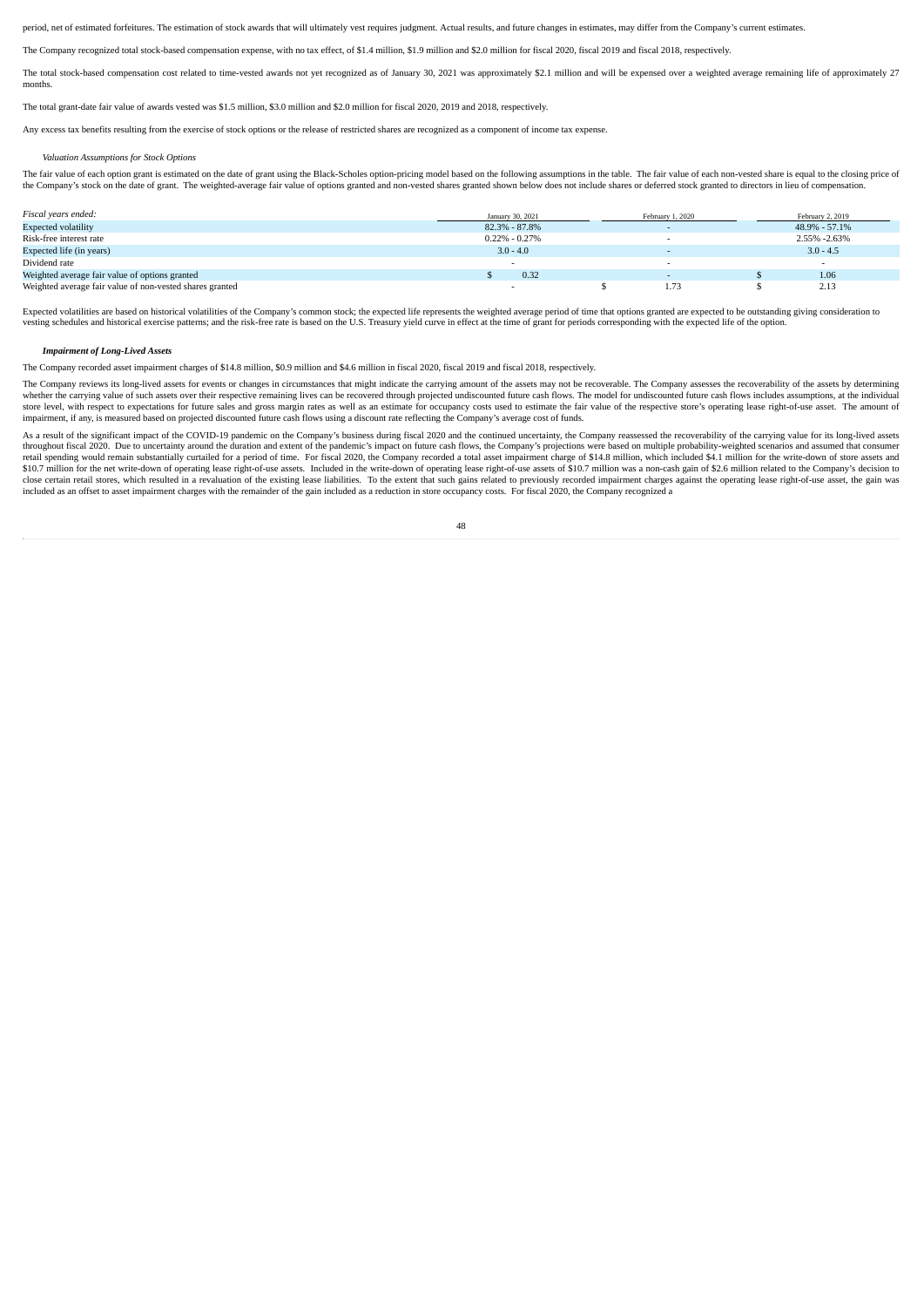period, net of estimated forfeitures. The estimation of stock awards that will ultimately vest requires judgment. Actual results, and future changes in estimates, may differ from the Company's current estimates.

The Company recognized total stock-based compensation expense, with no tax effect, of \$1.4 million, \$1.9 million and \$2.0 million for fiscal 2020, fiscal 2019 and fiscal 2018, respectively.

The total stock-based compensation cost related to time-vested awards not yet recognized as of January 30, 2021 was approximately \$2.1 million and will be expensed over a weighted average remaining life of approximately 27 months.

The total grant-date fair value of awards vested was \$1.5 million, \$3.0 million and \$2.0 million for fiscal 2020, 2019 and 2018, respectively.

Any excess tax benefits resulting from the exercise of stock options or the release of restricted shares are recognized as a component of income tax expense.

*Valuation Assumptions for Stock Options*

The fair value of each option grant is estimated on the date of grant using the Black-Scholes option-pricing model based on the following assumptions in the table. The fair value of each non-vested share is equal to the cl the Company's stock on the date of grant. The weighted-average fair value of options granted and non-vested shares granted shown below does not include shares or deferred stock granted to directors in lieu of compensation.

| Fiscal years ended:                                      | January 30, 2021  | February 1, 2020 | February 2, 2019         |
|----------------------------------------------------------|-------------------|------------------|--------------------------|
| <b>Expected volatility</b>                               | 82.3% - 87.8%     |                  | 48.9% - 57.1%            |
| Risk-free interest rate                                  | $0.22\% - 0.27\%$ |                  | 2.55% -2.63%             |
| Expected life (in years)                                 | $3.0 - 4.0$       |                  | $3.0 - 4.5$              |
| Dividend rate                                            |                   |                  | $\overline{\phantom{0}}$ |
| Weighted average fair value of options granted           | 0.32              |                  | 1.06                     |
| Weighted average fair value of non-vested shares granted |                   | 1.73             | 2.13                     |

Expected volatilities are based on historical volatilities of the Company's common stock: the expected life represents the weighted average period of time that options granted are expected to be outstanding giving consider vesting schedules and historical exercise patterns; and the risk-free rate is based on the U.S. Treasury yield curve in effect at the time of grant for periods corresponding with the expected life of the option.

#### *Impairment of Long-Lived Assets*

The Company recorded asset impairment charges of \$14.8 million, \$0.9 million and \$4.6 million in fiscal 2020, fiscal 2019 and fiscal 2018, respectively.

The Company reviews its long-lived assets for events or changes in circumstances that might indicate the carrying amount of the assets may not be recoverable. The Company assesses the recoverability of the assets by determ whether the carrying value of such assets over their respective remaining lives can be recovered through projected undiscounted future cash flows. The model for undiscounted future cash flows includes assumptions, at the i impairment, if any, is measured based on projected discounted future cash flows using a discount rate reflecting the Company's average cost of funds.

As a result of the significant impact of the COVID-19 pandemic on the Company's business during fiscal 2020 and the continued uncertainty, the Company reassessed the recoverability of the carrying value for its long-lived throughout fiscal 2020. Due to uncertainty around the duration and extent of the pandemic's impact on future cash flows, the Company's projections were based on multiple probability-weighted scenarios and assumed that cons \$10.7 million for the net write-down of operating lease right-of-use assets. Included in the write-down of operating lease right-of-use assets of \$10.7 million was a non-cash gain of \$2.6 million related to the Company's d included as an offset to asset impairment charges with the remainder of the gain included as a reduction in store occupancy costs. For fiscal 2020, the Company recognized a

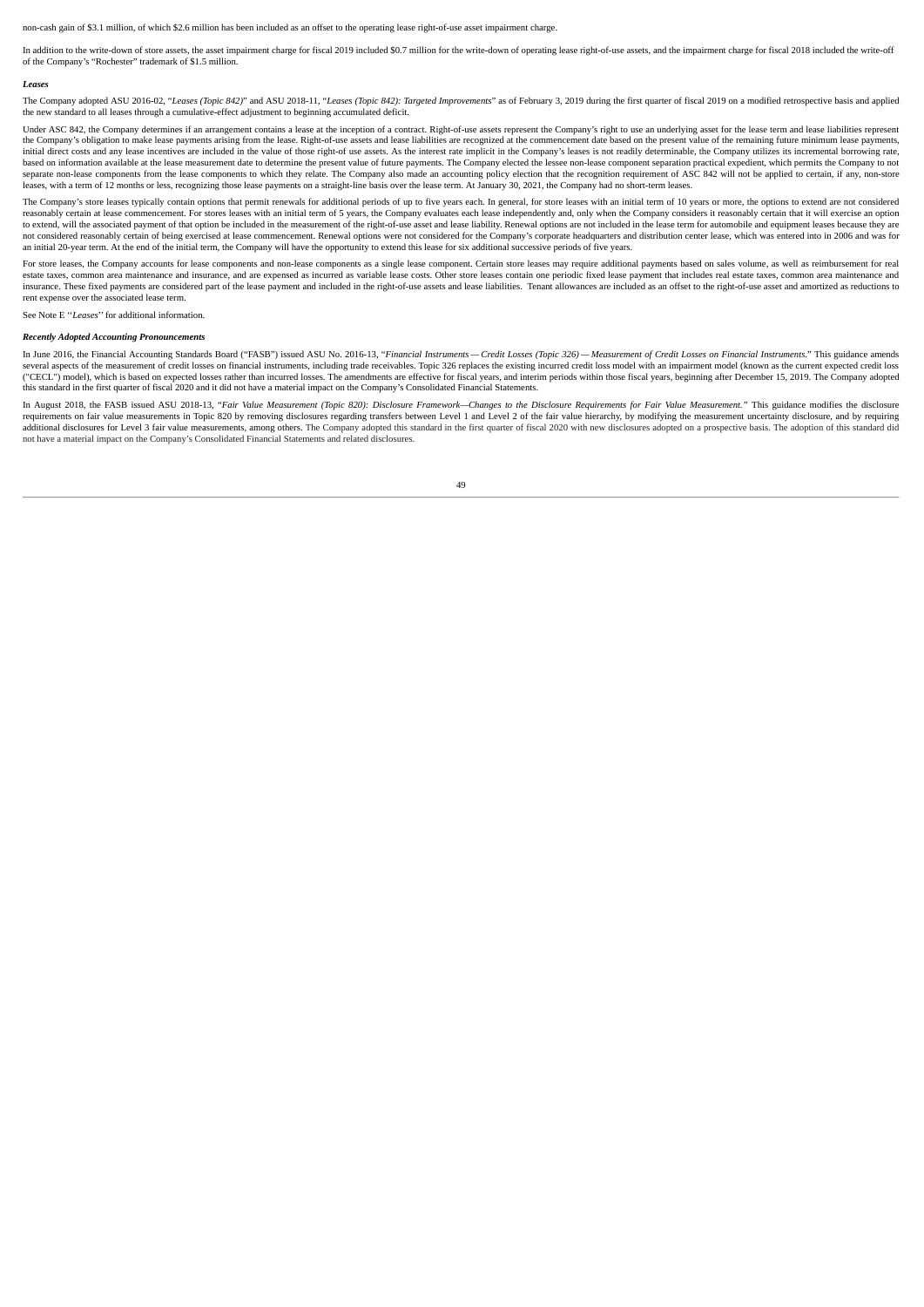non-cash gain of \$3.1 million, of which \$2.6 million has been included as an offset to the operating lease right-of-use asset impairment charge.

In addition to the write-down of store assets, the asset impairment charge for fiscal 2019 included \$0.7 million for the write-down of operating lease right-of-use assets, and the impairment charge for fiscal 2018 included of the Company's "Rochester" trademark of \$1.5 million.

#### *Leases*

The Company adopted ASU 2016-02, "Leases (Topic 842)" and ASU 2018-11, "Leases (Topic 842): Targeted Improvements" as of February 3, 2019 during the first quarter of fiscal 2019 on a modified retrospective basis and applie the new standard to all leases through a cumulative-effect adjustment to beginning accumulated deficit.

Under ASC 842, the Company determines if an arrangement contains a lease at the inception of a contract. Right-of-use assets represent the Company's right to use an underlying asset for the lease term and lease liabilities net Company's obligation to make lease payments arising from the lease. Right-of-use assets and lease labilities are recognized at the commencement date based on the present value of the remaining future minimum lease paym initial direct costs and any lease incentives are included in the value of those right-of use assets. As the interest rate implicit in the Company's leases is not readily determinable, the Company utilizes its incremental based on information available at the lease measurement date to determine the present value of future payments. The Company elected the lessee non-lease component separation practical expedient, which permits the Company t leases, with a term of 12 months or less, recognizing those lease payments on a straight-line basis over the lease term. At January 30, 2021, the Company had no short-term leases.

The Company's store leases typically contain options that permit renewals for additional periods of up to five years each. In general, for store leases with an initial term of 10 years or more, the options to extend are no to extend, will the associated payment of that option be included in the measurement of the right-of-use asset and lease liability. Renewal options are not included in the lease term for automobile and equipment leases bec not considered reasonably certain of being exercised at lease commencement. Renewal options were not considered for the Company's corporate headquarters and distribution center lease, which was entered into in 2006 and was an initial 20-year term. At the end of the initial term, the Company will have the opportunity to extend this lease for six additional successive periods of five years.

For store leases, the Company accounts for lease components and non-lease components as a single lease component. Certain store leases may require additional payments based on sales volume, as well as reimbursement for rea insurance. These fixed payments are considered part of the lease payment and included in the right-of-use assets and lease liabilities. Tenant allowances are included as an offset to the right-of-use assett and amortized a rent expense over the associated lease term.

See Note E ''*Leases*'' for additional information.

#### *Recently Adopted Accounting Pronouncements*

In June 2016, the Financial Accounting Standards Board ("FASB") issued ASU No. 2016-13, "Financial Instruments—Credit Losses (Topic 326)—Measurement of Credit Losses on Financial Instruments," This guidance amends several aspects of the measurement of credit losses on financial instruments, including trade receivables. Topic 326 replaces the existing incurred credit loss model with an impairment model (known as the current expected ("CECL") model), which is based on expected losses rather than incurred losses. The amendments are effective for fiscal vears, and interim periods within those fiscal vears, beginning after December 15, 2019. The Company a this standard in the first quarter of fiscal 2020 and it did not have a material impact on the Company's Consolidated Financial Statements.

In August 2018, the FASB issued ASU 2018-13, "Fair Value Measurement (Topic 820): Disclosure Framework-Changes to the Disclosure Requirements for Fair Value Measurement." This guidance modifies the disclosure requirements on fair value measurements in Topic 820 by removing disclosures regarding transfers between Level 1 and Level 2 of the fair value hierarchy, by modifying the measurement uncertainty disclosure, and by requiring additional disclosures for Level 3 fair value measurements, among others. The Company adopted this standard in the first quarter of fiscal 2020 with new disclosures adopted on a prospective basis. The adoption of this stan not have a material impact on the Company's Consolidated Financial Statements and related disclosures.

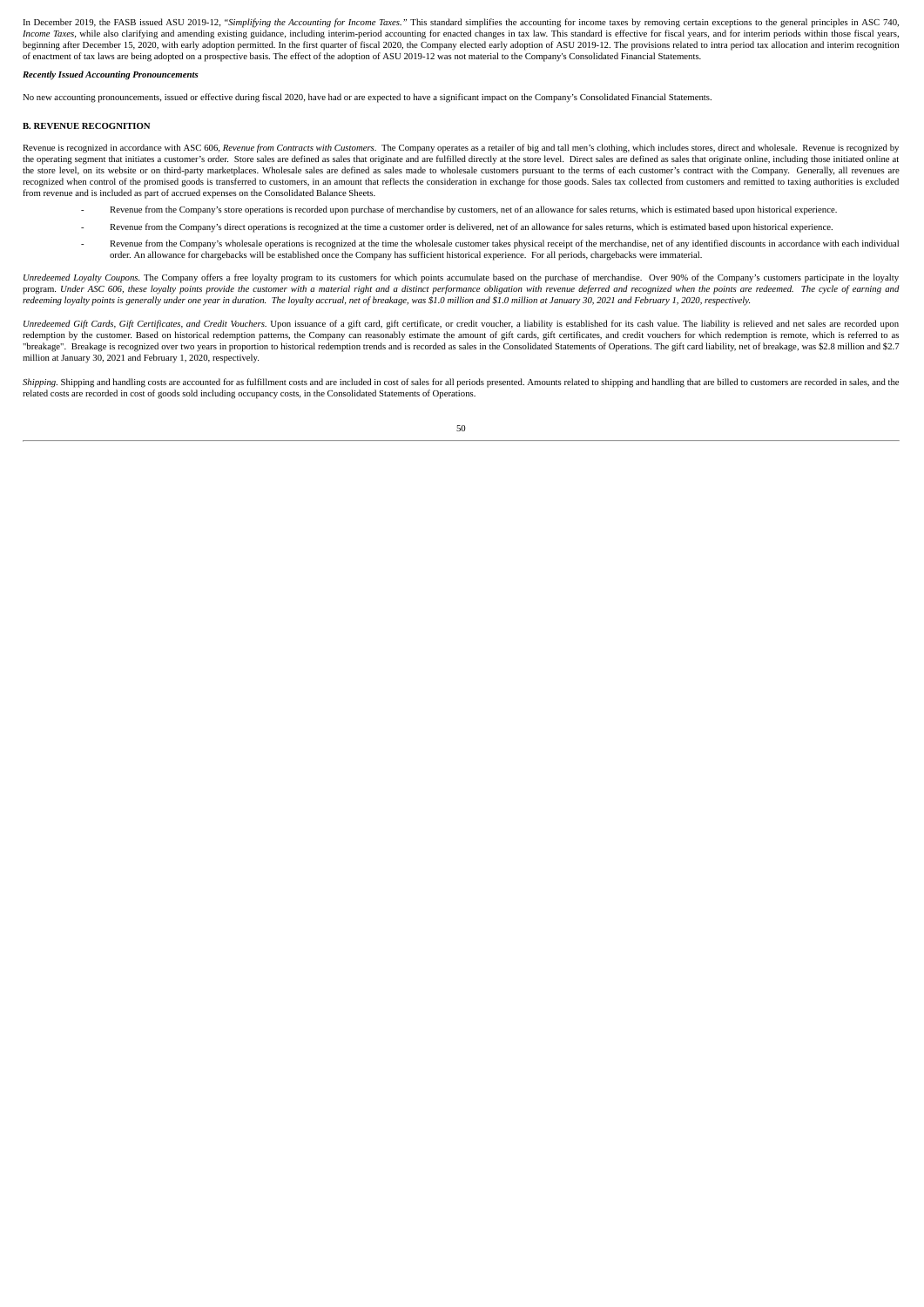In December 2019, the FASB issued ASU 2019-12, "Simplifying the Accounting for Income Taxes." This standard simplifies the accounting for income taxes by removing certain exceptions to the general principles in ASC 740, Income Taxes, while also clarifying and amending existing guidance, including interim-period accounting for enacted changes in tax law. This standard is effective for fiscal years, and for interim periods within those fisc of enactment of tax laws are being adopted on a prospective basis. The effect of the adoption of ASU 2019-12 was not material to the Company's Consolidated Financial Statements.

## *Recently Issued Accounting Pronouncements*

No new accounting pronouncements, issued or effective during fiscal 2020, have had or are expected to have a significant impact on the Company's Consolidated Financial Statements.

## **B. REVENUE RECOGNITION**

Revenue is recognized in accordance with ASC 606, Revenue from Contracts with Customers. The Company operates as a retailer of big and tall men's clothing, which includes stores, direct and wholesale. Revenue is recognized the operating segment that initiates a customer's order. Store sales are defined as sales that originate and are fulfilled directly at the store level. Direct sales are defined as sales that originate online, including tho recognized when control of the promised goods is transferred to customers, in an amount that reflects the consideration in exchange for those goods. Sales tax collected from customers and remitted to taxing authorities is from revenue and is included as part of accrued expenses on the Consolidated Balance Sheets.

- Revenue from the Company's store operations is recorded upon purchase of merchandise by customers, net of an allowance for sales returns, which is estimated based upon historical experience.
- Revenue from the Company's direct operations is recognized at the time a customer order is delivered, net of an allowance for sales returns, which is estimated based upon historical experience.
- Revenue from the Company's wholesale operations is recognized at the time the wholesale customer takes physical receipt of the merchandise, net of any identified discounts in accordance with each individual order. An allowance for chargebacks will be established once the Company has sufficient historical experience. For all periods, chargebacks were immaterial.

Unredeemed Loyalty Coupons. The Company offers a free loyalty program to its customers for which points accumulate based on the purchase of merchandise. Over 90% of the Company's customers participate in the loyalty program. Under ASC 606, these loyalty points provide the customer with a material right and a distinct performance obligation with revenue deferred and recognized when the points are redeemed. The cycle of earning and redeeming loyalty points is generally under one year in duration. The loyalty accrual, net of breakage, was \$1.0 million and \$1.0 million at January 30, 2021 and February 1, 2020, respectively.

Unredeemed Gift Cards, Gift Certificates, and Credit Vouchers. Upon issuance of a gift card, gift certificate, or credit voucher, a liability is established for its cash value. The liability is relieved and net sales are r redemption by the customer. Based on historical redemption patterns, the Company can reasonably estimate the amount of gift cards, gift certificates, and credit vouchers for which redemption is remote, which is referred to "breakage". Breakage is recognized over two vears in proportion to historical redemption trends and is recorded as sales in the Consolidated Statements of Operations. The gift card liability, net of breakage, was \$2.8 mill million at January 30, 2021 and February 1, 2020, respectively.

Shipping. Shipping and handling costs are accounted for as fulfillment costs and are included in cost of sales for all periods presented. Amounts related to shipping and handling that are billed to customers are recorded i related costs are recorded in cost of goods sold including occupancy costs, in the Consolidated Statements of Operations.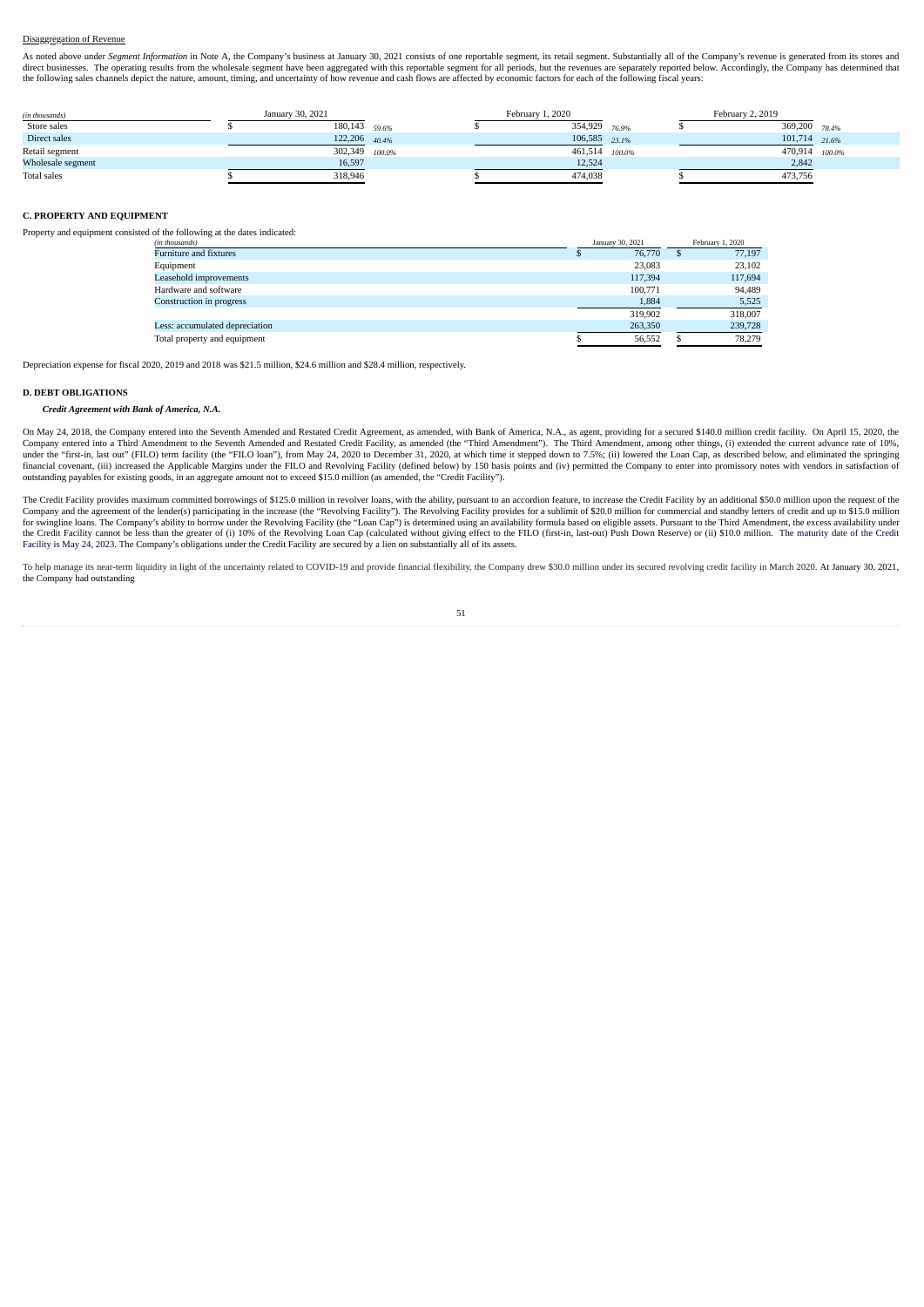### Disaggregation of Revenue

As noted above under Segment Information in Note A, the Company's business at January 30, 2021 consists of one reportable segment, its retail segment. Substantially all of the Company's revenue is generated from its stores direct businesses. The operating results from the wholesale segment have been aggregated with this reportable segment for all periods, but the revenues are separately reported below. Accordingly, the Company has determined

| (in thousands)    | January 30, 2021 | February 1, 2020 |               |                | February 2, 2019 |                |
|-------------------|------------------|------------------|---------------|----------------|------------------|----------------|
| Store sales       | 180,143 59.6%    |                  | 354,929 76.9% |                | 369,200 78.4%    |                |
| Direct sales      | 122,206 40.4%    |                  |               | 106,585 23.1%  | 101,714 21.6%    |                |
| Retail segment    | 302,349 100.0%   |                  |               | 461,514 100.0% |                  | 470,914 100.0% |
| Wholesale segment | 16,597           |                  | 12,524        |                | 2,842            |                |
| Total sales       | 318,946          |                  | 474,038       |                | 473,756          |                |

### **C. PROPERTY AND EQUIPMENT**

Property and equipment consisted of the following at the dates indicated:

| (in thousands)                 | January 30, 2021 |   | February 1, 2020 |
|--------------------------------|------------------|---|------------------|
| Furniture and fixtures         | 76,770           | S | 77,197           |
| Equipment                      | 23.083           |   | 23,102           |
| Leasehold improvements         | 117,394          |   | 117,694          |
| Hardware and software          | 100.771          |   | 94,489           |
| Construction in progress       | 1,884            |   | 5,525            |
|                                | 319,902          |   | 318,007          |
| Less: accumulated depreciation | 263,350          |   | 239,728          |
| Total property and equipment   | 56.552           |   | 78.279           |

Depreciation expense for fiscal 2020, 2019 and 2018 was \$21.5 million, \$24.6 million and \$28.4 million, respectively.

#### **D. DEBT OBLIGATIONS**

### *Credit Agreement with Bank of America, N.A.*

On May 24, 2018, the Company entered into the Seventh Amended and Restated Credit Agreement, as amended, with Bank of America, N.A., as agent, providing for a secured \$140.0 million credit facility. On April 15, 2020, the Company entered into a Third Amendment to the Seventh Amended and Restated Credit Facility, as amended (the "Third Amendment"). The Third Amendment, among other things, (i) extended the current advance rate of 10%, under the "first-in, last out" (FILO) term facility (the "FILO loan"), from May 24, 2020 to December 31, 2020, at which time it stepped down to 7.5%; (ii) lowered the Loan Cap, as described below, and eliminated the spring outstanding payables for existing goods, in an aggregate amount not to exceed \$15.0 million (as amended, the "Credit Facility").

The Credit Facility provides maximum committed borrowings of \$125.0 million in revolver loans, with the ability, pursuant to an accordion feature, to increase the Credit Facility by an additional \$50.0 million upon the req Company and the agreement of the lender(s) participating in the increase (the "Revolving Facility"). The Revolving Facility provides for a sublimit of \$20.0 million for commercial and standby letters of credit and up to \$1 the Credit Facility cannot be less than the greater of (i) 10% of the Revolving Loan Cap (calculated without giving effect to the FILO (first-in, last-out) Push Down Reserve) or (ii) \$10.0 million. The maturity date of the

To help manage its near-term liquidity in light of the uncertainty related to COVID-19 and provide financial flexibility, the Company drew \$30.0 million under its secured revolving credit facility in March 2020. At January the Company had outstanding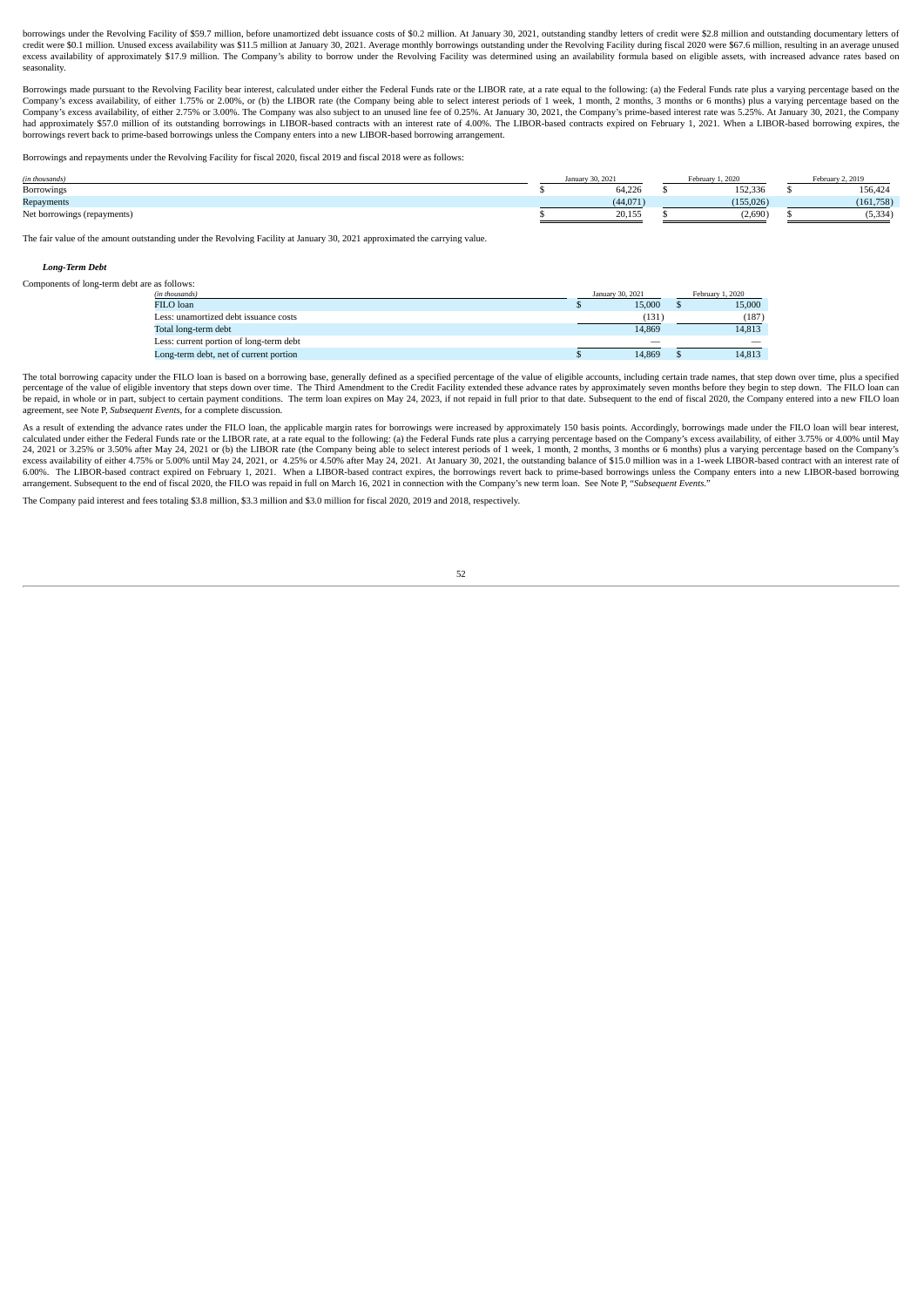borrowings under the Revolving Facility of \$59.7 million, before unamortized debt issuance costs of \$0.2 million. At January 30, 2021, outstanding standby letters of credit were \$2.8 million and outstanding documentary let excess availability of approximately \$17.9 million. The Company's ability to borrow under the Revolving Facility was determined using an availability formula based on eligible assets, with increased advance rates based on seasonality.

Borrowings made pursuant to the Revolving Facility bear interest, calculated under either the Federal Funds rate or the LIBOR rate, at a rate equal to the following: (a) the Federal Funds rate plus a varying percentage bas Company's excess availability, of either 1.75% or 2.00%, or (b) the LIBOR rate (the Company being able to select interest periods of 1 week, 1 month, 2 months, 3 months or 6 months) plus a varying percentage based on the c borrowings revert back to prime-based borrowings unless the Company enters into a new LIBOR-based borrowing arrangement.

Borrowings and repayments under the Revolving Facility for fiscal 2020, fiscal 2019 and fiscal 2018 were as follows:

| (in thousands)              |  | 30.2021   |  |            |  |            |  | February 1, 2020 |  |  | February 2, 2019 |  |
|-----------------------------|--|-----------|--|------------|--|------------|--|------------------|--|--|------------------|--|
| Borrowings                  |  | 64.226    |  | 152.336    |  | 156,424    |  |                  |  |  |                  |  |
| Repayments                  |  | (44, 071) |  | (155, 026) |  | (161, 758) |  |                  |  |  |                  |  |
| Net borrowings (repayments) |  | 20,155    |  | (2,690)    |  | (5, 334)   |  |                  |  |  |                  |  |

The fair value of the amount outstanding under the Revolving Facility at January 30, 2021 approximated the carrying value.

#### *Long-Term Debt*

Components of long-term debt are as follows:

| (in thousands)                          | January 30, 2021         | February 1, 2020 |                          |  |
|-----------------------------------------|--------------------------|------------------|--------------------------|--|
| FILO loan                               | 15,000                   |                  | 15,000                   |  |
| Less: unamortized debt issuance costs   | (131)                    |                  | (187)                    |  |
| Total long-term debt                    | 14.869                   |                  | 14,813                   |  |
| Less: current portion of long-term debt | $\overline{\phantom{a}}$ |                  | $\overline{\phantom{a}}$ |  |
| Long-term debt, net of current portion  | 14.869                   |                  | 14,813                   |  |

The total borrowing capacity under the FILO loan is based on a borrowing base generally defined as a specified percentage of the value of eligible accounts including certain trade names that step down over time, plus a spe percentage of the value of eligible inventory that steps down over time. The Third Amendment to the Credit Facility extended these advance rates by approximately seven months before they begin to step down. The FILO loan can be repaid, in whole or in part, subject to certain payment conditions. The term loan expires on May 24, 2023, if not repaid in full prior to that date. Subsequent to the end of fiscal 2020, the Company entered into a new F agreement, see Note P, *Subsequent Events*, for a complete discussion.

As a result of extending the advance rates under the FILO loan, the applicable margin rates for borrowings were increased by approximately 150 basis points. Accordingly, borrowings made under the FILO loan will bear intere calculated under either the Federal Funds rate or the LIBOR rate, at a rate equal to the following: (a) the Federal Funds rate plus a carrying percentage based on the Company's excess availability, of either 3.75% or 4.00% excess availability of either 4.75% or 5.00% until May 24, 2021, or 4.25% or 4.50% after May 24, 2021. At January 30, 2021, the outstanding balance of \$15.0 million was in a 1-week LIBOR-based contract with an interest rat 6.00%. The LIBOR-based contract expired on February 1, 2021. When a LIBOR-based contract expires, the borrowings revert back to prime-based borrowings unless the Company enters into a new LIBOR-based borrowing<br>arrangement.

The Company paid interest and fees totaling \$3.8 million, \$3.3 million and \$3.0 million for fiscal 2020, 2019 and 2018, respectively.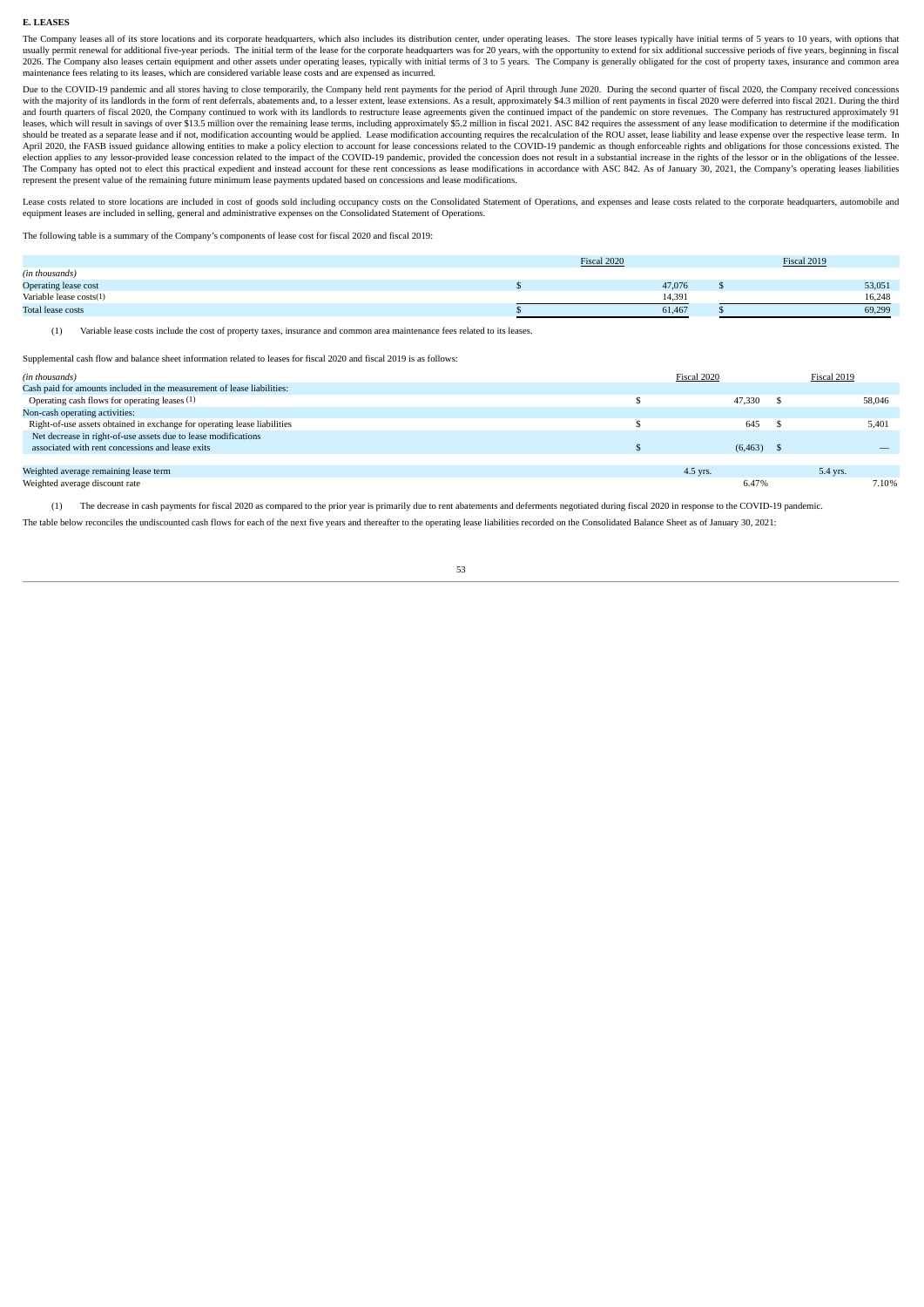## **E. LEASES**

The Company leases all of its store locations and its corporate headquarters, which also includes its distribution center, under operating leases. The store leases typically have initial terms of 5 years to 10 years, with usually permit renewal for additional five-year periods. The initial term of the lease for the corporate headquarters was for 20 years, with the opportunity to extend for six additional successive periods of five years, be maintenance fees relating to its leases, which are considered variable lease costs and are expensed as incurred.

Due to the COVID-19 pandemic and all stores having to close temporarily, the Company held rent payments for the period of April through June 2020. During the second quarter of fiscal 2020, the Company received concessions with the majority of its landlords in the form of rent deferrals, abatements and, to a lesser extent, lease extensions. As a result, approximately \$4.3 million of rent payments in fiscal 2020 were deferred into fiscal 2021 leases, which will result in savings of over \$13.5 million over the remaining lease terms, including approximately \$5.2 million in fiscal 2021. ASC 842 requires the assessment of any lease modification to determine if the April 2020, the FASB issued guidance allowing entities to make a policy election to account for lease concessions related to the COVID-19 pandemic as though enforceable rights and obligations for those concessions existed. election applies to any lessor-provided lease concession related to the impact of the COVID-19 pandemic, provided the concession does not result in a substantial increase in the rights of the lessor or in the obligations o The Company has opted not to elect this practical expedient and instead account for these rent concessions as lease modifications in accordance with ASC 842. As of January 30, 2021, the Company's operating leases liabiliti

Lease costs related to store locations are included in cost of goods sold including occupancy costs on the Consolidated Statement of Operations, and expenses and lease costs related to the corporate headquarters, automobil

The following table is a summary of the Company's components of lease cost for fiscal 2020 and fiscal 2019:

|                          | Fiscal 2020 |        | Fiscal 2019 |        |
|--------------------------|-------------|--------|-------------|--------|
| (in thousands)           |             |        |             |        |
| Operating lease cost     |             | 47,076 |             | 53,051 |
| Variable lease costs(1)  |             | 14,391 |             | 16.248 |
| <b>Total lease costs</b> |             | 61,467 |             | 69,299 |

(1) Variable lease costs include the cost of property taxes, insurance and common area maintenance fees related to its leases.

Supplemental cash flow and balance sheet information related to leases for fiscal 2020 and fiscal 2019 is as follows:

| (in thousands)                                                                                                     | Fiscal 2020 | Fiscal 2019 |        |
|--------------------------------------------------------------------------------------------------------------------|-------------|-------------|--------|
| Cash paid for amounts included in the measurement of lease liabilities:                                            |             |             |        |
| Operating cash flows for operating leases (1)                                                                      | 47,330      |             | 58,046 |
| Non-cash operating activities:                                                                                     |             |             |        |
| Right-of-use assets obtained in exchange for operating lease liabilities                                           | 645         |             | 5,401  |
| Net decrease in right-of-use assets due to lease modifications<br>associated with rent concessions and lease exits | (6, 463)    |             |        |
|                                                                                                                    |             |             |        |
| Weighted average remaining lease term                                                                              | 4.5 yrs.    | 5.4 yrs.    |        |
| Weighted average discount rate                                                                                     | 6.47%       |             | 7.10%  |

(1) The decrease in cash payments for fiscal 2020 as compared to the prior year is primarily due to rent abatements and deferments negotiated during fiscal 2020 in response to the COVID-19 pandemic. The table below reconciles the undiscounted cash flows for each of the next five years and thereafter to the operating lease liabilities recorded on the Consolidated Balance Sheet as of January 30, 2021: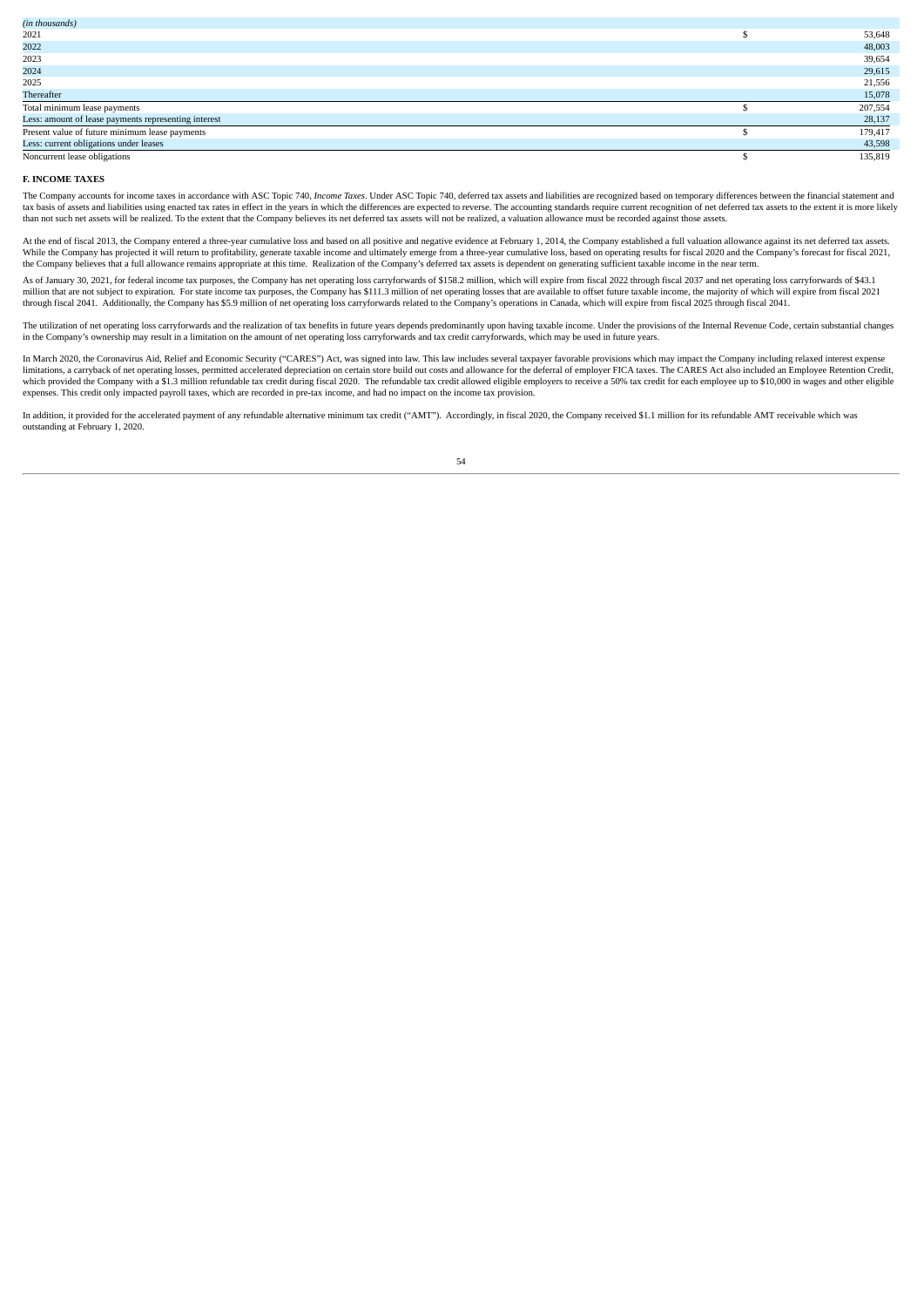| (in thousands)                                       |         |
|------------------------------------------------------|---------|
| 2021                                                 | 53,648  |
| 2022                                                 | 48,003  |
| 2023                                                 | 39,654  |
| 2024                                                 | 29,615  |
| 2025                                                 | 21,556  |
| Thereafter                                           | 15,078  |
| Total minimum lease payments                         | 207,554 |
| Less: amount of lease payments representing interest | 28,137  |
| Present value of future minimum lease payments       | 179,417 |
| Less: current obligations under leases               | 43,598  |
| Noncurrent lease obligations                         | 135,819 |

## **F. INCOME TAXES**

The Company accounts for income taxes in accordance with ASC Topic 740, Income Taxes. Under ASC Topic 740, deferred tax assets and liabilities are recognized based on temporary differences between the financial statement a tax basis of assets and liabilities using enacted tax rates in effect in the years in which the differences are expected to reverse. The accounting standards require current recognition of net deferred tax assets to the ex

At the end of fiscal 2013, the Company entered a three-year cumulative loss and based on all positive and negative evidence at February 1, 2014, the Company established a full valuation allowance against its net deferred t While the Company has projected it will return to profitability, generate taxable income and ultimately emerge from a three-year cumulative loss, based on operating results for fiscal 2020 and the Company's forecast for fi the Company believes that a full allowance remains appropriate at this time. Realization of the Company's deferred tax assets is dependent on generating sufficient taxable income in the near term.

As of January 30, 2021, for federal income tax purposes, the Company has net operating loss carryforwards of \$158.2 million, which will expire from fiscal 2022 through fiscal 2037 and net operating loss carryforwards of \$4 through fiscal 2041. Additionally, the Company has \$5.9 million of net operating loss carryforwards related to the Company's operations in Canada, which will expire from fiscal 2025 through fiscal 2041.

The utilization of net operating loss carryforwards and the realization of tax benefits in future years depends predominantly upon having taxable income. Under the provisions of the Internal Revenue Code, certain substanti

In March 2020, the Coronavirus Aid, Relief and Economic Security ("CARES") Act, was signed into law. This law includes several taxpayer favorable provisions which may impact the Company including relaxed interest expense limitations, a carryback of net operating losses, permitted accelerated depreciation on certain store build out costs and allowance for the deferral of employer FICA taxes. The CARES Act also included an Employee Retention which provided the Company with a \$1.3 million refundable tax credit during fiscal 2020. The refundable tax credit allowed eligible employers to receive a 50% tax credit for each employee up to \$10,000 in wages and other e

54

In addition, it provided for the accelerated payment of any refundable alternative minimum tax credit ("AMT"). Accordingly, in fiscal 2020, the Company received \$1.1 million for its refundable AMT receivable which was outstanding at February 1, 2020.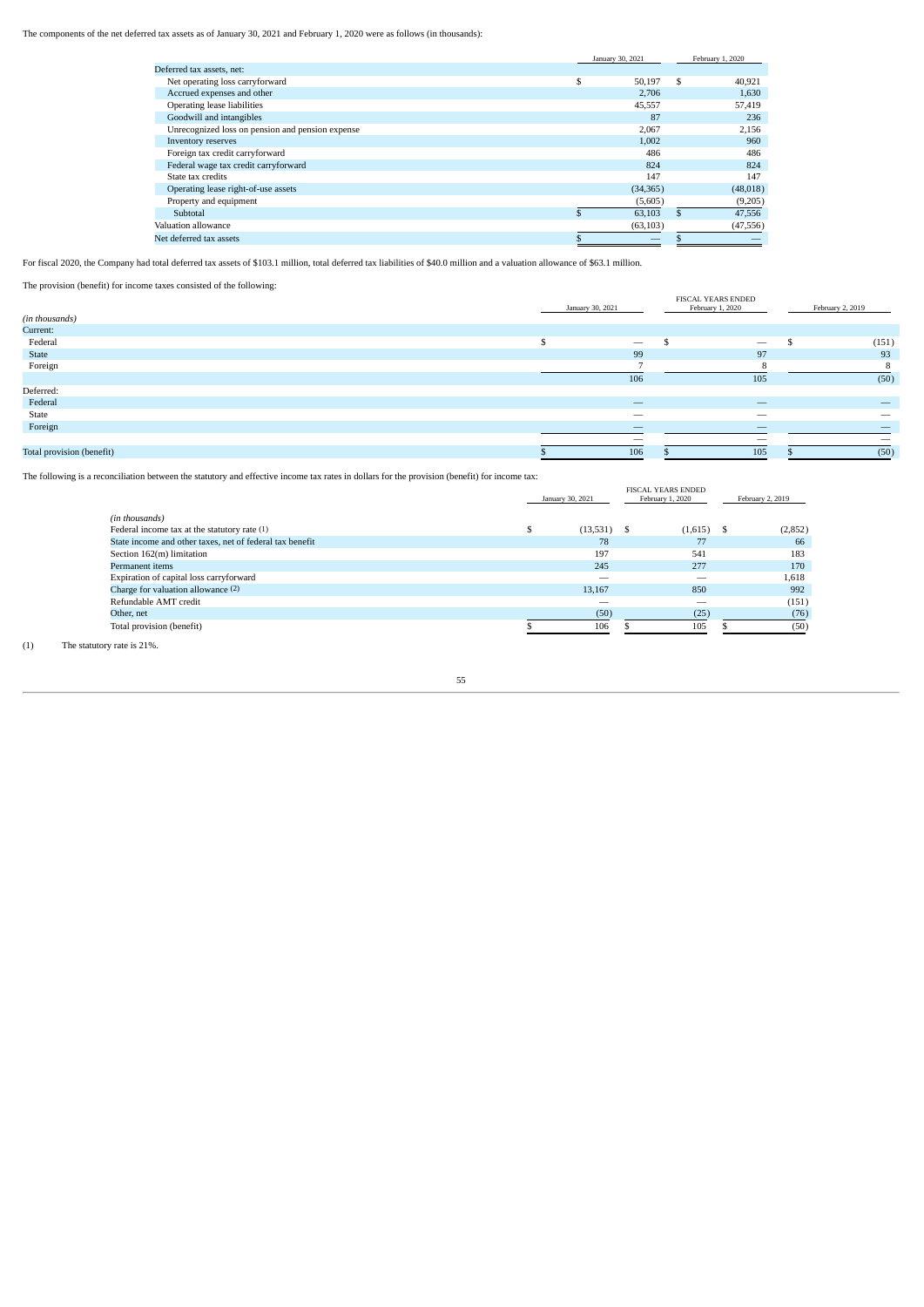The components of the net deferred tax assets as of January 30, 2021 and February 1, 2020 were as follows (in thousands):

|                                                  | January 30, 2021 |     | February 1, 2020 |
|--------------------------------------------------|------------------|-----|------------------|
| Deferred tax assets, net:                        |                  |     |                  |
| Net operating loss carryforward                  | \$<br>50.197     | £.  | 40,921           |
| Accrued expenses and other                       | 2.706            |     | 1.630            |
| Operating lease liabilities                      | 45,557           |     | 57,419           |
| Goodwill and intangibles                         | 87               |     | 236              |
| Unrecognized loss on pension and pension expense | 2,067            |     | 2,156            |
| Inventory reserves                               | 1,002            |     | 960              |
| Foreign tax credit carryforward                  | 486              |     | 486              |
| Federal wage tax credit carryforward             | 824              |     | 824              |
| State tax credits                                | 147              |     | 147              |
| Operating lease right-of-use assets              | (34, 365)        |     | (48,018)         |
| Property and equipment                           | (5,605)          |     | (9,205)          |
| Subtotal                                         | 63.103           | \$. | 47,556           |
| Valuation allowance                              | (63, 103)        |     | (47, 556)        |
| Net deferred tax assets                          |                  |     |                  |
|                                                  |                  |     |                  |

For fiscal 2020, the Company had total deferred tax assets of \$103.1 million, total deferred tax liabilities of \$40.0 million and a valuation allowance of \$63.1 million.

The provision (benefit) for income taxes consisted of the following:

|                           | January 30, 2021                | <b>FISCAL YEARS ENDED</b><br>February 1, 2020 | February 2, 2019         |
|---------------------------|---------------------------------|-----------------------------------------------|--------------------------|
| (in thousands)            |                                 |                                               |                          |
| Current:                  |                                 |                                               |                          |
| Federal                   | $\hspace{0.1mm}-\hspace{0.1mm}$ | $\hspace{0.05cm}$                             | (151)                    |
| State                     | 99                              | 97                                            | 93                       |
| Foreign                   |                                 |                                               | 8                        |
|                           | 106                             | 105                                           | (50)                     |
| Deferred:                 |                                 |                                               |                          |
| Federal                   | $\overline{\phantom{m}}$        | $\overline{\phantom{a}}$                      | $\qquad \qquad -$        |
| State                     |                                 | $\hspace{0.05cm}$                             |                          |
| Foreign                   | $\qquad \qquad - \qquad$        | $\hspace{0.1mm}-\hspace{0.1mm}$               | $\qquad \qquad$          |
|                           | $\overline{\phantom{a}}$        | $\overline{\phantom{a}}$                      | $\overline{\phantom{a}}$ |
| Total provision (benefit) | 106                             | 105                                           | (50)                     |
|                           |                                 |                                               |                          |

The following is a reconciliation between the statutory and effective income tax rates in dollars for the provision (benefit) for income tax:

| ceanchmean accuers me ammort lang currente micant un into m namma iar me hia ianan lacuriti iar micant uni |                  |                          |    |         |    |                                               |  |                  |
|------------------------------------------------------------------------------------------------------------|------------------|--------------------------|----|---------|----|-----------------------------------------------|--|------------------|
|                                                                                                            | January 30, 2021 |                          |    |         |    | <b>FISCAL YEARS ENDED</b><br>February 1, 2020 |  | February 2, 2019 |
| (in thousands)                                                                                             |                  |                          |    |         |    |                                               |  |                  |
| Federal income tax at the statutory rate $(1)$                                                             |                  | (13,531)                 | -5 | (1,615) | -S | (2,852)                                       |  |                  |
| State income and other taxes, net of federal tax benefit                                                   |                  | 78                       |    | 77      |    | 66                                            |  |                  |
| Section 162(m) limitation                                                                                  |                  | 197                      |    | 541     |    | 183                                           |  |                  |
| Permanent items                                                                                            |                  | 245                      |    | 277     |    | 170                                           |  |                  |
| Expiration of capital loss carryforward                                                                    |                  |                          |    | __      |    | 1,618                                         |  |                  |
| Charge for valuation allowance (2)                                                                         |                  | 13,167                   |    | 850     |    | 992                                           |  |                  |
| Refundable AMT credit                                                                                      |                  | $\overline{\phantom{a}}$ |    | _       |    | (151)                                         |  |                  |
| Other, net                                                                                                 |                  | (50)                     |    | (25)    |    | (76)                                          |  |                  |
| Total provision (benefit)                                                                                  |                  | 106                      |    | 105     |    | (50)                                          |  |                  |

55

(1) The statutory rate is 21%.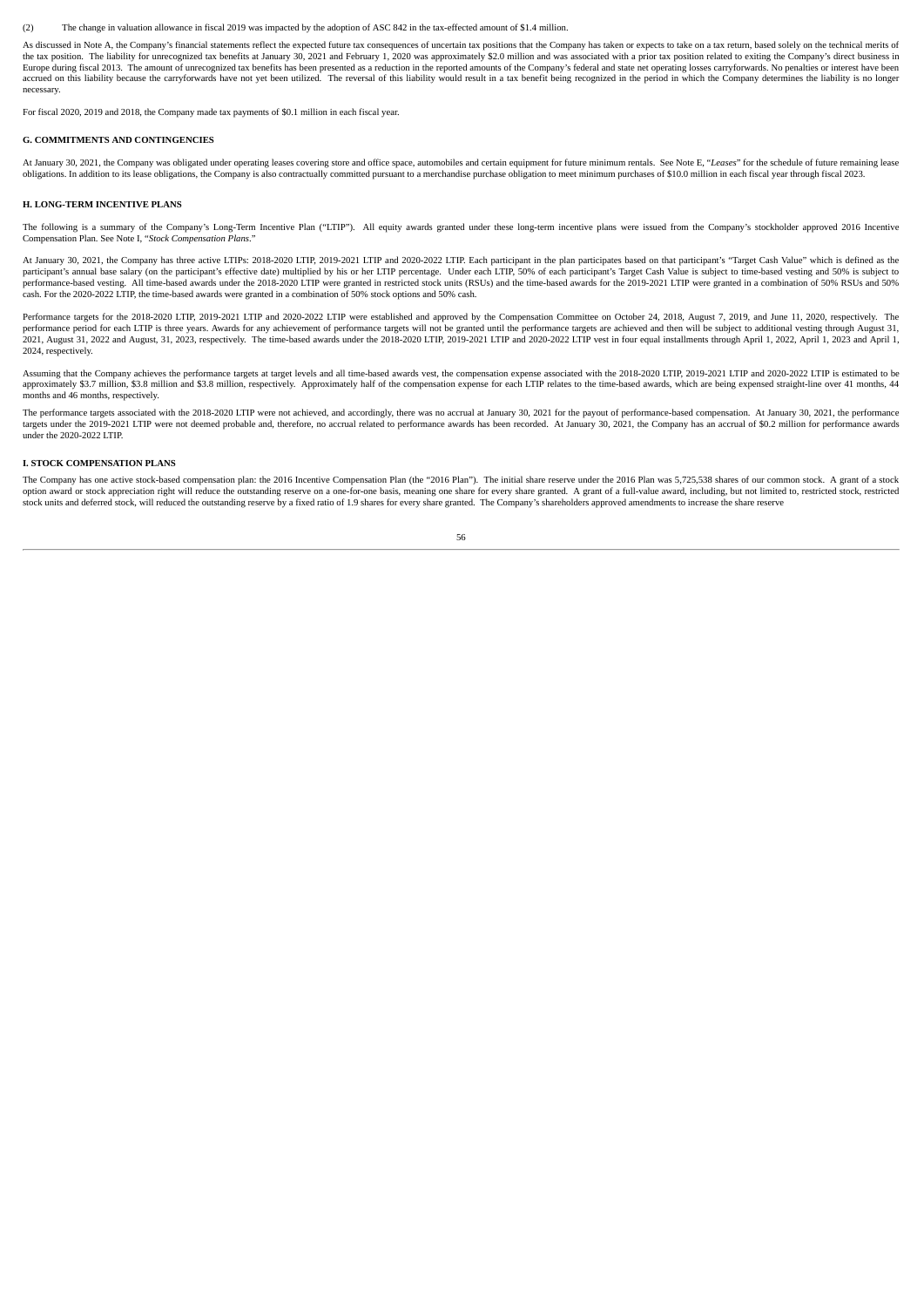(2) The change in valuation allowance in fiscal 2019 was impacted by the adoption of ASC 842 in the tax-effected amount of \$1.4 million.

As discussed in Note A, the Company's financial statements reflect the expected future tax consequences of uncertain tax positions that the Company has taken or expects to take on a tax return, based solely on the technica the tax position. The liability for unrecognized tax benefits at January 30, 2021 and February 1, 2020 was approximately \$2.0 million and was associated with a prior tax position related to exiting the Company's direct bus Europe during fiscal 2013. The amount of unrecognized tax benefits has been presented as a reduction in the reported amounts of the Company's federal and state net operating losses carryforwards. No penalties or interest h necessary.

For fiscal 2020, 2019 and 2018, the Company made tax payments of \$0.1 million in each fiscal year.

#### **G. COMMITMENTS AND CONTINGENCIES**

At January 30, 2021, the Company was obligated under operating leases covering store and office space, automobiles and certain equipment for future minimum rentals. See Note E, "Leases" for the schedule of future remaining obligations. In addition to its lease obligations, the Company is also contractually committed pursuant to a merchandise purchase obligation to meet minimum purchases of \$10.0 million in each fiscal year through fiscal 2023.

#### **H. LONG-TERM INCENTIVE PLANS**

The following is a summary of the Company's Long-Term Incentive Plan ("LTIP"). All equity awards granted under these long-term incentive plans were issued from the Company's stockholder approved 2016 Incentive Compensation Plan. See Note I, "*Stock Compensation Plans*."

At January 30, 2021, the Company has three active LTIPs: 2018-2020 LTIP, 2019-2021 LTIP and 2020-2022 LTIP. Each participant in the plan participates based on that participant's "Target Cash Value" which is defined as the cash. For the 2020-2022 LTIP, the time-based awards were granted in a combination of 50% stock options and 50% cash.

Performance targets for the 2018-2020 LTIP, 2019-2021 LTIP and 2020-2022 LTIP were established and approved by the Compensation Committee on October 24, 2018, August 7, 2019, and June 11, 2020, respectively. The performance period for each LTIP is three years. Awards for any achievement of performance targets will not be granted until the performance targets are achieved and then will be subject to additional vesting through Augus 2024, respectively.

Assuming that the Company achieves the performance targets at target levels and all time-based awards vest, the compensation expense associated with the 2018-2020 LTIP, 2019-2021 LTIP and 2020-2022 LTIP is estimated to be approximately \$3.7 million, \$3.8 million and \$3.8 million, respectively. Approximately half of the compensation expense for each LTIP relates to the time-based awards, which are being expensed straight-line over 41 months, months and 46 months, respectively.

The performance targets associated with the 2018-2020 LTIP were not achieved, and accordingly, there was no accrual at January 30, 2021 for the payout of performance-based compensation. At January 30, 2021, the performance targets under the 2019-2021 LTIP were not deemed probable and, therefore, no accrual related to performance awards has been recorded. At January 30, 2021, the Company has an accrual of \$0.2 million for performance awards under the 2020-2022 LTIP.

#### **I. STOCK COMPENSATION PLANS**

The Company has one active stock-based compensation plan: the 2016 Incentive Compensation Plan (the "2016 Plan"). The initial share reserve under the 2016 Plan was 5,725,538 shares of our common stock. A grant of a stock option award or stock appreciation right will reduce the outstanding reserve on a one-for-one basis, meaning one share for every share granted. A grant of a full-value award, including, but not limited to, restricted stock stock units and deferred stock, will reduced the outstanding reserve by a fixed ratio of 1.9 shares for every share granted. The Company's shareholders approved amendments to increase the share reserve

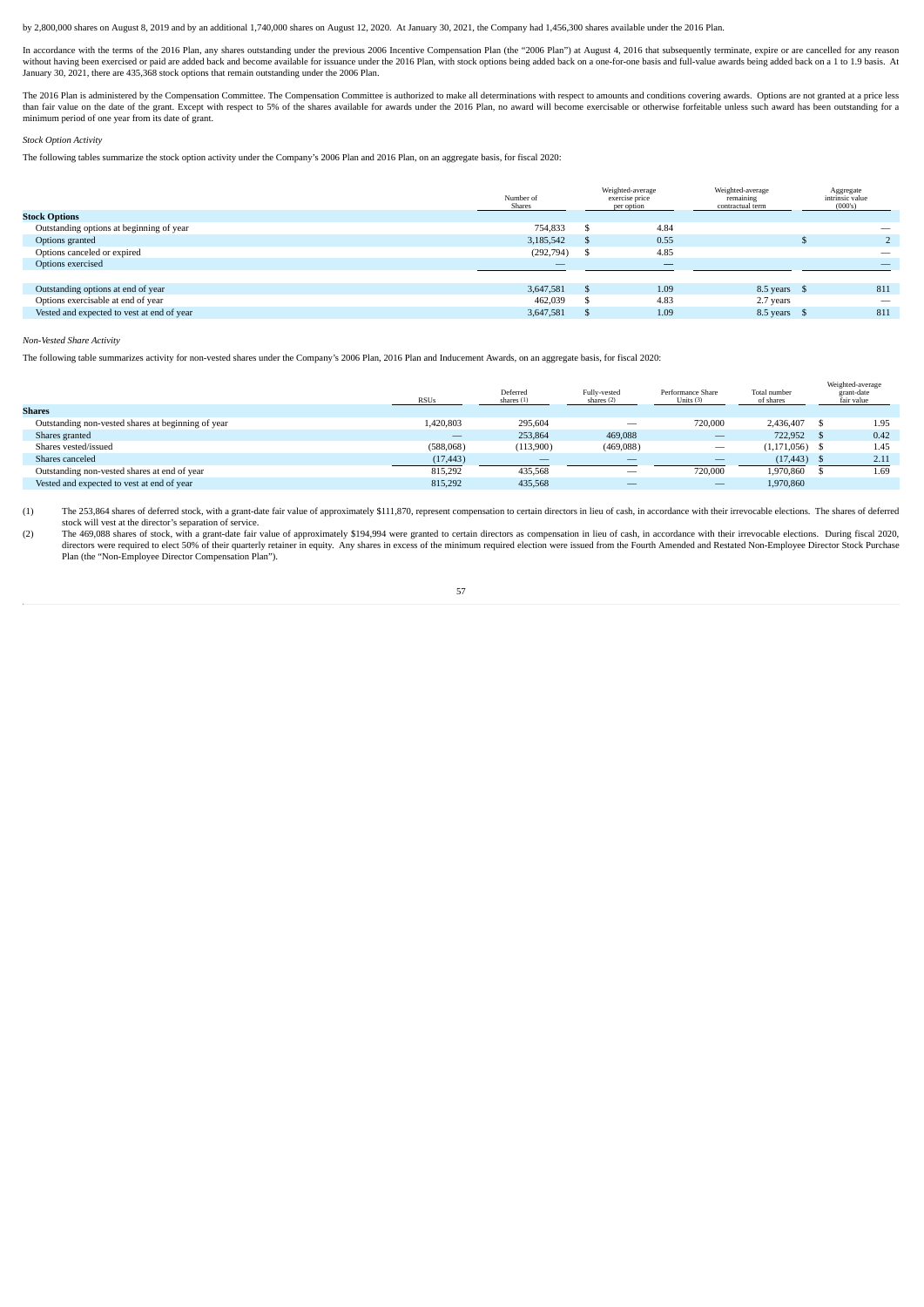by 2,800,000 shares on August 8, 2019 and by an additional 1,740,000 shares on August 12, 2020. At January 30, 2021, the Company had 1,456,300 shares available under the 2016 Plan.

In accordance with the terms of the 2016 Plan, any shares outstanding under the previous 2006 Incentive Compensation Plan (the "2006 Plan") at August 4, 2016 that subsequently terminate, expire or are cancelled for any rea January 30, 2021, there are 435,368 stock options that remain outstanding under the 2006 Plan.

The 2016 Plan is administered by the Compensation Committee. The Compensation Committee is authorized to make all determinations with respect to amounts and conditions covering awards. Options are not granted at a price le than fair value on the date of the grant. Except with respect to 5% of the shares available for awards under the 2016 Plan, no award will become exercisable or otherwise forfeitable unless such award a ward bas been outsta minimum period of one year from its date of grant.

*Stock Option Activity*

The following tables summarize the stock option activity under the Company's 2006 Plan and 2016 Plan, on an aggregate basis, for fiscal 2020:

|                                            | Number of<br>Shares | Weighted-average<br>exercise price<br>per option |      |              |                          | Weighted-average<br>remaining<br>contractual term | Aggregate<br>intrinsic value<br>(000's) |
|--------------------------------------------|---------------------|--------------------------------------------------|------|--------------|--------------------------|---------------------------------------------------|-----------------------------------------|
| <b>Stock Options</b>                       |                     |                                                  |      |              |                          |                                                   |                                         |
| Outstanding options at beginning of year   | 754,833             |                                                  | 4.84 |              | $\overline{\phantom{a}}$ |                                                   |                                         |
| Options granted                            | 3,185,542           |                                                  | 0.55 |              | $\sim$                   |                                                   |                                         |
| Options canceled or expired                | (292, 794)          |                                                  | 4.85 |              |                          |                                                   |                                         |
| Options exercised                          | $-$                 |                                                  | —    |              | $-$                      |                                                   |                                         |
|                                            |                     |                                                  |      |              |                          |                                                   |                                         |
| Outstanding options at end of year         | 3,647,581           |                                                  | 1.09 | 8.5 years \$ | 811                      |                                                   |                                         |
| Options exercisable at end of year         | 462,039             |                                                  | 4.83 | 2.7 years    | -                        |                                                   |                                         |
| Vested and expected to vest at end of year | 3,647,581           |                                                  | 1.09 | 8.5 years \$ | 811                      |                                                   |                                         |
|                                            |                     |                                                  |      |              |                          |                                                   |                                         |

*Non-Vested Share Activity*

The following table summarizes activity for non-vested shares under the Company's 2006 Plan, 2016 Plan and Inducement Awards, on an aggregate basis, for fiscal 2020:

| <b>Shares</b>                                      | <b>RSUs</b> | Deferred<br>shares $(1)$ | Fully-yested<br>shares $(2)$ | Performance Share<br>Units $(3)$ | Total number<br>of shares | Weighted-average<br>grant-date<br>fair value |
|----------------------------------------------------|-------------|--------------------------|------------------------------|----------------------------------|---------------------------|----------------------------------------------|
| Outstanding non-vested shares at beginning of year | 1,420,803   | 295.604                  |                              | 720,000                          | 2.436.407                 | 1.95                                         |
|                                                    |             | 253.864                  | 469,088                      |                                  |                           | 0.42                                         |
| Shares granted                                     |             |                          |                              | $\qquad \qquad - \qquad$         | 722,952                   |                                              |
| Shares vested/issued                               | (588,068)   | (113,900)                | (469,088)                    |                                  | $(1,171,056)$ \$          | 1.45                                         |
| Shares canceled                                    | (17, 443)   | $\overline{\phantom{a}}$ | $\overline{\phantom{a}}$     |                                  | (17, 443)                 | 2.11                                         |
| Outstanding non-vested shares at end of year       | 815,292     | 435.568                  |                              | 720,000                          | 1,970,860                 | 1.69                                         |
| Vested and expected to vest at end of year         | 815,292     | 435,568                  | $\overline{\phantom{a}}$     | $\qquad \qquad - \qquad$         | 1,970,860                 |                                              |

(1) The 253,864 shares of deferred stock, with a grant-date fair value of approximately \$111,870, represent compensation to certain directors in lieu of cash, in accordance with their irrevocable elections. The shares of d stock will vest at the director's separation of service.

(2) The 469,088 shares of stock, with a grant-date fair value of approximately \$194,994 were granted to certain directors as compensation in lieu of cash, in accordance with their irrevocable elections. During fiscal 2020, Plan (the "Non-Employee Director Compensation Plan").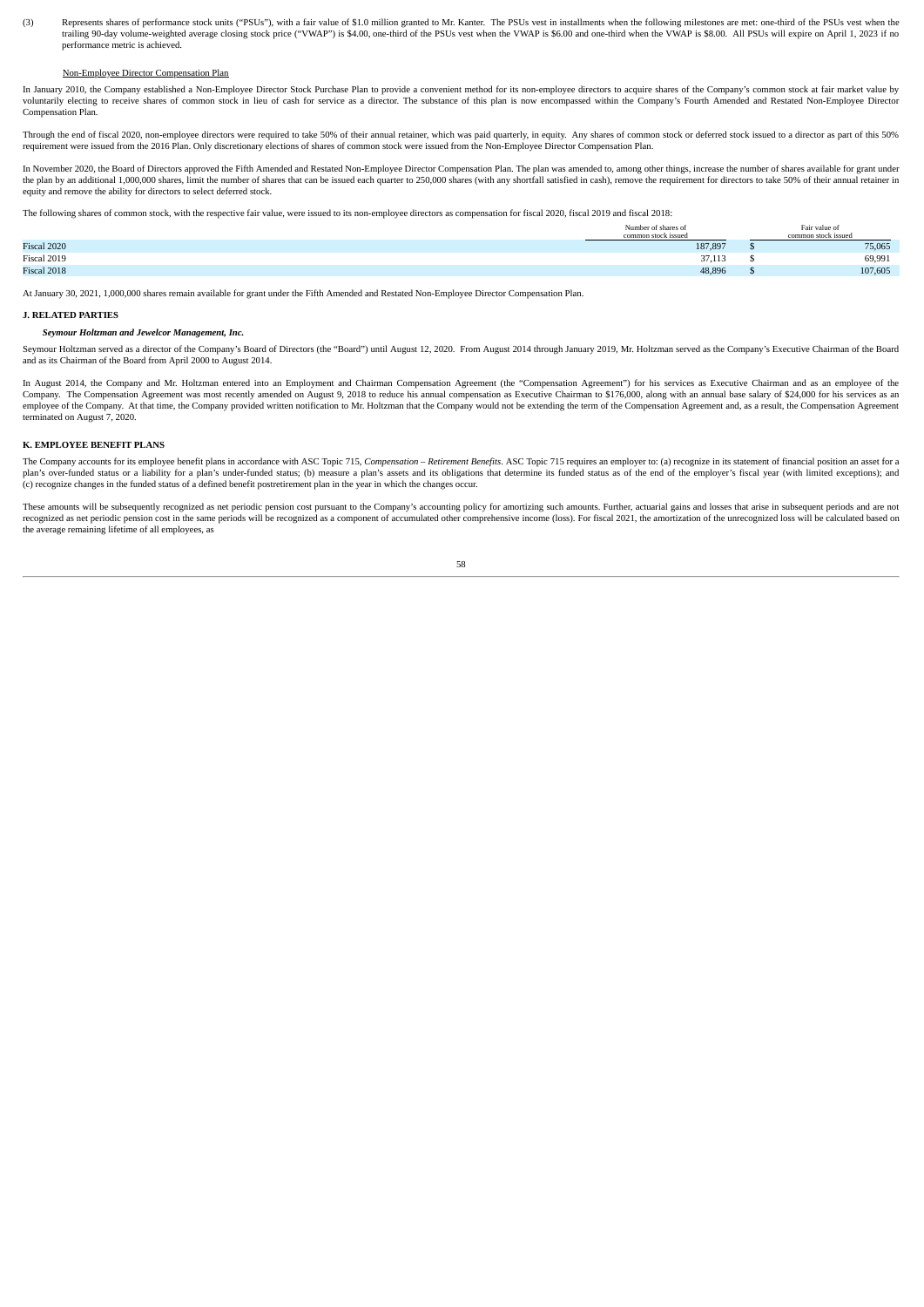(3) Represents shares of performance stock units ("PSUs"), with a fair value of \$1.0 million granted to Mr. Kanter. The PSUs vest in installments when the following milestones are met: one-third of the PSUs vest when the trailing 90-day volume-weighted average closing stock price ("VWAP") is \$4.00, one-third of the PSUs vest when the VWAP is \$6.00 and one-third when the VWAP is \$8.00. All PSUs will expire on April 1, 2023 if no<br>performance

## Non-Employee Director Compensation Plan

In January 2010, the Company established a Non-Employee Director Stock Purchase Plan to provide a convenient method for its non-employee directors to acquire shares of the Company's common stock at fair market value by voluntarily electing to receive shares of common stock in lieu of cash for service as a director. The substance of this plan is now encompassed within the Company's Fourth Amended and Restated Non-Employee Director Compensation Plan.

Through the end of fiscal 2020, non-employee directors were required to take 50% of their annual retainer, which was paid quarterly, in equity. Any shares of common stock or deferred stock issued to a director as part of t requirement were issued from the 2016 Plan. Only discretionary elections of shares of common stock were issued from the Non-Employee Director Compensation Plan.

In November 2020, the Board of Directors approved the Fifth Amended and Restated Non-Employee Director Compensation Plan. The plan was amended to, among other things, increase the number of shares available for grant under equity and remove the ability for directors to select deferred stock.

The following shares of common stock, with the respective fair value, were issued to its non-employee directors as compensation for fiscal 2020, fiscal 2019 and fiscal 2018:

|             | Number of shares of<br>common stock issued | Fair value of<br>ommon stock issued. |         |  |  |
|-------------|--------------------------------------------|--------------------------------------|---------|--|--|
| Fiscal 2020 | 187,897                                    |                                      | 75,065  |  |  |
| Fiscal 2019 | 37,113                                     |                                      | 69,991  |  |  |
| Fiscal 2018 | 48,896                                     |                                      | 107,605 |  |  |

At January 30, 2021, 1,000,000 shares remain available for grant under the Fifth Amended and Restated Non-Employee Director Compensation Plan.

#### **J. RELATED PARTIES**

#### *Seymour Holtzman and Jewelcor Management, Inc.*

Seymour Holtzman served as a director of the Company's Board of Directors (the "Board") until August 12, 2020. From August 2014 through January 2019, Mr. Holtzman served as the Company's Executive Chairman of the Board and as its Chairman of the Board from April 2000 to August 2014.

In August 2014, the Company and Mr. Holtzman entered into an Employment and Chairman Compensation Agreement (the "Compensation Agreement") for his services as Executive Chairman and as an employee of the Company. The Compensation Agreement was most recently amended on August 9, 2018 to reduce his annual compensation as Executive Chairman to \$176,000, along with an annual base salary of \$24,000 for his services as an<br>employ terminated on August 7, 2020.

### **K. EMPLOYEE BENEFIT PLANS**

The Company accounts for its employee benefit plans in accordance with ASC Topic 715, Compensation - Retirement Benefits. ASC Topic 715 requires an employer to: (a) recognize in its statement of financial position an asset plan's over-funded status or a liability for a plan's under-funded status; (b) measure a plan's assets and its obligations that determine its funded status as of the end of the employer's fiscal year (with limited exceptio

These amounts will be subsequently recognized as net periodic pension cost pursuant to the Company's accounting policy for amortizing such amounts. Further, actuarial gains and losses that arise in subsequent periods and a recognized as net periodic pension cost in the same periods will be recognized as a component of accumulated other comprehensive income (loss). For fiscal 2021, the amortization of the unrecognized loss will be calculated the average remaining lifetime of all employees, as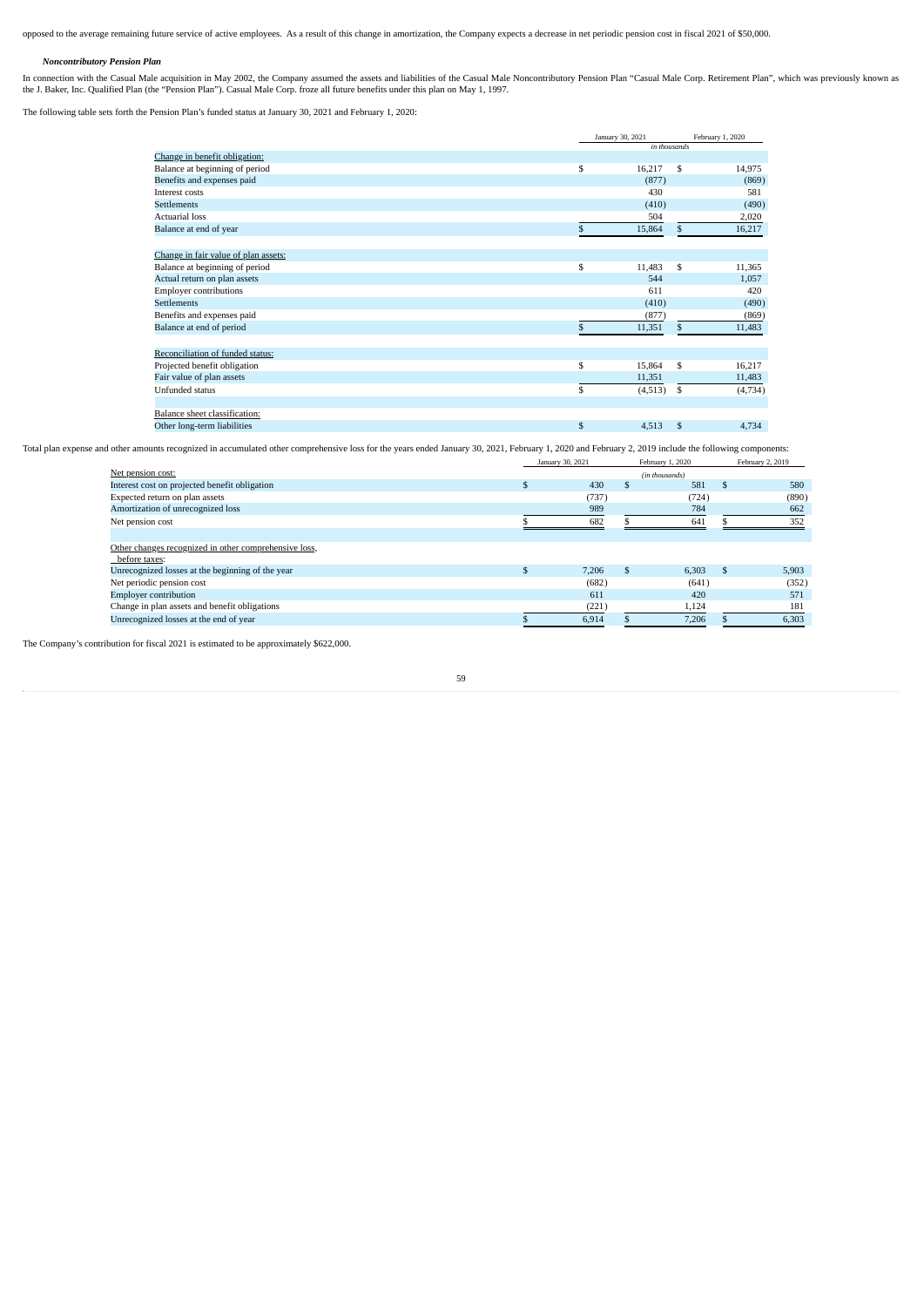opposed to the average remaining future service of active employees. As a result of this change in amortization, the Company expects a decrease in net periodic pension cost in fiscal 2021 of \$50,000.

## *Noncontributory Pension Plan*

In connection with the Casual Male acquisition in May 2002, the Company assumed the assets and liabilities of the Casual Male Noncontributory Pension Plan "Casual Male Corp. Retirement Plan", which was previously known as<br>

The following table sets forth the Pension Plan's funded status at January 30, 2021 and February 1, 2020:

|                                      |    | January 30, 2021 | February 1, 2020 |         |  |
|--------------------------------------|----|------------------|------------------|---------|--|
|                                      |    | in thousands     |                  |         |  |
| Change in benefit obligation:        |    |                  |                  |         |  |
| Balance at beginning of period       | \$ | 16,217           | S                | 14,975  |  |
| Benefits and expenses paid           |    | (877)            |                  | (869)   |  |
| Interest costs                       |    | 430              |                  | 581     |  |
| <b>Settlements</b>                   |    | (410)            |                  | (490)   |  |
| <b>Actuarial</b> loss                |    | 504              |                  | 2,020   |  |
| Balance at end of year               | \$ | 15,864           | \$               | 16,217  |  |
| Change in fair value of plan assets: |    |                  |                  |         |  |
| Balance at beginning of period       | \$ | 11,483           | S                | 11,365  |  |
| Actual return on plan assets         |    | 544              |                  | 1,057   |  |
| <b>Employer contributions</b>        |    | 611              |                  | 420     |  |
| <b>Settlements</b>                   |    | (410)            |                  | (490)   |  |
| Benefits and expenses paid           |    | (877)            |                  | (869)   |  |
| Balance at end of period             | \$ | 11,351           | \$               | 11,483  |  |
| Reconciliation of funded status:     |    |                  |                  |         |  |
| Projected benefit obligation         | S  | 15,864           | S                | 16,217  |  |
| Fair value of plan assets            |    | 11,351           |                  | 11,483  |  |
| Unfunded status                      | \$ | (4,513)          | \$               | (4,734) |  |
| Balance sheet classification:        |    |                  |                  |         |  |
| Other long-term liabilities          | \$ | 4,513            | S                | 4,734   |  |

Total plan expense and other amounts recognized in accumulated other comprehensive loss for the years ended January 30, 2021, February 1, 2020 and February 2, 2019 include the following components:

|                                                       |    | January 30, 2021 |     | February 1, 2020 |               | February 2, 2019 |
|-------------------------------------------------------|----|------------------|-----|------------------|---------------|------------------|
| Net pension cost:                                     |    |                  |     | (in thousands)   |               |                  |
| Interest cost on projected benefit obligation         | ъ  | 430              | S   | 581              | $\mathcal{S}$ | 580              |
| Expected return on plan assets                        |    | (737)            |     | (724)            |               | (890)            |
| Amortization of unrecognized loss                     |    | 989              |     | 784              |               | 662              |
| Net pension cost                                      |    | 682              |     | 641              |               | 352              |
|                                                       |    |                  |     |                  |               |                  |
| Other changes recognized in other comprehensive loss, |    |                  |     |                  |               |                  |
| before taxes:                                         |    |                  |     |                  |               |                  |
| Unrecognized losses at the beginning of the year      | D. | 7.206            | \$. | 6,303            | \$.           | 5,903            |
| Net periodic pension cost                             |    | (682)            |     | (641)            |               | (352)            |
| <b>Employer contribution</b>                          |    | 611              |     | 420              |               | 571              |
| Change in plan assets and benefit obligations         |    | (221)            |     | 1,124            |               | 181              |
| Unrecognized losses at the end of year                |    | 6,914            |     | 7,206            |               | 6,303            |
|                                                       |    |                  |     |                  |               |                  |

The Company's contribution for fiscal 2021 is estimated to be approximately \$622,000.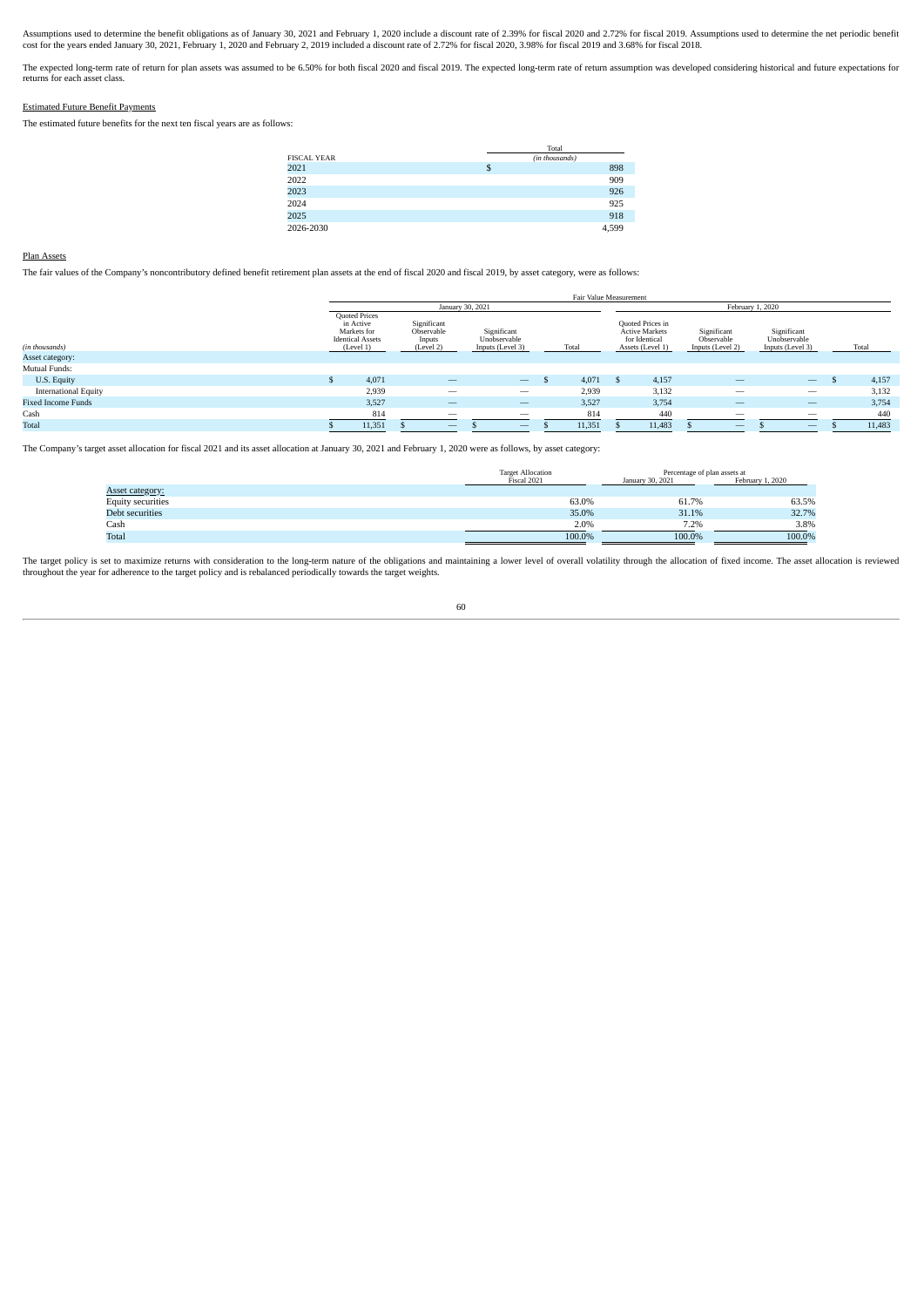Assumptions used to determine the benefit obligations as of January 30, 2021 and February 1, 2020 include a discount rate of 2.39% for fiscal 2020 and 2.72% for fiscal 2019. Assumptions used to determine the net periodic b

The expected long-term rate of return for plan assets was assumed to be 6.50% for both fiscal 2020 and fiscal 2019. The expected long-term rate of return assumption was developed considering historical and future expectati

## Estimated Future Benefit Payments

The estimated future benefits for the next ten fiscal years are as follows:

|                    | Total          |
|--------------------|----------------|
| <b>FISCAL YEAR</b> | (in thousands) |
| 2021               | 898<br>S       |
| 2022               | 909            |
| 2023               | 926            |
| 2024               | 925            |
| 2025               | 918            |
| 2026-2030          | 4,599          |

# Plan Assets

The fair values of the Company's noncontributory defined benefit retirement plan assets at the end of fiscal 2020 and fiscal 2019, by asset category, were as follows:

|                                   | Fair Value Measurement                                                            |                                                  |                                                 |  |                  |                                                                                |                                               |                                                 |  |        |
|-----------------------------------|-----------------------------------------------------------------------------------|--------------------------------------------------|-------------------------------------------------|--|------------------|--------------------------------------------------------------------------------|-----------------------------------------------|-------------------------------------------------|--|--------|
|                                   |                                                                                   |                                                  | January 30, 2021                                |  | February 1, 2020 |                                                                                |                                               |                                                 |  |        |
| (in thousands)<br>Asset category: | Quoted Prices<br>in Active<br>Markets for<br><b>Identical Assets</b><br>(Level 1) | Significant<br>Observable<br>Inputs<br>(Level 2) | Significant<br>Unobservable<br>Inputs (Level 3) |  | Total            | Quoted Prices in<br><b>Active Markets</b><br>for Identical<br>Assets (Level 1) | Significant<br>Observable<br>Inputs (Level 2) | Significant<br>Unobservable<br>Inputs (Level 3) |  | Total  |
| Mutual Funds:                     |                                                                                   |                                                  |                                                 |  |                  |                                                                                |                                               |                                                 |  |        |
| U.S. Equity                       | 4,071                                                                             |                                                  | $\overline{\phantom{m}}$                        |  | 4,071            | 4,157<br>-S                                                                    |                                               | $\hspace{0.1mm}-\hspace{0.1mm}$                 |  | 4,157  |
| <b>International Equity</b>       | 2,939                                                                             |                                                  | $-$                                             |  | 2,939            | 3,132                                                                          |                                               |                                                 |  | 3,132  |
| <b>Fixed Income Funds</b>         | 3,527                                                                             |                                                  | $\overline{\phantom{0}}$                        |  | 3,527            | 3,754                                                                          |                                               |                                                 |  | 3,754  |
| Cash                              | 814                                                                               | $\overline{\phantom{a}}$                         | __                                              |  | 814              | 440                                                                            |                                               |                                                 |  | 440    |
| Total                             | 11,351                                                                            |                                                  | $\overline{\phantom{0}}$                        |  | 11,351           | 11,483                                                                         |                                               |                                                 |  | 11,483 |

The Company's target asset allocation for fiscal 2021 and its asset allocation at January 30, 2021 and February 1, 2020 were as follows, by asset category:

|                   | <b>Target Allocation</b><br>Fiscal 2021 | Percentage of plan assets at<br>January 30, 2021 | February 1, 2020 |
|-------------------|-----------------------------------------|--------------------------------------------------|------------------|
| Asset category:   |                                         |                                                  |                  |
| Equity securities | 63.0%                                   | 61.7%                                            | 63.5%            |
| Debt securities   | 35.0%                                   | 31.1%                                            | 32.7%            |
| Cash              | 2.0%                                    | 7.2%                                             | 3.8%             |
| Total             | 100.0%                                  | 100.0%                                           | 100.0%           |

The target policy is set to maximize returns with consideration to the long-term nature of the obligations and maintaining a lower level of overall volatility through the allocation of fixed income. The asset allocation is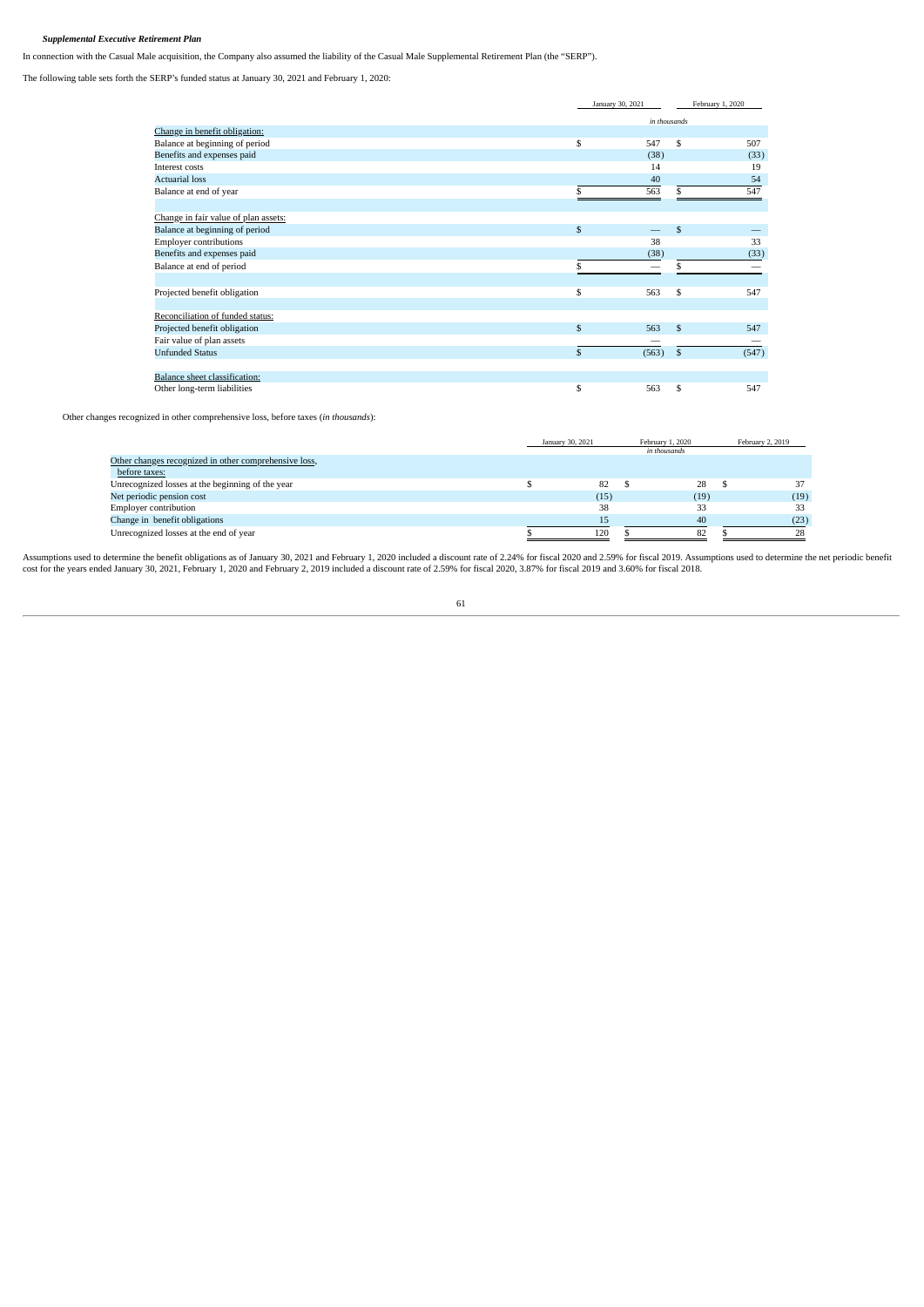## *Supplemental Executive Retirement Plan*

In connection with the Casual Male acquisition, the Company also assumed the liability of the Casual Male Supplemental Retirement Plan (the "SERP").

The following table sets forth the SERP's funded status at January 30, 2021 and February 1, 2020:

|                                      | January 30, 2021            | February 1, 2020 |
|--------------------------------------|-----------------------------|------------------|
|                                      | in thousands                |                  |
| Change in benefit obligation:        |                             |                  |
| Balance at beginning of period       | \$<br>\$<br>547             | 507              |
| Benefits and expenses paid           | (38)                        | (33)             |
| Interest costs                       | 14                          | 19               |
| <b>Actuarial loss</b>                | 40                          | 54               |
| Balance at end of year               | 563<br>\$                   | 547              |
|                                      |                             |                  |
| Change in fair value of plan assets: |                             |                  |
| Balance at beginning of period       | \$<br>\$                    |                  |
| <b>Employer contributions</b>        | 38                          | 33               |
| Benefits and expenses paid           | (38)                        | (33)             |
| Balance at end of period             | \$                          |                  |
|                                      |                             |                  |
| Projected benefit obligation         | \$<br>\$<br>563             | 547              |
|                                      |                             |                  |
| Reconciliation of funded status:     |                             |                  |
| Projected benefit obligation         | \$<br>\$<br>563             | 547              |
| Fair value of plan assets            |                             |                  |
| <b>Unfunded Status</b>               | \$<br>(563)<br>$\mathbb{S}$ | (547)            |
|                                      |                             |                  |
| Balance sheet classification:        |                             |                  |
| Other long-term liabilities          | \$<br>S<br>563              | 547              |

Other changes recognized in other comprehensive loss, before taxes (*in thousands*):

|                                                       | January 30, 2021 | February 1, 2020 | February 2, 2019 |
|-------------------------------------------------------|------------------|------------------|------------------|
|                                                       |                  | in thousands     |                  |
| Other changes recognized in other comprehensive loss, |                  |                  |                  |
| before taxes:                                         |                  |                  |                  |
| Unrecognized losses at the beginning of the year      | 82               | 28               | 37               |
| Net periodic pension cost                             | (15)             | (19)             | (19)             |
| <b>Employer contribution</b>                          | 38               | 33               | 33               |
| Change in benefit obligations                         | 15               | 40               | (23)             |
| Unrecognized losses at the end of year                | 120              | 82               | 28               |
|                                                       |                  |                  |                  |

Assumptions used to determine the benefit obligations as of January 30, 2021 and February 1, 2020 included a discount rate of 2.24% for fiscal 2020 and 2.59% for fiscal 2019. Assumptions used to determine the net periodic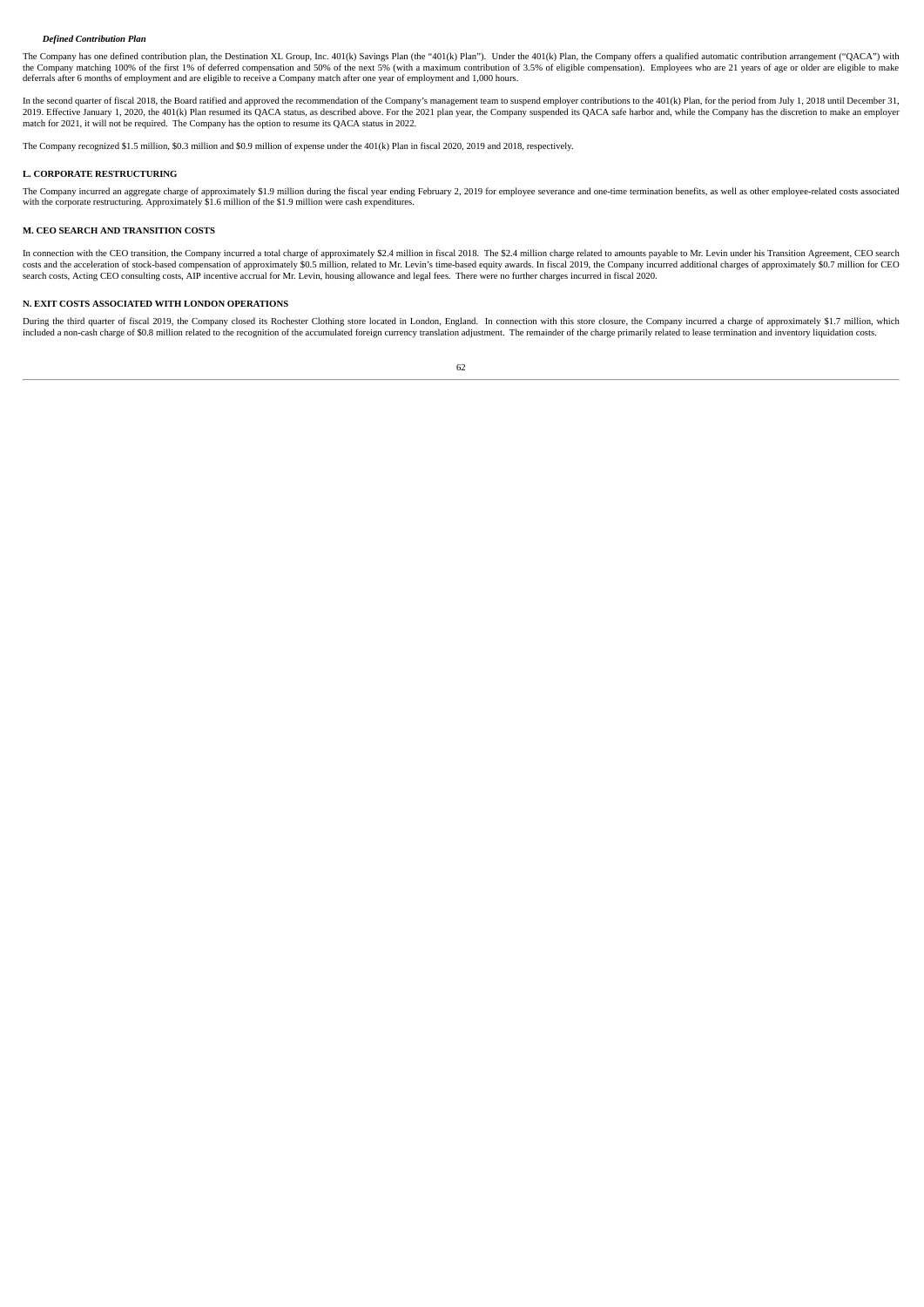### *Defined Contribution Plan*

The Company has one defined contribution plan, the Destination XL Group, Inc. 401(k) Savings Plan (the "401(k) Plan"). Under the 401(k) Plan, the Company offers a qualified automatic contribution arrangement ("QACA") with the Company matching 100% of the first 1% of deferred compensation and 50% of the next 5% (with a maximum contribution of 3.5% of eligible compensation). Employees who are 21 years of age or older are eligible to make<br>defe

In the second quarter of fiscal 2018, the Board ratified and approved the recommendation of the Company's management team to suspend employer contributions to the 401(k) Plan, for the period from July 1, 2018 until Decembe

The Company recognized \$1.5 million, \$0.3 million and \$0.9 million of expense under the 401(k) Plan in fiscal 2020, 2019 and 2018, respectively.

### **L. CORPORATE RESTRUCTURING**

The Company incurred an aggregate charge of approximately \$1.9 million during the fiscal year ending February 2, 2019 for employee severance and one-time termination benefits, as well as other employee-related costs associ with the corporate restructuring. Approximately \$1.6 million of the \$1.9 million were cash expenditures.

## **M. CEO SEARCH AND TRANSITION COSTS**

In connection with the CEO transition, the Company incurred a total charge of approximately \$2.4 million in fiscal 2018. The \$2.4 million charge related to amounts payable to Mr. Levin under his Transition Agreement, CEO s costs and the acceleration of stock-based compensation of approximately \$0.5 million, related to Mr. Levin's time-based equity awards. In fiscal 2019, the Company incurred additional charges of approximately \$0.7 million f search costs, Acting CEO consulting costs, AIP incentive accrual for Mr. Levin, housing allowance and legal fees. There were no further charges incurred in fiscal 2020.

### **N. EXIT COSTS ASSOCIATED WITH LONDON OPERATIONS**

During the third quarter of fiscal 2019, the Company closed its Rochester Clothing store located in London, England. In connection with this store closure, the Company incurred a charge of approximately \$1.7 million, which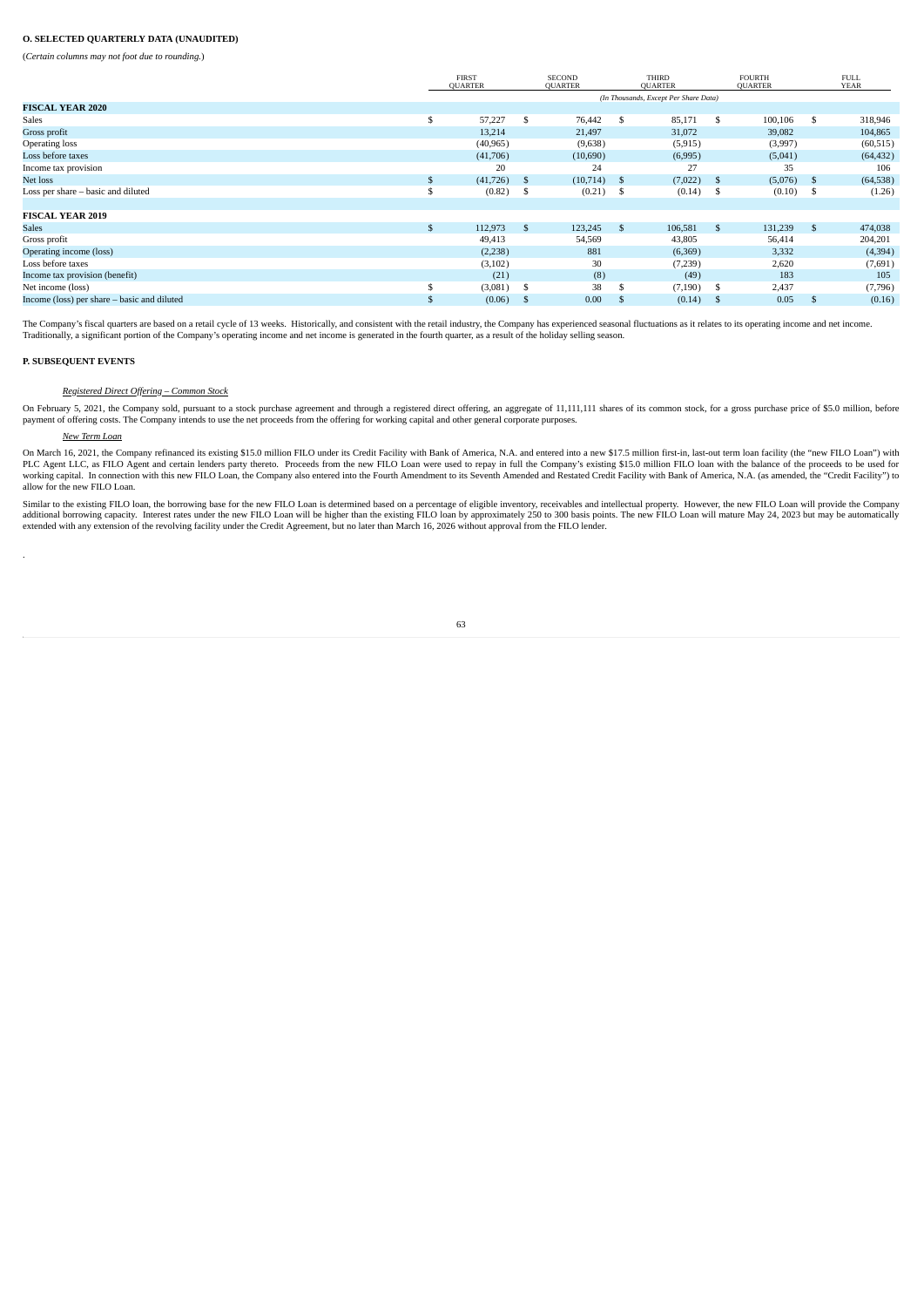## **O. SELECTED QUARTERLY DATA (UNAUDITED)**

(*Certain columns may not foot due to rounding.*)

|                                             |              | <b>FIRST</b><br><b>QUARTER</b> |     | <b>SECOND</b><br><b>QUARTER</b> |              | THIRD<br><b>QUARTER</b>               |    | <b>FOURTH</b><br><b>QUARTER</b> |      | ${\rm FULL}$<br>YEAR |
|---------------------------------------------|--------------|--------------------------------|-----|---------------------------------|--------------|---------------------------------------|----|---------------------------------|------|----------------------|
|                                             |              |                                |     |                                 |              | (In Thousands, Except Per Share Data) |    |                                 |      |                      |
| <b>FISCAL YEAR 2020</b>                     |              |                                |     |                                 |              |                                       |    |                                 |      |                      |
| Sales                                       | S            | 57,227                         | S   | 76,442                          | \$           | 85,171                                | S  | 100,106                         | -S   | 318,946              |
| Gross profit                                |              | 13,214                         |     | 21,497                          |              | 31,072                                |    | 39,082                          |      | 104,865              |
| Operating loss                              |              | (40, 965)                      |     | (9,638)                         |              | (5, 915)                              |    | (3,997)                         |      | (60, 515)            |
| Loss before taxes                           |              | (41,706)                       |     | (10,690)                        |              | (6,995)                               |    | (5,041)                         |      | (64, 432)            |
| Income tax provision                        |              | 20                             |     | 24                              |              | 27                                    |    | 35                              |      | 106                  |
| Net loss                                    | \$           | (41, 726)                      | S   | (10, 714)                       | -S           | (7,022)                               | -S | (5,076)                         | - \$ | (64, 538)            |
| Loss per share - basic and diluted          | \$.          | (0.82)                         | S   | (0.21)                          | -S           | (0.14)                                | S  | (0.10)                          | - \$ | (1.26)               |
|                                             |              |                                |     |                                 |              |                                       |    |                                 |      |                      |
| <b>FISCAL YEAR 2019</b>                     |              |                                |     |                                 |              |                                       |    |                                 |      |                      |
| <b>Sales</b>                                | $\mathbb{S}$ | 112,973                        | S   | 123,245                         | $\mathbf{s}$ | 106,581                               | S  | 131,239                         | -S   | 474,038              |
| Gross profit                                |              | 49,413                         |     | 54,569                          |              | 43,805                                |    | 56,414                          |      | 204,201              |
| Operating income (loss)                     |              | (2,238)                        |     | 881                             |              | (6,369)                               |    | 3,332                           |      | (4,394)              |
| Loss before taxes                           |              | (3, 102)                       |     | 30                              |              | (7,239)                               |    | 2,620                           |      | (7,691)              |
| Income tax provision (benefit)              |              | (21)                           |     | (8)                             |              | (49)                                  |    | 183                             |      | 105                  |
| Net income (loss)                           | \$.          | (3,081)                        | \$. | 38                              | Э'n          | (7, 190)                              | -S | 2,437                           |      | (7,796)              |
| Income (loss) per share - basic and diluted |              | (0.06)                         | S   | 0.00                            | ъ            | (0.14)                                | S  | 0.05                            | - \$ | (0.16)               |

The Company's fiscal quarters are based on a retail cycle of 13 weeks. Historically, and consistent with the retail industry, the Company has experienced seasonal fluctuations as it relates to its operating income and net Traditionally, a significant portion of the Company's operating income and net income is generated in the fourth quarter, as a result of the holiday selling season.

### **P. SUBSEQUENT EVENTS**

## *Registered Direct Offering – Common Stock*

On February 5, 2021, the Company sold, pursuant to a stock purchase agreement and through a registered direct offering, an aggregate of 11,111,111 shares of its common stock, for a gross purchase price of \$5.0 million, bef

### *New Term Loan*

.

On March 16, 2021, the Company refinanced its existing \$15.0 million FILO under its Credit Facility with Bank of America, N.A. and entered into a new \$17.5 million first-in, last-out term loan facility (the "new FILO Loan" PLC Agent LLC, as FILO Agent and certain lenders party thereto. Proceeds from the new FILO Loan were used to repay in full the Company's existing \$15.0 million FILO loan with the balance of the proceeds to be used for<br>work allow for the new FILO Loan.

Similar to the existing FILO loan, the borrowing base for the new FILO Loan is determined based on a percentage of eligible inventory, receivables and intellectual property. However, the new FILO Loan will provide the Comp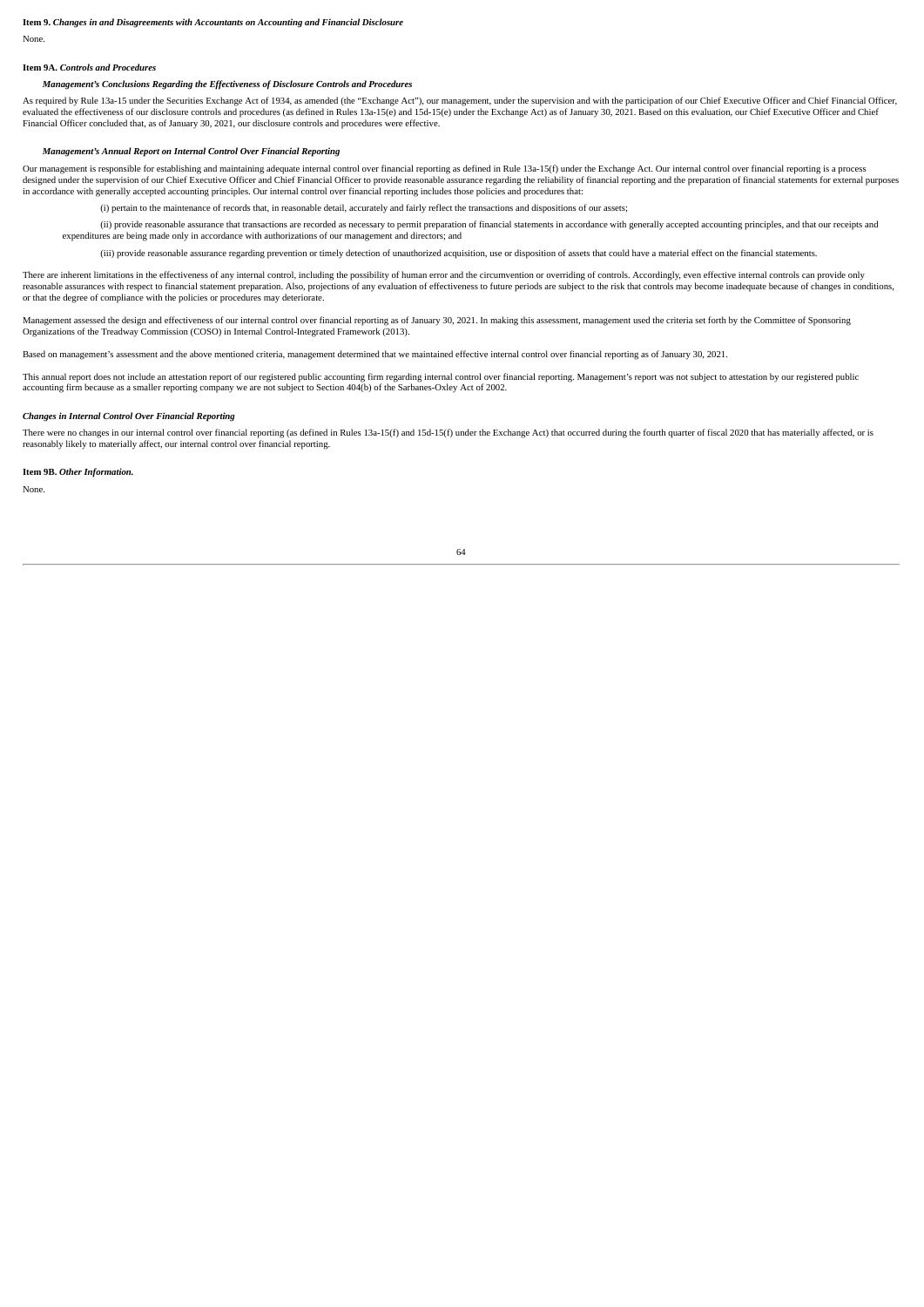**Item 9.** *Changes in and Disagreements with Accountants on Accounting and Financial Disclosure*

None.

## **Item 9A.** *Controls and Procedures*

# *Management's Conclusions Regarding the Effectiveness of Disclosure Controls and Procedures*

As required by Rule 13a-15 under the Securities Exchange Act of 1934, as amended (the "Exchange Act"), our management, under the supervision and with the participation of our Chief Executive Officer and Chief Financial Off Financial Officer concluded that, as of January 30, 2021, our disclosure controls and procedures were effective.

## *Management's Annual Report on Internal Control Over Financial Reporting*

Our management is responsible for establishing and maintaining adequate internal control over financial reporting as defined in Rule 13a-15(f) under the Exchange Act. Our internal control over financial reporting is a proc in accordance with generally accepted accounting principles. Our internal control over financial reporting includes those policies and procedures that:

(i) pertain to the maintenance of records that, in reasonable detail, accurately and fairly reflect the transactions and dispositions of our assets;

(ii) provide reasonable assurance that transactions are recorded as necessary to permit preparation of financial statements in accordance with generally accepted accounting principles, and that our receipts and expenditures are being made only in accordance with authorizations of our management and directors; and

(iii) provide reasonable assurance regarding prevention or timely detection of unauthorized acquisition, use or disposition of assets that could have a material effect on the financial statements.

There are inherent limitations in the effectiveness of any internal control, including the possibility of human error and the circumvention or overriding of controls. Accordingly, even effective internal controls can provi reasonable assurances with respect to financial statement preparation. Also, projections of any evaluation of effectiveness to future periods are subject to the risk that controls may become inadequate because of changes i or that the degree of compliance with the policies or procedures may deteriorate.

Management assessed the design and effectiveness of our internal control over financial reporting as of January 30, 2021. In making this assessment, management used the criteria set forth by the Committee of Sponsoring Organizations of the Treadway Commission (COSO) in Internal Control-Integrated Framework (2013).

Based on management's assessment and the above mentioned criteria, management determined that we maintained effective internal control over financial reporting as of January 30, 2021.

This annual report does not include an attestation report of our registered public accounting firm regarding internal control over financial reporting. Managemen's report was not subject to attestation by our registered pu accounting firm because as a smaller reporting company we are not subject to Section 404(b) of the Sarbanes–Oxley Act of 2002.

## *Changes in Internal Control Over Financial Reporting*

There were no changes in our internal control over financial reporting (as defined in Rules 13a-15(f) and 15d-15(f) under the Exchange Act) that occurred during the fourth quarter of fiscal 2020 that has materially affecte

**Item 9B.** *Other Information.*

None.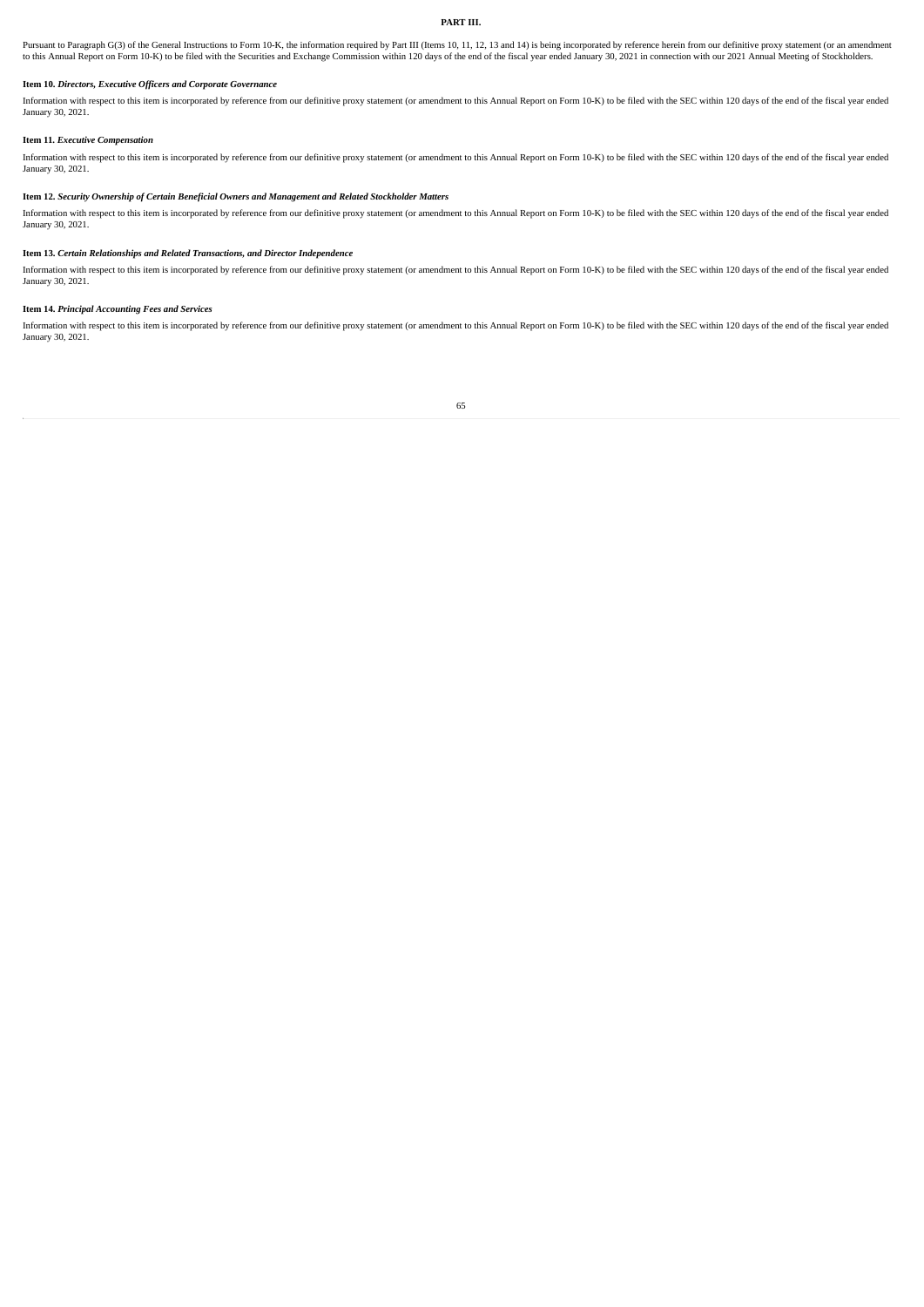## **PART III.**

Pursuant to Paragraph G(3) of the General Instructions to Form 10-K, the information required by Part III (Items 10, 11, 12, 13 and 14) is being incorporated by reference herein from our definitive proxy statement (or an a to this Annual Report on Form 10-K) to be filed with the Securities and Exchange Commission within 120 days of the end of the fiscal year ended January 30, 2021 in connection with our 2021 Annual Meeting of Stockholders.

### **Item 10.** *Directors, Executive Officers and Corporate Governance*

Information with respect to this item is incorporated by reference from our definitive proxy statement (or amendment to this Annual Report on Form 10-K) to be filed with the SEC within 120 days of the end of the fiscal yea January 30, 2021.

## **Item 11.** *Executive Compensation*

Information with respect to this item is incorporated by reference from our definitive proxy statement (or amendment to this Annual Report on Form 10-K) to be filed with the SEC within 120 days of the end of the fiscal yea January 30, 2021.

## **Item 12.** *Security Ownership of Certain Beneficial Owners and Management and Related Stockholder Matters*

Information with respect to this item is incorporated by reference from our definitive proxy statement (or amendment to this Annual Report on Form 10-K) to be filed with the SEC within 120 days of the end of the fiscal yea January 30, 2021.

## **Item 13.** *Certain Relationships and Related Transactions, and Director Independence*

Information with respect to this item is incorporated by reference from our definitive proxy statement (or amendment to this Annual Report on Form 10-K) to be filed with the SEC within 120 days of the end of the fiscal yea January 30, 2021.

## **Item 14.** *Principal Accounting Fees and Services*

Information with respect to this item is incorporated by reference from our definitive proxy statement (or amendment to this Annual Report on Form 10-K) to be filed with the SEC within 120 days of the end of the fiscal yea January 30, 2021.

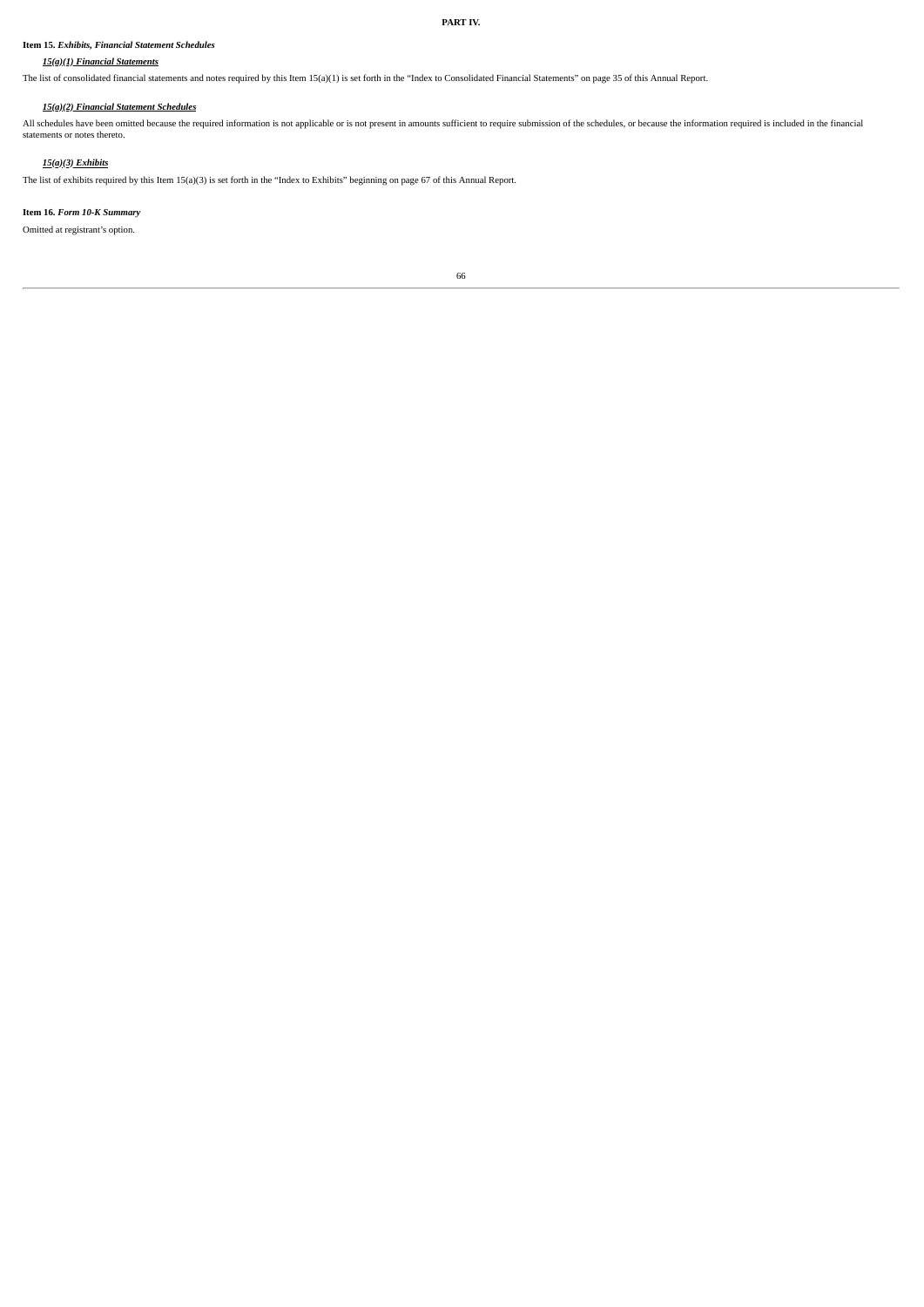# **Item 15.** *Exhibits, Financial Statement Schedules*

# *15(a)(1) Financial Statements*

The list of consolidated financial statements and notes required by this Item 15(a)(1) is set forth in the "Index to Consolidated Financial Statements" on page 35 of this Annual Report.

# *15(a)(2) Financial Statement Schedules*

All schedules have been omitted because the required information is not applicable or is not present in amounts sufficient to require submission of the schedules, or because the information required is included in the fina statements or notes thereto.

**PART IV.**

## *15(a)(3) Exhibits*

The list of exhibits required by this Item 15(a)(3) is set forth in the "Index to Exhibits" beginning on page 67 of this Annual Report.

**Item 16.** *Form 10-K Summary* Omitted at registrant's option.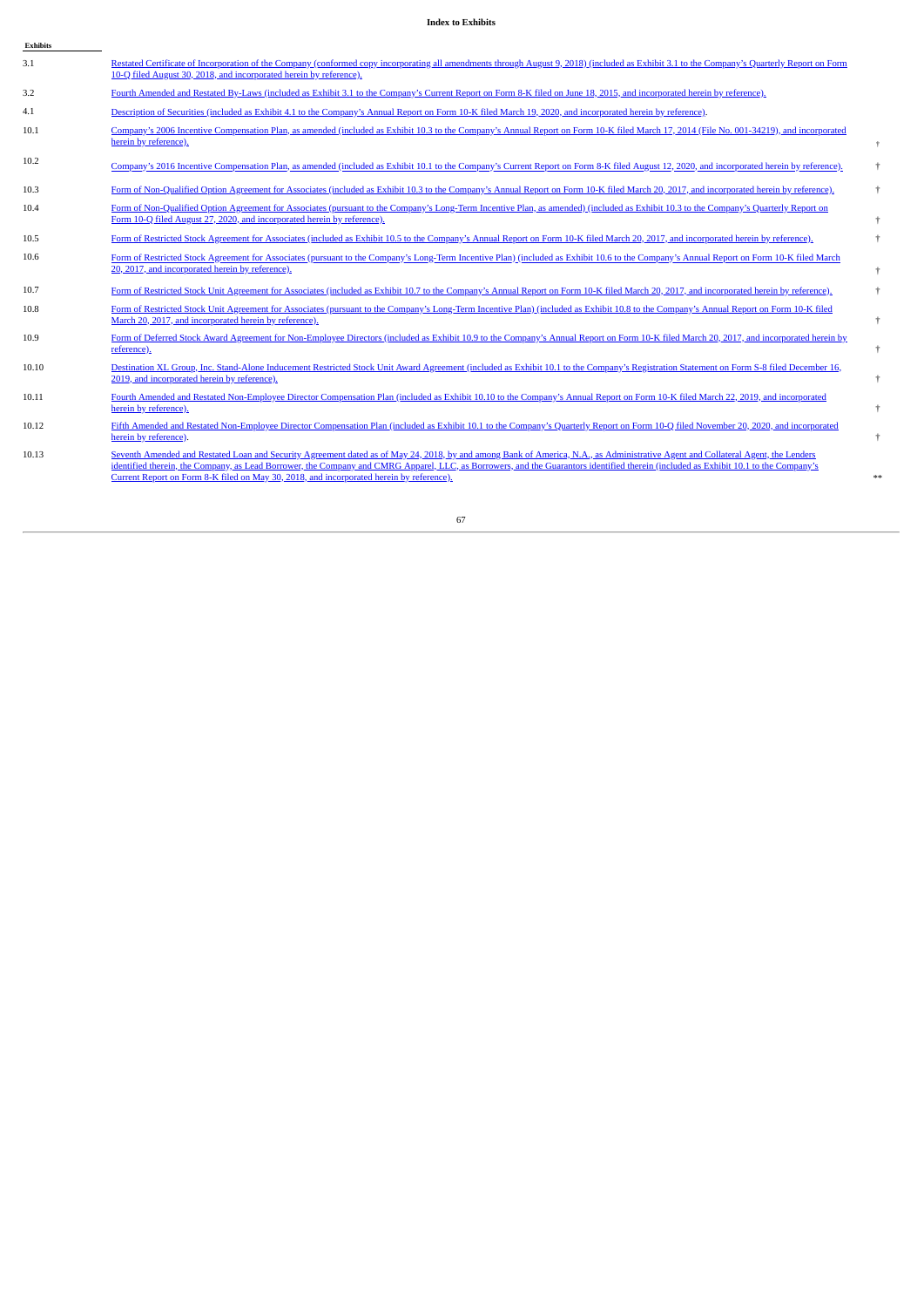# **Index to Exhibits**

| <b>Exhibits</b> |                                                                                                                                                                                                                                                                                                                                                                                                                                                                      |            |
|-----------------|----------------------------------------------------------------------------------------------------------------------------------------------------------------------------------------------------------------------------------------------------------------------------------------------------------------------------------------------------------------------------------------------------------------------------------------------------------------------|------------|
| 3.1             | Restated Certificate of Incorporation of the Company (conformed copy incorporating all amendments through August 9, 2018) (included as Exhibit 3.1 to the Company's Quarterly Report on Form<br>10-Q filed August 30, 2018, and incorporated herein by reference).                                                                                                                                                                                                   |            |
| 3.2             | Fourth Amended and Restated By-Laws (included as Exhibit 3.1 to the Company's Current Report on Form 8-K filed on June 18, 2015, and incorporated herein by reference).                                                                                                                                                                                                                                                                                              |            |
| 4.1             | Description of Securities (included as Exhibit 4.1 to the Company's Annual Report on Form 10-K filed March 19, 2020, and incorporated herein by reference).                                                                                                                                                                                                                                                                                                          |            |
| 10.1            | Company's 2006 Incentive Compensation Plan, as amended (included as Exhibit 10.3 to the Company's Annual Report on Form 10-K filed March 17, 2014 (File No. 001-34219), and incorporated<br>herein by reference).                                                                                                                                                                                                                                                    |            |
| 10.2            | Company's 2016 Incentive Compensation Plan, as amended (included as Exhibit 10.1 to the Company's Current Report on Form 8-K filed August 12, 2020, and incorporated herein by reference).                                                                                                                                                                                                                                                                           |            |
| 10.3            | Form of Non-Qualified Option Agreement for Associates (included as Exhibit 10.3 to the Company's Annual Report on Form 10-K filed March 20, 2017, and incorporated herein by reference).                                                                                                                                                                                                                                                                             |            |
| 10.4            | Form of Non-Qualified Option Agreement for Associates (pursuant to the Company's Long-Term Incentive Plan, as amended) (included as Exhibit 10.3 to the Company's Quarterly Report on<br>Form 10-O filed August 27, 2020, and incorporated herein by reference).                                                                                                                                                                                                     |            |
| 10.5            | Form of Restricted Stock Agreement for Associates (included as Exhibit 10.5 to the Company's Annual Report on Form 10-K filed March 20, 2017, and incorporated herein by reference).                                                                                                                                                                                                                                                                                 |            |
| 10.6            | Form of Restricted Stock Agreement for Associates (pursuant to the Company's Long-Term Incentive Plan) (included as Exhibit 10.6 to the Company's Annual Report on Form 10-K filed March<br>20, 2017, and incorporated herein by reference).                                                                                                                                                                                                                         |            |
| 10.7            | Form of Restricted Stock Unit Agreement for Associates (included as Exhibit 10.7 to the Company's Annual Report on Form 10-K filed March 20, 2017, and incorporated herein by reference),                                                                                                                                                                                                                                                                            |            |
| 10.8            | Form of Restricted Stock Unit Agreement for Associates (pursuant to the Company's Long-Term Incentive Plan) (included as Exhibit 10.8 to the Company's Annual Report on Form 10-K filed<br>March 20, 2017, and incorporated herein by reference).                                                                                                                                                                                                                    | Ť          |
| 10.9            | Form of Deferred Stock Award Agreement for Non-Employee Directors (included as Exhibit 10.9 to the Company's Annual Report on Form 10-K filed March 20, 2017, and incorporated herein by<br>reference).                                                                                                                                                                                                                                                              | $\ddagger$ |
| 10.10           | Destination XL Group, Inc. Stand-Alone Inducement Restricted Stock Unit Award Agreement (included as Exhibit 10.1 to the Company's Registration Statement on Form S-8 filed December 16,<br>2019, and incorporated herein by reference).                                                                                                                                                                                                                             |            |
| 10.11           | Fourth Amended and Restated Non-Employee Director Compensation Plan (included as Exhibit 10.10 to the Company's Annual Report on Form 10-K filed March 22, 2019, and incorporated<br>herein by reference).                                                                                                                                                                                                                                                           |            |
| 10.12           | Fifth Amended and Restated Non-Employee Director Compensation Plan (included as Exhibit 10.1 to the Company's Quarterly Report on Form 10-Q filed November 20, 2020, and incorporated<br>herein by reference).                                                                                                                                                                                                                                                       | $\ddagger$ |
| 10.13           | Seventh Amended and Restated Loan and Security Agreement dated as of May 24, 2018, by and among Bank of America, N.A., as Administrative Agent and Collateral Agent, the Lenders<br>identified therein, the Company, as Lead Borrower, the Company and CMRG Apparel, LLC, as Borrowers, and the Guarantors identified therein (included as Exhibit 10.1 to the Company's<br>Current Report on Form 8-K filed on May 30, 2018, and incorporated herein by reference). | $* *$      |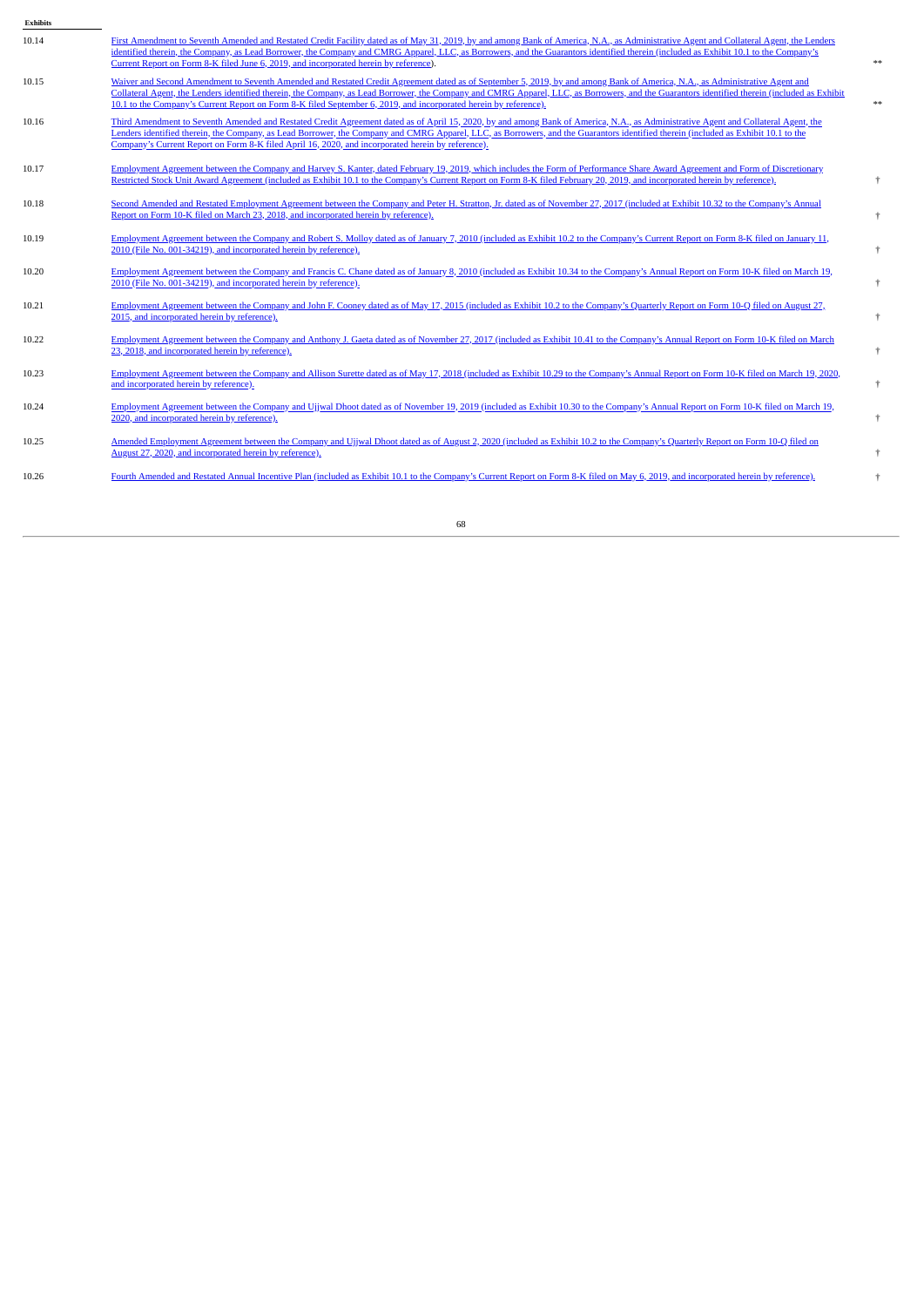| <b>Exhibits</b> |                                                                                                                                                                                                                                                                                                                                                                                                                                                                                                 |                      |
|-----------------|-------------------------------------------------------------------------------------------------------------------------------------------------------------------------------------------------------------------------------------------------------------------------------------------------------------------------------------------------------------------------------------------------------------------------------------------------------------------------------------------------|----------------------|
| 10.14           | First Amendment to Seventh Amended and Restated Credit Facility dated as of May 31, 2019, by and among Bank of America, N.A., as Administrative Agent and Collateral Agent, the Lenders<br>identified therein, the Company, as Lead Borrower, the Company and CMRG Apparel, LLC, as Borrowers, and the Guarantors identified therein (included as Exhibit 10.1 to the Company's<br>Current Report on Form 8-K filed June 6, 2019, and incorporated herein by reference).                        | $**$                 |
| 10.15           | Waiver and Second Amendment to Seventh Amended and Restated Credit Agreement dated as of September 5, 2019, by and among Bank of America, N.A., as Administrative Agent and<br>Collateral Agent, the Lenders identified therein, the Company, as Lead Borrower, the Company and CMRG Apparel, LLC, as Borrowers, and the Guarantors identified therein (included as Exhibit<br>10.1 to the Company's Current Report on Form 8-K filed September 6, 2019, and incorporated herein by reference). | $**$                 |
| 10.16           | Third Amendment to Seventh Amended and Restated Credit Agreement dated as of April 15, 2020, by and among Bank of America, N.A., as Administrative Agent and Collateral Agent, the<br>Lenders identified therein, the Company, as Lead Borrower, the Company and CMRG Apparel, LLC, as Borrowers, and the Guarantors identified therein (included as Exhibit 10.1 to the<br>Company's Current Report on Form 8-K filed April 16, 2020, and incorporated herein by reference).                   |                      |
| 10.17           | Employment Agreement between the Company and Harvey S. Kanter, dated February 19, 2019, which includes the Form of Performance Share Award Agreement and Form of Discretionary<br>Restricted Stock Unit Award Agreement (included as Exhibit 10.1 to the Company's Current Report on Form 8-K filed February 20, 2019, and incorporated herein by reference).                                                                                                                                   | Ť.                   |
| 10.18           | Second Amended and Restated Employment Agreement between the Company and Peter H. Stratton, Jr. dated as of November 27, 2017 (included at Exhibit 10.32 to the Company's Annual<br>Report on Form 10-K filed on March 23, 2018, and incorporated herein by reference).                                                                                                                                                                                                                         | $\ddot{\phantom{1}}$ |
| 10.19           | Employment Agreement between the Company and Robert S. Molloy dated as of January 7, 2010 (included as Exhibit 10.2 to the Company's Current Report on Form 8-K filed on January 11,<br>2010 (File No. 001-34219), and incorporated herein by reference).                                                                                                                                                                                                                                       | $\ddagger$           |
| 10.20           | Employment Agreement between the Company and Francis C. Chane dated as of January 8, 2010 (included as Exhibit 10.34 to the Company's Annual Report on Form 10-K filed on March 19,<br>2010 (File No. 001-34219), and incorporated herein by reference).                                                                                                                                                                                                                                        | $\dagger$            |
| 10.21           | Employment Agreement between the Company and John F. Cooney dated as of May 17, 2015 (included as Exhibit 10.2 to the Company's Quarterly Report on Form 10-Q filed on August 27,<br>2015, and incorporated herein by reference).                                                                                                                                                                                                                                                               | $\ddot{\phantom{1}}$ |
| 10.22           | Employment Agreement between the Company and Anthony J. Gaeta dated as of November 27, 2017 (included as Exhibit 10.41 to the Company's Annual Report on Form 10-K filed on March<br>23, 2018, and incorporated herein by reference).                                                                                                                                                                                                                                                           | $\ddagger$           |
| 10.23           | Employment Agreement between the Company and Allison Surette dated as of May 17, 2018 (included as Exhibit 10.29 to the Company's Annual Report on Form 10-K filed on March 19, 2020,<br>and incorporated herein by reference).                                                                                                                                                                                                                                                                 |                      |
| 10.24           | Employment Agreement between the Company and Ujjwal Dhoot dated as of November 19, 2019 (included as Exhibit 10.30 to the Company's Annual Report on Form 10-K filed on March 19,<br>2020, and incorporated herein by reference).                                                                                                                                                                                                                                                               | $\ddagger$           |
| 10.25           | Amended Employment Agreement between the Company and Ujjwal Dhoot dated as of August 2, 2020 (included as Exhibit 10.2 to the Company's Quarterly Report on Form 10-Q filed on<br>August 27, 2020, and incorporated herein by reference).                                                                                                                                                                                                                                                       |                      |
| 10.26           | Fourth Amended and Restated Annual Incentive Plan (included as Exhibit 10.1 to the Company's Current Report on Form 8-K filed on May 6, 2019, and incorporated herein by reference).                                                                                                                                                                                                                                                                                                            |                      |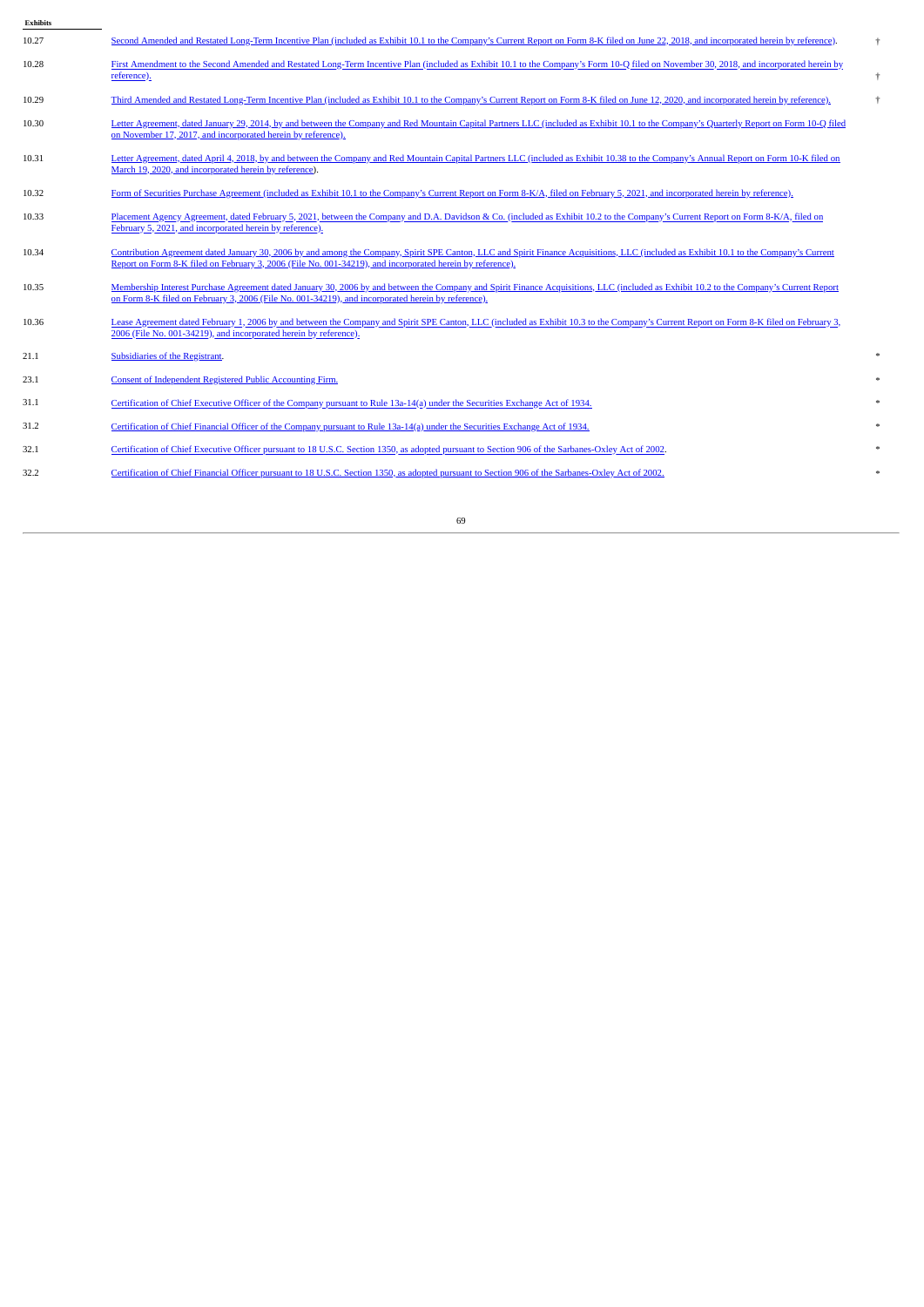| <b>Exhibits</b> |                                                                                                                                                                                                                                                                                                     |
|-----------------|-----------------------------------------------------------------------------------------------------------------------------------------------------------------------------------------------------------------------------------------------------------------------------------------------------|
| 10.27           | Second Amended and Restated Long-Term Incentive Plan (included as Exhibit 10.1 to the Company's Current Report on Form 8-K filed on June 22, 2018, and incorporated herein by reference).<br>$\ddagger$                                                                                             |
| 10.28           | First Amendment to the Second Amended and Restated Long-Term Incentive Plan (included as Exhibit 10.1 to the Company's Form 10-O filed on November 30, 2018, and incorporated herein by<br>reference).<br>$\ddagger$                                                                                |
| 10.29           | Third Amended and Restated Long-Term Incentive Plan (included as Exhibit 10.1 to the Company's Current Report on Form 8-K filed on June 12, 2020, and incorporated herein by reference).<br>$\ddagger$                                                                                              |
| 10.30           | Letter Agreement, dated January 29, 2014, by and between the Company and Red Mountain Capital Partners LLC (included as Exhibit 10.1 to the Company's Quarterly Report on Form 10-Q filed<br>on November 17, 2017, and incorporated herein by reference).                                           |
| 10.31           | Letter Agreement, dated April 4, 2018, by and between the Company and Red Mountain Capital Partners LLC (included as Exhibit 10.38 to the Company's Annual Report on Form 10-K filed on<br>March 19, 2020, and incorporated herein by reference).                                                   |
| 10.32           | Form of Securities Purchase Agreement (included as Exhibit 10.1 to the Company's Current Report on Form 8-K/A, filed on February 5, 2021, and incorporated herein by reference),                                                                                                                    |
| 10.33           | Placement Agency Agreement, dated February 5, 2021, between the Company and D.A. Davidson & Co. (included as Exhibit 10.2 to the Company's Current Report on Form 8-K/A, filed on<br>February 5, 2021, and incorporated herein by reference).                                                       |
| 10.34           | Contribution Agreement dated January 30, 2006 by and among the Company, Spirit SPE Canton, LLC and Spirit Finance Acquisitions, LLC (included as Exhibit 10.1 to the Company's Current<br>Report on Form 8-K filed on February 3, 2006 (File No. 001-34219), and incorporated herein by reference). |
| 10.35           | Membership Interest Purchase Agreement dated January 30, 2006 by and between the Company and Spirit Finance Acquisitions, LLC (included as Exhibit 10.2 to the Company's Current Report<br>on Form 8-K filed on February 3, 2006 (File No. 001-34219), and incorporated herein by reference).       |
| 10.36           | Lease Agreement dated February 1, 2006 by and between the Company and Spirit SPE Canton, LLC (included as Exhibit 10.3 to the Company's Current Report on Form 8-K filed on February 3,<br>2006 (File No. 001-34219), and incorporated herein by reference).                                        |
| 21.1            | Subsidiaries of the Registrant.                                                                                                                                                                                                                                                                     |
| 23.1            | Consent of Independent Registered Public Accounting Firm.                                                                                                                                                                                                                                           |
| 31.1            | Certification of Chief Executive Officer of the Company pursuant to Rule 13a-14(a) under the Securities Exchange Act of 1934.                                                                                                                                                                       |
| 31.2            | Certification of Chief Financial Officer of the Company pursuant to Rule 13a-14(a) under the Securities Exchange Act of 1934.                                                                                                                                                                       |
| 32.1            | Certification of Chief Executive Officer pursuant to 18 U.S.C. Section 1350, as adopted pursuant to Section 906 of the Sarbanes-Oxley Act of 2002.                                                                                                                                                  |
| 32.2            | Certification of Chief Financial Officer pursuant to 18 U.S.C. Section 1350, as adopted pursuant to Section 906 of the Sarbanes-Oxley Act of 2002.                                                                                                                                                  |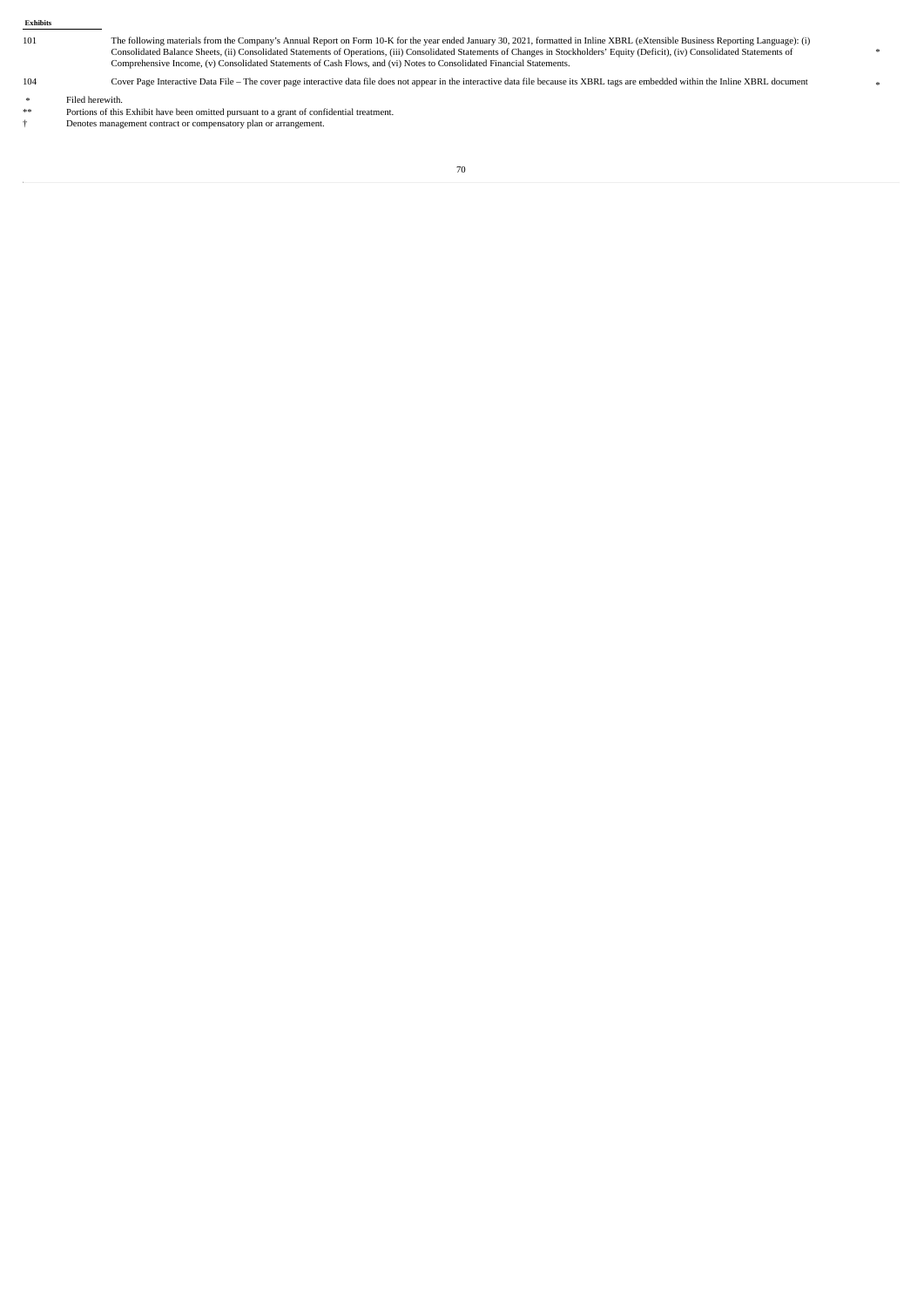| Exhibits |                                                                                                                                                                                                                                                                                                                                                                                                                                                                                                    |  |
|----------|----------------------------------------------------------------------------------------------------------------------------------------------------------------------------------------------------------------------------------------------------------------------------------------------------------------------------------------------------------------------------------------------------------------------------------------------------------------------------------------------------|--|
| 101      | The following materials from the Company's Annual Report on Form 10-K for the year ended January 30, 2021, formatted in Inline XBRL (eXtensible Business Reporting Language): (i)<br>Consolidated Balance Sheets, (ii) Consolidated Statements of Operations, (iii) Consolidated Statements of Changes in Stockholders' Equity (Deficit), (iv) Consolidated Statements of<br>Comprehensive Income, (v) Consolidated Statements of Cash Flows, and (vi) Notes to Consolidated Financial Statements. |  |
| 104      | Cover Page Interactive Data File - The cover page interactive data file does not appear in the interactive data file because its XBRL tags are embedded within the Inline XBRL document                                                                                                                                                                                                                                                                                                            |  |

\* Filed herewith.

\*\* Portions of this Exhibit have been omitted pursuant to a grant of confidential treatment. † Denotes management contract or compensatory plan or arrangement.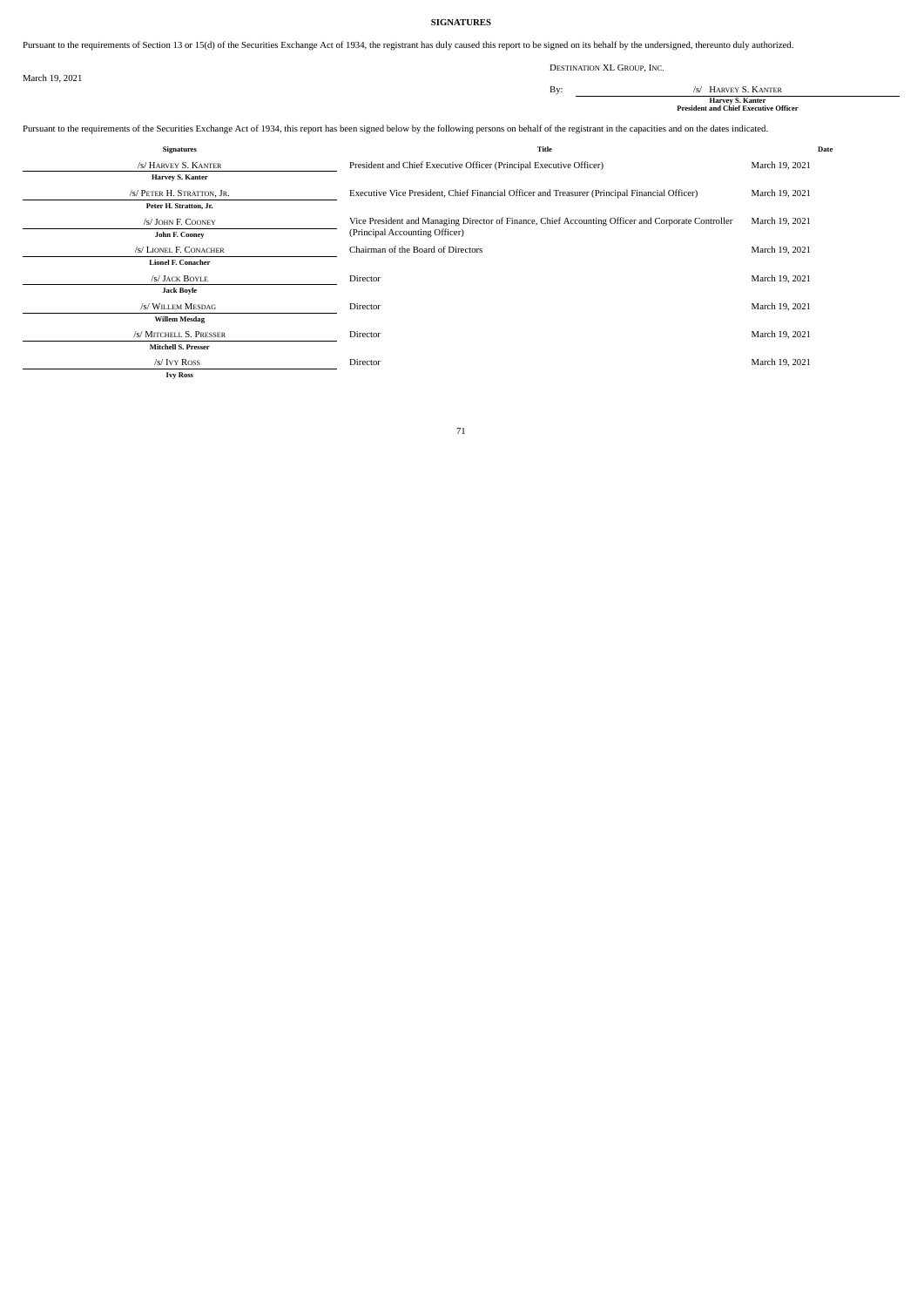## **SIGNATURES**

Pursuant to the requirements of Section 13 or 15(d) of the Securities Exchange Act of 1934, the registrant has duly caused this report to be signed on its behalf by the undersigned, thereunto duly authorized.

DESTINATION XL GROUP, INC.

By: /s/ Harvey S. KANTER<br> **Harvey** S. Kanter<br> **President and Chief** Executive Officer

Pursuant to the requirements of the Securities Exchange Act of 1934, this report has been signed below by the following persons on behalf of the registrant in the capacities and on the dates indicated.

March 19, 2021

| <b>Signatures</b>          | Title                                                                                              | Date           |
|----------------------------|----------------------------------------------------------------------------------------------------|----------------|
| /s/ HARVEY S. KANTER       | President and Chief Executive Officer (Principal Executive Officer)                                | March 19, 2021 |
| Harvey S. Kanter           |                                                                                                    |                |
| /s/ PETER H. STRATTON, JR. | Executive Vice President, Chief Financial Officer and Treasurer (Principal Financial Officer)      | March 19, 2021 |
| Peter H. Stratton, Jr.     |                                                                                                    |                |
| /s/ JOHN F. COONEY         | Vice President and Managing Director of Finance, Chief Accounting Officer and Corporate Controller | March 19, 2021 |
| <b>John F. Cooney</b>      | (Principal Accounting Officer)                                                                     |                |
| /s/ LIONEL F. CONACHER     | Chairman of the Board of Directors                                                                 | March 19, 2021 |
| <b>Lionel F. Conacher</b>  |                                                                                                    |                |
| /s/ JACK BOYLE             | Director                                                                                           | March 19, 2021 |
| <b>Jack Boyle</b>          |                                                                                                    |                |
| /s/ WILLEM MESDAG          | Director                                                                                           | March 19, 2021 |
| <b>Willem Mesdag</b>       |                                                                                                    |                |
| /s/ MITCHELL S. PRESSER    | Director                                                                                           | March 19, 2021 |
| <b>Mitchell S. Presser</b> |                                                                                                    |                |
| /s/ Ivy Ross               | Director                                                                                           | March 19, 2021 |
| <b>Ivy Ross</b>            |                                                                                                    |                |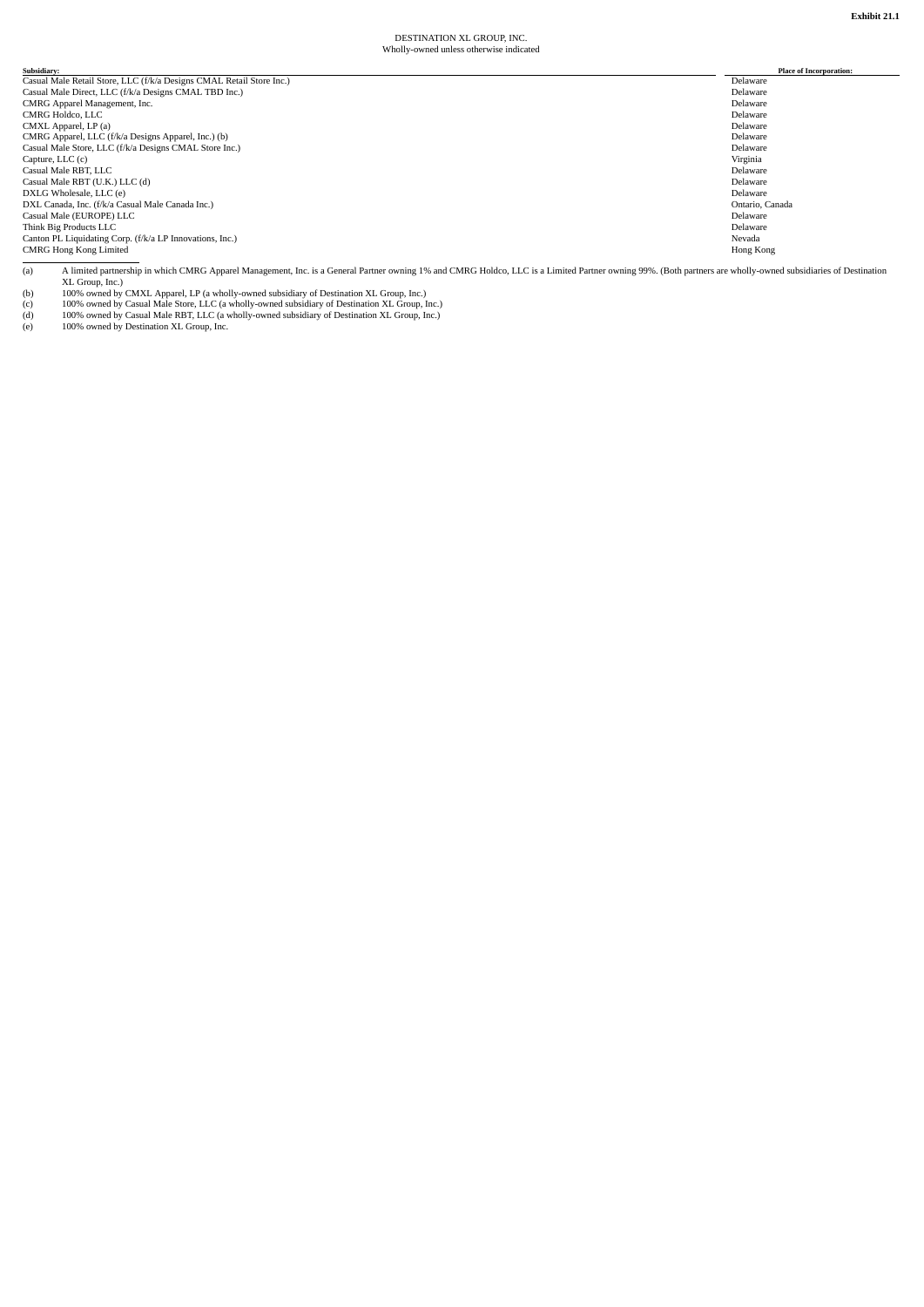### DESTINATION XL GROUP, INC. Wholly-owned unless otherwise indicated

<span id="page-71-0"></span>

| Subsidiary:                                                          | <b>Place of Incorporation:</b> |
|----------------------------------------------------------------------|--------------------------------|
| Casual Male Retail Store, LLC (f/k/a Designs CMAL Retail Store Inc.) | Delaware                       |
| Casual Male Direct, LLC (f/k/a Designs CMAL TBD Inc.)                | Delaware                       |
| CMRG Apparel Management, Inc.                                        | Delaware                       |
| CMRG Holdco, LLC                                                     | Delaware                       |
| CMXL Apparel, LP (a)                                                 | Delaware                       |
| CMRG Apparel, LLC (f/k/a Designs Apparel, Inc.) (b)                  | Delaware                       |
| Casual Male Store, LLC (f/k/a Designs CMAL Store Inc.)               | Delaware                       |
| Capture, LLC (c)                                                     | Virginia                       |
| Casual Male RBT, LLC                                                 | Delaware                       |
| Casual Male RBT (U.K.) LLC (d)                                       | Delaware                       |
| DXLG Wholesale, LLC (e)                                              | Delaware                       |
| DXL Canada, Inc. (f/k/a Casual Male Canada Inc.)                     | Ontario, Canada                |
| Casual Male (EUROPE) LLC                                             | Delaware                       |
| Think Big Products LLC                                               | Delaware                       |
| Canton PL Liquidating Corp. (f/k/a LP Innovations, Inc.)             | Nevada                         |
| <b>CMRG Hong Kong Limited</b>                                        | Hong Kong                      |
|                                                                      |                                |

A limited partnership in which CMRG Apparel Management, Inc. is a General Partner owning 1% and CMRG Holdco, LLC is a Limited Partner owning 99%. (Both partners are wholly-owned subsidiaries of Destination<br>
(b) 100% owned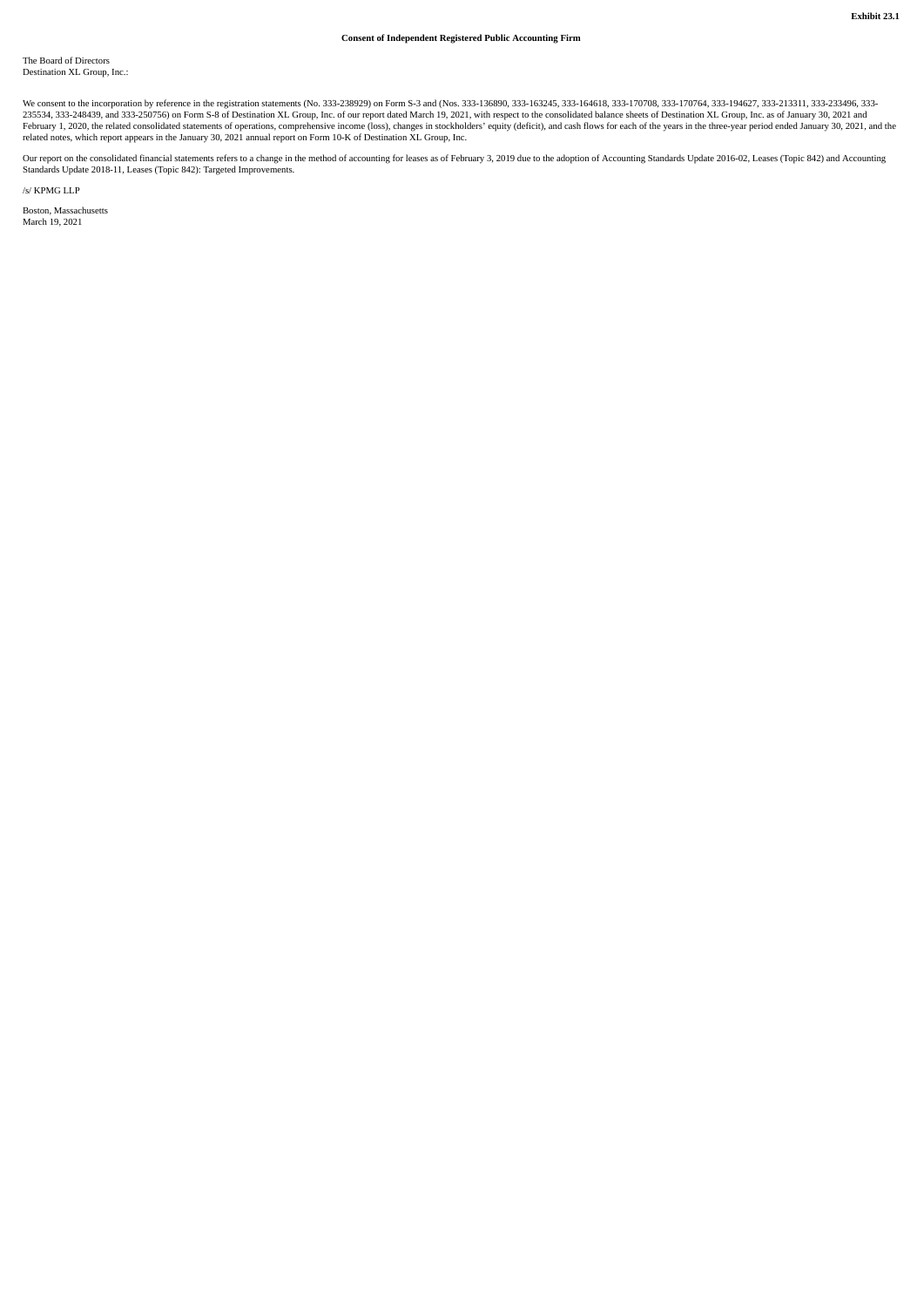The Board of Directors Destination XL Group, Inc.:

We consent to the incorporation by reference in the registration statements (No. 333-238929) on Form S-3 and (Nos. 333-136890, 333-163245, 333-164618, 333-170708, 333-170764, 333-170764, 333-194627, 333-233496, 333-200764,

Our report on the consolidated financial statements refers to a change in the method of accounting for leases as of February 3, 2019 due to the adoption of Accounting Standards Update 2016-02, Leases (Topic 842) and Accoun

/s/ KPMG LLP

Boston, Massachusetts March 19, 2021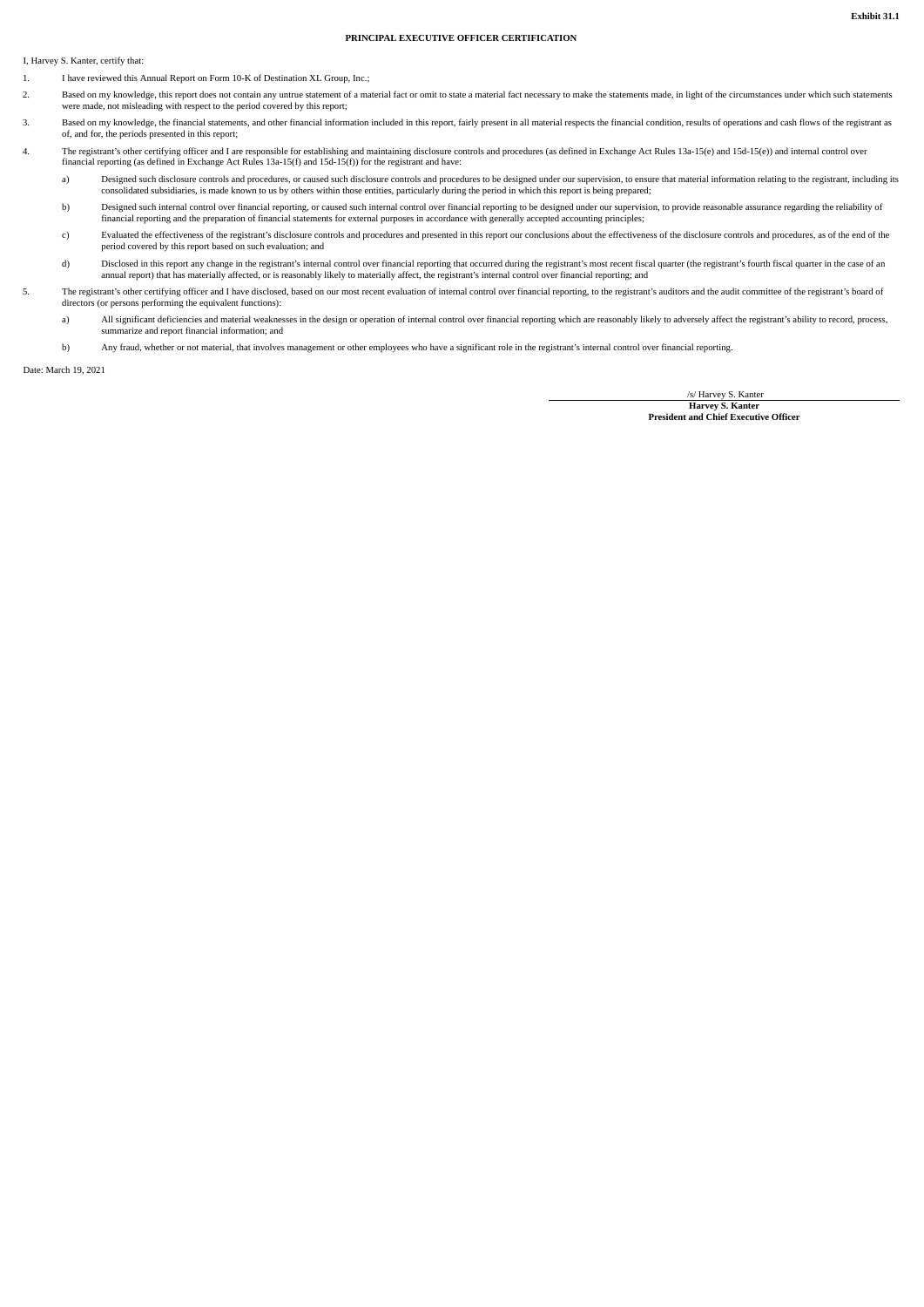### **PRINCIPAL EXECUTIVE OFFICER CERTIFICATION**

## I, Harvey S. Kanter, certify that:

- 1. I have reviewed this Annual Report on Form 10-K of Destination XL Group, Inc.;
- 2. Based on my knowledge, this report does not contain any untrue statement of a material fact or omit to state a material fact necessary to make the statements made, in light of the circumstances under which such statements were made, not misleading with respect to the period covered by this report;
- 3. Based on my knowledge, the financial statements, and other financial information included in this report, fairly present in all material respects the financial condition, results of operations and cash flows of the regi of, and for, the periods presented in this report;
- 4. The registrant's other certifying officer and I are responsible for establishing and maintaining disclosure controls and procedures (as defined in Exchange Act Rules 13a-15(e) and 15d-15(e)) and internal control over<br>fi
	- a) Designed such disclosure controls and procedures, or caused such disclosure controls and procedures to be designed under our supervision, to ensure that material information relating to the registrant, including its consolidated subsidiaries, is made known to us by others within those entities, particularly during the period in which this report is being prepared;
		- b) Designed such internal control over financial reporting, or caused such internal control over financial reporting to be designed under our supervision, to provide reasonable assurance regarding the reliability of financial reporting and the preparation of financial statements for external purposes in accordance with generally accepted accounting principles;
		- c) Evaluated the effectiveness of the registrant's disclosure controls and procedures and presented in this report our conclusions about the effectiveness of the disclosure controls and procedures, as of the end of the period covered by this report based on such evaluation; and
		- d) Disclosed in this report any change in the registrant's internal control over financial reporting that occurred during the registrant's most recent fiscal quarter (the registrant's fourth fiscal quarter in the case of an annual report) that has materially affected, or is reasonably likely to materially affect, the registrant's internal control over financial reporting; and
- 5. The registrant's other certifying officer and I have disclosed, based on our most recent evaluation of internal control over financial reporting, to the registrant's auditors and the audit committee of the registrant's directors (or persons performing the equivalent functions):
	- a) All significant deficiencies and material weaknesses in the design or operation of internal control over financial reporting which are reasonably likely to adversely affect the registrant's ability to record, process, summarize and report financial information; and
		- b) Any fraud, whether or not material, that involves management or other employees who have a significant role in the registrant's internal control over financial reporting.

Date: March 19, 2021

/s/ Harvey S. Kanter **Harvey S. Kanter**

**President and Chief Executive Officer**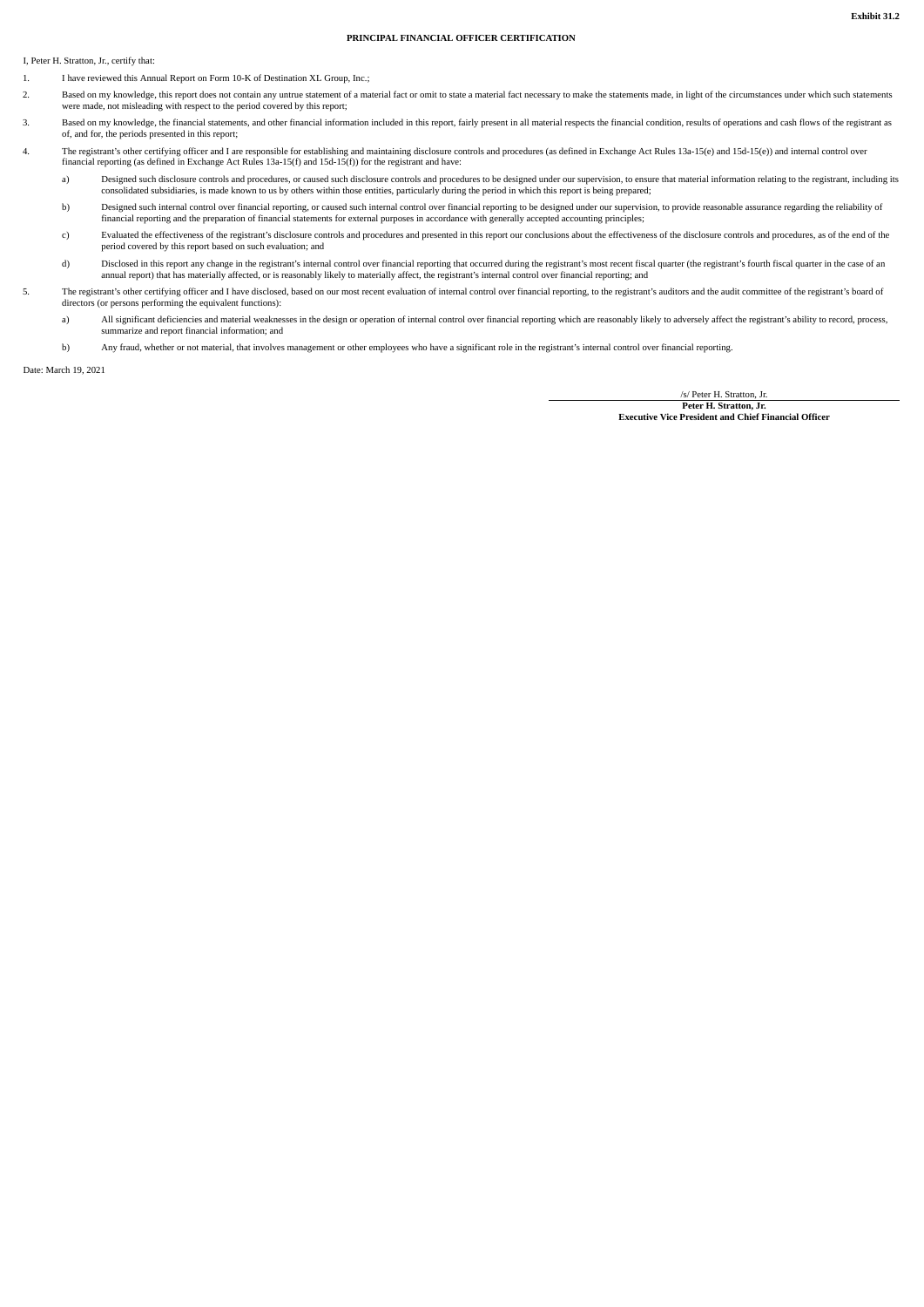### **PRINCIPAL FINANCIAL OFFICER CERTIFICATION**

# I, Peter H. Stratton, Jr., certify that:

- 1. I have reviewed this Annual Report on Form 10-K of Destination XL Group, Inc.;
- 2. Based on my knowledge, this report does not contain any untrue statement of a material fact or omit to state a material fact necessary to make the statements made, in light of the circumstances under which such statements were made, not misleading with respect to the period covered by this report;
- 3. Based on my knowledge, the financial statements, and other financial information included in this report, fairly present in all material respects the financial condition, results of operations and cash flows of the regi of, and for, the periods presented in this report;
- 4. The registrant's other certifying officer and I are responsible for establishing and maintaining disclosure controls and procedures (as defined in Exchange Act Rules 13a-15(e) and 15d-15(e)) and internal control over<br>fi
	- a) Designed such disclosure controls and procedures, or caused such disclosure controls and procedures to be designed under our supervision, to ensure that material information relating to the registrant, including its consolidated subsidiaries, is made known to us by others within those entities, particularly during the period in which this report is being prepared;
		- b) Designed such internal control over financial reporting, or caused such internal control over financial reporting to be designed under our supervision, to provide reasonable assurance regarding the reliability of financial reporting and the preparation of financial statements for external purposes in accordance with generally accepted accounting principles;
		- c) Evaluated the effectiveness of the registrant's disclosure controls and procedures and presented in this report our conclusions about the effectiveness of the disclosure controls and procedures, as of the end of the period covered by this report based on such evaluation; and
		- d) Disclosed in this report any change in the registrant's internal control over financial reporting that occurred during the registrant's most recent fiscal quarter (the registrant's fourth fiscal quarter in the case of an annual report) that has materially affected, or is reasonably likely to materially affect, the registrant's internal control over financial reporting; and
- 5. The registrant's other certifying officer and I have disclosed, based on our most recent evaluation of internal control over financial reporting, to the registrant's auditors and the audit committee of the registrant's directors (or persons performing the equivalent functions):
	- a) All significant deficiencies and material weaknesses in the design or operation of internal control over financial reporting which are reasonably likely to adversely affect the registrant's ability to record, process, summarize and report financial information; and
		- b) Any fraud, whether or not material, that involves management or other employees who have a significant role in the registrant's internal control over financial reporting.

Date: March 19, 2021

/s/ Peter H. Stratton, Jr. **Peter H. Stratton, Jr.**

**Executive Vice President and Chief Financial Officer**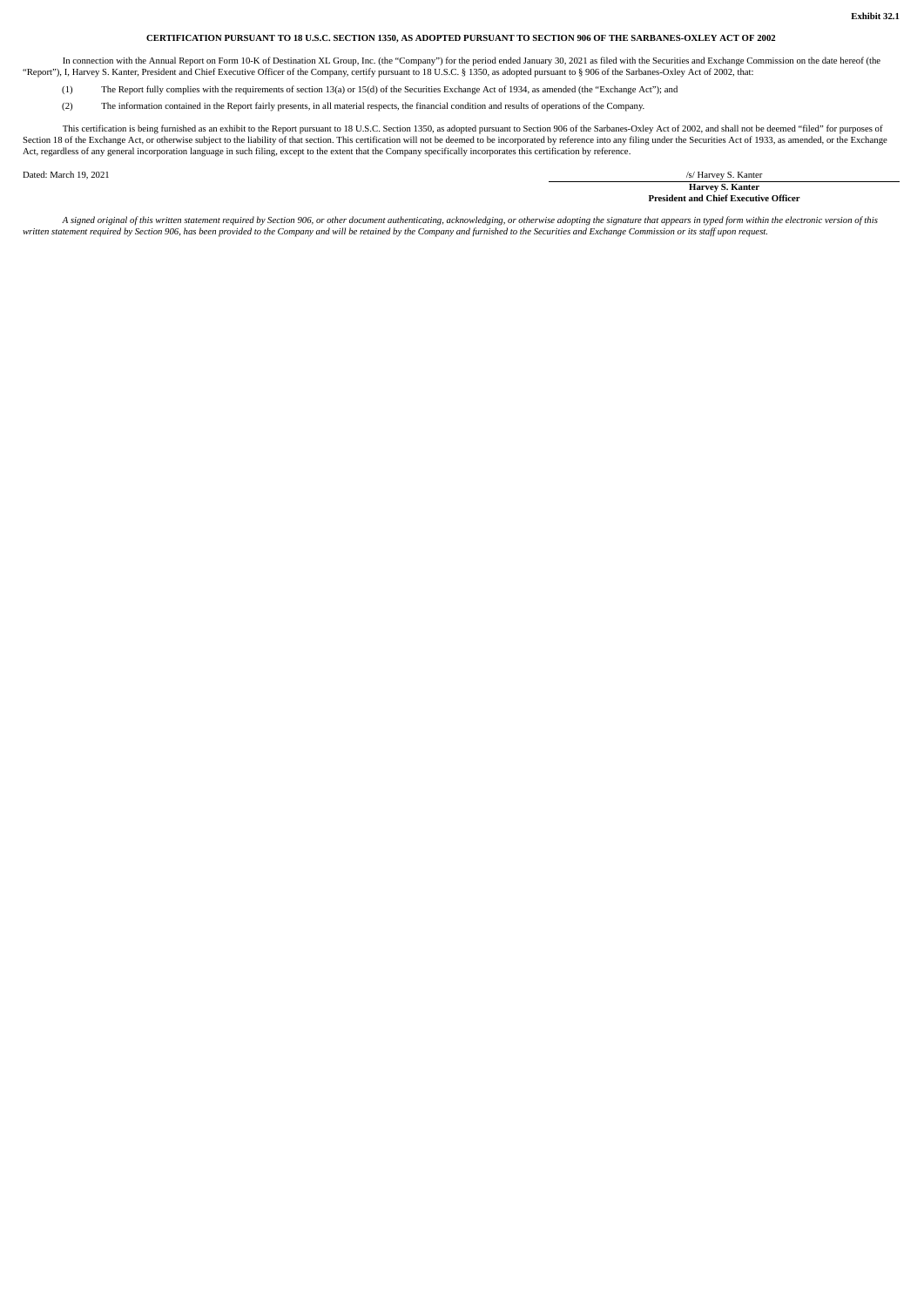# CERTIFICATION PURSUANT TO 18 U.S.C. SECTION 1350, AS ADOPTED PURSUANT TO SECTION 906 OF THE SARBANES-OXLEY ACT OF 2002

In connection with the Annual Report on Form 10-K of Destination XL Group, Inc. (the "Company") for the period ended January 30, 2021 as filed with the Securities and Exchange Commission on the date hereof (the "Report"), I, Harvey S. Kanter, President and Chief Executive Officer of the Company, certify pursuant to 18 U.S.C. § 1350, as adopted pursuant to § 906 of the Sarbanes-Oxley Act of 2002, that:

- (1) The Report fully complies with the requirements of section 13(a) or 15(d) of the Securities Exchange Act of 1934, as amended (the "Exchange Act"); and
- (2) The information contained in the Report fairly presents, in all material respects, the financial condition and results of operations of the Company.

This certification is being furnished as an exhibit to the Report pursuant to 18 U.S.C. Section 1350, as adopted pursuant to Section 906 of the Sarbanes-Oxley Act of 2002, and shall not be deemed "filed" for purposes of<br>Se Act, regardless of any general incorporation language in such filing, except to the extent that the Company specifically incorporates this certification by reference.

#### Dated: March 19, 2021 /s/ Harvey S. Kanter **Harvey S. Kanter President and Chief Executive Officer**

A signed original of this written statement required by Section 906, or other document authenticating, acknowledging, or otherwise adopting the signature that appears in typed form within the electronic version of this<br>wri